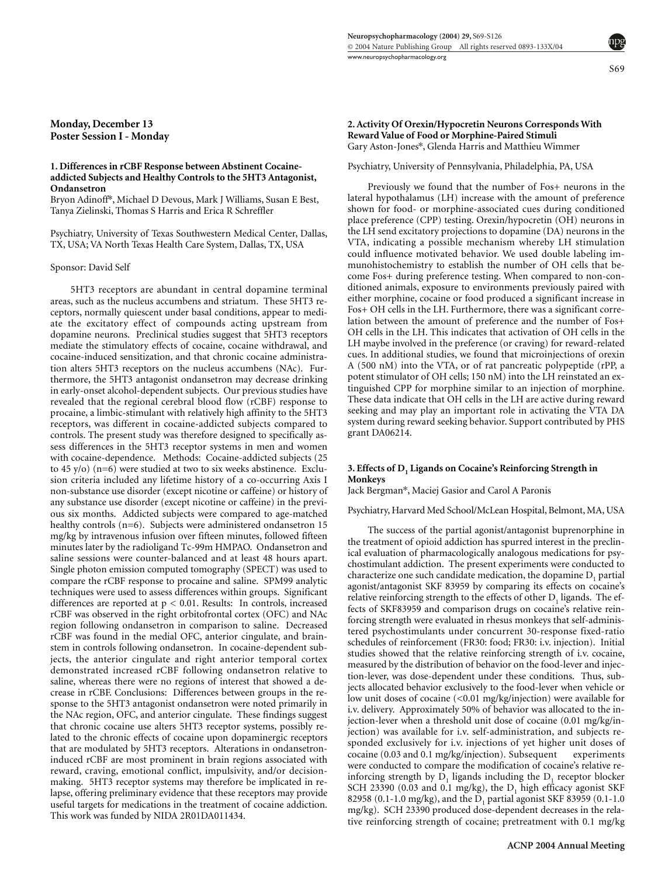S69

**Monday, December 13 Poster Session I - Monday**

### **1. Differences in rCBF Response between Abstinent Cocaineaddicted Subjects and Healthy Controls to the 5HT3 Antagonist, Ondansetron**

Bryon Adinoff\*, Michael D Devous, Mark J Williams, Susan E Best, Tanya Zielinski, Thomas S Harris and Erica R Schreffler

Psychiatry, University of Texas Southwestern Medical Center, Dallas, TX, USA; VA North Texas Health Care System, Dallas, TX, USA

#### Sponsor: David Self

5HT3 receptors are abundant in central dopamine terminal areas, such as the nucleus accumbens and striatum. These 5HT3 receptors, normally quiescent under basal conditions, appear to mediate the excitatory effect of compounds acting upstream from dopamine neurons. Preclinical studies suggest that 5HT3 receptors mediate the stimulatory effects of cocaine, cocaine withdrawal, and cocaine-induced sensitization, and that chronic cocaine administration alters 5HT3 receptors on the nucleus accumbens (NAc). Furthermore, the 5HT3 antagonist ondansetron may decrease drinking in early-onset alcohol-dependent subjects. Our previous studies have revealed that the regional cerebral blood flow (rCBF) response to procaine, a limbic-stimulant with relatively high affinity to the 5HT3 receptors, was different in cocaine-addicted subjects compared to controls. The present study was therefore designed to specifically assess differences in the 5HT3 receptor systems in men and women with cocaine-dependence. Methods: Cocaine-addicted subjects (25 to 45 y/o) (n=6) were studied at two to six weeks abstinence. Exclusion criteria included any lifetime history of a co-occurring Axis I non-substance use disorder (except nicotine or caffeine) or history of any substance use disorder (except nicotine or caffeine) in the previous six months. Addicted subjects were compared to age-matched healthy controls (n=6). Subjects were administered ondansetron 15 mg/kg by intravenous infusion over fifteen minutes, followed fifteen minutes later by the radioligand Tc-99m HMPAO. Ondansetron and saline sessions were counter-balanced and at least 48 hours apart. Single photon emission computed tomography (SPECT) was used to compare the rCBF response to procaine and saline. SPM99 analytic techniques were used to assess differences within groups. Significant differences are reported at  $p < 0.01$ . Results: In controls, increased rCBF was observed in the right orbitofrontal cortex (OFC) and NAc region following ondansetron in comparison to saline. Decreased rCBF was found in the medial OFC, anterior cingulate, and brainstem in controls following ondansetron. In cocaine-dependent subjects, the anterior cingulate and right anterior temporal cortex demonstrated increased rCBF following ondansetron relative to saline, whereas there were no regions of interest that showed a decrease in rCBF. Conclusions: Differences between groups in the response to the 5HT3 antagonist ondansetron were noted primarily in the NAc region, OFC, and anterior cingulate. These findings suggest that chronic cocaine use alters 5HT3 receptor systems, possibly related to the chronic effects of cocaine upon dopaminergic receptors that are modulated by 5HT3 receptors. Alterations in ondansetroninduced rCBF are most prominent in brain regions associated with reward, craving, emotional conflict, impulsivity, and/or decisionmaking. 5HT3 receptor systems may therefore be implicated in relapse, offering preliminary evidence that these receptors may provide useful targets for medications in the treatment of cocaine addiction. This work was funded by NIDA 2R01DA011434.

### **2. Activity Of Orexin/Hypocretin Neurons Corresponds With Reward Value of Food or Morphine-Paired Stimuli** Gary Aston-Jones\*, Glenda Harris and Matthieu Wimmer

#### Psychiatry, University of Pennsylvania, Philadelphia, PA, USA

Previously we found that the number of Fos+ neurons in the lateral hypothalamus (LH) increase with the amount of preference shown for food- or morphine-associated cues during conditioned place preference (CPP) testing. Orexin/hypocretin (OH) neurons in the LH send excitatory projections to dopamine (DA) neurons in the VTA, indicating a possible mechanism whereby LH stimulation could influence motivated behavior. We used double labeling immunohistochemistry to establish the number of OH cells that become Fos+ during preference testing. When compared to non-conditioned animals, exposure to environments previously paired with either morphine, cocaine or food produced a significant increase in Fos+ OH cells in the LH. Furthermore, there was a significant correlation between the amount of preference and the number of Fos+ OH cells in the LH. This indicates that activation of OH cells in the LH maybe involved in the preference (or craving) for reward-related cues. In additional studies, we found that microinjections of orexin A (500 nM) into the VTA, or of rat pancreatic polypeptide (rPP, a potent stimulator of OH cells; 150 nM) into the LH reinstated an extinguished CPP for morphine similar to an injection of morphine. These data indicate that OH cells in the LH are active during reward seeking and may play an important role in activating the VTA DA system during reward seeking behavior. Support contributed by PHS grant DA06214.

### **3. Effects of D<sub>1</sub> Ligands on Cocaine's Reinforcing Strength in Monkeys**

Jack Bergman\*, Maciej Gasior and Carol A Paronis

Psychiatry, Harvard Med School/McLean Hospital, Belmont, MA, USA

The success of the partial agonist/antagonist buprenorphine in the treatment of opioid addiction has spurred interest in the preclinical evaluation of pharmacologically analogous medications for psychostimulant addiction. The present experiments were conducted to characterize one such candidate medication, the dopamine  $D_1$  partial agonist/antagonist SKF 83959 by comparing its effects on cocaine's relative reinforcing strength to the effects of other  $D<sub>1</sub>$  ligands. The effects of SKF83959 and comparison drugs on cocaine's relative reinforcing strength were evaluated in rhesus monkeys that self-administered psychostimulants under concurrent 30-response fixed-ratio schedules of reinforcement (FR30: food; FR30: i.v. injection). Initial studies showed that the relative reinforcing strength of i.v. cocaine, measured by the distribution of behavior on the food-lever and injection-lever, was dose-dependent under these conditions. Thus, subjects allocated behavior exclusively to the food-lever when vehicle or low unit doses of cocaine (<0.01 mg/kg/injection) were available for i.v. delivery. Approximately 50% of behavior was allocated to the injection-lever when a threshold unit dose of cocaine (0.01 mg/kg/injection) was available for i.v. self-administration, and subjects responded exclusively for i.v. injections of yet higher unit doses of cocaine (0.03 and 0.1 mg/kg/injection). Subsequent experiments were conducted to compare the modification of cocaine's relative reinforcing strength by  $D_1$  ligands including the  $D_1$  receptor blocker SCH 23390 (0.03 and 0.1 mg/kg), the  $D_1$  high efficacy agonist SKF 82958 (0.1-1.0 mg/kg), and the  $D_1$  partial agonist SKF 83959 (0.1-1.0 mg/kg). SCH 23390 produced dose-dependent decreases in the relative reinforcing strength of cocaine; pretreatment with 0.1 mg/kg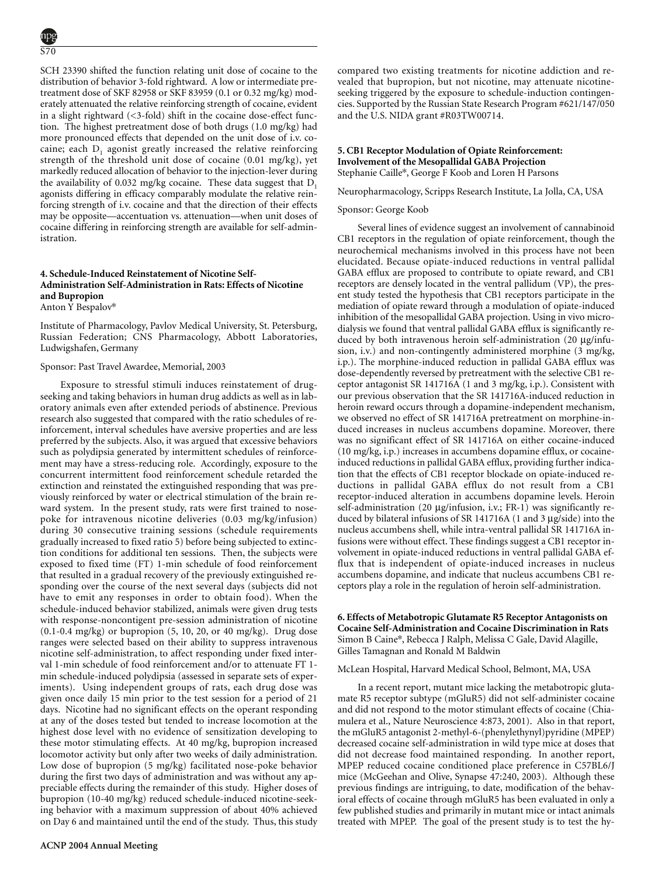SCH 23390 shifted the function relating unit dose of cocaine to the distribution of behavior 3-fold rightward. A low or intermediate pretreatment dose of SKF 82958 or SKF 83959 (0.1 or 0.32 mg/kg) moderately attenuated the relative reinforcing strength of cocaine, evident in a slight rightward (<3-fold) shift in the cocaine dose-effect function. The highest pretreatment dose of both drugs (1.0 mg/kg) had more pronounced effects that depended on the unit dose of i.v. cocaine; each  $D_1$  agonist greatly increased the relative reinforcing strength of the threshold unit dose of cocaine (0.01 mg/kg), yet markedly reduced allocation of behavior to the injection-lever during the availability of 0.032 mg/kg cocaine. These data suggest that  $D_1$ agonists differing in efficacy comparably modulate the relative reinforcing strength of i.v. cocaine and that the direction of their effects may be opposite—accentuation vs. attenuation—when unit doses of cocaine differing in reinforcing strength are available for self-administration.

# **4. Schedule-Induced Reinstatement of Nicotine Self-Administration Self-Administration in Rats: Effects of Nicotine and Bupropion** Anton Y Bespalov\*

Institute of Pharmacology, Pavlov Medical University, St. Petersburg, Russian Federation; CNS Pharmacology, Abbott Laboratories, Ludwigshafen, Germany

### Sponsor: Past Travel Awardee, Memorial, 2003

Exposure to stressful stimuli induces reinstatement of drugseeking and taking behaviors in human drug addicts as well as in laboratory animals even after extended periods of abstinence. Previous research also suggested that compared with the ratio schedules of reinforcement, interval schedules have aversive properties and are less preferred by the subjects. Also, it was argued that excessive behaviors such as polydipsia generated by intermittent schedules of reinforcement may have a stress-reducing role. Accordingly, exposure to the concurrent intermittent food reinforcement schedule retarded the extinction and reinstated the extinguished responding that was previously reinforced by water or electrical stimulation of the brain reward system. In the present study, rats were first trained to nosepoke for intravenous nicotine deliveries (0.03 mg/kg/infusion) during 30 consecutive training sessions (schedule requirements gradually increased to fixed ratio 5) before being subjected to extinction conditions for additional ten sessions. Then, the subjects were exposed to fixed time (FT) 1-min schedule of food reinforcement that resulted in a gradual recovery of the previously extinguished responding over the course of the next several days (subjects did not have to emit any responses in order to obtain food). When the schedule-induced behavior stabilized, animals were given drug tests with response-noncontigent pre-session administration of nicotine (0.1-0.4 mg/kg) or bupropion (5, 10, 20, or 40 mg/kg). Drug dose ranges were selected based on their ability to suppress intravenous nicotine self-administration, to affect responding under fixed interval 1-min schedule of food reinforcement and/or to attenuate FT 1 min schedule-induced polydipsia (assessed in separate sets of experiments). Using independent groups of rats, each drug dose was given once daily 15 min prior to the test session for a period of 21 days. Nicotine had no significant effects on the operant responding at any of the doses tested but tended to increase locomotion at the highest dose level with no evidence of sensitization developing to these motor stimulating effects. At 40 mg/kg, bupropion increased locomotor activity but only after two weeks of daily administration. Low dose of bupropion (5 mg/kg) facilitated nose-poke behavior during the first two days of administration and was without any appreciable effects during the remainder of this study. Higher doses of bupropion (10-40 mg/kg) reduced schedule-induced nicotine-seeking behavior with a maximum suppression of about 40% achieved on Day 6 and maintained until the end of the study. Thus, this study compared two existing treatments for nicotine addiction and revealed that bupropion, but not nicotine, may attenuate nicotineseeking triggered by the exposure to schedule-induction contingencies. Supported by the Russian State Research Program #621/147/050 and the U.S. NIDA grant #R03TW00714.

# **5. CB1 Receptor Modulation of Opiate Reinforcement: Involvement of the Mesopallidal GABA Projection** Stephanie Caille\*, George F Koob and Loren H Parsons

Neuropharmacology, Scripps Research Institute, La Jolla, CA, USA

### Sponsor: George Koob

Several lines of evidence suggest an involvement of cannabinoid CB1 receptors in the regulation of opiate reinforcement, though the neurochemical mechanisms involved in this process have not been elucidated. Because opiate-induced reductions in ventral pallidal GABA efflux are proposed to contribute to opiate reward, and CB1 receptors are densely located in the ventral pallidum (VP), the present study tested the hypothesis that CB1 receptors participate in the mediation of opiate reward through a modulation of opiate-induced inhibition of the mesopallidal GABA projection. Using in vivo microdialysis we found that ventral pallidal GABA efflux is significantly reduced by both intravenous heroin self-administration (20 µg/infusion, i.v.) and non-contingently administered morphine (3 mg/kg, i.p.). The morphine-induced reduction in pallidal GABA efflux was dose-dependently reversed by pretreatment with the selective CB1 receptor antagonist SR 141716A (1 and 3 mg/kg, i.p.). Consistent with our previous observation that the SR 141716A-induced reduction in heroin reward occurs through a dopamine-independent mechanism, we observed no effect of SR 141716A pretreatment on morphine-induced increases in nucleus accumbens dopamine. Moreover, there was no significant effect of SR 141716A on either cocaine-induced (10 mg/kg, i.p.) increases in accumbens dopamine efflux, or cocaineinduced reductions in pallidal GABA efflux, providing further indication that the effects of CB1 receptor blockade on opiate-induced reductions in pallidal GABA efflux do not result from a CB1 receptor-induced alteration in accumbens dopamine levels. Heroin self-administration (20 µg/infusion, i.v.; FR-1) was significantly reduced by bilateral infusions of SR 141716A (1 and 3 µg/side) into the nucleus accumbens shell, while intra-ventral pallidal SR 141716A infusions were without effect. These findings suggest a CB1 receptor involvement in opiate-induced reductions in ventral pallidal GABA efflux that is independent of opiate-induced increases in nucleus accumbens dopamine, and indicate that nucleus accumbens CB1 receptors play a role in the regulation of heroin self-administration.

**6. Effects of Metabotropic Glutamate R5 Receptor Antagonists on Cocaine Self-Administration and Cocaine Discrimination in Rats** Simon B Caine\*, Rebecca J Ralph, Melissa C Gale, David Alagille, Gilles Tamagnan and Ronald M Baldwin

McLean Hospital, Harvard Medical School, Belmont, MA, USA

In a recent report, mutant mice lacking the metabotropic glutamate R5 receptor subtype (mGluR5) did not self-administer cocaine and did not respond to the motor stimulant effects of cocaine (Chiamulera et al., Nature Neuroscience 4:873, 2001). Also in that report, the mGluR5 antagonist 2-methyl-6-(phenylethynyl)pyridine (MPEP) decreased cocaine self-administration in wild type mice at doses that did not decrease food maintained responding. In another report, MPEP reduced cocaine conditioned place preference in C57BL6/J mice (McGeehan and Olive, Synapse 47:240, 2003). Although these previous findings are intriguing, to date, modification of the behavioral effects of cocaine through mGluR5 has been evaluated in only a few published studies and primarily in mutant mice or intact animals treated with MPEP. The goal of the present study is to test the hy-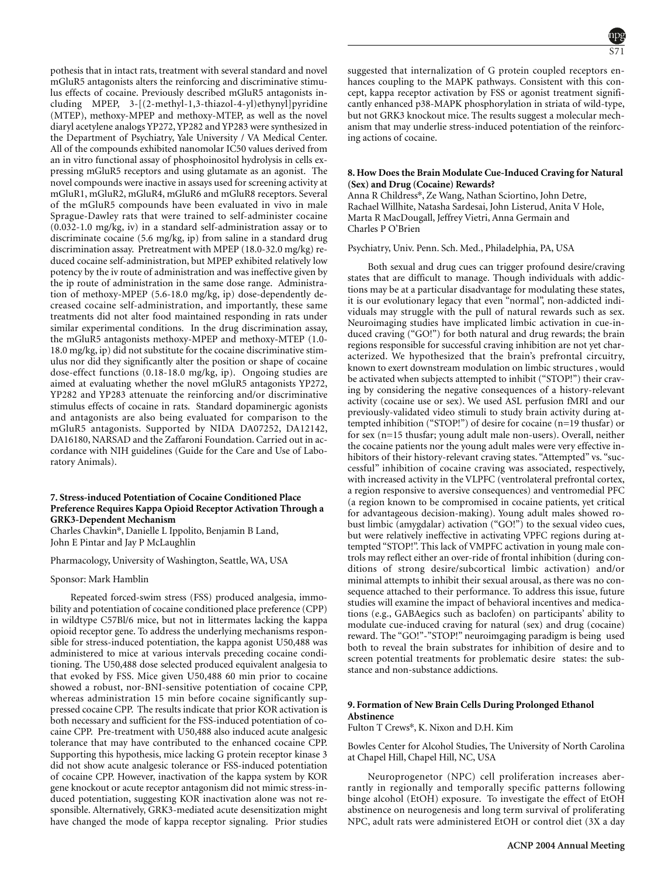pothesis that in intact rats, treatment with several standard and novel mGluR5 antagonists alters the reinforcing and discriminative stimulus effects of cocaine. Previously described mGluR5 antagonists including MPEP, 3-[(2-methyl-1,3-thiazol-4-yl)ethynyl]pyridine (MTEP), methoxy-MPEP and methoxy-MTEP, as well as the novel diaryl acetylene analogs YP272, YP282 and YP283 were synthesized in the Department of Psychiatry, Yale University / VA Medical Center. All of the compounds exhibited nanomolar IC50 values derived from an in vitro functional assay of phosphoinositol hydrolysis in cells expressing mGluR5 receptors and using glutamate as an agonist. The novel compounds were inactive in assays used for screening activity at mGluR1, mGluR2, mGluR4, mGluR6 and mGluR8 receptors. Several of the mGluR5 compounds have been evaluated in vivo in male Sprague-Dawley rats that were trained to self-administer cocaine (0.032-1.0 mg/kg, iv) in a standard self-administration assay or to discriminate cocaine (5.6 mg/kg, ip) from saline in a standard drug discrimination assay. Pretreatment with MPEP (18.0-32.0 mg/kg) reduced cocaine self-administration, but MPEP exhibited relatively low potency by the iv route of administration and was ineffective given by the ip route of administration in the same dose range. Administration of methoxy-MPEP (5.6-18.0 mg/kg, ip) dose-dependently decreased cocaine self-administration, and importantly, these same treatments did not alter food maintained responding in rats under similar experimental conditions. In the drug discrimination assay, the mGluR5 antagonists methoxy-MPEP and methoxy-MTEP (1.0- 18.0 mg/kg, ip) did not substitute for the cocaine discriminative stimulus nor did they significantly alter the position or shape of cocaine dose-effect functions (0.18-18.0 mg/kg, ip). Ongoing studies are aimed at evaluating whether the novel mGluR5 antagonists YP272, YP282 and YP283 attenuate the reinforcing and/or discriminative stimulus effects of cocaine in rats. Standard dopaminergic agonists and antagonists are also being evaluated for comparison to the mGluR5 antagonists. Supported by NIDA DA07252, DA12142, DA16180, NARSAD and the Zaffaroni Foundation. Carried out in accordance with NIH guidelines (Guide for the Care and Use of Laboratory Animals).

# **7. Stress-induced Potentiation of Cocaine Conditioned Place Preference Requires Kappa Opioid Receptor Activation Through a GRK3-Dependent Mechanism**

Charles Chavkin\*, Danielle L Ippolito, Benjamin B Land, John E Pintar and Jay P McLaughlin

Pharmacology, University of Washington, Seattle, WA, USA

Sponsor: Mark Hamblin

Repeated forced-swim stress (FSS) produced analgesia, immobility and potentiation of cocaine conditioned place preference (CPP) in wildtype C57Bl/6 mice, but not in littermates lacking the kappa opioid receptor gene. To address the underlying mechanisms responsible for stress-induced potentiation, the kappa agonist U50,488 was administered to mice at various intervals preceding cocaine conditioning. The U50,488 dose selected produced equivalent analgesia to that evoked by FSS. Mice given U50,488 60 min prior to cocaine showed a robust, nor-BNI-sensitive potentiation of cocaine CPP, whereas administration 15 min before cocaine significantly suppressed cocaine CPP. The results indicate that prior KOR activation is both necessary and sufficient for the FSS-induced potentiation of cocaine CPP. Pre-treatment with U50,488 also induced acute analgesic tolerance that may have contributed to the enhanced cocaine CPP. Supporting this hypothesis, mice lacking G protein receptor kinase 3 did not show acute analgesic tolerance or FSS-induced potentiation of cocaine CPP. However, inactivation of the kappa system by KOR gene knockout or acute receptor antagonism did not mimic stress-induced potentiation, suggesting KOR inactivation alone was not responsible. Alternatively, GRK3-mediated acute desensitization might have changed the mode of kappa receptor signaling. Prior studies



suggested that internalization of G protein coupled receptors enhances coupling to the MAPK pathways. Consistent with this concept, kappa receptor activation by FSS or agonist treatment significantly enhanced p38-MAPK phosphorylation in striata of wild-type, but not GRK3 knockout mice. The results suggest a molecular mechanism that may underlie stress-induced potentiation of the reinforcing actions of cocaine.

# **8. How Does the Brain Modulate Cue-Induced Craving for Natural (Sex) and Drug (Cocaine) Rewards?**

Anna R Childress\*, Ze Wang, Nathan Sciortino, John Detre, Rachael Willhite, Natasha Sardesai, John Listerud, Anita V Hole, Marta R MacDougall, Jeffrey Vietri, Anna Germain and Charles P O'Brien

Psychiatry, Univ. Penn. Sch. Med., Philadelphia, PA, USA

Both sexual and drug cues can trigger profound desire/craving states that are difficult to manage. Though individuals with addictions may be at a particular disadvantage for modulating these states, it is our evolutionary legacy that even "normal", non-addicted individuals may struggle with the pull of natural rewards such as sex. Neuroimaging studies have implicated limbic activation in cue-induced craving ("GO!") for both natural and drug rewards; the brain regions responsible for successful craving inhibition are not yet characterized. We hypothesized that the brain's prefrontal circuitry, known to exert downstream modulation on limbic structures , would be activated when subjects attempted to inhibit ("STOP!") their craving by considering the negative consequences of a history-relevant activity (cocaine use or sex). We used ASL perfusion fMRI and our previously-validated video stimuli to study brain activity during attempted inhibition ("STOP!") of desire for cocaine (n=19 thusfar) or for sex (n=15 thusfar; young adult male non-users). Overall, neither the cocaine patients nor the young adult males were very effective inhibitors of their history-relevant craving states. "Attempted" vs. "successful" inhibition of cocaine craving was associated, respectively, with increased activity in the VLPFC (ventrolateral prefrontal cortex, a region responsive to aversive consequences) and ventromedial PFC (a region known to be compromised in cocaine patients, yet critical for advantageous decision-making). Young adult males showed robust limbic (amygdalar) activation ("GO!") to the sexual video cues, but were relatively ineffective in activating VPFC regions during attempted "STOP!". This lack of VMPFC activation in young male controls may reflect either an over-ride of frontal inhibition (during conditions of strong desire/subcortical limbic activation) and/or minimal attempts to inhibit their sexual arousal, as there was no consequence attached to their performance. To address this issue, future studies will examine the impact of behavioral incentives and medications (e.g., GABAegics such as baclofen) on participants' ability to modulate cue-induced craving for natural (sex) and drug (cocaine) reward. The "GO!"-"STOP!" neuroimgaging paradigm is being used both to reveal the brain substrates for inhibition of desire and to screen potential treatments for problematic desire states: the substance and non-substance addictions.

# **9. Formation of New Brain Cells During Prolonged Ethanol Abstinence**

Fulton T Crews\*, K. Nixon and D.H. Kim

Bowles Center for Alcohol Studies, The University of North Carolina at Chapel Hill, Chapel Hill, NC, USA

Neuroprogenetor (NPC) cell proliferation increases aberrantly in regionally and temporally specific patterns following binge alcohol (EtOH) exposure. To investigate the effect of EtOH abstinence on neurogenesis and long term survival of proliferating NPC, adult rats were administered EtOH or control diet (3X a day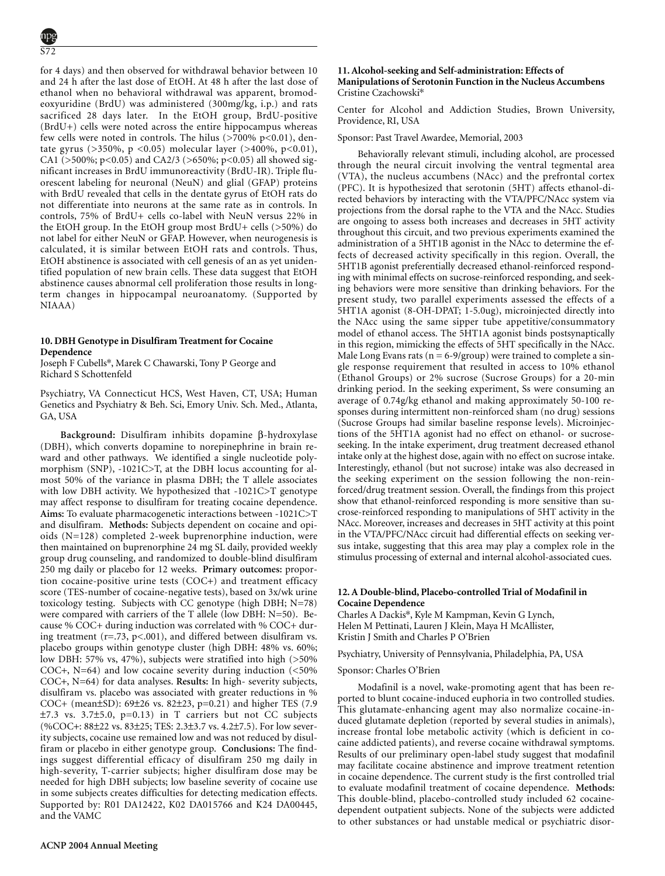for 4 days) and then observed for withdrawal behavior between 10 and 24 h after the last dose of EtOH. At 48 h after the last dose of ethanol when no behavioral withdrawal was apparent, bromodeoxyuridine (BrdU) was administered (300mg/kg, i.p.) and rats sacrificed 28 days later. In the EtOH group, BrdU-positive (BrdU+) cells were noted across the entire hippocampus whereas few cells were noted in controls. The hilus  $($ >700% p<0.01), dentate gyrus (>350%, p <0.05) molecular layer (>400%, p<0.01), CA1 (>500%; p<0.05) and CA2/3 (>650%; p<0.05) all showed significant increases in BrdU immunoreactivity (BrdU-IR). Triple fluorescent labeling for neuronal (NeuN) and glial (GFAP) proteins with BrdU revealed that cells in the dentate gyrus of EtOH rats do not differentiate into neurons at the same rate as in controls. In controls, 75% of BrdU+ cells co-label with NeuN versus 22% in the EtOH group. In the EtOH group most BrdU+ cells (>50%) do not label for either NeuN or GFAP. However, when neurogenesis is calculated, it is similar between EtOH rats and controls. Thus, EtOH abstinence is associated with cell genesis of an as yet unidentified population of new brain cells. These data suggest that EtOH abstinence causes abnormal cell proliferation those results in longterm changes in hippocampal neuroanatomy. (Supported by NIAAA)

### **10. DBH Genotype in Disulfiram Treatment for Cocaine Dependence**

Joseph F Cubells\*, Marek C Chawarski, Tony P George and Richard S Schottenfeld

Psychiatry, VA Connecticut HCS, West Haven, CT, USA; Human Genetics and Psychiatry & Beh. Sci, Emory Univ. Sch. Med., Atlanta, GA, USA

**Background:** Disulfiram inhibits dopamine β-hydroxylase (DBH), which converts dopamine to norepinephrine in brain reward and other pathways. We identified a single nucleotide polymorphism (SNP), -1021C>T, at the DBH locus accounting for almost 50% of the variance in plasma DBH; the T allele associates with low DBH activity. We hypothesized that -1021C>T genotype may affect response to disulfiram for treating cocaine dependence. **Aims:** To evaluate pharmacogenetic interactions between -1021C>T and disulfiram. **Methods:** Subjects dependent on cocaine and opioids (N=128) completed 2-week buprenorphine induction, were then maintained on buprenorphine 24 mg SL daily, provided weekly group drug counseling, and randomized to double-blind disulfiram 250 mg daily or placebo for 12 weeks. **Primary outcomes:** proportion cocaine-positive urine tests (COC+) and treatment efficacy score (TES-number of cocaine-negative tests), based on 3x/wk urine toxicology testing. Subjects with CC genotype (high DBH; N=78) were compared with carriers of the T allele (low DBH: N=50). Because % COC+ during induction was correlated with % COC+ during treatment (r=.73, p<.001), and differed between disulfiram vs. placebo groups within genotype cluster (high DBH: 48% vs. 60%; low DBH: 57% vs, 47%), subjects were stratified into high (>50% COC+, N=64) and low cocaine severity during induction (<50% COC+, N=64) for data analyses. **Results:** In high- severity subjects, disulfiram vs. placebo was associated with greater reductions in % COC+ (mean±SD): 69±26 vs. 82±23, p=0.21) and higher TES (7.9 ±7.3 vs. 3.7±5.0, p=0.13) in T carriers but not CC subjects (%COC+: 88±22 vs. 83±25; TES: 2.3±3.7 vs. 4.2±7.5). For low severity subjects, cocaine use remained low and was not reduced by disulfiram or placebo in either genotype group. **Conclusions:** The findings suggest differential efficacy of disulfiram 250 mg daily in high-severity, T-carrier subjects; higher disulfiram dose may be needed for high DBH subjects; low baseline severity of cocaine use in some subjects creates difficulties for detecting medication effects. Supported by: R01 DA12422, K02 DA015766 and K24 DA00445, and the VAMC

### **11. Alcohol-seeking and Self-administration: Effects of Manipulations of Serotonin Function in the Nucleus Accumbens** Cristine Czachowski\*

Center for Alcohol and Addiction Studies, Brown University, Providence, RI, USA

Sponsor: Past Travel Awardee, Memorial, 2003

Behaviorally relevant stimuli, including alcohol, are processed through the neural circuit involving the ventral tegmental area (VTA), the nucleus accumbens (NAcc) and the prefrontal cortex (PFC). It is hypothesized that serotonin (5HT) affects ethanol-directed behaviors by interacting with the VTA/PFC/NAcc system via projections from the dorsal raphe to the VTA and the NAcc. Studies are ongoing to assess both increases and decreases in 5HT activity throughout this circuit, and two previous experiments examined the administration of a 5HT1B agonist in the NAcc to determine the effects of decreased activity specifically in this region. Overall, the 5HT1B agonist preferentially decreased ethanol-reinforced responding with minimal effects on sucrose-reinforced responding, and seeking behaviors were more sensitive than drinking behaviors. For the present study, two parallel experiments assessed the effects of a 5HT1A agonist (8-OH-DPAT; 1-5.0ug), microinjected directly into the NAcc using the same sipper tube appetitive/consummatory model of ethanol access. The 5HT1A agonist binds postsynaptically in this region, mimicking the effects of 5HT specifically in the NAcc. Male Long Evans rats ( $n = 6-9/group$ ) were trained to complete a single response requirement that resulted in access to 10% ethanol (Ethanol Groups) or 2% sucrose (Sucrose Groups) for a 20-min drinking period. In the seeking experiment, Ss were consuming an average of 0.74g/kg ethanol and making approximately 50-100 responses during intermittent non-reinforced sham (no drug) sessions (Sucrose Groups had similar baseline response levels). Microinjections of the 5HT1A agonist had no effect on ethanol- or sucroseseeking. In the intake experiment, drug treatment decreased ethanol intake only at the highest dose, again with no effect on sucrose intake. Interestingly, ethanol (but not sucrose) intake was also decreased in the seeking experiment on the session following the non-reinforced/drug treatment session. Overall, the findings from this project show that ethanol-reinforced responding is more sensitive than sucrose-reinforced responding to manipulations of 5HT activity in the NAcc. Moreover, increases and decreases in 5HT activity at this point in the VTA/PFC/NAcc circuit had differential effects on seeking versus intake, suggesting that this area may play a complex role in the stimulus processing of external and internal alcohol-associated cues.

# **12. A Double-blind, Placebo-controlled Trial of Modafinil in Cocaine Dependence**

Charles A Dackis\*, Kyle M Kampman, Kevin G Lynch, Helen M Pettinati, Lauren J Klein, Maya H McAllister, Kristin J Smith and Charles P O'Brien

Psychiatry, University of Pennsylvania, Philadelphia, PA, USA

#### Sponsor: Charles O'Brien

5-HT; Alcohol; Nucleus accumbens (NAcc)

Modafinil is a novel, wake-promoting agent that has been reported to blunt cocaine-induced euphoria in two controlled studies. This glutamate-enhancing agent may also normalize cocaine-induced glutamate depletion (reported by several studies in animals), increase frontal lobe metabolic activity (which is deficient in cocaine addicted patients), and reverse cocaine withdrawal symptoms. Results of our preliminary open-label study suggest that modafinil may facilitate cocaine abstinence and improve treatment retention in cocaine dependence. The current study is the first controlled trial to evaluate modafinil treatment of cocaine dependence. **Methods:** This double-blind, placebo-controlled study included 62 cocainedependent outpatient subjects. None of the subjects were addicted to other substances or had unstable medical or psychiatric disor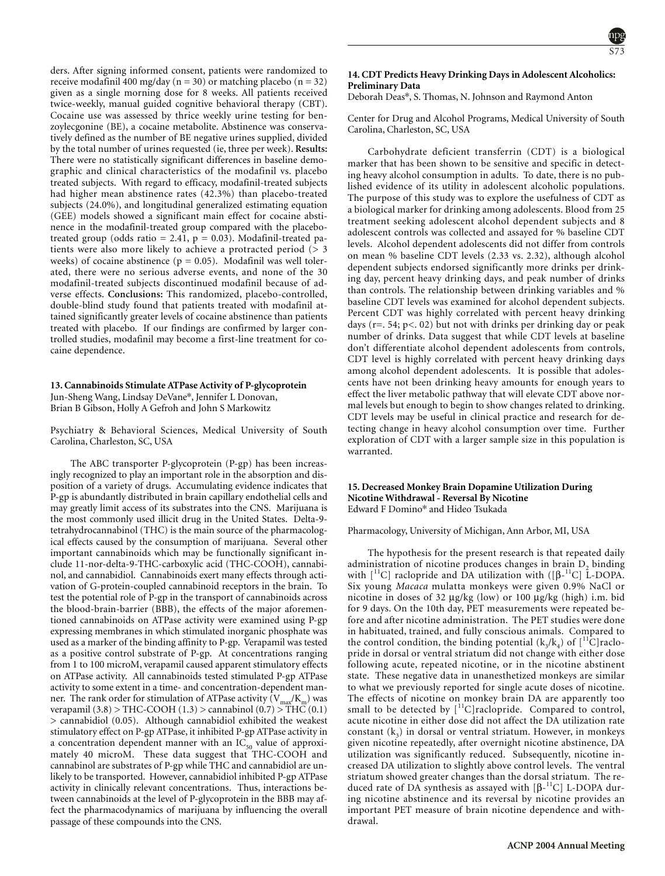ders. After signing informed consent, patients were randomized to receive modafinil 400 mg/day ( $n = 30$ ) or matching placebo ( $n = 32$ ) given as a single morning dose for 8 weeks. All patients received twice-weekly, manual guided cognitive behavioral therapy (CBT). Cocaine use was assessed by thrice weekly urine testing for benzoylecgonine (BE), a cocaine metabolite. Abstinence was conservatively defined as the number of BE negative urines supplied, divided by the total number of urines requested (ie, three per week). **Results:** There were no statistically significant differences in baseline demographic and clinical characteristics of the modafinil vs. placebo treated subjects. With regard to efficacy, modafinil-treated subjects had higher mean abstinence rates (42.3%) than placebo-treated subjects (24.0%), and longitudinal generalized estimating equation (GEE) models showed a significant main effect for cocaine abstinence in the modafinil-treated group compared with the placebotreated group (odds ratio = 2.41,  $p = 0.03$ ). Modafinil-treated patients were also more likely to achieve a protracted period (> 3 weeks) of cocaine abstinence ( $p = 0.05$ ). Modafinil was well tolerated, there were no serious adverse events, and none of the 30 modafinil-treated subjects discontinued modafinil because of adverse effects. **Conclusions:** This randomized, placebo-controlled, double-blind study found that patients treated with modafinil attained significantly greater levels of cocaine abstinence than patients treated with placebo. If our findings are confirmed by larger controlled studies, modafinil may become a first-line treatment for cocaine dependence.

# **13. Cannabinoids Stimulate ATPase Activity of P-glycoprotein** Jun-Sheng Wang, Lindsay DeVane\*, Jennifer L Donovan, Brian B Gibson, Holly A Gefroh and John S Markowitz

Psychiatry & Behavioral Sciences, Medical University of South Carolina, Charleston, SC, USA

The ABC transporter P-glycoprotein (P-gp) has been increasingly recognized to play an important role in the absorption and disposition of a variety of drugs. Accumulating evidence indicates that P-gp is abundantly distributed in brain capillary endothelial cells and may greatly limit access of its substrates into the CNS. Marijuana is the most commonly used illicit drug in the United States. Delta-9 tetrahydrocannabinol (THC) is the main source of the pharmacological effects caused by the consumption of marijuana. Several other important cannabinoids which may be functionally significant include 11-nor-delta-9-THC-carboxylic acid (THC-COOH), cannabinol, and cannabidiol. Cannabinoids exert many effects through activation of G-protein-coupled cannabinoid receptors in the brain. To test the potential role of P-gp in the transport of cannabinoids across the blood-brain-barrier (BBB), the effects of the major aforementioned cannabinoids on ATPase activity were examined using P-gp expressing membranes in which stimulated inorganic phosphate was used as a marker of the binding affinity to P-gp. Verapamil was tested as a positive control substrate of P-gp. At concentrations ranging from 1 to 100 microM, verapamil caused apparent stimulatory effects on ATPase activity. All cannabinoids tested stimulated P-gp ATPase activity to some extent in a time- and concentration-dependent manner. The rank order for stimulation of ATPase activity  $(\rm V_{max}/K_m)$  was verapamil (3.8) > THC-COOH (1.3) > cannabinol (0.7) > THC (0.1) > cannabidiol (0.05). Although cannabidiol exhibited the weakest stimulatory effect on P-gp ATPase, it inhibited P-gp ATPase activity in a concentration dependent manner with an  $\mathrm{IC}_{50}$  value of approximately 40 microM. These data suggest that THC-COOH and cannabinol are substrates of P-gp while THC and cannabidiol are unlikely to be transported. However, cannabidiol inhibited P-gp ATPase activity in clinically relevant concentrations. Thus, interactions between cannabinoids at the level of P-glycoprotein in the BBB may affect the pharmacodynamics of marijuana by influencing the overall passage of these compounds into the CNS.

# **14. CDT Predicts Heavy Drinking Days in Adolescent Alcoholics: Preliminary Data**

Deborah Deas\*, S. Thomas, N. Johnson and Raymond Anton

Center for Drug and Alcohol Programs, Medical University of South Carolina, Charleston, SC, USA

Carbohydrate deficient transferrin (CDT) is a biological marker that has been shown to be sensitive and specific in detecting heavy alcohol consumption in adults. To date, there is no published evidence of its utility in adolescent alcoholic populations. The purpose of this study was to explore the usefulness of CDT as a biological marker for drinking among adolescents. Blood from 25 treatment seeking adolescent alcohol dependent subjects and 8 adolescent controls was collected and assayed for % baseline CDT levels. Alcohol dependent adolescents did not differ from controls on mean % baseline CDT levels (2.33 vs. 2.32), although alcohol dependent subjects endorsed significantly more drinks per drinking day, percent heavy drinking days, and peak number of drinks than controls. The relationship between drinking variables and % baseline CDT levels was examined for alcohol dependent subjects. Percent CDT was highly correlated with percent heavy drinking days ( $r = 0.54$ ;  $p < 0.02$ ) but not with drinks per drinking day or peak number of drinks. Data suggest that while CDT levels at baseline don't differentiate alcohol dependent adolescents from controls, CDT level is highly correlated with percent heavy drinking days among alcohol dependent adolescents. It is possible that adolescents have not been drinking heavy amounts for enough years to effect the liver metabolic pathway that will elevate CDT above normal levels but enough to begin to show changes related to drinking. CDT levels may be useful in clinical practice and research for detecting change in heavy alcohol consumption over time. Further exploration of CDT with a larger sample size in this population is warranted.

# **15. Decreased Monkey Brain Dopamine Utilization During Nicotine Withdrawal - Reversal By Nicotine** Edward F Domino\* and Hideo Tsukada

Pharmacology, University of Michigan, Ann Arbor, MI, USA

The hypothesis for the present research is that repeated daily administration of nicotine produces changes in brain  $D<sub>2</sub>$  binding with  $\left[ {}^{11}C\right]$  raclopride and DA utilization with  $\left( [\beta^{-11}C]\right)$  L-DOPA. Six young *Macaca* mulatta monkeys were given 0.9% NaCl or nicotine in doses of 32 µg/kg (low) or 100 µg/kg (high) i.m. bid for 9 days. On the 10th day, PET measurements were repeated before and after nicotine administration. The PET studies were done in habituated, trained, and fully conscious animals. Compared to the control condition, the binding potential  $(k_{3}/k_{4})$  of  $[^{11}C]$ raclopride in dorsal or ventral striatum did not change with either dose following acute, repeated nicotine, or in the nicotine abstinent state. These negative data in unanesthetized monkeys are similar to what we previously reported for single acute doses of nicotine. The effects of nicotine on monkey brain DA are apparently too small to be detected by  $\lceil$ <sup>11</sup>C]raclopride. Compared to control, acute nicotine in either dose did not affect the DA utilization rate constant  $(k<sub>3</sub>)$  in dorsal or ventral striatum. However, in monkeys given nicotine repeatedly, after overnight nicotine abstinence, DA utilization was significantly reduced. Subsequently, nicotine increased DA utilization to slightly above control levels. The ventral striatum showed greater changes than the dorsal striatum. The reduced rate of DA synthesis as assayed with  $[\beta^{-11}C]$  L-DOPA during nicotine abstinence and its reversal by nicotine provides an important PET measure of brain nicotine dependence and withdrawal.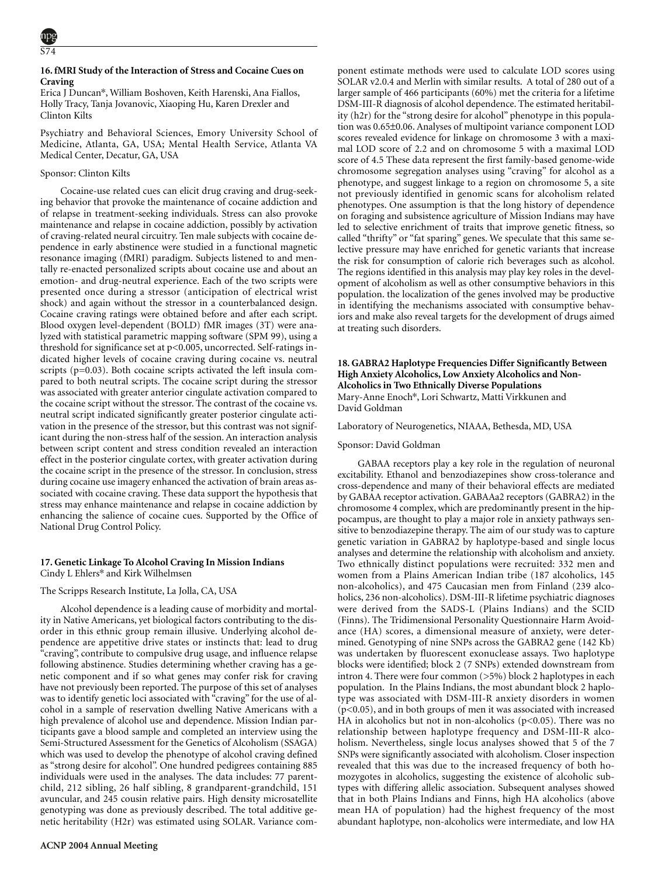# **16. fMRI Study of the Interaction of Stress and Cocaine Cues on Craving**

Erica J Duncan\*, William Boshoven, Keith Harenski, Ana Fiallos, Holly Tracy, Tanja Jovanovic, Xiaoping Hu, Karen Drexler and Clinton Kilts

Psychiatry and Behavioral Sciences, Emory University School of Medicine, Atlanta, GA, USA; Mental Health Service, Atlanta VA Medical Center, Decatur, GA, USA

# Sponsor: Clinton Kilts

Cocaine-use related cues can elicit drug craving and drug-seeking behavior that provoke the maintenance of cocaine addiction and of relapse in treatment-seeking individuals. Stress can also provoke maintenance and relapse in cocaine addiction, possibly by activation of craving-related neural circuitry. Ten male subjects with cocaine dependence in early abstinence were studied in a functional magnetic resonance imaging (fMRI) paradigm. Subjects listened to and mentally re-enacted personalized scripts about cocaine use and about an emotion- and drug-neutral experience. Each of the two scripts were presented once during a stressor (anticipation of electrical wrist shock) and again without the stressor in a counterbalanced design. Cocaine craving ratings were obtained before and after each script. Blood oxygen level-dependent (BOLD) fMR images (3T) were analyzed with statistical parametric mapping software (SPM 99), using a threshold for significance set at p<0.005, uncorrected. Self-ratings indicated higher levels of cocaine craving during cocaine vs. neutral scripts (p=0.03). Both cocaine scripts activated the left insula compared to both neutral scripts. The cocaine script during the stressor was associated with greater anterior cingulate activation compared to the cocaine script without the stressor. The contrast of the cocaine vs. neutral script indicated significantly greater posterior cingulate activation in the presence of the stressor, but this contrast was not significant during the non-stress half of the session. An interaction analysis between script content and stress condition revealed an interaction effect in the posterior cingulate cortex, with greater activation during the cocaine script in the presence of the stressor. In conclusion, stress during cocaine use imagery enhanced the activation of brain areas associated with cocaine craving. These data support the hypothesis that stress may enhance maintenance and relapse in cocaine addiction by enhancing the salience of cocaine cues. Supported by the Office of National Drug Control Policy.

# **17. Genetic Linkage To Alcohol Craving In Mission Indians**

Cindy L Ehlers\* and Kirk Wilhelmsen

# The Scripps Research Institute, La Jolla, CA, USA

Alcohol dependence is a leading cause of morbidity and mortality in Native Americans, yet biological factors contributing to the disorder in this ethnic group remain illusive. Underlying alcohol dependence are appetitive drive states or instincts that: lead to drug "craving", contribute to compulsive drug usage, and influence relapse following abstinence. Studies determining whether craving has a genetic component and if so what genes may confer risk for craving have not previously been reported. The purpose of this set of analyses was to identify genetic loci associated with "craving" for the use of alcohol in a sample of reservation dwelling Native Americans with a high prevalence of alcohol use and dependence. Mission Indian participants gave a blood sample and completed an interview using the Semi-Structured Assessment for the Genetics of Alcoholism (SSAGA) which was used to develop the phenotype of alcohol craving defined as "strong desire for alcohol". One hundred pedigrees containing 885 individuals were used in the analyses. The data includes: 77 parentchild, 212 sibling, 26 half sibling, 8 grandparent-grandchild, 151 avuncular, and 245 cousin relative pairs. High density microsatellite genotyping was done as previously described. The total additive genetic heritability (H2r) was estimated using SOLAR. Variance component estimate methods were used to calculate LOD scores using SOLAR v2.0.4 and Merlin with similar results. A total of 280 out of a larger sample of 466 participants (60%) met the criteria for a lifetime DSM-III-R diagnosis of alcohol dependence. The estimated heritability (h2r) for the "strong desire for alcohol" phenotype in this population was 0.65±0.06. Analyses of multipoint variance component LOD scores revealed evidence for linkage on chromosome 3 with a maximal LOD score of 2.2 and on chromosome 5 with a maximal LOD score of 4.5 These data represent the first family-based genome-wide chromosome segregation analyses using "craving" for alcohol as a phenotype, and suggest linkage to a region on chromosome 5, a site not previously identified in genomic scans for alcoholism related phenotypes. One assumption is that the long history of dependence on foraging and subsistence agriculture of Mission Indians may have led to selective enrichment of traits that improve genetic fitness, so called "thrifty" or "fat sparing" genes. We speculate that this same selective pressure may have enriched for genetic variants that increase the risk for consumption of calorie rich beverages such as alcohol. The regions identified in this analysis may play key roles in the development of alcoholism as well as other consumptive behaviors in this population. the localization of the genes involved may be productive in identifying the mechanisms associated with consumptive behaviors and make also reveal targets for the development of drugs aimed at treating such disorders.

### **18. GABRA2 Haplotype Frequencies Differ Significantly Between High Anxiety Alcoholics, Low Anxiety Alcoholics and Non-Alcoholics in Two Ethnically Diverse Populations** Mary-Anne Enoch\*, Lori Schwartz, Matti Virkkunen and David Goldman

Laboratory of Neurogenetics, NIAAA, Bethesda, MD, USA

# Sponsor: David Goldman

GABAA receptors play a key role in the regulation of neuronal excitability. Ethanol and benzodiazepines show cross-tolerance and cross-dependence and many of their behavioral effects are mediated by GABAA receptor activation. GABAAa2 receptors (GABRA2) in the chromosome 4 complex, which are predominantly present in the hippocampus, are thought to play a major role in anxiety pathways sensitive to benzodiazepine therapy. The aim of our study was to capture genetic variation in GABRA2 by haplotype-based and single locus analyses and determine the relationship with alcoholism and anxiety. Two ethnically distinct populations were recruited: 332 men and women from a Plains American Indian tribe (187 alcoholics, 145 non-alcoholics), and 475 Caucasian men from Finland (239 alcoholics, 236 non-alcoholics). DSM-III-R lifetime psychiatric diagnoses were derived from the SADS-L (Plains Indians) and the SCID (Finns). The Tridimensional Personality Questionnaire Harm Avoidance (HA) scores, a dimensional measure of anxiety, were determined. Genotyping of nine SNPs across the GABRA2 gene (142 Kb) was undertaken by fluorescent exonuclease assays. Two haplotype blocks were identified; block 2 (7 SNPs) extended downstream from intron 4. There were four common (>5%) block 2 haplotypes in each population. In the Plains Indians, the most abundant block 2 haplotype was associated with DSM-III-R anxiety disorders in women (p<0.05), and in both groups of men it was associated with increased HA in alcoholics but not in non-alcoholics ( $p<0.05$ ). There was no relationship between haplotype frequency and DSM-III-R alcoholism. Nevertheless, single locus analyses showed that 5 of the 7 SNPs were significantly associated with alcoholism. Closer inspection revealed that this was due to the increased frequency of both homozygotes in alcoholics, suggesting the existence of alcoholic subtypes with differing allelic association. Subsequent analyses showed that in both Plains Indians and Finns, high HA alcoholics (above mean HA of population) had the highest frequency of the most abundant haplotype, non-alcoholics were intermediate, and low HA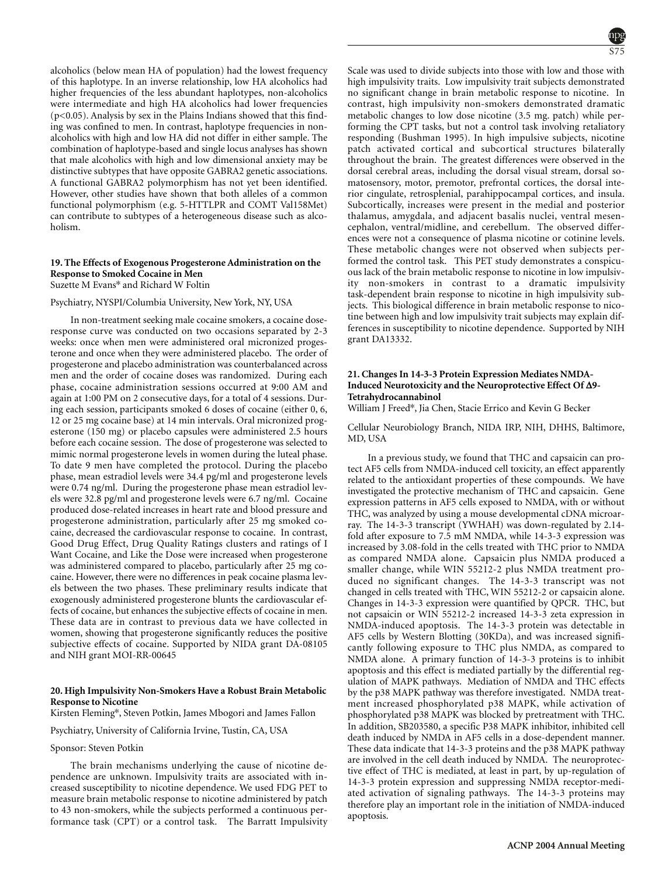alcoholics (below mean HA of population) had the lowest frequency of this haplotype. In an inverse relationship, low HA alcoholics had higher frequencies of the less abundant haplotypes, non-alcoholics were intermediate and high HA alcoholics had lower frequencies  $(p<0.05)$ . Analysis by sex in the Plains Indians showed that this finding was confined to men. In contrast, haplotype frequencies in nonalcoholics with high and low HA did not differ in either sample. The combination of haplotype-based and single locus analyses has shown that male alcoholics with high and low dimensional anxiety may be distinctive subtypes that have opposite GABRA2 genetic associations. A functional GABRA2 polymorphism has not yet been identified. However, other studies have shown that both alleles of a common functional polymorphism (e.g. 5-HTTLPR and COMT Val158Met) can contribute to subtypes of a heterogeneous disease such as alcoholism.

#### **19. The Effects of Exogenous Progesterone Administration on the Response to Smoked Cocaine in Men** Suzette M Evans\* and Richard W Foltin

#### Psychiatry, NYSPI/Columbia University, New York, NY, USA

In non-treatment seeking male cocaine smokers, a cocaine doseresponse curve was conducted on two occasions separated by 2-3 weeks: once when men were administered oral micronized progesterone and once when they were administered placebo. The order of progesterone and placebo administration was counterbalanced across men and the order of cocaine doses was randomized. During each phase, cocaine administration sessions occurred at 9:00 AM and again at 1:00 PM on 2 consecutive days, for a total of 4 sessions. During each session, participants smoked 6 doses of cocaine (either 0, 6, 12 or 25 mg cocaine base) at 14 min intervals. Oral micronized progesterone (150 mg) or placebo capsules were administered 2.5 hours before each cocaine session. The dose of progesterone was selected to mimic normal progesterone levels in women during the luteal phase. To date 9 men have completed the protocol. During the placebo phase, mean estradiol levels were 34.4 pg/ml and progesterone levels were 0.74 ng/ml. During the progesterone phase mean estradiol levels were 32.8 pg/ml and progesterone levels were 6.7 ng/ml. Cocaine produced dose-related increases in heart rate and blood pressure and progesterone administration, particularly after 25 mg smoked cocaine, decreased the cardiovascular response to cocaine. In contrast, Good Drug Effect, Drug Quality Ratings clusters and ratings of I Want Cocaine, and Like the Dose were increased when progesterone was administered compared to placebo, particularly after 25 mg cocaine. However, there were no differences in peak cocaine plasma levels between the two phases. These preliminary results indicate that exogenously administered progesterone blunts the cardiovascular effects of cocaine, but enhances the subjective effects of cocaine in men. These data are in contrast to previous data we have collected in women, showing that progesterone significantly reduces the positive subjective effects of cocaine. Supported by NIDA grant DA-08105 and NIH grant MOI-RR-00645

### **20. High Impulsivity Non-Smokers Have a Robust Brain Metabolic Response to Nicotine**

Kirsten Fleming\*, Steven Potkin, James Mbogori and James Fallon

Psychiatry, University of California Irvine, Tustin, CA, USA

# Sponsor: Steven Potkin

The brain mechanisms underlying the cause of nicotine dependence are unknown. Impulsivity traits are associated with increased susceptibility to nicotine dependence. We used FDG PET to measure brain metabolic response to nicotine administered by patch to 43 non-smokers, while the subjects performed a continuous performance task (CPT) or a control task. The Barratt Impulsivity Scale was used to divide subjects into those with low and those with high impulsivity traits. Low impulsivity trait subjects demonstrated no significant change in brain metabolic response to nicotine. In contrast, high impulsivity non-smokers demonstrated dramatic metabolic changes to low dose nicotine (3.5 mg. patch) while performing the CPT tasks, but not a control task involving retaliatory responding (Bushman 1995). In high impulsive subjects, nicotine patch activated cortical and subcortical structures bilaterally throughout the brain. The greatest differences were observed in the dorsal cerebral areas, including the dorsal visual stream, dorsal somatosensory, motor, premotor, prefrontal cortices, the dorsal interior cingulate, retrosplenial, parahippocampal cortices, and insula. Subcortically, increases were present in the medial and posterior thalamus, amygdala, and adjacent basalis nuclei, ventral mesencephalon, ventral/midline, and cerebellum. The observed differences were not a consequence of plasma nicotine or cotinine levels. These metabolic changes were not observed when subjects performed the control task. This PET study demonstrates a conspicuous lack of the brain metabolic response to nicotine in low impulsivity non-smokers in contrast to a dramatic impulsivity task-dependent brain response to nicotine in high impulsivity subjects. This biological difference in brain metabolic response to nicotine between high and low impulsivity trait subjects may explain differences in susceptibility to nicotine dependence. Supported by NIH grant DA13332.

# **21. Changes In 14-3-3 Protein Expression Mediates NMDA-Induced Neurotoxicity and the Neuroprotective Effect Of ∆9- Tetrahydrocannabinol**

William J Freed\*, Jia Chen, Stacie Errico and Kevin G Becker

Cellular Neurobiology Branch, NIDA IRP, NIH, DHHS, Baltimore, MD, USA

In a previous study, we found that THC and capsaicin can protect AF5 cells from NMDA-induced cell toxicity, an effect apparently related to the antioxidant properties of these compounds. We have investigated the protective mechanism of THC and capsaicin. Gene expression patterns in AF5 cells exposed to NMDA, with or without THC, was analyzed by using a mouse developmental cDNA microarray. The 14-3-3 transcript (YWHAH) was down-regulated by 2.14 fold after exposure to 7.5 mM NMDA, while 14-3-3 expression was increased by 3.08-fold in the cells treated with THC prior to NMDA as compared NMDA alone. Capsaicin plus NMDA produced a smaller change, while WIN 55212-2 plus NMDA treatment produced no significant changes. The 14-3-3 transcript was not changed in cells treated with THC, WIN 55212-2 or capsaicin alone. Changes in 14-3-3 expression were quantified by QPCR. THC, but not capsaicin or WIN 55212-2 increased 14-3-3 zeta expression in NMDA-induced apoptosis. The 14-3-3 protein was detectable in AF5 cells by Western Blotting (30KDa), and was increased significantly following exposure to THC plus NMDA, as compared to NMDA alone. A primary function of 14-3-3 proteins is to inhibit apoptosis and this effect is mediated partially by the differential regulation of MAPK pathways. Mediation of NMDA and THC effects by the p38 MAPK pathway was therefore investigated. NMDA treatment increased phosphorylated p38 MAPK, while activation of phosphorylated p38 MAPK was blocked by pretreatment with THC. In addition, SB203580, a specific P38 MAPK inhibitor, inhibited cell death induced by NMDA in AF5 cells in a dose-dependent manner. These data indicate that 14-3-3 proteins and the p38 MAPK pathway are involved in the cell death induced by NMDA. The neuroprotective effect of THC is mediated, at least in part, by up-regulation of 14-3-3 protein expression and suppressing NMDA receptor-mediated activation of signaling pathways. The 14-3-3 proteins may therefore play an important role in the initiation of NMDA-induced apoptosis.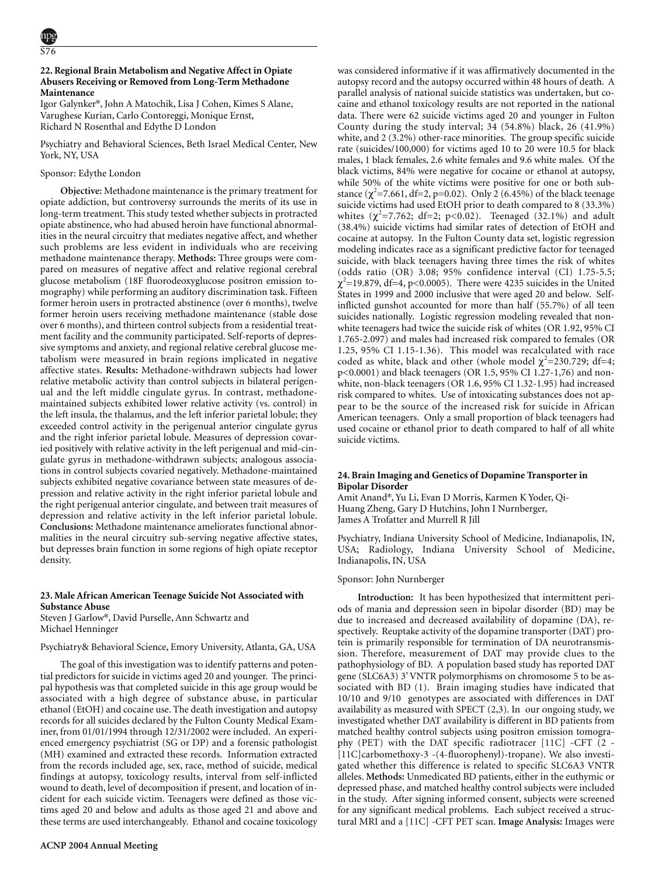# **22. Regional Brain Metabolism and Negative Affect in Opiate Abusers Receiving or Removed from Long-Term Methadone Maintenance**

Igor Galynker\*, John A Matochik, Lisa J Cohen, Kimes S Alane, Varughese Kurian, Carlo Contoreggi, Monique Ernst, Richard N Rosenthal and Edythe D London

Psychiatry and Behavioral Sciences, Beth Israel Medical Center, New York, NY, USA

# Sponsor: Edythe London

**Objective:** Methadone maintenance is the primary treatment for opiate addiction, but controversy surrounds the merits of its use in long-term treatment. This study tested whether subjects in protracted opiate abstinence, who had abused heroin have functional abnormalities in the neural circuitry that mediates negative affect, and whether such problems are less evident in individuals who are receiving methadone maintenance therapy. **Methods:** Three groups were compared on measures of negative affect and relative regional cerebral glucose metabolism (18F fluorodeoxyglucose positron emission tomography) while performing an auditory discrimination task. Fifteen former heroin users in protracted abstinence (over 6 months), twelve former heroin users receiving methadone maintenance (stable dose over 6 months), and thirteen control subjects from a residential treatment facility and the community participated. Self-reports of depressive symptoms and anxiety, and regional relative cerebral glucose metabolism were measured in brain regions implicated in negative affective states. **Results:** Methadone-withdrawn subjects had lower relative metabolic activity than control subjects in bilateral perigenual and the left middle cingulate gyrus. In contrast, methadonemaintained subjects exhibited lower relative activity (vs. control) in the left insula, the thalamus, and the left inferior parietal lobule; they exceeded control activity in the perigenual anterior cingulate gyrus and the right inferior parietal lobule. Measures of depression covaried positively with relative activity in the left perigenual and mid-cingulate gyrus in methadone-withdrawn subjects; analogous associations in control subjects covaried negatively. Methadone-maintained subjects exhibited negative covariance between state measures of depression and relative activity in the right inferior parietal lobule and the right perigenual anterior cingulate, and between trait measures of depression and relative activity in the left inferior parietal lobule. **Conclusions:** Methadone maintenance ameliorates functional abnormalities in the neural circuitry sub-serving negative affective states, but depresses brain function in some regions of high opiate receptor density.

# **23. Male African American Teenage Suicide Not Associated with Substance Abuse**

Steven J Garlow\*, David Purselle, Ann Schwartz and Michael Henninger

Mood disorders; Neuroimaging; Opioid abuse

# Psychiatry& Behavioral Science, Emory University, Atlanta, GA, USA

The goal of this investigation was to identify patterns and potential predictors for suicide in victims aged 20 and younger. The principal hypothesis was that completed suicide in this age group would be associated with a high degree of substance abuse, in particular ethanol (EtOH) and cocaine use. The death investigation and autopsy records for all suicides declared by the Fulton County Medical Examiner, from 01/01/1994 through 12/31/2002 were included. An experienced emergency psychiatrist (SG or DP) and a forensic pathologist (MH) examined and extracted these records. Information extracted from the records included age, sex, race, method of suicide, medical findings at autopsy, toxicology results, interval from self-inflicted wound to death, level of decomposition if present, and location of incident for each suicide victim. Teenagers were defined as those victims aged 20 and below and adults as those aged 21 and above and these terms are used interchangeably. Ethanol and cocaine toxicology was considered informative if it was affirmatively documented in the autopsy record and the autopsy occurred within 48 hours of death. A parallel analysis of national suicide statistics was undertaken, but cocaine and ethanol toxicology results are not reported in the national data. There were 62 suicide victims aged 20 and younger in Fulton County during the study interval; 34 (54.8%) black, 26 (41.9%) white, and 2 (3.2%) other-race minorities. The group specific suicide rate (suicides/100,000) for victims aged 10 to 20 were 10.5 for black males, 1 black females, 2.6 white females and 9.6 white males. Of the black victims, 84% were negative for cocaine or ethanol at autopsy, while 50% of the white victims were positive for one or both substance ( $\chi^2$ =7.661, df=2, p=0.02). Only 2 (6.45%) of the black teenage suicide victims had used EtOH prior to death compared to 8 (33.3%) whites  $(\chi^2=7.762; df=2; p<0.02)$ . Teenaged  $(32.1\%)$  and adult (38.4%) suicide victims had similar rates of detection of EtOH and cocaine at autopsy. In the Fulton County data set, logistic regression modeling indicates race as a significant predictive factor for teenaged suicide, with black teenagers having three times the risk of whites (odds ratio (OR) 3.08; 95% confidence interval (CI) 1.75-5.5;  $\chi^2$ =19.879, df=4, p<0.0005). There were 4235 suicides in the United States in 1999 and 2000 inclusive that were aged 20 and below. Selfinflicted gunshot accounted for more than half (55.7%) of all teen suicides nationally. Logistic regression modeling revealed that nonwhite teenagers had twice the suicide risk of whites (OR 1.92, 95% CI 1.765-2.097) and males had increased risk compared to females (OR 1.25, 95% CI 1.15-1.36). This model was recalculated with race coded as white, black and other (whole model  $\chi^2$ =230.729; df=4; p<0.0001) and black teenagers (OR 1.5, 95% CI 1.27-1,76) and nonwhite, non-black teenagers (OR 1.6, 95% CI 1.32-1.95) had increased risk compared to whites. Use of intoxicating substances does not appear to be the source of the increased risk for suicide in African American teenagers. Only a small proportion of black teenagers had used cocaine or ethanol prior to death compared to half of all white suicide victims.

### **24. Brain Imaging and Genetics of Dopamine Transporter in Bipolar Disorder**

Amit Anand\*, Yu Li, Evan D Morris, Karmen K Yoder, Qi-Huang Zheng, Gary D Hutchins, John I Nurnberger, James A Trofatter and Murrell R Jill

Psychiatry, Indiana University School of Medicine, Indianapolis, IN, USA; Radiology, Indiana University School of Medicine, Indianapolis, IN, USA

#### Sponsor: John Nurnberger

**Introduction:** It has been hypothesized that intermittent periods of mania and depression seen in bipolar disorder (BD) may be due to increased and decreased availability of dopamine (DA), respectively. Reuptake activity of the dopamine transporter (DAT) protein is primarily responsible for termination of DA neurotransmission. Therefore, measurement of DAT may provide clues to the pathophysiology of BD. A population based study has reported DAT gene (SLC6A3) 3' VNTR polymorphisms on chromosome 5 to be associated with BD (1). Brain imaging studies have indicated that 10/10 and 9/10 genotypes are associated with differences in DAT availability as measured with SPECT (2,3). In our ongoing study, we investigated whether DAT availability is different in BD patients from matched healthy control subjects using positron emission tomography (PET) with the DAT specific radiotracer [11C] -CFT (2 - [11C]carbomethoxy-3 -(4-fluorophenyl)-tropane). We also investigated whether this difference is related to specific SLC6A3 VNTR alleles. **Methods:** Unmedicated BD patients, either in the euthymic or depressed phase, and matched healthy control subjects were included in the study. After signing informed consent, subjects were screened for any significant medical problems. Each subject received a structural MRI and a [11C] -CFT PET scan. **Image Analysis:** Images were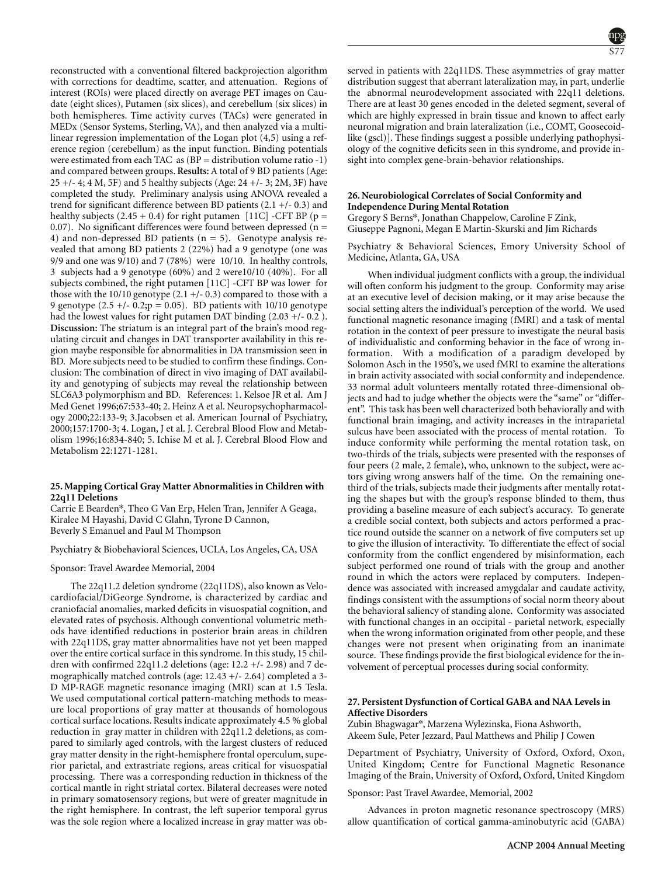reconstructed with a conventional filtered backprojection algorithm with corrections for deadtime, scatter, and attenuation. Regions of interest (ROIs) were placed directly on average PET images on Caudate (eight slices), Putamen (six slices), and cerebellum (six slices) in both hemispheres. Time activity curves (TACs) were generated in MEDx (Sensor Systems, Sterling, VA), and then analyzed via a multilinear regression implementation of the Logan plot (4,5) using a reference region (cerebellum) as the input function. Binding potentials were estimated from each TAC as  $(BP =$  distribution volume ratio -1) and compared between groups. **Results:** A total of 9 BD patients (Age:  $25 +$ /- 4; 4 M, 5F) and 5 healthy subjects (Age: 24 +/- 3; 2M, 3F) have completed the study. Preliminary analysis using ANOVA revealed a trend for significant difference between BD patients (2.1 +/- 0.3) and healthy subjects  $(2.45 + 0.4)$  for right putamen [11C] -CFT BP (p = 0.07). No significant differences were found between depressed ( $n =$ 4) and non-depressed BD patients  $(n = 5)$ . Genotype analysis revealed that among BD patients 2 (22%) had a 9 genotype (one was 9/9 and one was 9/10) and 7 (78%) were 10/10. In healthy controls, 3 subjects had a 9 genotype (60%) and 2 were10/10 (40%). For all subjects combined, the right putamen [11C] -CFT BP was lower for those with the  $10/10$  genotype  $(2.1 +/- 0.3)$  compared to those with a 9 genotype  $(2.5 +/- 0.2; p = 0.05)$ . BD patients with 10/10 genotype had the lowest values for right putamen DAT binding  $(2.03 + - 0.2)$ . **Discussion:** The striatum is an integral part of the brain's mood regulating circuit and changes in DAT transporter availability in this region maybe responsible for abnormalities in DA transmission seen in BD. More subjects need to be studied to confirm these findings. Conclusion: The combination of direct in vivo imaging of DAT availability and genotyping of subjects may reveal the relationship between SLC6A3 polymorphism and BD. References: 1. Kelsoe JR et al. Am J Med Genet 1996;67:533-40; 2. Heinz A et al. Neuropsychopharmacology 2000;22:133-9; 3.Jacobsen et al. American Journal of Psychiatry, 2000;157:1700-3; 4. Logan, J et al. J. Cerebral Blood Flow and Metabolism 1996;16:834-840; 5. Ichise M et al. J. Cerebral Blood Flow and Metabolism 22:1271-1281.

# **25. Mapping Cortical Gray Matter Abnormalities in Children with 22q11 Deletions**

Carrie E Bearden\*, Theo G Van Erp, Helen Tran, Jennifer A Geaga, Kiralee M Hayashi, David C Glahn, Tyrone D Cannon, Beverly S Emanuel and Paul M Thompson

Psychiatry & Biobehavioral Sciences, UCLA, Los Angeles, CA, USA

Sponsor: Travel Awardee Memorial, 2004

The 22q11.2 deletion syndrome (22q11DS), also known as Velocardiofacial/DiGeorge Syndrome, is characterized by cardiac and craniofacial anomalies, marked deficits in visuospatial cognition, and elevated rates of psychosis. Although conventional volumetric methods have identified reductions in posterior brain areas in children with 22q11DS, gray matter abnormalities have not yet been mapped over the entire cortical surface in this syndrome. In this study, 15 children with confirmed 22q11.2 deletions (age: 12.2 +/- 2.98) and 7 demographically matched controls (age: 12.43 +/- 2.64) completed a 3- D MP-RAGE magnetic resonance imaging (MRI) scan at 1.5 Tesla. We used computational cortical pattern-matching methods to measure local proportions of gray matter at thousands of homologous cortical surface locations. Results indicate approximately 4.5 % global reduction in gray matter in children with 22q11.2 deletions, as compared to similarly aged controls, with the largest clusters of reduced gray matter density in the right-hemisphere frontal operculum, superior parietal, and extrastriate regions, areas critical for visuospatial processing. There was a corresponding reduction in thickness of the cortical mantle in right striatal cortex. Bilateral decreases were noted in primary somatosensory regions, but were of greater magnitude in the right hemisphere. In contrast, the left superior temporal gyrus was the sole region where a localized increase in gray matter was ob-



served in patients with 22q11DS. These asymmetries of gray matter distribution suggest that aberrant lateralization may, in part, underlie the abnormal neurodevelopment associated with 22q11 deletions. There are at least 30 genes encoded in the deleted segment, several of which are highly expressed in brain tissue and known to affect early neuronal migration and brain lateralization (i.e., COMT, Goosecoidlike (gscl)]. These findings suggest a possible underlying pathophysiology of the cognitive deficits seen in this syndrome, and provide insight into complex gene-brain-behavior relationships.

# **26. Neurobiological Correlates of Social Conformity and Independence During Mental Rotation**

Gene expression; Neuroimaging; Psychosis

Gregory S Berns\*, Jonathan Chappelow, Caroline F Zink, Giuseppe Pagnoni, Megan E Martin-Skurski and Jim Richards

Psychiatry & Behavioral Sciences, Emory University School of Medicine, Atlanta, GA, USA

When individual judgment conflicts with a group, the individual will often conform his judgment to the group. Conformity may arise at an executive level of decision making, or it may arise because the social setting alters the individual's perception of the world. We used functional magnetic resonance imaging (fMRI) and a task of mental rotation in the context of peer pressure to investigate the neural basis of individualistic and conforming behavior in the face of wrong information. With a modification of a paradigm developed by Solomon Asch in the 1950's, we used fMRI to examine the alterations in brain activity associated with social conformity and independence. 33 normal adult volunteers mentally rotated three-dimensional objects and had to judge whether the objects were the "same" or "different". This task has been well characterized both behaviorally and with functional brain imaging, and activity increases in the intraparietal sulcus have been associated with the process of mental rotation. To induce conformity while performing the mental rotation task, on two-thirds of the trials, subjects were presented with the responses of four peers (2 male, 2 female), who, unknown to the subject, were actors giving wrong answers half of the time. On the remaining onethird of the trials, subjects made their judgments after mentally rotating the shapes but with the group's response blinded to them, thus providing a baseline measure of each subject's accuracy. To generate a credible social context, both subjects and actors performed a practice round outside the scanner on a network of five computers set up to give the illusion of interactivity. To differentiate the effect of social conformity from the conflict engendered by misinformation, each subject performed one round of trials with the group and another round in which the actors were replaced by computers. Independence was associated with increased amygdalar and caudate activity, findings consistent with the assumptions of social norm theory about the behavioral saliency of standing alone. Conformity was associated with functional changes in an occipital - parietal network, especially when the wrong information originated from other people, and these changes were not present when originating from an inanimate source. These findings provide the first biological evidence for the involvement of perceptual processes during social conformity.

# **27. Persistent Dysfunction of Cortical GABA and NAA Levels in Affective Disorders**

Zubin Bhagwagar\*, Marzena Wylezinska, Fiona Ashworth, Akeem Sule, Peter Jezzard, Paul Matthews and Philip J Cowen

Department of Psychiatry, University of Oxford, Oxford, Oxon, United Kingdom; Centre for Functional Magnetic Resonance Imaging of the Brain, University of Oxford, Oxford, United Kingdom

Sponsor: Past Travel Awardee, Memorial, 2002

Advances in proton magnetic resonance spectroscopy (MRS) allow quantification of cortical gamma-aminobutyric acid (GABA)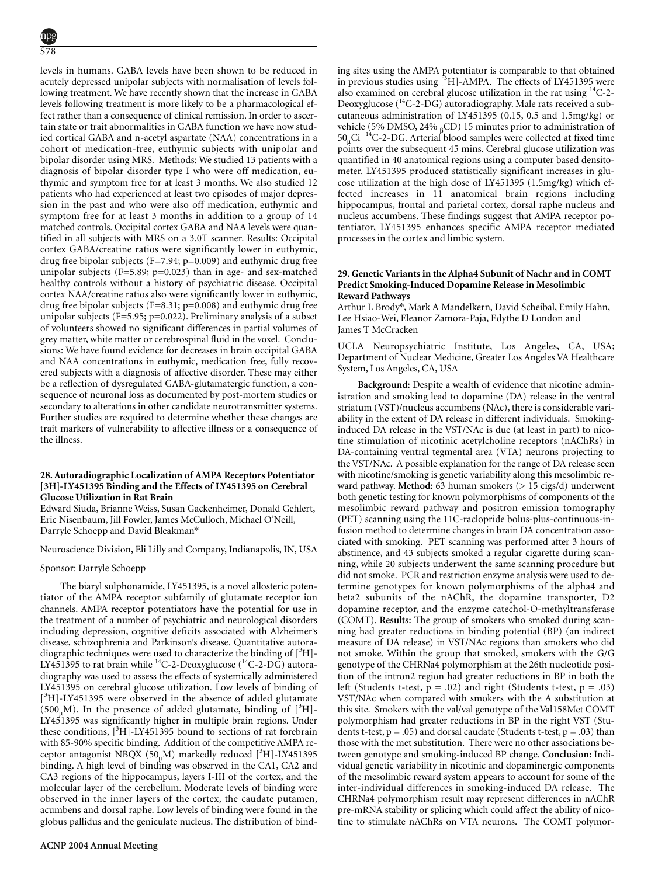levels in humans. GABA levels have been shown to be reduced in acutely depressed unipolar subjects with normalisation of levels following treatment. We have recently shown that the increase in GABA levels following treatment is more likely to be a pharmacological effect rather than a consequence of clinical remission. In order to ascertain state or trait abnormalities in GABA function we have now studied cortical GABA and n-acetyl aspartate (NAA) concentrations in a cohort of medication-free, euthymic subjects with unipolar and bipolar disorder using MRS. Methods: We studied 13 patients with a diagnosis of bipolar disorder type I who were off medication, euthymic and symptom free for at least 3 months. We also studied 12 patients who had experienced at least two episodes of major depression in the past and who were also off medication, euthymic and symptom free for at least 3 months in addition to a group of 14 matched controls. Occipital cortex GABA and NAA levels were quantified in all subjects with MRS on a 3.0T scanner. Results: Occipital cortex GABA/creatine ratios were significantly lower in euthymic, drug free bipolar subjects (F=7.94; p=0.009) and euthymic drug free unipolar subjects (F=5.89; p=0.023) than in age- and sex-matched healthy controls without a history of psychiatric disease. Occipital cortex NAA/creatine ratios also were significantly lower in euthymic, drug free bipolar subjects (F=8.31; p=0.008) and euthymic drug free unipolar subjects (F=5.95; p=0.022). Preliminary analysis of a subset of volunteers showed no significant differences in partial volumes of grey matter, white matter or cerebrospinal fluid in the voxel. Conclusions: We have found evidence for decreases in brain occipital GABA and NAA concentrations in euthymic, medication free, fully recovered subjects with a diagnosis of affective disorder. These may either be a reflection of dysregulated GABA-glutamatergic function, a consequence of neuronal loss as documented by post-mortem studies or secondary to alterations in other candidate neurotransmitter systems. Further studies are required to determine whether these changes are trait markers of vulnerability to affective illness or a consequence of the illness.

# **28. Autoradiographic Localization of AMPA Receptors Potentiator [3H]-LY451395 Binding and the Effects of LY451395 on Cerebral Glucose Utilization in Rat Brain**

Edward Siuda, Brianne Weiss, Susan Gackenheimer, Donald Gehlert, Eric Nisenbaum, Jill Fowler, James McCulloch, Michael O'Neill, Darryle Schoepp and David Bleakman\*

Neuroscience Division, Eli Lilly and Company, Indianapolis, IN, USA

# Sponsor: Darryle Schoepp

The biaryl sulphonamide, LY451395, is a novel allosteric potentiator of the AMPA receptor subfamily of glutamate receptor ion channels. AMPA receptor potentiators have the potential for use in the treatment of a number of psychiatric and neurological disorders including depression, cognitive deficits associated with Alzheimer's disease, schizophrenia and Parkinson's disease. Quantitative autoradiographic techniques were used to characterize the binding of  $[^{3}H]$ -LY451395 to rat brain while <sup>14</sup>C-2-Deoxyglucose (<sup>14</sup>C-2-DG) autoradiography was used to assess the effects of systemically administered LY451395 on cerebral glucose utilization. Low levels of binding of [<sup>3</sup>H]-LY451395 were observed in the absence of added glutamate (500<sub>µ</sub>M). In the presence of added glutamate, binding of  $[^{3}H]$ -LY451395 was significantly higher in multiple brain regions. Under these conditions,  $[{}^3H]$ -LY451395 bound to sections of rat forebrain with 85-90% specific binding. Addition of the competitive AMPA receptor antagonist NBQX ( $50<sub>µ</sub>M$ ) markedly reduced [<sup>3</sup>H]-LY451395 binding. A high level of binding was observed in the CA1, CA2 and CA3 regions of the hippocampus, layers I-III of the cortex, and the molecular layer of the cerebellum. Moderate levels of binding were observed in the inner layers of the cortex, the caudate putamen, acumbens and dorsal raphe. Low levels of binding were found in the globus pallidus and the geniculate nucleus. The distribution of binding sites using the AMPA potentiator is comparable to that obtained in previous studies using [<sup>3</sup>H]-AMPA. The effects of LY451395 were also examined on cerebral glucose utilization in the rat using  $^{14}$ C-2-Deoxyglucose  $(^{14}C-2-DG)$  autoradiography. Male rats received a subcutaneous administration of LY451395 (0.15, 0.5 and 1.5mg/kg) or vehicle (5% DMSO, 24%  $_{\text{B}}$ CD) 15 minutes prior to administration of  $50<sub>µ</sub>$ Ci  $<sup>14</sup>C-2-DG$ . Arterial blood samples were collected at fixed time</sup> points over the subsequent 45 mins. Cerebral glucose utilization was quantified in 40 anatomical regions using a computer based densitometer. LY451395 produced statistically significant increases in glucose utilization at the high dose of LY451395 (1.5mg/kg) which effected increases in 11 anatomical brain regions including hippocampus, frontal and parietal cortex, dorsal raphe nucleus and nucleus accumbens. These findings suggest that AMPA receptor potentiator, LY451395 enhances specific AMPA receptor mediated processes in the cortex and limbic system.

### **29. Genetic Variants in the Alpha4 Subunit of Nachr and in COMT Predict Smoking-Induced Dopamine Release in Mesolimbic Reward Pathways**

Arthur L Brody\*, Mark A Mandelkern, David Scheibal, Emily Hahn, Lee Hsiao-Wei, Eleanor Zamora-Paja, Edythe D London and James T McCracken

UCLA Neuropsychiatric Institute, Los Angeles, CA, USA; Department of Nuclear Medicine, Greater Los Angeles VA Healthcare System, Los Angeles, CA, USA

**Background:** Despite a wealth of evidence that nicotine administration and smoking lead to dopamine (DA) release in the ventral striatum (VST)/nucleus accumbens (NAc), there is considerable variability in the extent of DA release in different individuals. Smokinginduced DA release in the VST/NAc is due (at least in part) to nicotine stimulation of nicotinic acetylcholine receptors (nAChRs) in DA-containing ventral tegmental area (VTA) neurons projecting to the VST/NAc. A possible explanation for the range of DA release seen with nicotine/smoking is genetic variability along this mesolimbic reward pathway. Method: 63 human smokers (> 15 cigs/d) underwent both genetic testing for known polymorphisms of components of the mesolimbic reward pathway and positron emission tomography (PET) scanning using the 11C-raclopride bolus-plus-continuous-infusion method to determine changes in brain DA concentration associated with smoking. PET scanning was performed after 3 hours of abstinence, and 43 subjects smoked a regular cigarette during scanning, while 20 subjects underwent the same scanning procedure but did not smoke. PCR and restriction enzyme analysis were used to determine genotypes for known polymorphisms of the alpha4 and beta2 subunits of the nAChR, the dopamine transporter, D2 dopamine receptor, and the enzyme catechol-O-methyltransferase (COMT). **Results:** The group of smokers who smoked during scanning had greater reductions in binding potential (BP) (an indirect measure of DA release) in VST/NAc regions than smokers who did not smoke. Within the group that smoked, smokers with the G/G genotype of the CHRNa4 polymorphism at the 26th nucleotide position of the intron2 region had greater reductions in BP in both the left (Students t-test,  $p = .02$ ) and right (Students t-test,  $p = .03$ ) VST/NAc when compared with smokers with the A substitution at this site. Smokers with the val/val genotype of the Val158Met COMT polymorphism had greater reductions in BP in the right VST (Students t-test,  $p = .05$ ) and dorsal caudate (Students t-test,  $p = .03$ ) than those with the met substitution. There were no other associations between genotype and smoking-induced BP change. **Conclusion:** Individual genetic variability in nicotinic and dopaminergic components of the mesolimbic reward system appears to account for some of the inter-individual differences in smoking-induced DA release. The CHRNa4 polymorphism result may represent differences in nAChR pre-mRNA stability or splicing which could affect the ability of nicotine to stimulate nAChRs on VTA neurons. The COMT polymor-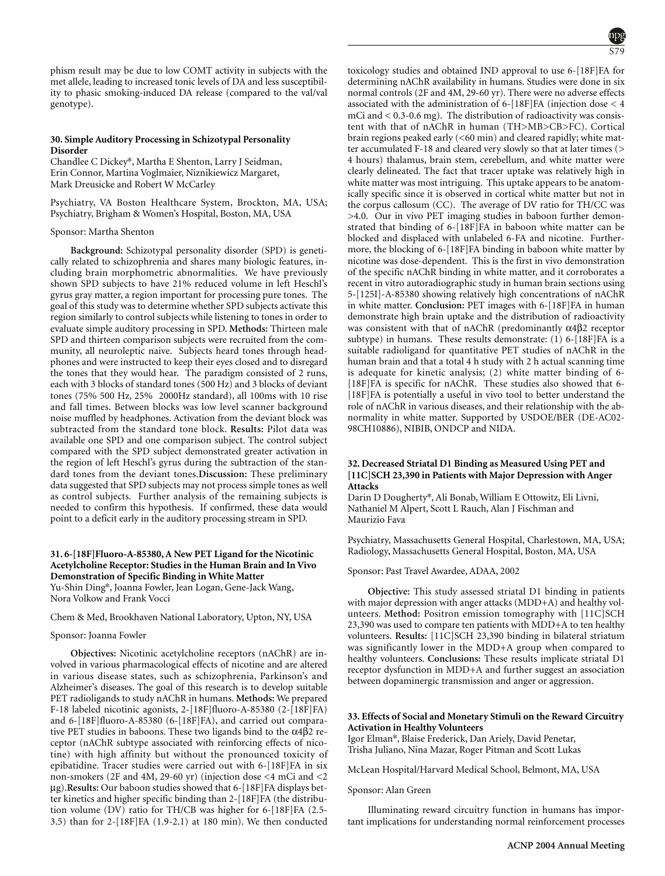phism result may be due to low COMT activity in subjects with the met allele, leading to increased tonic levels of DA and less susceptibility to phasic smoking-induced DA release (compared to the val/val genotype).

### **30. Simple Auditory Processing in Schizotypal Personality Disorder**

Chandlee C Dickey\*, Martha E Shenton, Larry J Seidman, Erin Connor, Martina Voglmaier, Niznikiewicz Margaret, Mark Dreusicke and Robert W McCarley

Psychiatry, VA Boston Healthcare System, Brockton, MA, USA; Psychiatry, Brigham & Women's Hospital, Boston, MA, USA

#### Sponsor: Martha Shenton

**Background:** Schizotypal personality disorder (SPD) is genetically related to schizophrenia and shares many biologic features, including brain morphometric abnormalities. We have previously shown SPD subjects to have 21% reduced volume in left Heschl's gyrus gray matter, a region important for processing pure tones. The goal of this study was to determine whether SPD subjects activate this region similarly to control subjects while listening to tones in order to evaluate simple auditory processing in SPD. **Methods:** Thirteen male SPD and thirteen comparison subjects were recruited from the community, all neuroleptic naive. Subjects heard tones through headphones and were instructed to keep their eyes closed and to disregard the tones that they would hear. The paradigm consisted of 2 runs, each with 3 blocks of standard tones (500 Hz) and 3 blocks of deviant tones (75% 500 Hz, 25% 2000Hz standard), all 100ms with 10 rise and fall times. Between blocks was low level scanner background noise muffled by headphones. Activation from the deviant block was subtracted from the standard tone block. **Results:** Pilot data was available one SPD and one comparison subject. The control subject compared with the SPD subject demonstrated greater activation in the region of left Heschl's gyrus during the subtraction of the standard tones from the deviant tones.**Discussion:** These preliminary data suggested that SPD subjects may not process simple tones as well as control subjects. Further analysis of the remaining subjects is needed to confirm this hypothesis. If confirmed, these data would point to a deficit early in the auditory processing stream in SPD.

# **31. 6-[18F]Fluoro-A-85380, A New PET Ligand for the Nicotinic Acetylcholine Receptor: Studies in the Human Brain and In Vivo Demonstration of Specific Binding in White Matter** Yu-Shin Ding\*, Joanna Fowler, Jean Logan, Gene-Jack Wang,

Nora Volkow and Frank Vocci

# Chem & Med, Brookhaven National Laboratory, Upton, NY, USA

#### Sponsor: Joanna Fowler

**Objectives:** Nicotinic acetylcholine receptors (nAChR) are involved in various pharmacological effects of nicotine and are altered in various disease states, such as schizophrenia, Parkinson's and Alzheimer's diseases. The goal of this research is to develop suitable PET radioligands to study nAChR in humans. **Methods:** We prepared F-18 labeled nicotinic agonists, 2-[18F]fluoro-A-85380 (2-[18F]FA) and 6-[18F]fluoro-A-85380 (6-[18F]FA), and carried out comparative PET studies in baboons. These two ligands bind to the α4β2 receptor (nAChR subtype associated with reinforcing effects of nicotine) with high affinity but without the pronounced toxicity of epibatidine. Tracer studies were carried out with 6-[18F]FA in six non-smokers (2F and 4M, 29-60 yr) (injection dose <4 mCi and <2 µg).**Results:** Our baboon studies showed that 6-[18F]FA displays better kinetics and higher specific binding than 2-[18F]FA (the distribution volume (DV) ratio for TH/CB was higher for 6-[18F]FA (2.5- 3.5) than for 2-[18F]FA (1.9-2.1) at 180 min). We then conducted toxicology studies and obtained IND approval to use 6-[18F]FA for determining nAChR availability in humans. Studies were done in six normal controls (2F and 4M, 29-60 yr). There were no adverse effects associated with the administration of 6-[18F]FA (injection dose < 4 mCi and  $< 0.3$ -0.6 mg). The distribution of radioactivity was consistent with that of nAChR in human (TH>MB>CB>FC). Cortical brain regions peaked early (<60 min) and cleared rapidly; white matter accumulated F-18 and cleared very slowly so that at later times (> 4 hours) thalamus, brain stem, cerebellum, and white matter were clearly delineated. The fact that tracer uptake was relatively high in white matter was most intriguing. This uptake appears to be anatomically specific since it is observed in cortical white matter but not in the corpus callosum (CC). The average of DV ratio for TH/CC was >4.0. Our in vivo PET imaging studies in baboon further demonstrated that binding of 6-[18F]FA in baboon white matter can be blocked and displaced with unlabeled 6-FA and nicotine. Furthermore, the blocking of 6-[18F]FA binding in baboon white matter by nicotine was dose-dependent. This is the first in vivo demonstration of the specific nAChR binding in white matter, and it corroborates a recent in vitro autoradiographic study in human brain sections using 5-[125I]-A-85380 showing relatively high concentrations of nAChR in white matter. **Conclusion:** PET images with 6-[18F]FA in human demonstrate high brain uptake and the distribution of radioactivity was consistent with that of nAChR (predominantly α4β2 receptor subtype) in humans. These results demonstrate: (1) 6-[18F]FA is a suitable radioligand for quantitative PET studies of nAChR in the human brain and that a total 4 h study with 2 h actual scanning time is adequate for kinetic analysis; (2) white matter binding of 6- [18F]FA is specific for nAChR. These studies also showed that 6-[18F]FA is potentially a useful in vivo tool to better understand the role of nAChR in various diseases, and their relationship with the abnormality in white matter. Supported by USDOE/BER (DE-AC02- 98CH10886), NIBIB, ONDCP and NIDA.

# **32. Decreased Striatal D1 Binding as Measured Using PET and [11C]SCH 23,390 in Patients with Major Depression with Anger Attacks**

Darin D Dougherty\*, Ali Bonab, William E Ottowitz, Eli Livni, Nathaniel M Alpert, Scott L Rauch, Alan J Fischman and Maurizio Fava

Psychiatry, Massachusetts General Hospital, Charlestown, MA, USA; Radiology, Massachusetts General Hospital, Boston, MA, USA

Sponsor: Past Travel Awardee, ADAA, 2002

**Objective:** This study assessed striatal D1 binding in patients with major depression with anger attacks (MDD+A) and healthy volunteers. Method: Positron emission tomography with [11C]SCH 23,390 was used to compare ten patients with MDD+A to ten healthy volunteers. **Results:** [11C]SCH 23,390 binding in bilateral striatum was significantly lower in the MDD+A group when compared to healthy volunteers. **Conclusions:** These results implicate striatal D1 receptor dysfunction in MDD+A and further suggest an association between dopaminergic transmission and anger or aggression.

### **33. Effects of Social and Monetary Stimuli on the Reward Circuitry Activation in Healthy Volunteers**

Igor Elman\*, Blaise Frederick, Dan Ariely, David Penetar, Trisha Juliano, Nina Mazar, Roger Pitman and Scott Lukas

McLean Hospital/Harvard Medical School, Belmont, MA, USA

#### Sponsor: Alan Green

Illuminating reward circuitry function in humans has important implications for understanding normal reinforcement processes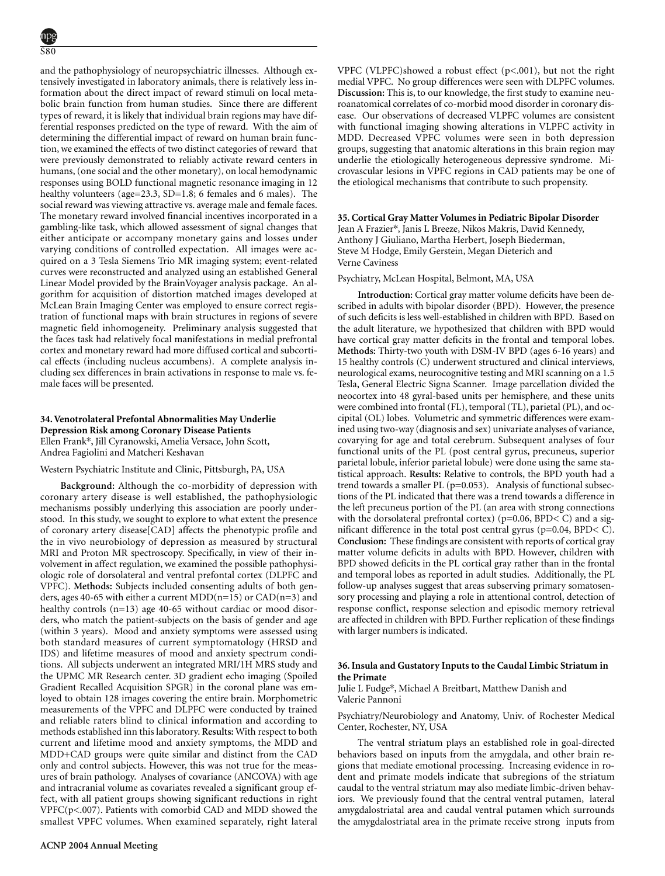and the pathophysiology of neuropsychiatric illnesses. Although extensively investigated in laboratory animals, there is relatively less information about the direct impact of reward stimuli on local metabolic brain function from human studies. Since there are different types of reward, it is likely that individual brain regions may have differential responses predicted on the type of reward. With the aim of determining the differential impact of reward on human brain function, we examined the effects of two distinct categories of reward that were previously demonstrated to reliably activate reward centers in humans, (one social and the other monetary), on local hemodynamic responses using BOLD functional magnetic resonance imaging in 12 healthy volunteers (age=23.3, SD=1.8; 6 females and 6 males). The social reward was viewing attractive vs. average male and female faces. The monetary reward involved financial incentives incorporated in a gambling-like task, which allowed assessment of signal changes that either anticipate or accompany monetary gains and losses under varying conditions of controlled expectation. All images were acquired on a 3 Tesla Siemens Trio MR imaging system; event-related curves were reconstructed and analyzed using an established General Linear Model provided by the BrainVoyager analysis package. An algorithm for acquisition of distortion matched images developed at McLean Brain Imaging Center was employed to ensure correct registration of functional maps with brain structures in regions of severe magnetic field inhomogeneity. Preliminary analysis suggested that the faces task had relatively focal manifestations in medial prefrontal cortex and monetary reward had more diffused cortical and subcortical effects (including nucleus accumbens). A complete analysis including sex differences in brain activations in response to male vs. female faces will be presented.

# **34. Venotrolateral Prefontal Abnormalities May Underlie Depression Risk among Coronary Disease Patients** Ellen Frank\*, Jill Cyranowski, Amelia Versace, John Scott,

Andrea Fagiolini and Matcheri Keshavan

# Western Psychiatric Institute and Clinic, Pittsburgh, PA, USA

**Background:** Although the co-morbidity of depression with coronary artery disease is well established, the pathophysiologic mechanisms possibly underlying this association are poorly understood. In this study, we sought to explore to what extent the presence of coronary artery disease[CAD] affects the phenotypic profile and the in vivo neurobiology of depression as measured by structural MRI and Proton MR spectroscopy. Specifically, in view of their involvement in affect regulation, we examined the possible pathophysiologic role of dorsolateral and ventral prefontal cortex (DLPFC and VPFC). **Methods:** Subjects included consenting adults of both genders, ages 40-65 with either a current MDD(n=15) or  $CAD(n=3)$  and healthy controls (n=13) age 40-65 without cardiac or mood disorders, who match the patient-subjects on the basis of gender and age (within 3 years). Mood and anxiety symptoms were assessed using both standard measures of current symptomatology (HRSD and IDS) and lifetime measures of mood and anxiety spectrum conditions. All subjects underwent an integrated MRI/1H MRS study and the UPMC MR Research center. 3D gradient echo imaging (Spoiled Gradient Recalled Acquisition SPGR) in the coronal plane was emloyed to obtain 128 images covering the entire brain. Morphometric measurements of the VPFC and DLPFC were conducted by trained and reliable raters blind to clinical information and according to methods established inn this laboratory. **Results:** With respect to both current and lifetime mood and anxiety symptoms, the MDD and MDD+CAD groups were quite similar and distinct from the CAD only and control subjects. However, this was not true for the measures of brain pathology. Analyses of covariance (ANCOVA) with age and intracranial volume as covariates revealed a significant group effect, with all patient groups showing significant reductions in right VPFC(p<.007). Patients with comorbid CAD and MDD showed the smallest VPFC volumes. When examined separately, right lateral VPFC (VLPFC)showed a robust effect (p<.001), but not the right medial VPFC. No group differences were seen with DLPFC volumes. **Discussion:** This is, to our knowledge, the first study to examine neuroanatomical correlates of co-morbid mood disorder in coronary disease. Our observations of decreased VLPFC volumes are consistent with functional imaging showing alterations in VLPFC activity in MDD. Decreased VPFC volumes were seen in both depression groups, suggesting that anatomic alterations in this brain region may underlie the etiologically heterogeneous depressive syndrome. Microvascular lesions in VPFC regions in CAD patients may be one of the etiological mechanisms that contribute to such propensity.

# **35. Cortical Gray Matter Volumes in Pediatric Bipolar Disorder** Jean A Frazier\*, Janis L Breeze, Nikos Makris, David Kennedy, Anthony J Giuliano, Martha Herbert, Joseph Biederman, Steve M Hodge, Emily Gerstein, Megan Dieterich and Verne Caviness

### Psychiatry, McLean Hospital, Belmont, MA, USA

**Introduction:** Cortical gray matter volume deficits have been described in adults with bipolar disorder (BPD). However, the presence of such deficits is less well-established in children with BPD. Based on the adult literature, we hypothesized that children with BPD would have cortical gray matter deficits in the frontal and temporal lobes. **Methods:** Thirty-two youth with DSM-IV BPD (ages 6-16 years) and 15 healthy controls (C) underwent structured and clinical interviews, neurological exams, neurocognitive testing and MRI scanning on a 1.5 Tesla, General Electric Signa Scanner. Image parcellation divided the neocortex into 48 gyral-based units per hemisphere, and these units were combined into frontal (FL), temporal (TL), parietal (PL), and occipital (OL) lobes. Volumetric and symmetric differences were examined using two-way (diagnosis and sex) univariate analyses of variance, covarying for age and total cerebrum. Subsequent analyses of four functional units of the PL (post central gyrus, precuneus, superior parietal lobule, inferior parietal lobule) were done using the same statistical approach. **Results:** Relative to controls, the BPD youth had a trend towards a smaller PL (p=0.053). Analysis of functional subsections of the PL indicated that there was a trend towards a difference in the left precuneus portion of the PL (an area with strong connections with the dorsolateral prefrontal cortex) ( $p=0.06$ , BPD $<$  C) and a significant difference in the total post central gyrus ( $p=0.04$ , BPD $<$  C). **Conclusion:** These findings are consistent with reports of cortical gray matter volume deficits in adults with BPD. However, children with BPD showed deficits in the PL cortical gray rather than in the frontal and temporal lobes as reported in adult studies. Additionally, the PL follow-up analyses suggest that areas subserving primary somatosensory processing and playing a role in attentional control, detection of response conflict, response selection and episodic memory retrieval are affected in children with BPD. Further replication of these findings with larger numbers is indicated.

### **36. Insula and Gustatory Inputs to the Caudal Limbic Striatum in the Primate**

Julie L Fudge\*, Michael A Breitbart, Matthew Danish and Valerie Pannoni

Psychiatry/Neurobiology and Anatomy, Univ. of Rochester Medical Center, Rochester, NY, USA

The ventral striatum plays an established role in goal-directed behaviors based on inputs from the amygdala, and other brain regions that mediate emotional processing. Increasing evidence in rodent and primate models indicate that subregions of the striatum caudal to the ventral striatum may also mediate limbic-driven behaviors. We previously found that the central ventral putamen, lateral amygdalostriatal area and caudal ventral putamen which surrounds the amygdalostriatal area in the primate receive strong inputs from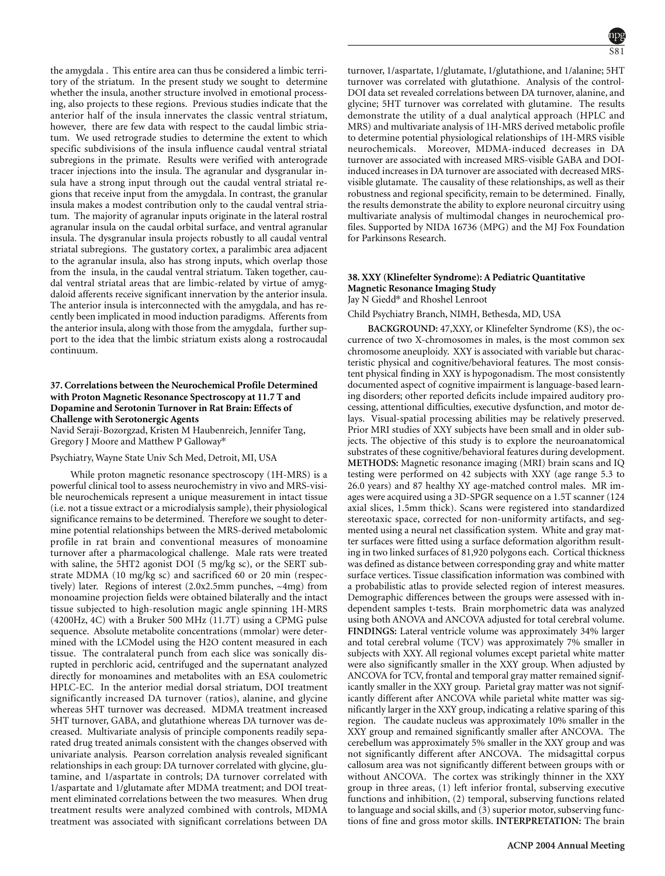the amygdala . This entire area can thus be considered a limbic territory of the striatum. In the present study we sought to determine whether the insula, another structure involved in emotional processing, also projects to these regions. Previous studies indicate that the anterior half of the insula innervates the classic ventral striatum, however, there are few data with respect to the caudal limbic striatum. We used retrograde studies to determine the extent to which specific subdivisions of the insula influence caudal ventral striatal subregions in the primate. Results were verified with anterograde tracer injections into the insula. The agranular and dysgranular insula have a strong input through out the caudal ventral striatal regions that receive input from the amygdala. In contrast, the granular insula makes a modest contribution only to the caudal ventral striatum. The majority of agranular inputs originate in the lateral rostral agranular insula on the caudal orbital surface, and ventral agranular insula. The dysgranular insula projects robustly to all caudal ventral striatal subregions. The gustatory cortex, a paralimbic area adjacent to the agranular insula, also has strong inputs, which overlap those from the insula, in the caudal ventral striatum. Taken together, caudal ventral striatal areas that are limbic-related by virtue of amygdaloid afferents receive significant innervation by the anterior insula. The anterior insula is interconnected with the amygdala, and has recently been implicated in mood induction paradigms. Afferents from the anterior insula, along with those from the amygdala, further support to the idea that the limbic striatum exists along a rostrocaudal continuum.

# **37. Correlations between the Neurochemical Profile Determined with Proton Magnetic Resonance Spectroscopy at 11.7 T and Dopamine and Serotonin Turnover in Rat Brain: Effects of Challenge with Serotonergic Agents**

Navid Seraji-Bozorgzad, Kristen M Haubenreich, Jennifer Tang, Gregory J Moore and Matthew P Galloway\*

### Psychiatry, Wayne State Univ Sch Med, Detroit, MI, USA

While proton magnetic resonance spectroscopy (1H-MRS) is a powerful clinical tool to assess neurochemistry in vivo and MRS-visible neurochemicals represent a unique measurement in intact tissue (i.e. not a tissue extract or a microdialysis sample), their physiological significance remains to be determined. Therefore we sought to determine potential relationships between the MRS-derived metabolomic profile in rat brain and conventional measures of monoamine turnover after a pharmacological challenge. Male rats were treated with saline, the 5HT2 agonist DOI (5 mg/kg sc), or the SERT substrate MDMA (10 mg/kg sc) and sacrificed 60 or 20 min (respectively) later. Regions of interest (2.0x2.5mm punches, ~4mg) from monoamine projection fields were obtained bilaterally and the intact tissue subjected to high-resolution magic angle spinning 1H-MRS (4200Hz, 4C) with a Bruker 500 MHz (11.7T) using a CPMG pulse sequence. Absolute metabolite concentrations (mmolar) were determined with the LCModel using the H2O content measured in each tissue. The contralateral punch from each slice was sonically disrupted in perchloric acid, centrifuged and the supernatant analyzed directly for monoamines and metabolites with an ESA coulometric HPLC-EC. In the anterior medial dorsal striatum, DOI treatment significantly increased DA turnover (ratios), alanine, and glycine whereas 5HT turnover was decreased. MDMA treatment increased 5HT turnover, GABA, and glutathione whereas DA turnover was decreased. Multivariate analysis of principle components readily separated drug treated animals consistent with the changes observed with univariate analysis. Pearson correlation analysis revealed significant relationships in each group: DA turnover correlated with glycine, glutamine, and 1/aspartate in controls; DA turnover correlated with 1/aspartate and 1/glutamate after MDMA treatment; and DOI treatment eliminated correlations between the two measures. When drug treatment results were analyzed combined with controls, MDMA treatment was associated with significant correlations between DA

turnover, 1/aspartate, 1/glutamate, 1/glutathione, and 1/alanine; 5HT turnover was correlated with glutathione. Analysis of the control-DOI data set revealed correlations between DA turnover, alanine, and glycine; 5HT turnover was correlated with glutamine. The results demonstrate the utility of a dual analytical approach (HPLC and MRS) and multivariate analysis of 1H-MRS derived metabolic profile to determine potential physiological relationships of 1H-MRS visible neurochemicals. Moreover, MDMA-induced decreases in DA turnover are associated with increased MRS-visible GABA and DOIinduced increases in DA turnover are associated with decreased MRSvisible glutamate. The causality of these relationships, as well as their robustness and regional specificity, remain to be determined. Finally, the results demonstrate the ability to explore neuronal circuitry using multivariate analysis of multimodal changes in neurochemical profiles. Supported by NIDA 16736 (MPG) and the MJ Fox Foundation for Parkinsons Research.

### **38. XXY (Klinefelter Syndrome): A Pediatric Quantitative Magnetic Resonance Imaging Study** Jay N Giedd\* and Rhoshel Lenroot

Child Psychiatry Branch, NIMH, Bethesda, MD, USA

**BACKGROUND:** 47,XXY, or Klinefelter Syndrome (KS), the occurrence of two X-chromosomes in males, is the most common sex chromosome aneuploidy. XXY is associated with variable but characteristic physical and cognitive/behavioral features. The most consistent physical finding in XXY is hypogonadism. The most consistently documented aspect of cognitive impairment is language-based learning disorders; other reported deficits include impaired auditory processing, attentional difficulties, executive dysfunction, and motor delays. Visual-spatial processing abilities may be relatively preserved. Prior MRI studies of XXY subjects have been small and in older subjects. The objective of this study is to explore the neuroanatomical substrates of these cognitive/behavioral features during development. **METHODS:** Magnetic resonance imaging (MRI) brain scans and IQ testing were performed on 42 subjects with XXY (age range 5.3 to 26.0 years) and 87 healthy XY age-matched control males. MR images were acquired using a 3D-SPGR sequence on a 1.5T scanner (124 axial slices, 1.5mm thick). Scans were registered into standardized stereotaxic space, corrected for non-uniformity artifacts, and segmented using a neural net classification system. White and gray matter surfaces were fitted using a surface deformation algorithm resulting in two linked surfaces of 81,920 polygons each. Cortical thickness was defined as distance between corresponding gray and white matter surface vertices. Tissue classification information was combined with a probabilistic atlas to provide selected region of interest measures. Demographic differences between the groups were assessed with independent samples t-tests. Brain morphometric data was analyzed using both ANOVA and ANCOVA adjusted for total cerebral volume. **FINDINGS:** Lateral ventricle volume was approximately 34% larger and total cerebral volume (TCV) was approximately 7% smaller in subjects with XXY. All regional volumes except parietal white matter were also significantly smaller in the XXY group. When adjusted by ANCOVA for TCV, frontal and temporal gray matter remained significantly smaller in the XXY group. Parietal gray matter was not significantly different after ANCOVA while parietal white matter was significantly larger in the XXY group, indicating a relative sparing of this region. The caudate nucleus was approximately 10% smaller in the XXY group and remained significantly smaller after ANCOVA. The cerebellum was approximately 5% smaller in the XXY group and was not significantly different after ANCOVA. The midsagittal corpus callosum area was not significantly different between groups with or without ANCOVA. The cortex was strikingly thinner in the XXY group in three areas, (1) left inferior frontal, subserving executive functions and inhibition, (2) temporal, subserving functions related to language and social skills, and (3) superior motor, subserving functions of fine and gross motor skills. **INTERPRETATION:** The brain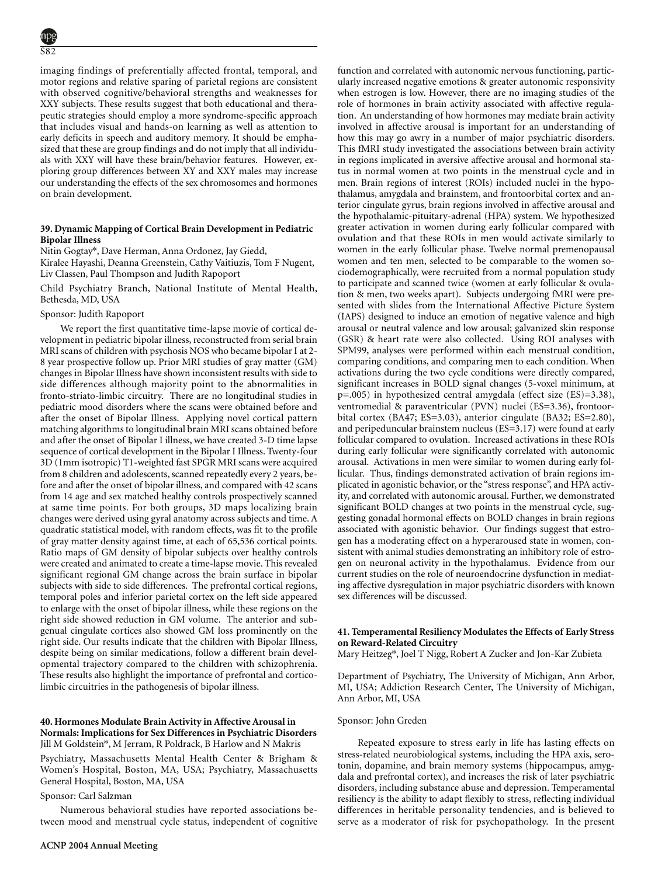imaging findings of preferentially affected frontal, temporal, and motor regions and relative sparing of parietal regions are consistent with observed cognitive/behavioral strengths and weaknesses for XXY subjects. These results suggest that both educational and therapeutic strategies should employ a more syndrome-specific approach that includes visual and hands-on learning as well as attention to early deficits in speech and auditory memory. It should be emphasized that these are group findings and do not imply that all individuals with XXY will have these brain/behavior features. However, exploring group differences between XY and XXY males may increase our understanding the effects of the sex chromosomes and hormones on brain development. Neuroimaging; Other; Prefrontal cortex

### **39. Dynamic Mapping of Cortical Brain Development in Pediatric Bipolar Illness**

Nitin Gogtay\*, Dave Herman, Anna Ordonez, Jay Giedd,

Kiralee Hayashi, Deanna Greenstein, Cathy Vaitiuzis, Tom F Nugent, Liv Classen, Paul Thompson and Judith Rapoport

Child Psychiatry Branch, National Institute of Mental Health, Bethesda, MD, USA

### Sponsor: Judith Rapoport

We report the first quantitative time-lapse movie of cortical development in pediatric bipolar illness, reconstructed from serial brain MRI scans of children with psychosis NOS who became bipolar I at 2- 8 year prospective follow up. Prior MRI studies of gray matter (GM) changes in Bipolar Illness have shown inconsistent results with side to side differences although majority point to the abnormalities in fronto-striato-limbic circuitry. There are no longitudinal studies in pediatric mood disorders where the scans were obtained before and after the onset of Bipolar Illness. Applying novel cortical pattern matching algorithms to longitudinal brain MRI scans obtained before and after the onset of Bipolar I illness, we have created 3-D time lapse sequence of cortical development in the Bipolar I Illness. Twenty-four 3D (1mm isotropic) T1-weighted fast SPGR MRI scans were acquired from 8 children and adolescents, scanned repeatedly every 2 years, before and after the onset of bipolar illness, and compared with 42 scans from 14 age and sex matched healthy controls prospectively scanned at same time points. For both groups, 3D maps localizing brain changes were derived using gyral anatomy across subjects and time. A quadratic statistical model, with random effects, was fit to the profile of gray matter density against time, at each of 65,536 cortical points. Ratio maps of GM density of bipolar subjects over healthy controls were created and animated to create a time-lapse movie. This revealed significant regional GM change across the brain surface in bipolar subjects with side to side differences. The prefrontal cortical regions, temporal poles and inferior parietal cortex on the left side appeared to enlarge with the onset of bipolar illness, while these regions on the right side showed reduction in GM volume. The anterior and subgenual cingulate cortices also showed GM loss prominently on the right side. Our results indicate that the children with Bipolar Illness, despite being on similar medications, follow a different brain developmental trajectory compared to the children with schizophrenia. These results also highlight the importance of prefrontal and corticolimbic circuitries in the pathogenesis of bipolar illness.

### **40. Hormones Modulate Brain Activity in Affective Arousal in Normals: Implications for Sex Differences in Psychiatric Disorders** Jill M Goldstein\*, M Jerram, R Poldrack, B Harlow and N Makris

Psychiatry, Massachusetts Mental Health Center & Brigham & Women's Hospital, Boston, MA, USA; Psychiatry, Massachusetts General Hospital, Boston, MA, USA

# Sponsor: Carl Salzman

Numerous behavioral studies have reported associations between mood and menstrual cycle status, independent of cognitive function and correlated with autonomic nervous functioning, particularly increased negative emotions & greater autonomic responsivity when estrogen is low. However, there are no imaging studies of the role of hormones in brain activity associated with affective regulation. An understanding of how hormones may mediate brain activity involved in affective arousal is important for an understanding of how this may go awry in a number of major psychiatric disorders. This fMRI study investigated the associations between brain activity in regions implicated in aversive affective arousal and hormonal status in normal women at two points in the menstrual cycle and in men. Brain regions of interest (ROIs) included nuclei in the hypothalamus, amygdala and brainstem, and frontoorbital cortex and anterior cingulate gyrus, brain regions involved in affective arousal and the hypothalamic-pituitary-adrenal (HPA) system. We hypothesized greater activation in women during early follicular compared with ovulation and that these ROIs in men would activate similarly to women in the early follicular phase. Twelve normal premenopausal women and ten men, selected to be comparable to the women sociodemographically, were recruited from a normal population study to participate and scanned twice (women at early follicular & ovulation & men, two weeks apart). Subjects undergoing fMRI were presented with slides from the International Affective Picture System (IAPS) designed to induce an emotion of negative valence and high arousal or neutral valence and low arousal; galvanized skin response (GSR) & heart rate were also collected. Using ROI analyses with SPM99, analyses were performed within each menstrual condition, comparing conditions, and comparing men to each condition. When activations during the two cycle conditions were directly compared, significant increases in BOLD signal changes (5-voxel minimum, at p=.005) in hypothesized central amygdala (effect size (ES)=3.38), ventromedial & paraventricular (PVN) nuclei (ES=3.36), frontoorbital cortex (BA47; ES=3.03), anterior cingulate (BA32; ES=2.80), and peripeduncular brainstem nucleus (ES=3.17) were found at early follicular compared to ovulation. Increased activations in these ROIs during early follicular were significantly correlated with autonomic arousal. Activations in men were similar to women during early follicular. Thus, findings demonstrated activation of brain regions implicated in agonistic behavior, or the "stress response", and HPA activity, and correlated with autonomic arousal. Further, we demonstrated significant BOLD changes at two points in the menstrual cycle, suggesting gonadal hormonal effects on BOLD changes in brain regions associated with agonistic behavior. Our findings suggest that estrogen has a moderating effect on a hyperaroused state in women, consistent with animal studies demonstrating an inhibitory role of estrogen on neuronal activity in the hypothalamus. Evidence from our current studies on the role of neuroendocrine dysfunction in mediating affective dysregulation in major psychiatric disorders with known sex differences will be discussed.

# **41. Temperamental Resiliency Modulates the Effects of Early Stress on Reward-Related Circuitry**

Mary Heitzeg\*, Joel T Nigg, Robert A Zucker and Jon-Kar Zubieta

Department of Psychiatry, The University of Michigan, Ann Arbor, MI, USA; Addiction Research Center, The University of Michigan, Ann Arbor, MI, USA

### Sponsor: John Greden

Repeated exposure to stress early in life has lasting effects on stress-related neurobiological systems, including the HPA axis, serotonin, dopamine, and brain memory systems (hippocampus, amygdala and prefrontal cortex), and increases the risk of later psychiatric disorders, including substance abuse and depression. Temperamental resiliency is the ability to adapt flexibly to stress, reflecting individual differences in heritable personality tendencies, and is believed to serve as a moderator of risk for psychopathology. In the present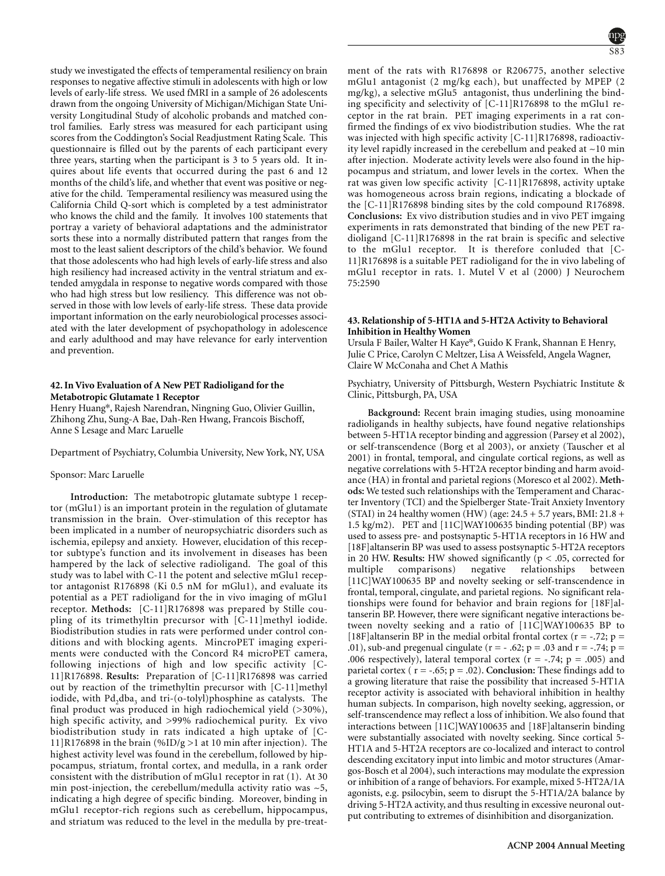study we investigated the effects of temperamental resiliency on brain responses to negative affective stimuli in adolescents with high or low levels of early-life stress. We used fMRI in a sample of 26 adolescents drawn from the ongoing University of Michigan/Michigan State University Longitudinal Study of alcoholic probands and matched control families. Early stress was measured for each participant using scores from the Coddington's Social Readjustment Rating Scale. This questionnaire is filled out by the parents of each participant every three years, starting when the participant is 3 to 5 years old. It inquires about life events that occurred during the past 6 and 12 months of the child's life, and whether that event was positive or negative for the child. Temperamental resiliency was measured using the California Child Q-sort which is completed by a test administrator who knows the child and the family. It involves 100 statements that portray a variety of behavioral adaptations and the administrator sorts these into a normally distributed pattern that ranges from the most to the least salient descriptors of the child's behavior. We found that those adolescents who had high levels of early-life stress and also high resiliency had increased activity in the ventral striatum and extended amygdala in response to negative words compared with those who had high stress but low resiliency. This difference was not observed in those with low levels of early-life stress. These data provide important information on the early neurobiological processes associated with the later development of psychopathology in adolescence and early adulthood and may have relevance for early intervention and prevention.

# **42. In Vivo Evaluation of A New PET Radioligand for the Metabotropic Glutamate 1 Receptor**

Henry Huang\*, Rajesh Narendran, Ningning Guo, Olivier Guillin, Zhihong Zhu, Sung-A Bae, Dah-Ren Hwang, Francois Bischoff, Anne S Lesage and Marc Laruelle

Department of Psychiatry, Columbia University, New York, NY, USA

#### Sponsor: Marc Laruelle

**Introduction:** The metabotropic glutamate subtype 1 receptor (mGlu1) is an important protein in the regulation of glutamate transmission in the brain. Over-stimulation of this receptor has been implicated in a number of neuropsychiatric disorders such as ischemia, epilepsy and anxiety. However, elucidation of this receptor subtype's function and its involvement in diseases has been hampered by the lack of selective radioligand. The goal of this study was to label with C-11 the potent and selective mGlu1 receptor antagonist R176898 (Ki 0.5 nM for mGlu1), and evaluate its potential as a PET radioligand for the in vivo imaging of mGlu1 receptor. **Methods:** [C-11]R176898 was prepared by Stille coupling of its trimethyltin precursor with [C-11]methyl iodide. Biodistribution studies in rats were performed under control conditions and with blocking agents. MincroPET imaging experiments were conducted with the Concord R4 microPET camera, following injections of high and low specific activity [C-11]R176898. **Results:** Preparation of [C-11]R176898 was carried out by reaction of the trimethyltin precursor with [C-11]methyl iodide, with Pd<sub>3</sub>dba<sub>3</sub> and tri-(o-tolyl)phosphine as catalysts. The final product was produced in high radiochemical yield (>30%), high specific activity, and >99% radiochemical purity. Ex vivo biodistribution study in rats indicated a high uptake of [C-11]R176898 in the brain  $(\%ID/g > 1$  at 10 min after injection). The highest activity level was found in the cerebellum, followed by hippocampus, striatum, frontal cortex, and medulla, in a rank order consistent with the distribution of mGlu1 receptor in rat (1). At 30 min post-injection, the cerebellum/medulla activity ratio was  $\sim$ 5, indicating a high degree of specific binding. Moreover, binding in mGlu1 receptor-rich regions such as cerebellum, hippocampus, and striatum was reduced to the level in the medulla by pre-treatment of the rats with R176898 or R206775, another selective mGlu1 antagonist (2 mg/kg each), but unaffected by MPEP (2 mg/kg), a selective mGlu5 antagonist, thus underlining the binding specificity and selectivity of [C-11]R176898 to the mGlu1 receptor in the rat brain. PET imaging experiments in a rat confirmed the findings of ex vivo biodistribution studies. Whe the rat was injected with high specific activity [C-11]R176898, radioactivity level rapidly increased in the cerebellum and peaked at  $\sim$ 10 min after injection. Moderate activity levels were also found in the hippocampus and striatum, and lower levels in the cortex. When the rat was given low specific activity [C-11]R176898, activity uptake was homogeneous across brain regions, indicating a blockade of the [C-11]R176898 binding sites by the cold compound R176898. **Conclusions:** Ex vivo distribution studies and in vivo PET imgaing experiments in rats demonstrated that binding of the new PET radioligand [C-11]R176898 in the rat brain is specific and selective to the mGlu1 receptor. It is therefore conluded that [C-11]R176898 is a suitable PET radioligand for the in vivo labeling of mGlu1 receptor in rats. 1. Mutel V et al (2000) J Neurochem 75:2590

### **43. Relationship of 5-HT1A and 5-HT2A Activity to Behavioral Inhibition in Healthy Women**

Ursula F Bailer, Walter H Kaye\*, Guido K Frank, Shannan E Henry, Julie C Price, Carolyn C Meltzer, Lisa A Weissfeld, Angela Wagner, Claire W McConaha and Chet A Mathis

Psychiatry, University of Pittsburgh, Western Psychiatric Institute & Clinic, Pittsburgh, PA, USA

**Background:** Recent brain imaging studies, using monoamine radioligands in healthy subjects, have found negative relationships between 5-HT1A receptor binding and aggression (Parsey et al 2002), or self-transcendence (Borg et al 2003), or anxiety (Tauscher et al 2001) in frontal, temporal, and cingulate cortical regions, as well as negative correlations with 5-HT2A receptor binding and harm avoidance (HA) in frontal and parietal regions (Moresco et al 2002). **Methods:** We tested such relationships with the Temperament and Character Inventory (TCI) and the Spielberger State-Trait Anxiety Inventory (STAI) in 24 healthy women (HW) (age:  $24.5 + 5.7$  years, BMI:  $21.8 +$ 1.5 kg/m2). PET and [11C]WAY100635 binding potential (BP) was used to assess pre- and postsynaptic 5-HT1A receptors in 16 HW and [18F]altanserin BP was used to assess postsynaptic 5-HT2A receptors in 20 HW. **Results:** HW showed significantly (p < .05, corrected for multiple comparisons) negative relationships between [11C]WAY100635 BP and novelty seeking or self-transcendence in frontal, temporal, cingulate, and parietal regions. No significant relationships were found for behavior and brain regions for [18F]altanserin BP. However, there were significant negative interactions between novelty seeking and a ratio of [11C]WAY100635 BP to [18F]altanserin BP in the medial orbital frontal cortex ( $r = -0.72$ ; p = .01), sub-and pregenual cingulate ( $r = -0.62$ ;  $p = 0.03$  and  $r = -0.74$ ;  $p = 0.03$ .006 respectively), lateral temporal cortex ( $r = -.74$ ;  $p = .005$ ) and parietal cortex ( $r = -.65$ ;  $p = .02$ ). **Conclusion:** These findings add to a growing literature that raise the possibility that increased 5-HT1A receptor activity is associated with behavioral inhibition in healthy human subjects. In comparison, high novelty seeking, aggression, or self-transcendence may reflect a loss of inhibition. We also found that interactions between [11C]WAY100635 and [18F]altanserin binding were substantially associated with novelty seeking. Since cortical 5- HT1A and 5-HT2A receptors are co-localized and interact to control descending excitatory input into limbic and motor structures (Amargos-Bosch et al 2004), such interactions may modulate the expression or inhibition of a range of behaviors. For example, mixed 5-HT2A/1A agonists, e.g. psilocybin, seem to disrupt the 5-HT1A/2A balance by driving 5-HT2A activity, and thus resulting in excessive neuronal output contributing to extremes of disinhibition and disorganization.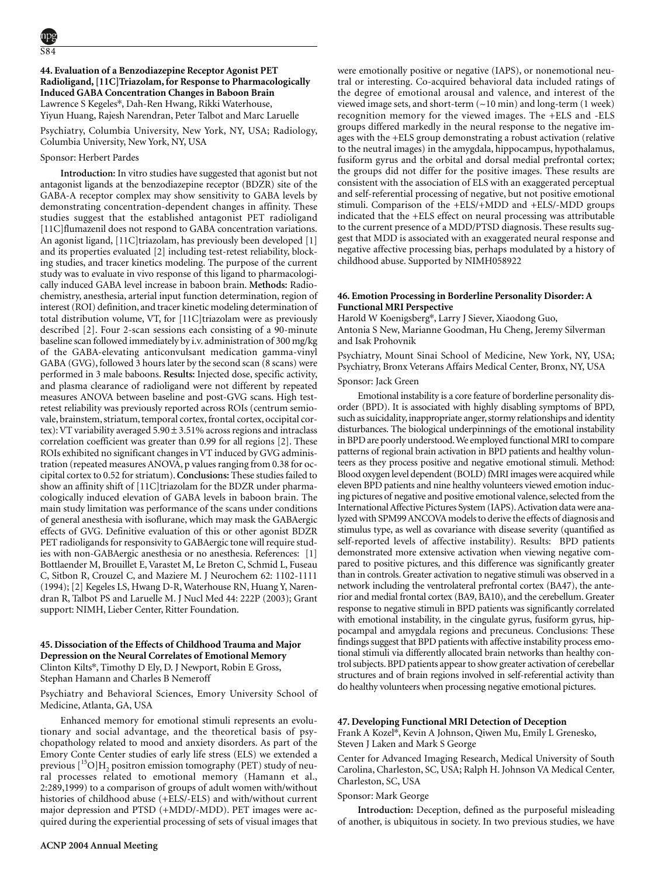**44. Evaluation of a Benzodiazepine Receptor Agonist PET Radioligand, [11C]Triazolam, for Response to Pharmacologically Induced GABA Concentration Changes in Baboon Brain** Lawrence S Kegeles\*, Dah-Ren Hwang, Rikki Waterhouse, Yiyun Huang, Rajesh Narendran, Peter Talbot and Marc Laruelle

Psychiatry, Columbia University, New York, NY, USA; Radiology, Columbia University, New York, NY, USA

# Sponsor: Herbert Pardes

**Introduction:** In vitro studies have suggested that agonist but not antagonist ligands at the benzodiazepine receptor (BDZR) site of the GABA-A receptor complex may show sensitivity to GABA levels by demonstrating concentration-dependent changes in affinity. These studies suggest that the established antagonist PET radioligand [11C]flumazenil does not respond to GABA concentration variations. An agonist ligand, [11C]triazolam, has previously been developed [1] and its properties evaluated [2] including test-retest reliability, blocking studies, and tracer kinetics modeling. The purpose of the current study was to evaluate in vivo response of this ligand to pharmacologically induced GABA level increase in baboon brain. **Methods:** Radiochemistry, anesthesia, arterial input function determination, region of interest (ROI) definition, and tracer kinetic modeling determination of total distribution volume, VT, for [11C]triazolam were as previously described [2]. Four 2-scan sessions each consisting of a 90-minute baseline scan followed immediately by i.v. administration of 300 mg/kg of the GABA-elevating anticonvulsant medication gamma-vinyl GABA (GVG), followed 3 hours later by the second scan (8 scans) were performed in 3 male baboons. **Results:** Injected dose, specific activity, and plasma clearance of radioligand were not different by repeated measures ANOVA between baseline and post-GVG scans. High testretest reliability was previously reported across ROIs (centrum semiovale, brainstem, striatum, temporal cortex, frontal cortex, occipital cortex): VT variability averaged 5.90 ± 3.51% across regions and intraclass correlation coefficient was greater than 0.99 for all regions [2]. These ROIs exhibited no significant changes in VT induced by GVG administration (repeated measures ANOVA, p values ranging from 0.38 for occipital cortex to 0.52 for striatum).**Conclusions:** These studies failed to show an affinity shift of [11C]triazolam for the BDZR under pharmacologically induced elevation of GABA levels in baboon brain. The main study limitation was performance of the scans under conditions of general anesthesia with isoflurane, which may mask the GABAergic effects of GVG. Definitive evaluation of this or other agonist BDZR PET radioligands for responsivity to GABAergic tone will require studies with non-GABAergic anesthesia or no anesthesia. References: [1] Bottlaender M, Brouillet E, Varastet M, Le Breton C, Schmid L, Fuseau C, Sitbon R, Crouzel C, and Maziere M. J Neurochem 62: 1102-1111 (1994); [2] Kegeles LS, Hwang D-R, Waterhouse RN, Huang Y, Narendran R, Talbot PS and Laruelle M. J Nucl Med 44: 222P (2003); Grant support: NIMH, Lieber Center, Ritter Foundation.

# **45. Dissociation of the Effects of Childhood Trauma and Major Depression on the Neural Correlates of Emotional Memory** Clinton Kilts\*, Timothy D Ely, D. J Newport, Robin E Gross, Stephan Hamann and Charles B Nemeroff

Psychiatry and Behavioral Sciences, Emory University School of Medicine, Atlanta, GA, USA

Enhanced memory for emotional stimuli represents an evolutionary and social advantage, and the theoretical basis of psychopathology related to mood and anxiety disorders. As part of the Emory Conte Center studies of early life stress (ELS) we extended a previous  $[{}^{15}O]H$ <sub>2</sub> positron emission tomography (PET) study of neural processes related to emotional memory (Hamann et al., 2:289,1999) to a comparison of groups of adult women with/without histories of childhood abuse (+ELS/-ELS) and with/without current major depression and PTSD (+MDD/-MDD). PET images were acquired during the experiential processing of sets of visual images that were emotionally positive or negative (IAPS), or nonemotional neutral or interesting. Co-acquired behavioral data included ratings of the degree of emotional arousal and valence, and interest of the viewed image sets, and short-term  $(\sim 10 \text{ min})$  and long-term  $(1 \text{ week})$ recognition memory for the viewed images. The +ELS and -ELS groups differed markedly in the neural response to the negative images with the +ELS group demonstrating a robust activation (relative to the neutral images) in the amygdala, hippocampus, hypothalamus, fusiform gyrus and the orbital and dorsal medial prefrontal cortex; the groups did not differ for the positive images. These results are consistent with the association of ELS with an exaggerated perceptual and self-referential processing of negative, but not positive emotional stimuli. Comparison of the +ELS/+MDD and +ELS/-MDD groups indicated that the +ELS effect on neural processing was attributable to the current presence of a MDD/PTSD diagnosis. These results suggest that MDD is associated with an exaggerated neural response and negative affective processing bias, perhaps modulated by a history of childhood abuse. Supported by NIMH058922

### **46. Emotion Processing in Borderline Personality Disorder: A Functional MRI Perspective**

Harold W Koenigsberg\*, Larry J Siever, Xiaodong Guo, Antonia S New, Marianne Goodman, Hu Cheng, Jeremy Silverman and Isak Prohovnik

Psychiatry, Mount Sinai School of Medicine, New York, NY, USA; Psychiatry, Bronx Veterans Affairs Medical Center, Bronx, NY, USA

# Sponsor: Jack Green

Emotional instability is a core feature of borderline personality disorder (BPD). It is associated with highly disabling symptoms of BPD, such as suicidality, inappropriate anger, stormy relationships and identity disturbances. The biological underpinnings of the emotional instability in BPD are poorly understood.We employed functional MRI to compare patterns of regional brain activation in BPD patients and healthy volunteers as they process positive and negative emotional stimuli. Method: Blood oxygen level dependent (BOLD) fMRI images were acquired while eleven BPD patients and nine healthy volunteers viewed emotion inducing pictures of negative and positive emotional valence, selected from the International Affective Pictures System (IAPS). Activation data were analyzed with SPM99 ANCOVA models to derive the effects of diagnosis and stimulus type, as well as covariance with disease severity (quantified as self-reported levels of affective instability). Results: BPD patients demonstrated more extensive activation when viewing negative compared to positive pictures, and this difference was significantly greater than in controls. Greater activation to negative stimuli was observed in a network including the ventrolateral prefrontal cortex (BA47), the anterior and medial frontal cortex (BA9, BA10), and the cerebellum. Greater response to negative stimuli in BPD patients was significantly correlated with emotional instability, in the cingulate gyrus, fusiform gyrus, hippocampal and amygdala regions and precuneus. Conclusions: These findings suggest that BPD patients with affective instability process emotional stimuli via differently allocated brain networks than healthy control subjects.BPD patients appear to show greater activation of cerebellar structures and of brain regions involved in self-referential activity than do healthy volunteers when processing negative emotional pictures.

### **47. Developing Functional MRI Detection of Deception**

Frank A Kozel\*, Kevin A Johnson, Qiwen Mu, Emily L Grenesko, Steven J Laken and Mark S George

Center for Advanced Imaging Research, Medical University of South Carolina, Charleston, SC, USA; Ralph H. Johnson VA Medical Center, Charleston, SC, USA

# Sponsor: Mark George

**Introduction:** Deception, defined as the purposeful misleading of another, is ubiquitous in society. In two previous studies, we have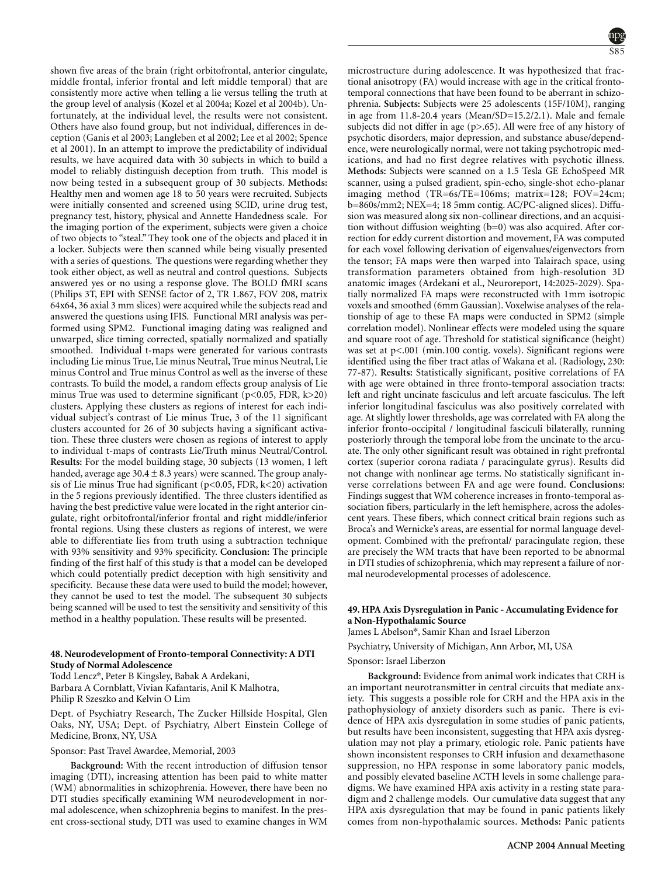shown five areas of the brain (right orbitofrontal, anterior cingulate, middle frontal, inferior frontal and left middle temporal) that are consistently more active when telling a lie versus telling the truth at the group level of analysis (Kozel et al 2004a; Kozel et al 2004b). Unfortunately, at the individual level, the results were not consistent. Others have also found group, but not individual, differences in deception (Ganis et al 2003; Langleben et al 2002; Lee et al 2002; Spence et al 2001). In an attempt to improve the predictability of individual results, we have acquired data with 30 subjects in which to build a model to reliably distinguish deception from truth. This model is now being tested in a subsequent group of 30 subjects. **Methods:** Healthy men and women age 18 to 50 years were recruited. Subjects were initially consented and screened using SCID, urine drug test, pregnancy test, history, physical and Annette Handedness scale. For the imaging portion of the experiment, subjects were given a choice of two objects to "steal." They took one of the objects and placed it in a locker. Subjects were then scanned while being visually presented with a series of questions. The questions were regarding whether they took either object, as well as neutral and control questions. Subjects answered yes or no using a response glove. The BOLD fMRI scans (Philips 3T, EPI with SENSE factor of 2, TR 1.867, FOV 208, matrix 64x64, 36 axial 3 mm slices) were acquired while the subjects read and answered the questions using IFIS. Functional MRI analysis was performed using SPM2. Functional imaging dating was realigned and unwarped, slice timing corrected, spatially normalized and spatially smoothed. Individual t-maps were generated for various contrasts including Lie minus True, Lie minus Neutral, True minus Neutral, Lie minus Control and True minus Control as well as the inverse of these contrasts. To build the model, a random effects group analysis of Lie minus True was used to determine significant ( $p$ <0.05, FDR,  $k$ >20) clusters. Applying these clusters as regions of interest for each individual subject's contrast of Lie minus True, 3 of the 11 significant clusters accounted for 26 of 30 subjects having a significant activation. These three clusters were chosen as regions of interest to apply to individual t-maps of contrasts Lie/Truth minus Neutral/Control. **Results:** For the model building stage, 30 subjects (13 women, 1 left handed, average age  $30.4 \pm 8.3$  years) were scanned. The group analysis of Lie minus True had significant (p<0.05, FDR, k<20) activation in the 5 regions previously identified. The three clusters identified as having the best predictive value were located in the right anterior cingulate, right orbitofrontal/inferior frontal and right middle/inferior frontal regions. Using these clusters as regions of interest, we were able to differentiate lies from truth using a subtraction technique with 93% sensitivity and 93% specificity. **Conclusion:** The principle finding of the first half of this study is that a model can be developed which could potentially predict deception with high sensitivity and specificity. Because these data were used to build the model; however, they cannot be used to test the model. The subsequent 30 subjects being scanned will be used to test the sensitivity and sensitivity of this method in a healthy population. These results will be presented.

### **48. Neurodevelopment of Fronto-temporal Connectivity: A DTI Study of Normal Adolescence**

Todd Lencz\*, Peter B Kingsley, Babak A Ardekani, Barbara A Cornblatt, Vivian Kafantaris, Anil K Malhotra, Philip R Szeszko and Kelvin O Lim

Dept. of Psychiatry Research, The Zucker Hillside Hospital, Glen Oaks, NY, USA; Dept. of Psychiatry, Albert Einstein College of Medicine, Bronx, NY, USA

# Sponsor: Past Travel Awardee, Memorial, 2003

**Background:** With the recent introduction of diffusion tensor imaging (DTI), increasing attention has been paid to white matter (WM) abnormalities in schizophrenia. However, there have been no DTI studies specifically examining WM neurodevelopment in normal adolescence, when schizophrenia begins to manifest. In the present cross-sectional study, DTI was used to examine changes in WM



microstructure during adolescence. It was hypothesized that fractional anisotropy (FA) would increase with age in the critical frontotemporal connections that have been found to be aberrant in schizophrenia. **Subjects:** Subjects were 25 adolescents (15F/10M), ranging in age from 11.8-20.4 years (Mean/SD=15.2/2.1). Male and female subjects did not differ in age  $(p>0.65)$ . All were free of any history of psychotic disorders, major depression, and substance abuse/dependence, were neurologically normal, were not taking psychotropic medications, and had no first degree relatives with psychotic illness. **Methods:** Subjects were scanned on a 1.5 Tesla GE EchoSpeed MR scanner, using a pulsed gradient, spin-echo, single-shot echo-planar imaging method (TR=6s/TE=106ms; matrix=128; FOV=24cm; b=860s/mm2; NEX=4; 18 5mm contig. AC/PC-aligned slices). Diffusion was measured along six non-collinear directions, and an acquisition without diffusion weighting (b=0) was also acquired. After correction for eddy current distortion and movement, FA was computed for each voxel following derivation of eigenvalues/eigenvectors from the tensor; FA maps were then warped into Talairach space, using transformation parameters obtained from high-resolution 3D anatomic images (Ardekani et al., Neuroreport, 14:2025-2029). Spatially normalized FA maps were reconstructed with 1mm isotropic voxels and smoothed (6mm Gaussian). Voxelwise analyses of the relationship of age to these FA maps were conducted in SPM2 (simple correlation model). Nonlinear effects were modeled using the square and square root of age. Threshold for statistical significance (height) was set at p<.001 (min.100 contig. voxels). Significant regions were identified using the fiber tract atlas of Wakana et al. (Radiology, 230: 77-87). **Results:** Statistically significant, positive correlations of FA with age were obtained in three fronto-temporal association tracts: left and right uncinate fasciculus and left arcuate fasciculus. The left inferior longitudinal fasciculus was also positively correlated with age. At slightly lower thresholds, age was correlated with FA along the inferior fronto-occipital / longitudinal fasciculi bilaterally, running posteriorly through the temporal lobe from the uncinate to the arcuate. The only other significant result was obtained in right prefrontal cortex (superior corona radiata / paracingulate gyrus). Results did not change with nonlinear age terms. No statistically significant inverse correlations between FA and age were found. **Conclusions:** Findings suggest that WM coherence increases in fronto-temporal association fibers, particularly in the left hemisphere, across the adolescent years. These fibers, which connect critical brain regions such as Broca's and Wernicke's areas, are essential for normal language development. Combined with the prefrontal/ paracingulate region, these are precisely the WM tracts that have been reported to be abnormal in DTI studies of schizophrenia, which may represent a failure of normal neurodevelopmental processes of adolescence.

# **49. HPA Axis Dysregulation in Panic - Accumulating Evidence for a Non-Hypothalamic Source**

James L Abelson\*, Samir Khan and Israel Liberzon

Psychiatry, University of Michigan, Ann Arbor, MI, USA

### Sponsor: Israel Liberzon

**Background:** Evidence from animal work indicates that CRH is an important neurotransmitter in central circuits that mediate anxiety. This suggests a possible role for CRH and the HPA axis in the pathophysiology of anxiety disorders such as panic. There is evidence of HPA axis dysregulation in some studies of panic patients, but results have been inconsistent, suggesting that HPA axis dysregulation may not play a primary, etiologic role. Panic patients have shown inconsistent responses to CRH infusion and dexamethasone suppression, no HPA response in some laboratory panic models, and possibly elevated baseline ACTH levels in some challenge paradigms. We have examined HPA axis activity in a resting state paradigm and 2 challenge models. Our cumulative data suggest that any HPA axis dysregulation that may be found in panic patients likely comes from non-hypothalamic sources. **Methods:** Panic patients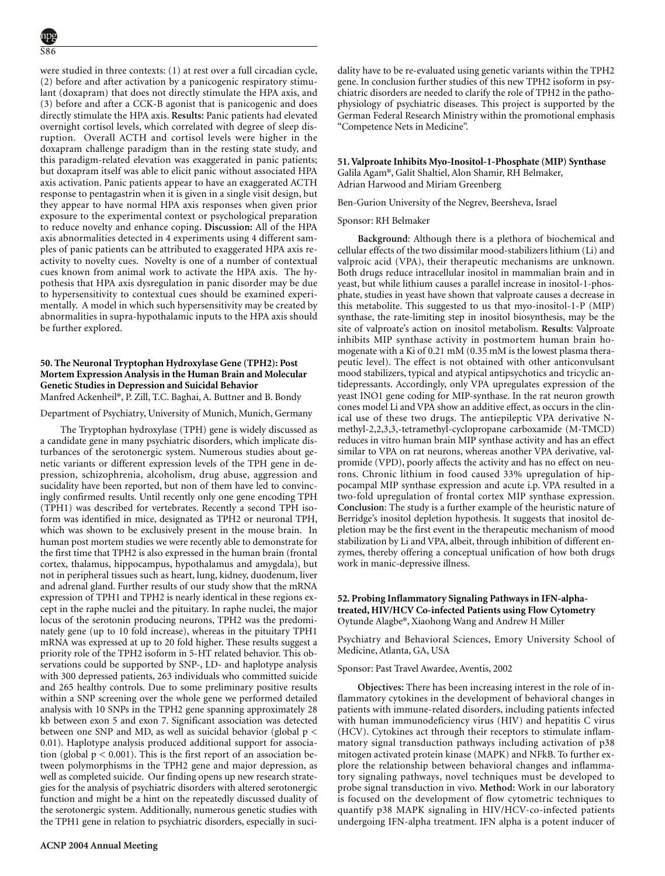were studied in three contexts: (1) at rest over a full circadian cycle, (2) before and after activation by a panicogenic respiratory stimulant (doxapram) that does not directly stimulate the HPA axis, and (3) before and after a CCK-B agonist that is panicogenic and does directly stimulate the HPA axis. **Results:** Panic patients had elevated overnight cortisol levels, which correlated with degree of sleep disruption. Overall ACTH and cortisol levels were higher in the doxapram challenge paradigm than in the resting state study, and this paradigm-related elevation was exaggerated in panic patients; but doxapram itself was able to elicit panic without associated HPA axis activation. Panic patients appear to have an exaggerated ACTH response to pentagastrin when it is given in a single visit design, but they appear to have normal HPA axis responses when given prior exposure to the experimental context or psychological preparation to reduce novelty and enhance coping. **Discussion:** All of the HPA axis abnormalities detected in 4 experiments using 4 different samples of panic patients can be attributed to exaggerated HPA axis reactivity to novelty cues. Novelty is one of a number of contextual cues known from animal work to activate the HPA axis. The hypothesis that HPA axis dysregulation in panic disorder may be due to hypersensitivity to contextual cues should be examined experimentally. A model in which such hypersensitivity may be created by abnormalities in supra-hypothalamic inputs to the HPA axis should be further explored. Panic Disorder; Neuroendocrinology; Hypothalamic-pituitary-adrenal axis

### **50. The Neuronal Tryptophan Hydroxylase Gene (TPH2): Post Mortem Expression Analysis in the Human Brain and Molecular Genetic Studies in Depression and Suicidal Behavior** Manfred Ackenheil\*, P. Zill, T.C. Baghai, A. Buttner and B. Bondy

Department of Psychiatry, University of Munich, Munich, Germany

The Tryptophan hydroxylase (TPH) gene is widely discussed as a candidate gene in many psychiatric disorders, which implicate disturbances of the serotonergic system. Numerous studies about genetic variants or different expression levels of the TPH gene in depression, schizophrenia, alcoholism, drug abuse, aggression and sucidality have been reported, but non of them have led to convincingly confirmed results. Until recently only one gene encoding TPH (TPH1) was described for vertebrates. Recently a second TPH isoform was identified in mice, designated as TPH2 or neuronal TPH, which was shown to be exclusively present in the mouse brain. In human post mortem studies we were recently able to demonstrate for the first time that TPH2 is also expressed in the human brain (frontal cortex, thalamus, hippocampus, hypothalamus and amygdala), but not in peripheral tissues such as heart, lung, kidney, duodenum, liver and adrenal gland. Further results of our study show that the mRNA expression of TPH1 and TPH2 is nearly identical in these regions except in the raphe nuclei and the pituitary. In raphe nuclei, the major locus of the serotonin producing neurons, TPH2 was the predominately gene (up to 10 fold increase), whereas in the pituitary TPH1 mRNA was expressed at up to 20 fold higher. These results suggest a priority role of the TPH2 isoform in 5-HT related behavior. This observations could be supported by SNP-, LD- and haplotype analysis with 300 depressed patients, 263 individuals who committed suicide and 265 healthy controls. Due to some preliminary positive results within a SNP screening over the whole gene we performed detailed analysis with 10 SNPs in the TPH2 gene spanning approximately 28 kb between exon 5 and exon 7. Significant association was detected between one SNP and MD, as well as suicidal behavior (global  $p <$ 0.01). Haplotype analysis produced additional support for association (global  $p < 0.001$ ). This is the first report of an association between polymorphisms in the TPH2 gene and major depression, as well as completed suicide. Our finding opens up new research strategies for the analysis of psychiatric disorders with altered serotonergic function and might be a hint on the repeatedly discussed duality of the serotonergic system. Additionally, numerous genetic studies with the TPH1 gene in relation to psychiatric disorders, especially in suci**51. Valproate Inhibits Myo-Inositol-1-Phosphate (MIP) Synthase** Galila Agam\*, Galit Shaltiel, Alon Shamir, RH Belmaker, Adrian Harwood and Miriam Greenberg

Ben-Gurion University of the Negrev, Beersheva, Israel

#### Sponsor: RH Belmaker

**Background**: Although there is a plethora of biochemical and cellular effects of the two dissimilar mood-stabilizers lithium (Li) and valproic acid (VPA), their therapeutic mechanisms are unknown. Both drugs reduce intracellular inositol in mammalian brain and in yeast, but while lithium causes a parallel increase in inositol-1-phosphate, studies in yeast have shown that valproate causes a decrease in this metabolite. This suggested to us that myo-inositol-1-P (MIP) synthase, the rate-limiting step in inositol biosynthesis, may be the site of valproate's action on inositol metabolism. **Results**: Valproate inhibits MIP synthase activity in postmortem human brain homogenate with a Ki of 0.21 mM (0.35 mM is the lowest plasma therapeutic level). The effect is not obtained with other anticonvulsant mood stabilizers, typical and atypical antipsychotics and tricyclic antidepressants. Accordingly, only VPA upregulates expression of the yeast INO1 gene coding for MIP-synthase. In the rat neuron growth cones model Li and VPA show an additive effect, as occurs in the clinical use of these two drugs. The antiepileptic VPA derivative Nmethyl-2,2,3,3,-tetramethyl-cyclopropane carboxamide (M-TMCD) reduces in vitro human brain MIP synthase activity and has an effect similar to VPA on rat neurons, whereas another VPA derivative, valpromide (VPD), poorly affects the activity and has no effect on neurons. Chronic lithium in food caused 33% upregulation of hippocampal MIP synthase expression and acute i.p. VPA resulted in a two-fold upregulation of frontal cortex MIP synthase expression. **Conclusion**: The study is a further example of the heuristic nature of Berridge's inositol depletion hypothesis. It suggests that inositol depletion may be the first event in the therapeutic mechanism of mood stabilization by Li and VPA, albeit, through inhibition of different enzymes, thereby offering a conceptual unification of how both drugs work in manic-depressive illness.

### **52. Probing Inflammatory Signaling Pathways in IFN-alphatreated, HIV/HCV Co-infected Patients using Flow Cytometry** Oytunde Alagbe\*, Xiaohong Wang and Andrew H Miller

Psychiatry and Behavioral Sciences, Emory University School of Medicine, Atlanta, GA, USA

#### Sponsor: Past Travel Awardee, Aventis, 2002

**Objectives:** There has been increasing interest in the role of inflammatory cytokines in the development of behavioral changes in patients with immune-related disorders, including patients infected with human immunodeficiency virus (HIV) and hepatitis C virus (HCV). Cytokines act through their receptors to stimulate inflammatory signal transduction pathways including activation of p38 mitogen activated protein kinase (MAPK) and NFkB. To further explore the relationship between behavioral changes and inflammatory signaling pathways, novel techniques must be developed to probe signal transduction in vivo. **Method:** Work in our laboratory is focused on the development of flow cytometric techniques to quantify p38 MAPK signaling in HIV/HCV-co-infected patients undergoing IFN-alpha treatment. IFN alpha is a potent inducer of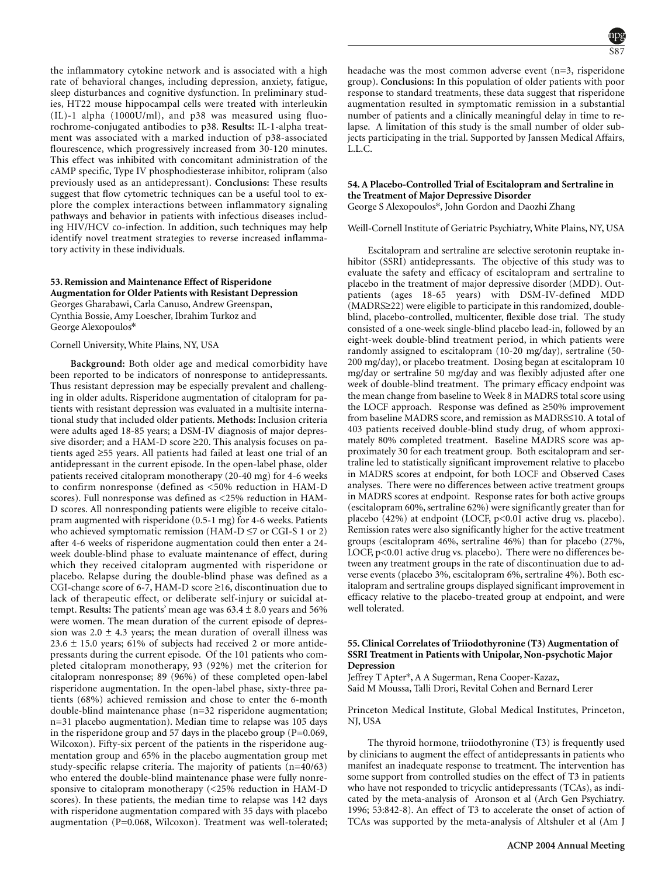the inflammatory cytokine network and is associated with a high rate of behavioral changes, including depression, anxiety, fatigue, sleep disturbances and cognitive dysfunction. In preliminary studies, HT22 mouse hippocampal cells were treated with interleukin (IL)-1 alpha (1000U/ml), and p38 was measured using fluorochrome-conjugated antibodies to p38. **Results:** IL-1-alpha treatment was associated with a marked induction of p38-associated flourescence, which progressively increased from 30-120 minutes. This effect was inhibited with concomitant administration of the cAMP specific, Type IV phosphodiesterase inhibitor, rolipram (also previously used as an antidepressant). **Conclusions:** These results suggest that flow cytometric techniques can be a useful tool to explore the complex interactions between inflammatory signaling pathways and behavior in patients with infectious diseases including HIV/HCV co-infection. In addition, such techniques may help identify novel treatment strategies to reverse increased inflammatory activity in these individuals.

# **53. Remission and Maintenance Effect of Risperidone Augmentation for Older Patients with Resistant Depression**

Georges Gharabawi, Carla Canuso, Andrew Greenspan, Cynthia Bossie, Amy Loescher, Ibrahim Turkoz and George Alexopoulos\*

### Cornell University, White Plains, NY, USA

**Background:** Both older age and medical comorbidity have been reported to be indicators of nonresponse to antidepressants. Thus resistant depression may be especially prevalent and challenging in older adults. Risperidone augmentation of citalopram for patients with resistant depression was evaluated in a multisite international study that included older patients. **Methods:** Inclusion criteria were adults aged 18-85 years; a DSM-IV diagnosis of major depressive disorder; and a HAM-D score ≥20. This analysis focuses on patients aged ≥55 years. All patients had failed at least one trial of an antidepressant in the current episode. In the open-label phase, older patients received citalopram monotherapy (20-40 mg) for 4-6 weeks to confirm nonresponse (defined as <50% reduction in HAM-D scores). Full nonresponse was defined as <25% reduction in HAM-D scores. All nonresponding patients were eligible to receive citalopram augmented with risperidone (0.5-1 mg) for 4-6 weeks. Patients who achieved symptomatic remission (HAM-D  $\leq$ 7 or CGI-S 1 or 2) after 4-6 weeks of risperidone augmentation could then enter a 24 week double-blind phase to evaluate maintenance of effect, during which they received citalopram augmented with risperidone or placebo. Relapse during the double-blind phase was defined as a CGI-change score of 6-7, HAM-D score ≥16, discontinuation due to lack of therapeutic effect, or deliberate self-injury or suicidal attempt. **Results:** The patients' mean age was  $63.4 \pm 8.0$  years and  $56\%$ were women. The mean duration of the current episode of depression was  $2.0 \pm 4.3$  years; the mean duration of overall illness was  $23.6 \pm 15.0$  years; 61% of subjects had received 2 or more antidepressants during the current episode. Of the 101 patients who completed citalopram monotherapy, 93 (92%) met the criterion for citalopram nonresponse; 89 (96%) of these completed open-label risperidone augmentation. In the open-label phase, sixty-three patients (68%) achieved remission and chose to enter the 6-month double-blind maintenance phase (n=32 risperidone augmentation; n=31 placebo augmentation). Median time to relapse was 105 days in the risperidone group and 57 days in the placebo group (P=0.069, Wilcoxon). Fifty-six percent of the patients in the risperidone augmentation group and 65% in the placebo augmentation group met study-specific relapse criteria. The majority of patients (n=40/63) who entered the double-blind maintenance phase were fully nonresponsive to citalopram monotherapy (<25% reduction in HAM-D scores). In these patients, the median time to relapse was 142 days with risperidone augmentation compared with 35 days with placebo augmentation (P=0.068, Wilcoxon). Treatment was well-tolerated;

headache was the most common adverse event (n=3, risperidone group). **Conclusions:** In this population of older patients with poor response to standard treatments, these data suggest that risperidone augmentation resulted in symptomatic remission in a substantial number of patients and a clinically meaningful delay in time to relapse. A limitation of this study is the small number of older subjects participating in the trial. Supported by Janssen Medical Affairs, L.L.C.

### **54. A Placebo-Controlled Trial of Escitalopram and Sertraline in the Treatment of Major Depressive Disorder** George S Alexopoulos\*, John Gordon and Daozhi Zhang

Weill-Cornell Institute of Geriatric Psychiatry, White Plains, NY, USA

Escitalopram and sertraline are selective serotonin reuptake inhibitor (SSRI) antidepressants. The objective of this study was to evaluate the safety and efficacy of escitalopram and sertraline to placebo in the treatment of major depressive disorder (MDD). Outpatients (ages 18-65 years) with DSM-IV-defined MDD (MADRS≥22) were eligible to participate in this randomized, doubleblind, placebo-controlled, multicenter, flexible dose trial. The study consisted of a one-week single-blind placebo lead-in, followed by an eight-week double-blind treatment period, in which patients were randomly assigned to escitalopram (10-20 mg/day), sertraline (50- 200 mg/day), or placebo treatment. Dosing began at escitalopram 10 mg/day or sertraline 50 mg/day and was flexibly adjusted after one week of double-blind treatment. The primary efficacy endpoint was the mean change from baseline to Week 8 in MADRS total score using the LOCF approach. Response was defined as ≥50% improvement from baseline MADRS score, and remission as MADRS≤10. A total of 403 patients received double-blind study drug, of whom approximately 80% completed treatment. Baseline MADRS score was approximately 30 for each treatment group. Both escitalopram and sertraline led to statistically significant improvement relative to placebo in MADRS scores at endpoint, for both LOCF and Observed Cases analyses. There were no differences between active treatment groups in MADRS scores at endpoint. Response rates for both active groups (escitalopram 60%, sertraline 62%) were significantly greater than for placebo (42%) at endpoint (LOCF, p<0.01 active drug vs. placebo). Remission rates were also significantly higher for the active treatment groups (escitalopram 46%, sertraline 46%) than for placebo (27%, LOCF, p<0.01 active drug vs. placebo). There were no differences between any treatment groups in the rate of discontinuation due to adverse events (placebo 3%, escitalopram 6%, sertraline 4%). Both escitalopram and sertraline groups displayed significant improvement in efficacy relative to the placebo-treated group at endpoint, and were well tolerated.

### **55. Clinical Correlates of Triiodothyronine (T3) Augmentation of SSRI Treatment in Patients with Unipolar, Non-psychotic Major Depression**

Jeffrey T Apter\*, A A Sugerman, Rena Cooper-Kazaz, Said M Moussa, Talli Drori, Revital Cohen and Bernard Lerer

Princeton Medical Institute, Global Medical Institutes, Princeton, NJ, USA

The thyroid hormone, triiodothyronine (T3) is frequently used by clinicians to augment the effect of antidepressants in patients who manifest an inadequate response to treatment. The intervention has some support from controlled studies on the effect of T3 in patients who have not responded to tricyclic antidepressants (TCAs), as indicated by the meta-analysis of Aronson et al (Arch Gen Psychiatry. 1996; 53:842-8). An effect of T3 to accelerate the onset of action of TCAs was supported by the meta-analysis of Altshuler et al (Am J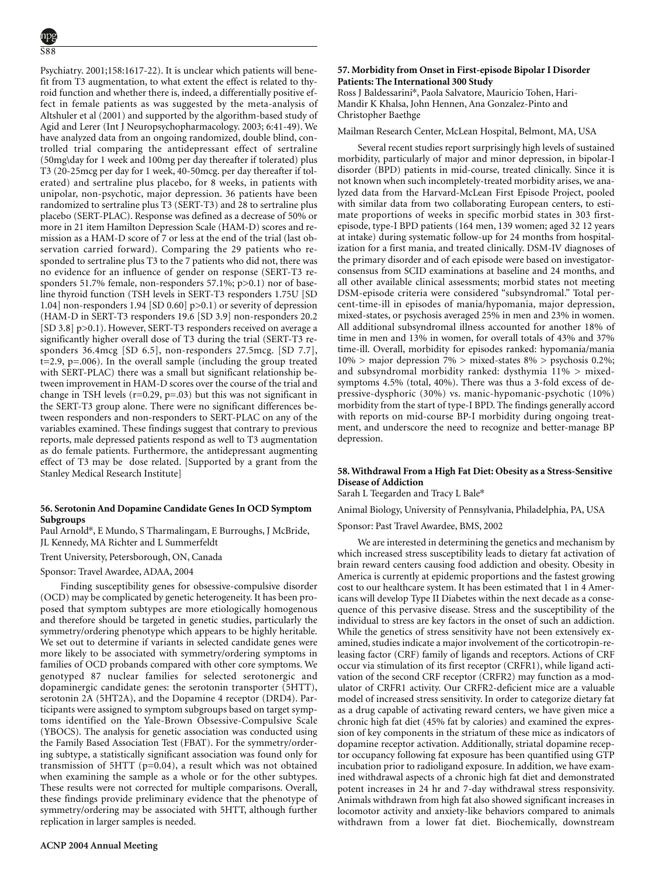Psychiatry. 2001;158:1617-22). It is unclear which patients will benefit from T3 augmentation, to what extent the effect is related to thyroid function and whether there is, indeed, a differentially positive effect in female patients as was suggested by the meta-analysis of Altshuler et al (2001) and supported by the algorithm-based study of Agid and Lerer (Int J Neuropsychopharmacology. 2003; 6:41-49). We have analyzed data from an ongoing randomized, double blind, controlled trial comparing the antidepressant effect of sertraline (50mg\day for 1 week and 100mg per day thereafter if tolerated) plus T3 (20-25mcg per day for 1 week, 40-50mcg. per day thereafter if tolerated) and sertraline plus placebo, for 8 weeks, in patients with unipolar, non-psychotic, major depression. 36 patients have been randomized to sertraline plus T3 (SERT-T3) and 28 to sertraline plus placebo (SERT-PLAC). Response was defined as a decrease of 50% or more in 21 item Hamilton Depression Scale (HAM-D) scores and remission as a HAM-D score of 7 or less at the end of the trial (last observation carried forward). Comparing the 29 patients who responded to sertraline plus T3 to the 7 patients who did not, there was no evidence for an influence of gender on response (SERT-T3 responders 51.7% female, non-responders 57.1%; p>0.1) nor of baseline thyroid function (TSH levels in SERT-T3 responders 1.75U [SD 1.04] non-responders 1.94 [SD 0.60] p>0.1) or severity of depression (HAM-D in SERT-T3 responders 19.6 [SD 3.9] non-responders 20.2 [SD 3.8] p>0.1). However, SERT-T3 responders received on average a significantly higher overall dose of T3 during the trial (SERT-T3 responders 36.4mcg [SD 6.5], non-responders 27.5mcg. [SD 7.7], t=2.9, p=.006). In the overall sample (including the group treated with SERT-PLAC) there was a small but significant relationship between improvement in HAM-D scores over the course of the trial and change in TSH levels  $(r=0.29, p=.03)$  but this was not significant in the SERT-T3 group alone. There were no significant differences between responders and non-responders to SERT-PLAC on any of the variables examined. These findings suggest that contrary to previous reports, male depressed patients respond as well to T3 augmentation as do female patients. Furthermore, the antidepressant augmenting effect of T3 may be dose related. [Supported by a grant from the Stanley Medical Research Institute]

# **56. Serotonin And Dopamine Candidate Genes In OCD Symptom Subgroups**

Paul Arnold\*, E Mundo, S Tharmalingam, E Burroughs, J McBride, JL Kennedy, MA Richter and L Summerfeldt

Trent University, Petersborough, ON, Canada

Sponsor: Travel Awardee, ADAA, 2004

Finding susceptibility genes for obsessive-compulsive disorder (OCD) may be complicated by genetic heterogeneity. It has been proposed that symptom subtypes are more etiologically homogenous and therefore should be targeted in genetic studies, particularly the symmetry/ordering phenotype which appears to be highly heritable. We set out to determine if variants in selected candidate genes were more likely to be associated with symmetry/ordering symptoms in families of OCD probands compared with other core symptoms. We genotyped 87 nuclear families for selected serotonergic and dopaminergic candidate genes: the serotonin transporter (5HTT), serotonin 2A (5HT2A), and the Dopamine 4 receptor (DRD4). Participants were assigned to symptom subgroups based on target symptoms identified on the Yale-Brown Obsessive-Compulsive Scale (YBOCS). The analysis for genetic association was conducted using the Family Based Association Test (FBAT). For the symmetry/ordering subtype, a statistically significant association was found only for transmission of 5HTT (p=0.04), a result which was not obtained when examining the sample as a whole or for the other subtypes. These results were not corrected for multiple comparisons. Overall, these findings provide preliminary evidence that the phenotype of symmetry/ordering may be associated with 5HTT, although further replication in larger samples is needed.

# **57. Morbidity from Onset in First-episode Bipolar I Disorder Patients: The International 300 Study**

Ross J Baldessarini\*, Paola Salvatore, Mauricio Tohen, Hari-Mandir K Khalsa, John Hennen, Ana Gonzalez-Pinto and Christopher Baethge

Mailman Research Center, McLean Hospital, Belmont, MA, USA

Several recent studies report surprisingly high levels of sustained morbidity, particularly of major and minor depression, in bipolar-I disorder (BPD) patients in mid-course, treated clinically. Since it is not known when such incompletely-treated morbidity arises, we analyzed data from the Harvard-McLean First Episode Project, pooled with similar data from two collaborating European centers, to estimate proportions of weeks in specific morbid states in 303 firstepisode, type-I BPD patients (164 men, 139 women; aged 32 12 years at intake) during systematic follow-up for 24 months from hospitalization for a first mania, and treated clinically. DSM-IV diagnoses of the primary disorder and of each episode were based on investigatorconsensus from SCID examinations at baseline and 24 months, and all other available clinical assessments; morbid states not meeting DSM-episode criteria were considered "subsyndromal." Total percent-time-ill in episodes of mania/hypomania, major depression, mixed-states, or psychosis averaged 25% in men and 23% in women. All additional subsyndromal illness accounted for another 18% of time in men and 13% in women, for overall totals of 43% and 37% time-ill. Overall, morbidity for episodes ranked: hypomania/mania  $10\%$  > major depression  $7\%$  > mixed-states  $8\%$  > psychosis 0.2%; and subsyndromal morbidity ranked: dysthymia 11% > mixedsymptoms 4.5% (total, 40%). There was thus a 3-fold excess of depressive-dysphoric (30%) vs. manic-hypomanic-psychotic (10%) morbidity from the start of type-I BPD. The findings generally accord with reports on mid-course BP-I morbidity during ongoing treatment, and underscore the need to recognize and better-manage BP depression.

# **58. Withdrawal From a High Fat Diet: Obesity as a Stress-Sensitive Disease of Addiction**

Sarah L Teegarden and Tracy L Bale\*

Manic-depressive illness

Animal Biology, University of Pennsylvania, Philadelphia, PA, USA

Sponsor: Past Travel Awardee, BMS, 2002

We are interested in determining the genetics and mechanism by which increased stress susceptibility leads to dietary fat activation of brain reward centers causing food addiction and obesity. Obesity in America is currently at epidemic proportions and the fastest growing cost to our healthcare system. It has been estimated that 1 in 4 Americans will develop Type II Diabetes within the next decade as a consequence of this pervasive disease. Stress and the susceptibility of the individual to stress are key factors in the onset of such an addiction. While the genetics of stress sensitivity have not been extensively examined, studies indicate a major involvement of the corticotropin-releasing factor (CRF) family of ligands and receptors. Actions of CRF occur via stimulation of its first receptor (CRFR1), while ligand activation of the second CRF receptor (CRFR2) may function as a modulator of CRFR1 activity. Our CRFR2-deficient mice are a valuable model of increased stress sensitivity. In order to categorize dietary fat as a drug capable of activating reward centers, we have given mice a chronic high fat diet (45% fat by calories) and examined the expression of key components in the striatum of these mice as indicators of dopamine receptor activation. Additionally, striatal dopamine receptor occupancy following fat exposure has been quantified using GTP incubation prior to radioligand exposure. In addition, we have examined withdrawal aspects of a chronic high fat diet and demonstrated potent increases in 24 hr and 7-day withdrawal stress responsivity. Animals withdrawn from high fat also showed significant increases in locomotor activity and anxiety-like behaviors compared to animals withdrawn from a lower fat diet. Biochemically, downstream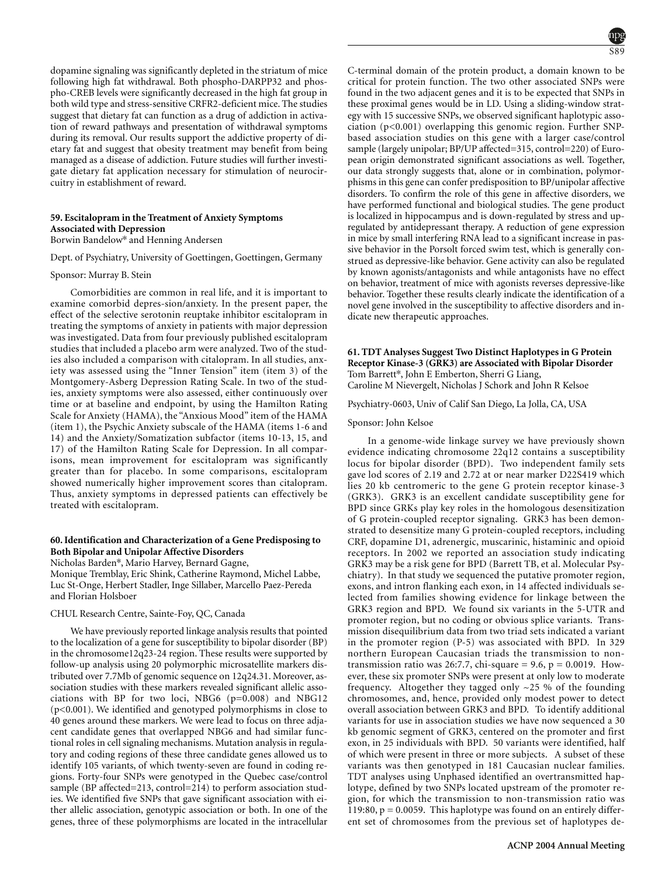dopamine signaling was significantly depleted in the striatum of mice following high fat withdrawal. Both phospho-DARPP32 and phospho-CREB levels were significantly decreased in the high fat group in both wild type and stress-sensitive CRFR2-deficient mice. The studies suggest that dietary fat can function as a drug of addiction in activation of reward pathways and presentation of withdrawal symptoms during its removal. Our results support the addictive property of dietary fat and suggest that obesity treatment may benefit from being managed as a disease of addiction. Future studies will further investigate dietary fat application necessary for stimulation of neurocircuitry in establishment of reward.

# **59. Escitalopram in the Treatment of Anxiety Symptoms Associated with Depression**

Borwin Bandelow\* and Henning Andersen

Dept. of Psychiatry, University of Goettingen, Goettingen, Germany

# Sponsor: Murray B. Stein

Comorbidities are common in real life, and it is important to examine comorbid depres-sion/anxiety. In the present paper, the effect of the selective serotonin reuptake inhibitor escitalopram in treating the symptoms of anxiety in patients with major depression was investigated. Data from four previously published escitalopram studies that included a placebo arm were analyzed. Two of the studies also included a comparison with citalopram. In all studies, anxiety was assessed using the "Inner Tension" item (item 3) of the Montgomery-Asberg Depression Rating Scale. In two of the studies, anxiety symptoms were also assessed, either continuously over time or at baseline and endpoint, by using the Hamilton Rating Scale for Anxiety (HAMA), the "Anxious Mood" item of the HAMA (item 1), the Psychic Anxiety subscale of the HAMA (items 1-6 and 14) and the Anxiety/Somatization subfactor (items 10-13, 15, and 17) of the Hamilton Rating Scale for Depression. In all comparisons, mean improvement for escitalopram was significantly greater than for placebo. In some comparisons, escitalopram showed numerically higher improvement scores than citalopram. Thus, anxiety symptoms in depressed patients can effectively be treated with escitalopram.

### **60. Identification and Characterization of a Gene Predisposing to Both Bipolar and Unipolar Affective Disorders**

Nicholas Barden\*, Mario Harvey, Bernard Gagne,

Monique Tremblay, Eric Shink, Catherine Raymond, Michel Labbe, Luc St-Onge, Herbert Stadler, Inge Sillaber, Marcello Paez-Pereda and Florian Holsboer

### CHUL Research Centre, Sainte-Foy, QC, Canada

We have previously reported linkage analysis results that pointed to the localization of a gene for susceptibility to bipolar disorder (BP) in the chromosome12q23-24 region. These results were supported by follow-up analysis using 20 polymorphic microsatellite markers distributed over 7.7Mb of genomic sequence on 12q24.31. Moreover, association studies with these markers revealed significant allelic associations with BP for two loci, NBG6 (p=0.008) and NBG12 (p<0.001). We identified and genotyped polymorphisms in close to 40 genes around these markers. We were lead to focus on three adjacent candidate genes that overlapped NBG6 and had similar functional roles in cell signaling mechanisms. Mutation analysis in regulatory and coding regions of these three candidate genes allowed us to identify 105 variants, of which twenty-seven are found in coding regions. Forty-four SNPs were genotyped in the Quebec case/control sample (BP affected=213, control=214) to perform association studies. We identified five SNPs that gave significant association with either allelic association, genotypic association or both. In one of the genes, three of these polymorphisms are located in the intracellular

C-terminal domain of the protein product, a domain known to be critical for protein function. The two other associated SNPs were found in the two adjacent genes and it is to be expected that SNPs in these proximal genes would be in LD. Using a sliding-window strategy with 15 successive SNPs, we observed significant haplotypic association (p<0.001) overlapping this genomic region. Further SNPbased association studies on this gene with a larger case/control sample (largely unipolar; BP/UP affected=315, control=220) of European origin demonstrated significant associations as well. Together, our data strongly suggests that, alone or in combination, polymorphisms in this gene can confer predisposition to BP/unipolar affective disorders. To confirm the role of this gene in affective disorders, we have performed functional and biological studies. The gene product is localized in hippocampus and is down-regulated by stress and upregulated by antidepressant therapy. A reduction of gene expression in mice by small interfering RNA lead to a significant increase in passive behavior in the Porsolt forced swim test, which is generally construed as depressive-like behavior. Gene activity can also be regulated by known agonists/antagonists and while antagonists have no effect on behavior, treatment of mice with agonists reverses depressive-like behavior. Together these results clearly indicate the identification of a novel gene involved in the susceptibility to affective disorders and indicate new therapeutic approaches.

### **61. TDT Analyses Suggest Two Distinct Haplotypes in G Protein Receptor Kinase-3 (GRK3) are Associated with Bipolar Disorder** Tom Barrett\*, John E Emberton, Sherri G Liang, Caroline M Nievergelt, Nicholas J Schork and John R Kelsoe

Psychiatry-0603, Univ of Calif San Diego, La Jolla, CA, USA

#### Sponsor: John Kelsoe

In a genome-wide linkage survey we have previously shown evidence indicating chromosome 22q12 contains a susceptibility locus for bipolar disorder (BPD). Two independent family sets gave lod scores of 2.19 and 2.72 at or near marker D22S419 which lies 20 kb centromeric to the gene G protein receptor kinase-3 (GRK3). GRK3 is an excellent candidate susceptibility gene for BPD since GRKs play key roles in the homologous desensitization of G protein-coupled receptor signaling. GRK3 has been demonstrated to desensitize many G protein-coupled receptors, including CRF, dopamine D1, adrenergic, muscarinic, histaminic and opioid receptors. In 2002 we reported an association study indicating GRK3 may be a risk gene for BPD (Barrett TB, et al. Molecular Psychiatry). In that study we sequenced the putative promoter region, exons, and intron flanking each exon, in 14 affected individuals selected from families showing evidence for linkage between the GRK3 region and BPD. We found six variants in the 5-UTR and promoter region, but no coding or obvious splice variants. Transmission disequilibrium data from two triad sets indicated a variant in the promoter region (P-5) was associated with BPD. In 329 northern European Caucasian triads the transmission to nontransmission ratio was 26:7.7, chi-square = 9.6,  $p = 0.0019$ . However, these six promoter SNPs were present at only low to moderate frequency. Altogether they tagged only  $\sim$ 25 % of the founding chromosomes, and, hence, provided only modest power to detect overall association between GRK3 and BPD. To identify additional variants for use in association studies we have now sequenced a 30 kb genomic segment of GRK3, centered on the promoter and first exon, in 25 individuals with BPD. 50 variants were identified, half of which were present in three or more subjects. A subset of these variants was then genotyped in 181 Caucasian nuclear families. TDT analyses using Unphased identified an overtransmitted haplotype, defined by two SNPs located upstream of the promoter region, for which the transmission to non-transmission ratio was 119:80,  $p = 0.0059$ . This haplotype was found on an entirely different set of chromosomes from the previous set of haplotypes de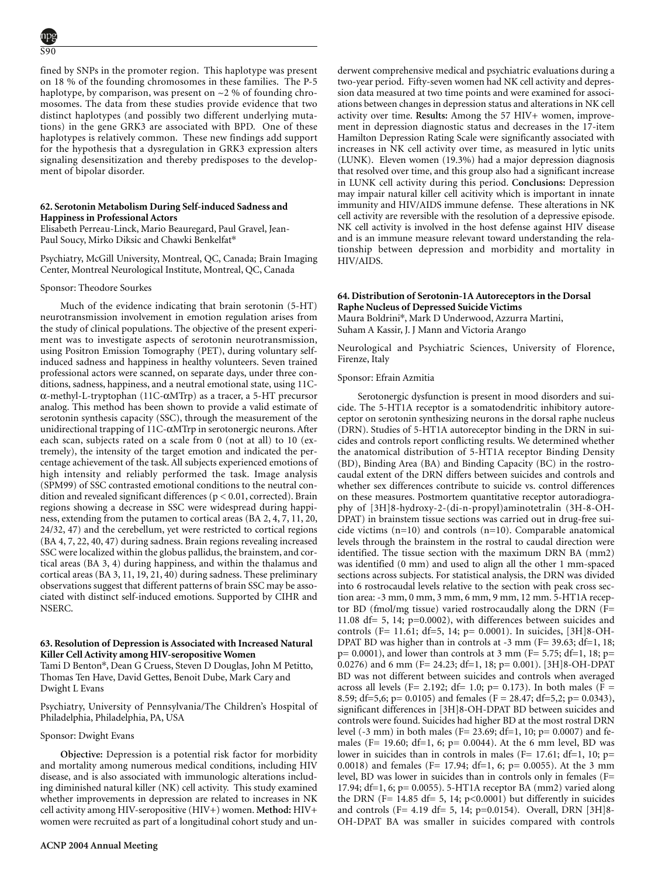fined by SNPs in the promoter region. This haplotype was present on 18 % of the founding chromosomes in these families. The P-5 haplotype, by comparison, was present on  $\sim$  2 % of founding chromosomes. The data from these studies provide evidence that two distinct haplotypes (and possibly two different underlying mutations) in the gene GRK3 are associated with BPD. One of these haplotypes is relatively common. These new findings add support for the hypothesis that a dysregulation in GRK3 expression alters signaling desensitization and thereby predisposes to the development of bipolar disorder.

### **62. Serotonin Metabolism During Self-induced Sadness and Happiness in Professional Actors**

Elisabeth Perreau-Linck, Mario Beauregard, Paul Gravel, Jean-Paul Soucy, Mirko Diksic and Chawki Benkelfat\*

Psychiatry, McGill University, Montreal, QC, Canada; Brain Imaging Center, Montreal Neurological Institute, Montreal, QC, Canada

#### Sponsor: Theodore Sourkes

Much of the evidence indicating that brain serotonin (5-HT) neurotransmission involvement in emotion regulation arises from the study of clinical populations. The objective of the present experiment was to investigate aspects of serotonin neurotransmission, using Positron Emission Tomography (PET), during voluntary selfinduced sadness and happiness in healthy volunteers. Seven trained professional actors were scanned, on separate days, under three conditions, sadness, happiness, and a neutral emotional state, using 11Cα-methyl-L-tryptophan (11C-αMTrp) as a tracer, a 5-HT precursor analog. This method has been shown to provide a valid estimate of serotonin synthesis capacity (SSC), through the measurement of the unidirectional trapping of 11C-αMTrp in serotonergic neurons. After each scan, subjects rated on a scale from 0 (not at all) to 10 (extremely), the intensity of the target emotion and indicated the percentage achievement of the task. All subjects experienced emotions of high intensity and reliably performed the task. Image analysis (SPM99) of SSC contrasted emotional conditions to the neutral condition and revealed significant differences (p < 0.01, corrected). Brain regions showing a decrease in SSC were widespread during happiness, extending from the putamen to cortical areas (BA 2, 4, 7, 11, 20, 24/32, 47) and the cerebellum, yet were restricted to cortical regions (BA 4, 7, 22, 40, 47) during sadness. Brain regions revealing increased SSC were localized within the globus pallidus, the brainstem, and cortical areas (BA 3, 4) during happiness, and within the thalamus and cortical areas (BA 3, 11, 19, 21, 40) during sadness. These preliminary observations suggest that different patterns of brain SSC may be associated with distinct self-induced emotions. Supported by CIHR and NSERC.

# **63. Resolution of Depression is Associated with Increased Natural Killer Cell Activity among HIV-seropositive Women**

Tami D Benton\*, Dean G Cruess, Steven D Douglas, John M Petitto, Thomas Ten Have, David Gettes, Benoit Dube, Mark Cary and Dwight L Evans

Psychiatry, University of Pennsylvania/The Children's Hospital of Philadelphia, Philadelphia, PA, USA

#### Sponsor: Dwight Evans

**Objective:** Depression is a potential risk factor for morbidity and mortality among numerous medical conditions, including HIV disease, and is also associated with immunologic alterations including diminished natural killer (NK) cell activity. This study examined whether improvements in depression are related to increases in NK cell activity among HIV-seropositive (HIV+) women. **Method:** HIV+ women were recruited as part of a longitudinal cohort study and underwent comprehensive medical and psychiatric evaluations during a two-year period. Fifty-seven women had NK cell activity and depression data measured at two time points and were examined for associations between changes in depression status and alterations in NK cell activity over time. **Results:** Among the 57 HIV+ women, improvement in depression diagnostic status and decreases in the 17-item Hamilton Depression Rating Scale were significantly associated with increases in NK cell activity over time, as measured in lytic units (LUNK). Eleven women (19.3%) had a major depression diagnosis that resolved over time, and this group also had a significant increase in LUNK cell activity during this period. **Conclusions:** Depression may impair natural killer cell acitivity which is important in innate immunity and HIV/AIDS immune defense. These alterations in NK cell activity are reversible with the resolution of a depressive episode. NK cell activity is involved in the host defense against HIV disease and is an immune measure relevant toward understanding the relationship between depression and morbidity and mortality in HIV/AIDS.

### **64. Distribution of Serotonin-1A Autoreceptors in the Dorsal Raphe Nucleus of Depressed Suicide Victims** Maura Boldrini\*, Mark D Underwood, Azzurra Martini, Suham A Kassir, J. J Mann and Victoria Arango

Neurological and Psychiatric Sciences, University of Florence, Firenze, Italy

#### Sponsor: Efrain Azmitia

Serotonergic dysfunction is present in mood disorders and suicide. The 5-HT1A receptor is a somatodendritic inhibitory autoreceptor on serotonin synthesizing neurons in the dorsal raphe nucleus (DRN). Studies of 5-HT1A autoreceptor binding in the DRN in suicides and controls report conflicting results. We determined whether the anatomical distribution of 5-HT1A receptor Binding Density (BD), Binding Area (BA) and Binding Capacity (BC) in the rostrocaudal extent of the DRN differs between suicides and controls and whether sex differences contribute to suicide vs. control differences on these measures. Postmortem quantitative receptor autoradiography of [3H]8-hydroxy-2-(di-n-propyl)aminotetralin (3H-8-OH-DPAT) in brainstem tissue sections was carried out in drug-free suicide victims (n=10) and controls (n=10). Comparable anatomical levels through the brainstem in the rostral to caudal direction were identified. The tissue section with the maximum DRN BA (mm2) was identified (0 mm) and used to align all the other 1 mm-spaced sections across subjects. For statistical analysis, the DRN was divided into 6 rostrocaudal levels relative to the section with peak cross section area: -3 mm, 0 mm, 3 mm, 6 mm, 9 mm, 12 mm. 5-HT1A receptor BD (fmol/mg tissue) varied rostrocaudally along the DRN (F= 11.08 df= 5, 14; p=0.0002), with differences between suicides and controls (F= 11.61; df=5, 14; p= 0.0001). In suicides, [3H]8-OH-DPAT BD was higher than in controls at -3 mm (F= 39.63; df=1, 18;  $p= 0.0001$ ), and lower than controls at 3 mm (F= 5.75; df=1, 18; p= 0.0276) and 6 mm (F= 24.23; df=1, 18; p= 0.001). [3H]8-OH-DPAT BD was not different between suicides and controls when averaged across all levels (F= 2.192; df= 1.0; p= 0.173). In both males (F = 8.59; df=5,6; p= 0.0105) and females (F = 28.47; df=5,2; p= 0.0343), significant differences in [3H]8-OH-DPAT BD between suicides and controls were found. Suicides had higher BD at the most rostral DRN level (-3 mm) in both males (F= 23.69; df=1, 10;  $p= 0.0007$ ) and females (F= 19.60; df=1, 6; p= 0.0044). At the 6 mm level, BD was lower in suicides than in controls in males (F= 17.61; df=1, 10; p= 0.0018) and females (F= 17.94; df=1, 6; p= 0.0055). At the 3 mm level, BD was lower in suicides than in controls only in females (F= 17.94; df=1, 6; p= 0.0055). 5-HT1A receptor BA (mm2) varied along the DRN (F=  $14.85$  df=  $5$ ,  $14$ ;  $p<0.0001$ ) but differently in suicides and controls (F= 4.19 df= 5, 14; p=0.0154). Overall, DRN [3H]8- OH-DPAT BA was smaller in suicides compared with controls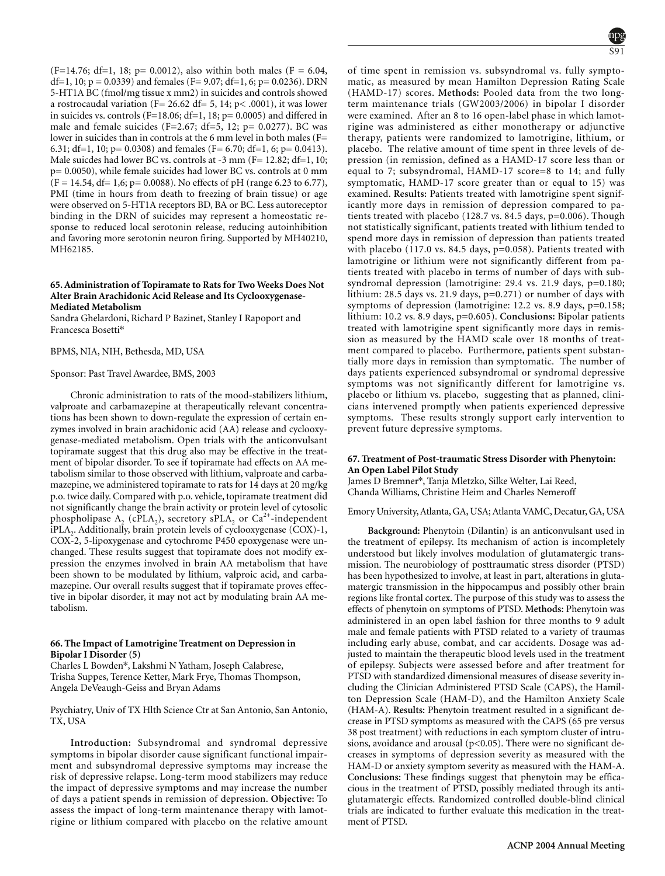$(F=14.76; df=1, 18; p= 0.0012)$ , also within both males  $(F = 6.04,$ df=1, 10;  $p = 0.0339$ ) and females (F= 9.07; df=1, 6;  $p= 0.0236$ ). DRN 5-HT1A BC (fmol/mg tissue x mm2) in suicides and controls showed a rostrocaudal variation ( $F = 26.62$  df= 5, 14; p< .0001), it was lower in suicides vs. controls (F=18.06; df=1, 18;  $p= 0.0005$ ) and differed in male and female suicides (F=2.67; df=5, 12; p= 0.0277). BC was lower in suicides than in controls at the 6 mm level in both males (F= 6.31; df=1, 10; p= 0.0308) and females (F= 6.70; df=1, 6; p= 0.0413). Male suicdes had lower BC vs. controls at -3 mm (F= 12.82; df=1, 10; p= 0.0050), while female suicides had lower BC vs. controls at 0 mm  $(F = 14.54, df = 1, 6; p = 0.0088)$ . No effects of pH (range 6.23 to 6.77), PMI (time in hours from death to freezing of brain tissue) or age were observed on 5-HT1A receptors BD, BA or BC. Less autoreceptor binding in the DRN of suicides may represent a homeostatic response to reduced local serotonin release, reducing autoinhibition and favoring more serotonin neuron firing. Supported by MH40210, MH62185.

# **65. Administration of Topiramate to Rats for Two Weeks Does Not Alter Brain Arachidonic Acid Release and Its Cyclooxygenase-Mediated Metabolism**

Sandra Ghelardoni, Richard P Bazinet, Stanley I Rapoport and Francesca Bosetti\*

BPMS, NIA, NIH, Bethesda, MD, USA

#### Sponsor: Past Travel Awardee, BMS, 2003

Chronic administration to rats of the mood-stabilizers lithium, valproate and carbamazepine at therapeutically relevant concentrations has been shown to down-regulate the expression of certain enzymes involved in brain arachidonic acid (AA) release and cyclooxygenase-mediated metabolism. Open trials with the anticonvulsant topiramate suggest that this drug also may be effective in the treatment of bipolar disorder. To see if topiramate had effects on AA metabolism similar to those observed with lithium, valproate and carbamazepine, we administered topiramate to rats for 14 days at 20 mg/kg p.o. twice daily. Compared with p.o. vehicle, topiramate treatment did not significantly change the brain activity or protein level of cytosolic phospholipase A<sub>2</sub> (cPLA<sub>2</sub>), secretory sPLA<sub>2</sub> or Ca<sup>2+</sup>-independent iPLA<sub>2</sub>. Additionally, brain protein levels of cyclooxygenase (COX)-1, COX-2, 5-lipoxygenase and cytochrome P450 epoxygenase were unchanged. These results suggest that topiramate does not modify expression the enzymes involved in brain AA metabolism that have been shown to be modulated by lithium, valproic acid, and carbamazepine. Our overall results suggest that if topiramate proves effective in bipolar disorder, it may not act by modulating brain AA metabolism.

### **66. The Impact of Lamotrigine Treatment on Depression in Bipolar I Disorder (5)**

Charles L Bowden\*, Lakshmi N Yatham, Joseph Calabrese, Trisha Suppes, Terence Ketter, Mark Frye, Thomas Thompson, Angela DeVeaugh-Geiss and Bryan Adams

Psychiatry, Univ of TX Hlth Science Ctr at San Antonio, San Antonio, TX, USA

**Introduction:** Subsyndromal and syndromal depressive symptoms in bipolar disorder cause significant functional impairment and subsyndromal depressive symptoms may increase the risk of depressive relapse. Long-term mood stabilizers may reduce the impact of depressive symptoms and may increase the number of days a patient spends in remission of depression. **Objective:** To assess the impact of long-term maintenance therapy with lamotrigine or lithium compared with placebo on the relative amount

of time spent in remission vs. subsyndromal vs. fully symptomatic, as measured by mean Hamilton Depression Rating Scale (HAMD-17) scores. **Methods:** Pooled data from the two longterm maintenance trials (GW2003/2006) in bipolar I disorder were examined. After an 8 to 16 open-label phase in which lamotrigine was administered as either monotherapy or adjunctive therapy, patients were randomized to lamotrigine, lithium, or placebo. The relative amount of time spent in three levels of depression (in remission, defined as a HAMD-17 score less than or equal to 7; subsyndromal, HAMD-17 score=8 to 14; and fully symptomatic, HAMD-17 score greater than or equal to 15) was examined. **Results:** Patients treated with lamotrigine spent significantly more days in remission of depression compared to patients treated with placebo (128.7 vs. 84.5 days, p=0.006). Though not statistically significant, patients treated with lithium tended to spend more days in remission of depression than patients treated with placebo (117.0 vs. 84.5 days, p=0.058). Patients treated with lamotrigine or lithium were not significantly different from patients treated with placebo in terms of number of days with subsyndromal depression (lamotrigine: 29.4 vs. 21.9 days, p=0.180; lithium: 28.5 days vs. 21.9 days, p=0.271) or number of days with symptoms of depression (lamotrigine: 12.2 vs. 8.9 days, p=0.158; lithium: 10.2 vs. 8.9 days, p=0.605). **Conclusions:** Bipolar patients treated with lamotrigine spent significantly more days in remission as measured by the HAMD scale over 18 months of treatment compared to placebo. Furthermore, patients spent substantially more days in remission than symptomatic. The number of days patients experienced subsyndromal or syndromal depressive symptoms was not significantly different for lamotrigine vs. placebo or lithium vs. placebo, suggesting that as planned, clinicians intervened promptly when patients experienced depressive symptoms. These results strongly support early intervention to prevent future depressive symptoms.

### **67. Treatment of Post-traumatic Stress Disorder with Phenytoin: An Open Label Pilot Study**

James D Bremner\*, Tanja Mletzko, Silke Welter, Lai Reed, Chanda Williams, Christine Heim and Charles Nemeroff

Depression; Lamotrigine; Mood disorders

Emory University, Atlanta, GA, USA; Atlanta VAMC, Decatur, GA, USA

**Background:** Phenytoin (Dilantin) is an anticonvulsant used in the treatment of epilepsy. Its mechanism of action is incompletely understood but likely involves modulation of glutamatergic transmission. The neurobiology of posttraumatic stress disorder (PTSD) has been hypothesized to involve, at least in part, alterations in glutamatergic transmission in the hippocampus and possibly other brain regions like frontal cortex. The purpose of this study was to assess the effects of phenytoin on symptoms of PTSD. **Methods:** Phenytoin was administered in an open label fashion for three months to 9 adult male and female patients with PTSD related to a variety of traumas including early abuse, combat, and car accidents. Dosage was adjusted to maintain the therapeutic blood levels used in the treatment of epilepsy. Subjects were assessed before and after treatment for PTSD with standardized dimensional measures of disease severity including the Clinician Administered PTSD Scale (CAPS), the Hamilton Depression Scale (HAM-D), and the Hamilton Anxiety Scale (HAM-A). **Results:** Phenytoin treatment resulted in a significant decrease in PTSD symptoms as measured with the CAPS (65 pre versus 38 post treatment) with reductions in each symptom cluster of intrusions, avoidance and arousal ( $p$ <0.05). There were no significant decreases in symptoms of depression severity as measured with the HAM-D or anxiety symptom severity as measured with the HAM-A. **Conclusions:** These findings suggest that phenytoin may be efficacious in the treatment of PTSD, possibly mediated through its antiglutamatergic effects. Randomized controlled double-blind clinical trials are indicated to further evaluate this medication in the treatment of PTSD.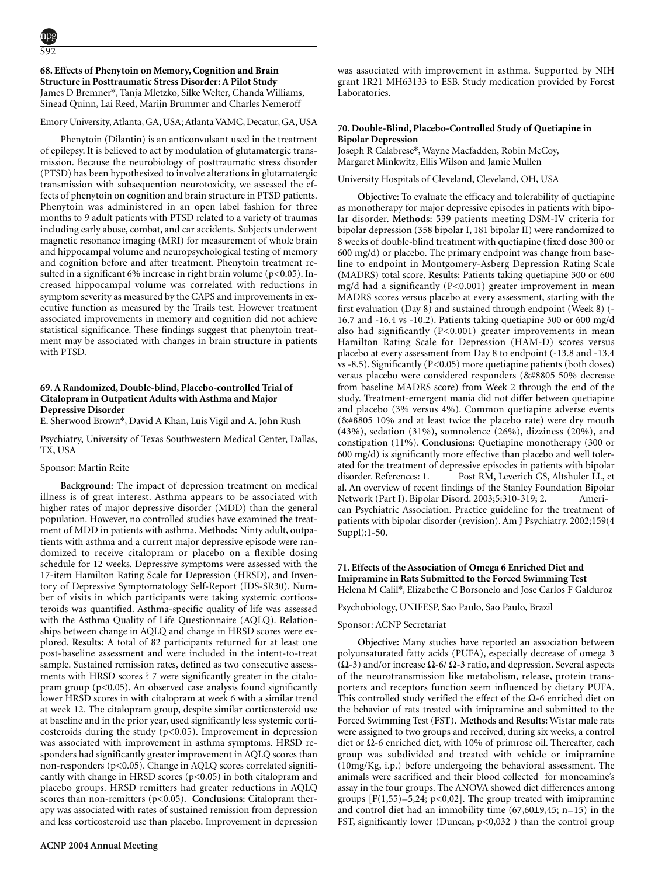### **68. Effects of Phenytoin on Memory, Cognition and Brain Structure in Posttraumatic Stress Disorder: A Pilot Study** James D Bremner\*, Tanja Mletzko, Silke Welter, Chanda Williams, Sinead Quinn, Lai Reed, Marijn Brummer and Charles Nemeroff

# Emory University, Atlanta, GA, USA; Atlanta VAMC, Decatur, GA, USA

Phenytoin (Dilantin) is an anticonvulsant used in the treatment of epilepsy. It is believed to act by modulation of glutamatergic transmission. Because the neurobiology of posttraumatic stress disorder (PTSD) has been hypothesized to involve alterations in glutamatergic transmission with subsequention neurotoxicity, we assessed the effects of phenytoin on cognition and brain structure in PTSD patients. Phenytoin was administered in an open label fashion for three months to 9 adult patients with PTSD related to a variety of traumas including early abuse, combat, and car accidents. Subjects underwent magnetic resonance imaging (MRI) for measurement of whole brain and hippocampal volume and neuropsychological testing of memory and cognition before and after treatment. Phenytoin treatment resulted in a significant 6% increase in right brain volume ( $p$ <0.05). Increased hippocampal volume was correlated with reductions in symptom severity as measured by the CAPS and improvements in executive function as measured by the Trails test. However treatment associated improvements in memory and cognition did not achieve statistical significance. These findings suggest that phenytoin treatment may be associated with changes in brain structure in patients with PTSD.

### **69. A Randomized, Double-blind, Placebo-controlled Trial of Citalopram in Outpatient Adults with Asthma and Major Depressive Disorder**

E. Sherwood Brown\*, David A Khan, Luis Vigil and A. John Rush

Psychiatry, University of Texas Southwestern Medical Center, Dallas, TX, USA

#### Sponsor: Martin Reite

**Background:** The impact of depression treatment on medical illness is of great interest. Asthma appears to be associated with higher rates of major depressive disorder (MDD) than the general population. However, no controlled studies have examined the treatment of MDD in patients with asthma. **Methods:** Ninty adult, outpatients with asthma and a current major depressive episode were randomized to receive citalopram or placebo on a flexible dosing schedule for 12 weeks. Depressive symptoms were assessed with the 17-item Hamilton Rating Scale for Depression (HRSD), and Inventory of Depressive Symptomatology Self-Report (IDS-SR30). Number of visits in which participants were taking systemic corticosteroids was quantified. Asthma-specific quality of life was assessed with the Asthma Quality of Life Questionnaire (AQLQ). Relationships between change in AQLQ and change in HRSD scores were explored. **Results:** A total of 82 participants returned for at least one post-baseline assessment and were included in the intent-to-treat sample. Sustained remission rates, defined as two consecutive assessments with HRSD scores ? 7 were significantly greater in the citalopram group  $(p<0.05)$ . An observed case analysis found significantly lower HRSD scores in with citalopram at week 6 with a similar trend at week 12. The citalopram group, despite similar corticosteroid use at baseline and in the prior year, used significantly less systemic corticosteroids during the study  $(p<0.05)$ . Improvement in depression was associated with improvement in asthma symptoms. HRSD responders had significantly greater improvement in AQLQ scores than non-responders (p<0.05). Change in AQLQ scores correlated significantly with change in HRSD scores  $(p<0.05)$  in both citalopram and placebo groups. HRSD remitters had greater reductions in AQLQ scores than non-remitters (p<0.05). **Conclusions:** Citalopram therapy was associated with rates of sustained remission from depression and less corticosteroid use than placebo. Improvement in depression was associated with improvement in asthma. Supported by NIH grant 1R21 MH63133 to ESB. Study medication provided by Forest Laboratories.

# **70. Double-Blind, Placebo-Controlled Study of Quetiapine in Bipolar Depression**

Joseph R Calabrese\*, Wayne Macfadden, Robin McCoy, Margaret Minkwitz, Ellis Wilson and Jamie Mullen

University Hospitals of Cleveland, Cleveland, OH, USA

**Objective:** To evaluate the efficacy and tolerability of quetiapine as monotherapy for major depressive episodes in patients with bipolar disorder. **Methods:** 539 patients meeting DSM-IV criteria for bipolar depression (358 bipolar I, 181 bipolar II) were randomized to 8 weeks of double-blind treatment with quetiapine (fixed dose 300 or 600 mg/d) or placebo. The primary endpoint was change from baseline to endpoint in Montgomery-Asberg Depression Rating Scale (MADRS) total score. **Results:** Patients taking quetiapine 300 or 600 mg/d had a significantly (P<0.001) greater improvement in mean MADRS scores versus placebo at every assessment, starting with the first evaluation (Day 8) and sustained through endpoint (Week 8) (- 16.7 and -16.4 vs -10.2). Patients taking quetiapine 300 or 600 mg/d also had significantly (P<0.001) greater improvements in mean Hamilton Rating Scale for Depression (HAM-D) scores versus placebo at every assessment from Day 8 to endpoint (-13.8 and -13.4 vs -8.5). Significantly (P<0.05) more quetiapine patients (both doses) versus placebo were considered responders (&#8805 50% decrease from baseline MADRS score) from Week 2 through the end of the study. Treatment-emergent mania did not differ between quetiapine and placebo (3% versus 4%). Common quetiapine adverse events (&#8805 10% and at least twice the placebo rate) were dry mouth (43%), sedation (31%), somnolence (26%), dizziness (20%), and constipation (11%). **Conclusions:** Quetiapine monotherapy (300 or 600 mg/d) is significantly more effective than placebo and well tolerated for the treatment of depressive episodes in patients with bipolar disorder. References: 1. Post RM, Leverich GS, Altshuler LL, et al. An overview of recent findings of the Stanley Foundation Bipolar Network (Part I). Bipolar Disord. 2003;5:310-319; 2. American Psychiatric Association. Practice guideline for the treatment of patients with bipolar disorder (revision). Am J Psychiatry. 2002;159(4  $Supp$ ]):1-50.

### **71. Effects of the Association of Omega 6 Enriched Diet and Imipramine in Rats Submitted to the Forced Swimming Test** Helena M Calil\*, Elizabethe C Borsonelo and Jose Carlos F Galduroz

Psychobiology, UNIFESP, Sao Paulo, Sao Paulo, Brazil

#### Sponsor: ACNP Secretariat

**Objective:** Many studies have reported an association between polyunsaturated fatty acids (PUFA), especially decrease of omega 3 (Ω-3) and/or increase Ω-6/ Ω-3 ratio, and depression. Several aspects of the neurotransmission like metabolism, release, protein transporters and receptors function seem influenced by dietary PUFA. This controlled study verified the effect of the  $\Omega$ -6 enriched diet on the behavior of rats treated with imipramine and submitted to the Forced Swimming Test (FST). **Methods and Results:** Wistar male rats were assigned to two groups and received, during six weeks, a control diet or  $\Omega$ -6 enriched diet, with 10% of primrose oil. Thereafter, each group was subdivided and treated with vehicle or imipramine (10mg/Kg, i.p.) before undergoing the behavioral assessment. The animals were sacrificed and their blood collected for monoamine's assay in the four groups. The ANOVA showed diet differences among groups  $[F(1,55)=5,24; p<0,02]$ . The group treated with imipramine and control diet had an immobility time (67,60±9,45; n=15) in the FST, significantly lower (Duncan,  $p<0,032$ ) than the control group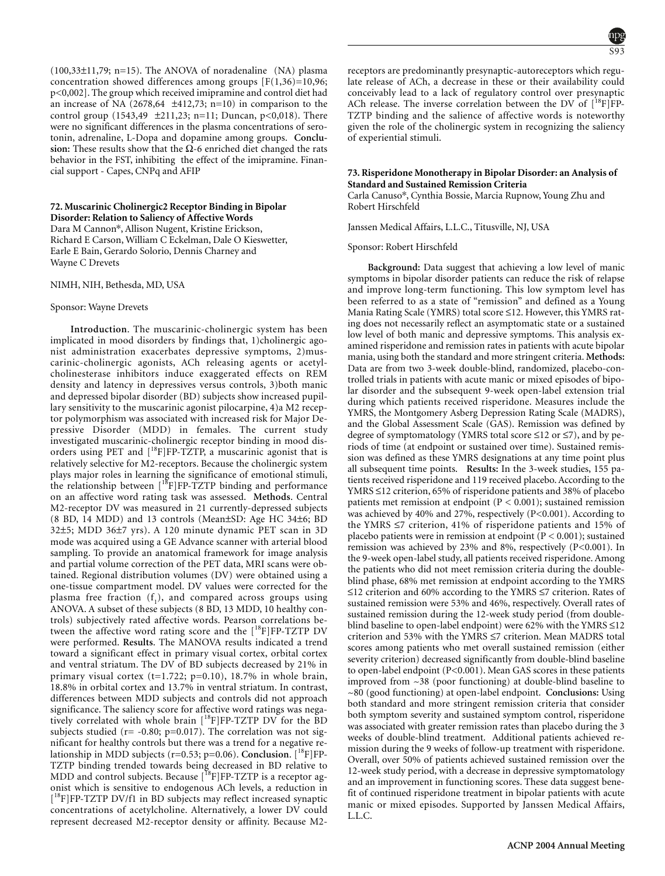$(100,33\pm11,79; n=15)$ . The ANOVA of noradenaline  $(NA)$  plasma concentration showed differences among groups  $[F(1,36)=10,96;$ p<0,002]. The group which received imipramine and control diet had an increase of NA  $(2678, 64 \pm 412, 73; n=10)$  in comparison to the control group (1543,49  $\pm$ 211,23; n=11; Duncan, p<0,018). There were no significant differences in the plasma concentrations of serotonin, adrenaline, L-Dopa and dopamine among groups. **Conclu**sion: These results show that the  $\Omega$ -6 enriched diet changed the rats behavior in the FST, inhibiting the effect of the imipramine. Financial support - Capes, CNPq and AFIP

### **72. Muscarinic Cholinergic2 Receptor Binding in Bipolar Disorder: Relation to Saliency of Affective Words**

Dara M Cannon\*, Allison Nugent, Kristine Erickson, Richard E Carson, William C Eckelman, Dale O Kieswetter, Earle E Bain, Gerardo Solorio, Dennis Charney and Wayne C Drevets

NIMH, NIH, Bethesda, MD, USA

#### Sponsor: Wayne Drevets

**Introduction**. The muscarinic-cholinergic system has been implicated in mood disorders by findings that, 1)cholinergic agonist administration exacerbates depressive symptoms, 2)muscarinic-cholinergic agonists, ACh releasing agents or acetylcholinesterase inhibitors induce exaggerated effects on REM density and latency in depressives versus controls, 3)both manic and depressed bipolar disorder (BD) subjects show increased pupillary sensitivity to the muscarinic agonist pilocarpine, 4)a M2 receptor polymorphism was associated with increased risk for Major Depressive Disorder (MDD) in females. The current study investigated muscarinic-cholinergic receptor binding in mood disorders using PET and  $[{}^{18}F]FP-TZTP$ , a muscarinic agonist that is relatively selective for M2-receptors. Because the cholinergic system plays major roles in learning the significance of emotional stimuli, the relationship between [<sup>18</sup>F]FP-TZTP binding and performance on an affective word rating task was assessed. **Methods**. Central M2-receptor DV was measured in 21 currently-depressed subjects (8 BD, 14 MDD) and 13 controls (Mean±SD: Age HC 34±6; BD 32±5; MDD 36±7 yrs). A 120 minute dynamic PET scan in 3D mode was acquired using a GE Advance scanner with arterial blood sampling. To provide an anatomical framework for image analysis and partial volume correction of the PET data, MRI scans were obtained. Regional distribution volumes (DV) were obtained using a one-tissue compartment model. DV values were corrected for the plasma free fraction  $(f_1)$ , and compared across groups using ANOVA. A subset of these subjects (8 BD, 13 MDD, 10 healthy controls) subjectively rated affective words. Pearson correlations between the affective word rating score and the  $[{}^{18}F]FP-TZTP DV$ were performed. **Results**. The MANOVA results indicated a trend toward a significant effect in primary visual cortex, orbital cortex and ventral striatum. The DV of BD subjects decreased by 21% in primary visual cortex (t=1.722; p=0.10), 18.7% in whole brain, 18.8% in orbital cortex and 13.7% in ventral striatum. In contrast, differences between MDD subjects and controls did not approach significance. The saliency score for affective word ratings was negatively correlated with whole brain  $[$ <sup>18</sup>F $]$ FP-TZTP DV for the BD subjects studied ( $r = -0.80$ ;  $p=0.017$ ). The correlation was not significant for healthy controls but there was a trend for a negative relationship in MDD subjects (r=0.53; p=0.06). **Conclusion**. [<sup>18</sup>F]FP-TZTP binding trended towards being decreased in BD relative to MDD and control subjects. Because [<sup>18</sup>F]FP-TZTP is a receptor agonist which is sensitive to endogenous ACh levels, a reduction in [<sup>18</sup>F]FP-TZTP DV/f1 in BD subjects may reflect increased synaptic concentrations of acetylcholine. Alternatively, a lower DV could represent decreased M2-receptor density or affinity. Because M2-

receptors are predominantly presynaptic-autoreceptors which regulate release of ACh, a decrease in these or their availability could conceivably lead to a lack of regulatory control over presynaptic ACh release. The inverse correlation between the DV of  $[^{18}F]FP-$ TZTP binding and the salience of affective words is noteworthy given the role of the cholinergic system in recognizing the saliency of experiential stimuli.

### **73. Risperidone Monotherapy in Bipolar Disorder: an Analysis of Standard and Sustained Remission Criteria**

Carla Canuso\*, Cynthia Bossie, Marcia Rupnow, Young Zhu and Robert Hirschfeld

Janssen Medical Affairs, L.L.C., Titusville, NJ, USA

Sponsor: Robert Hirschfeld

**Background:** Data suggest that achieving a low level of manic symptoms in bipolar disorder patients can reduce the risk of relapse and improve long-term functioning. This low symptom level has been referred to as a state of "remission" and defined as a Young Mania Rating Scale (YMRS) total score ≤12. However, this YMRS rating does not necessarily reflect an asymptomatic state or a sustained low level of both manic and depressive symptoms. This analysis examined risperidone and remission rates in patients with acute bipolar mania, using both the standard and more stringent criteria. **Methods:** Data are from two 3-week double-blind, randomized, placebo-controlled trials in patients with acute manic or mixed episodes of bipolar disorder and the subsequent 9-week open-label extension trial during which patients received risperidone. Measures include the YMRS, the Montgomery Asberg Depression Rating Scale (MADRS), and the Global Assessment Scale (GAS). Remission was defined by degree of symptomatology (YMRS total score ≤12 or ≤7), and by periods of time (at endpoint or sustained over time). Sustained remission was defined as these YMRS designations at any time point plus all subsequent time points. **Results:** In the 3-week studies, 155 patients received risperidone and 119 received placebo. According to the YMRS ≤12 criterion, 65% of risperidone patients and 38% of placebo patients met remission at endpoint ( $P < 0.001$ ); sustained remission was achieved by 40% and 27%, respectively (P<0.001). According to the YMRS ≤7 criterion, 41% of risperidone patients and 15% of placebo patients were in remission at endpoint ( $P < 0.001$ ); sustained remission was achieved by 23% and 8%, respectively (P<0.001). In the 9-week open-label study, all patients received risperidone. Among the patients who did not meet remission criteria during the doubleblind phase, 68% met remission at endpoint according to the YMRS ≤12 criterion and 60% according to the YMRS ≤7 criterion. Rates of sustained remission were 53% and 46%, respectively. Overall rates of sustained remission during the 12-week study period (from doubleblind baseline to open-label endpoint) were 62% with the YMRS ≤12 criterion and 53% with the YMRS ≤7 criterion. Mean MADRS total scores among patients who met overall sustained remission (either severity criterion) decreased significantly from double-blind baseline to open-label endpoint (P<0.001). Mean GAS scores in these patients improved from  $\sim$ 38 (poor functioning) at double-blind baseline to ~80 (good functioning) at open-label endpoint. **Conclusions:** Using both standard and more stringent remission criteria that consider both symptom severity and sustained symptom control, risperidone was associated with greater remission rates than placebo during the 3 weeks of double-blind treatment. Additional patients achieved remission during the 9 weeks of follow-up treatment with risperidone. Overall, over 50% of patients achieved sustained remission over the 12-week study period, with a decrease in depressive symptomatology and an improvement in functioning scores. These data suggest benefit of continued risperidone treatment in bipolar patients with acute manic or mixed episodes. Supported by Janssen Medical Affairs, L.L.C.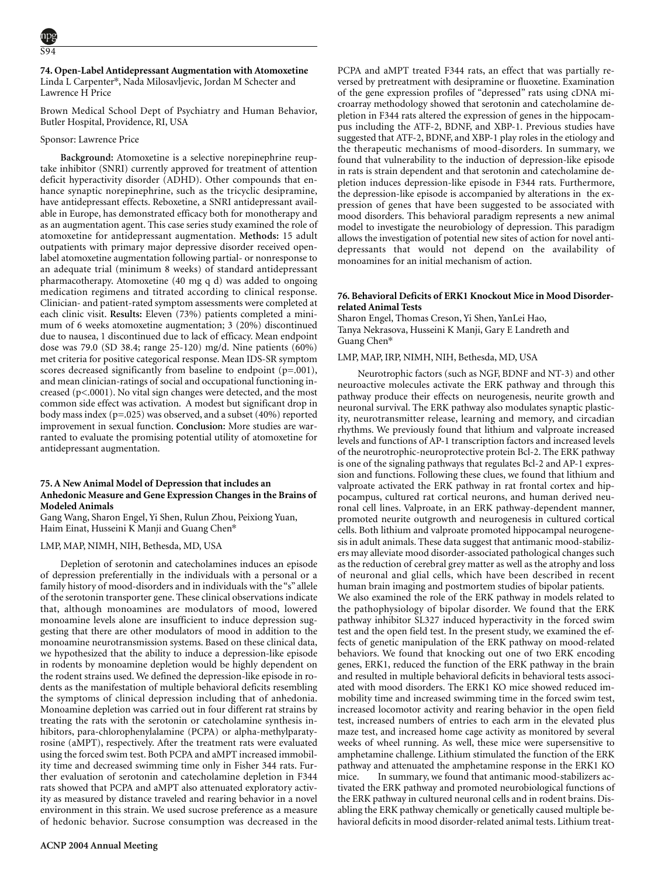#### **74. Open-Label Antidepressant Augmentation with Atomoxetine** Linda L Carpenter\*, Nada Milosavljevic, Jordan M Schecter and

Lawrence H Price

Brown Medical School Dept of Psychiatry and Human Behavior, Butler Hospital, Providence, RI, USA

# Sponsor: Lawrence Price

**Background:** Atomoxetine is a selective norepinephrine reuptake inhibitor (SNRI) currently approved for treatment of attention deficit hyperactivity disorder (ADHD). Other compounds that enhance synaptic norepinephrine, such as the tricyclic desipramine, have antidepressant effects. Reboxetine, a SNRI antidepressant available in Europe, has demonstrated efficacy both for monotherapy and as an augmentation agent. This case series study examined the role of atomoxetine for antidepressant augmentation. **Methods:** 15 adult outpatients with primary major depressive disorder received openlabel atomoxetine augmentation following partial- or nonresponse to an adequate trial (minimum 8 weeks) of standard antidepressant pharmacotherapy. Atomoxetine (40 mg q d) was added to ongoing medication regimens and titrated according to clinical response. Clinician- and patient-rated symptom assessments were completed at each clinic visit. **Results:** Eleven (73%) patients completed a minimum of 6 weeks atomoxetine augmentation; 3 (20%) discontinued due to nausea, 1 discontinued due to lack of efficacy. Mean endpoint dose was 79.0 (SD 38.4; range 25-120) mg/d. Nine patients (60%) met criteria for positive categorical response. Mean IDS-SR symptom scores decreased significantly from baseline to endpoint (p=.001), and mean clinician-ratings of social and occupational functioning increased (p<.0001). No vital sign changes were detected, and the most common side effect was activation. A modest but significant drop in body mass index (p=.025) was observed, and a subset (40%) reported improvement in sexual function. **Conclusion:** More studies are warranted to evaluate the promising potential utility of atomoxetine for antidepressant augmentation.

# **75. A New Animal Model of Depression that includes an Anhedonic Measure and Gene Expression Changes in the Brains of Modeled Animals**

Gang Wang, Sharon Engel, Yi Shen, Rulun Zhou, Peixiong Yuan, Haim Einat, Husseini K Manji and Guang Chen\*

# LMP, MAP, NIMH, NIH, Bethesda, MD, USA

Depletion of serotonin and catecholamines induces an episode of depression preferentially in the individuals with a personal or a family history of mood-disorders and in individuals with the "s" allele of the serotonin transporter gene. These clinical observations indicate that, although monoamines are modulators of mood, lowered monoamine levels alone are insufficient to induce depression suggesting that there are other modulators of mood in addition to the monoamine neurotransmission systems. Based on these clinical data, we hypothesized that the ability to induce a depression-like episode in rodents by monoamine depletion would be highly dependent on the rodent strains used. We defined the depression-like episode in rodents as the manifestation of multiple behavioral deficits resembling the symptoms of clinical depression including that of anhedonia. Monoamine depletion was carried out in four different rat strains by treating the rats with the serotonin or catecholamine synthesis inhibitors, para-chlorophenylalamine (PCPA) or alpha-methylparatyrosine (aMPT), respectively. After the treatment rats were evaluated using the forced swim test. Both PCPA and aMPT increased immobility time and decreased swimming time only in Fisher 344 rats. Further evaluation of serotonin and catecholamine depletion in F344 rats showed that PCPA and aMPT also attenuated exploratory activity as measured by distance traveled and rearing behavior in a novel environment in this strain. We used sucrose preference as a measure of hedonic behavior. Sucrose consumption was decreased in the PCPA and aMPT treated F344 rats, an effect that was partially reversed by pretreatment with desipramine or fluoxetine. Examination of the gene expression profiles of "depressed" rats using cDNA microarray methodology showed that serotonin and catecholamine depletion in F344 rats altered the expression of genes in the hippocampus including the ATF-2, BDNF, and XBP-1. Previous studies have suggested that ATF-2, BDNF, and XBP-1 play roles in the etiology and the therapeutic mechanisms of mood-disorders. In summary, we found that vulnerability to the induction of depression-like episode in rats is strain dependent and that serotonin and catecholamine depletion induces depression-like episode in F344 rats. Furthermore, the depression-like episode is accompanied by alterations in the expression of genes that have been suggested to be associated with mood disorders. This behavioral paradigm represents a new animal model to investigate the neurobiology of depression. This paradigm allows the investigation of potential new sites of action for novel antidepressants that would not depend on the availability of monoamines for an initial mechanism of action.

# **76. Behavioral Deficits of ERK1 Knockout Mice in Mood Disorderrelated Animal Tests**

Sharon Engel, Thomas Creson, Yi Shen, YanLei Hao, Tanya Nekrasova, Husseini K Manji, Gary E Landreth and Guang Chen\*

### LMP, MAP, IRP, NIMH, NIH, Bethesda, MD, USA

Neurotrophic factors (such as NGF, BDNF and NT-3) and other neuroactive molecules activate the ERK pathway and through this pathway produce their effects on neurogenesis, neurite growth and neuronal survival. The ERK pathway also modulates synaptic plasticity, neurotransmitter release, learning and memory, and circadian rhythms. We previously found that lithium and valproate increased levels and functions of AP-1 transcription factors and increased levels of the neurotrophic-neuroprotective protein Bcl-2. The ERK pathway is one of the signaling pathways that regulates Bcl-2 and AP-1 expression and functions. Following these clues, we found that lithium and valproate activated the ERK pathway in rat frontal cortex and hippocampus, cultured rat cortical neurons, and human derived neuronal cell lines. Valproate, in an ERK pathway-dependent manner, promoted neurite outgrowth and neurogenesis in cultured cortical cells. Both lithium and valproate promoted hippocampal neurogenesis in adult animals. These data suggest that antimanic mood-stabilizers may alleviate mood disorder-associated pathological changes such as the reduction of cerebral grey matter as well as the atrophy and loss of neuronal and glial cells, which have been described in recent human brain imaging and postmortem studies of bipolar patients. We also examined the role of the ERK pathway in models related to the pathophysiology of bipolar disorder. We found that the ERK pathway inhibitor SL327 induced hyperactivity in the forced swim test and the open field test. In the present study, we examined the effects of genetic manipulation of the ERK pathway on mood-related behaviors. We found that knocking out one of two ERK encoding genes, ERK1, reduced the function of the ERK pathway in the brain and resulted in multiple behavioral deficits in behavioral tests associated with mood disorders. The ERK1 KO mice showed reduced immobility time and increased swimming time in the forced swim test, increased locomotor activity and rearing behavior in the open field test, increased numbers of entries to each arm in the elevated plus maze test, and increased home cage activity as monitored by several weeks of wheel running. As well, these mice were supersensitive to amphetamine challenge. Lithium stimulated the function of the ERK pathway and attenuated the amphetamine response in the ERK1 KO mice. In summary, we found that antimanic mood-stabilizers activated the ERK pathway and promoted neurobiological functions of the ERK pathway in cultured neuronal cells and in rodent brains. Disabling the ERK pathway chemically or genetically caused multiple behavioral deficits in mood disorder-related animal tests. Lithium treat-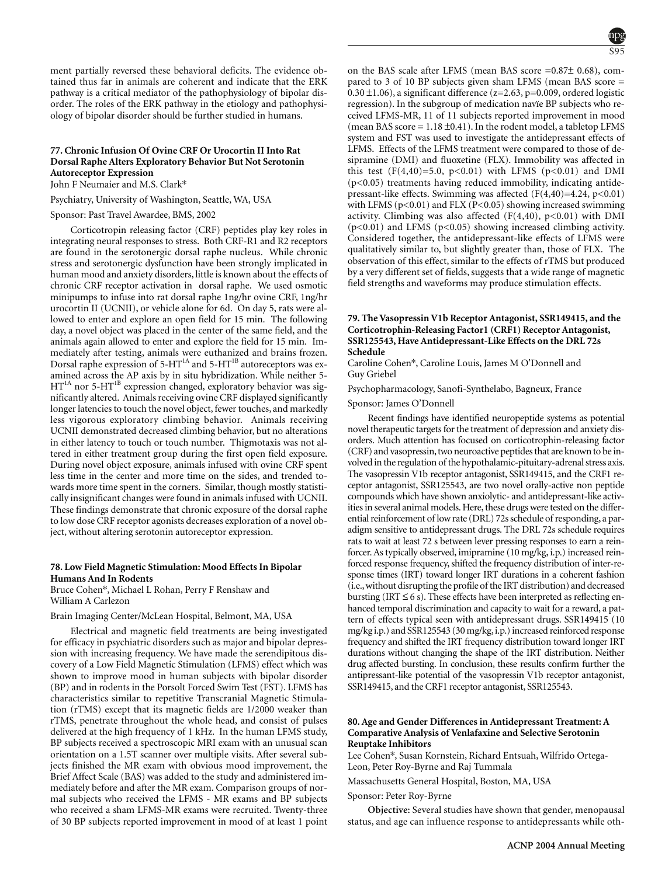ment partially reversed these behavioral deficits. The evidence obtained thus far in animals are coherent and indicate that the ERK pathway is a critical mediator of the pathophysiology of bipolar disorder. The roles of the ERK pathway in the etiology and pathophysiology of bipolar disorder should be further studied in humans.

# **77. Chronic Infusion Of Ovine CRF Or Urocortin II Into Rat Dorsal Raphe Alters Exploratory Behavior But Not Serotonin Autoreceptor Expression**

John F Neumaier and M.S. Clark\*

### Psychiatry, University of Washington, Seattle, WA, USA

Sponsor: Past Travel Awardee, BMS, 2002

Corticotropin releasing factor (CRF) peptides play key roles in integrating neural responses to stress. Both CRF-R1 and R2 receptors are found in the serotonergic dorsal raphe nucleus. While chronic stress and serotonergic dysfunction have been strongly implicated in human mood and anxiety disorders, little is known about the effects of chronic CRF receptor activation in dorsal raphe. We used osmotic minipumps to infuse into rat dorsal raphe 1ng/hr ovine CRF, 1ng/hr urocortin II (UCNII), or vehicle alone for 6d. On day 5, rats were allowed to enter and explore an open field for 15 min. The following day, a novel object was placed in the center of the same field, and the animals again allowed to enter and explore the field for 15 min. Immediately after testing, animals were euthanized and brains frozen. Dorsal raphe expression of 5-HT<sup>1A</sup> and 5-HT<sup>1B</sup> autoreceptors was examined across the AP axis by in situ hybridization. While neither 5-  $HT<sup>IA</sup>$  nor 5-HT<sup>1B</sup> expression changed, exploratory behavior was significantly altered. Animals receiving ovine CRF displayed significantly longer latencies to touch the novel object, fewer touches, and markedly less vigorous exploratory climbing behavior. Animals receiving UCNII demonstrated decreased climbing behavior, but no alterations in either latency to touch or touch number. Thigmotaxis was not altered in either treatment group during the first open field exposure. During novel object exposure, animals infused with ovine CRF spent less time in the center and more time on the sides, and trended towards more time spent in the corners. Similar, though mostly statistically insignificant changes were found in animals infused with UCNII. These findings demonstrate that chronic exposure of the dorsal raphe to low dose CRF receptor agonists decreases exploration of a novel object, without altering serotonin autoreceptor expression.

### **78. Low Field Magnetic Stimulation: Mood Effects In Bipolar Humans And In Rodents**

Bruce Cohen\*, Michael L Rohan, Perry F Renshaw and William A Carlezon

Brain Imaging Center/McLean Hospital, Belmont, MA, USA

Electrical and magnetic field treatments are being investigated for efficacy in psychiatric disorders such as major and bipolar depression with increasing frequency. We have made the serendipitous discovery of a Low Field Magnetic Stimulation (LFMS) effect which was shown to improve mood in human subjects with bipolar disorder (BP) and in rodents in the Porsolt Forced Swim Test (FST). LFMS has characteristics similar to repetitive Transcranial Magnetic Stimulation (rTMS) except that its magnetic fields are 1/2000 weaker than rTMS, penetrate throughout the whole head, and consist of pulses delivered at the high frequency of 1 kHz. In the human LFMS study, BP subjects received a spectroscopic MRI exam with an unusual scan orientation on a 1.5T scanner over multiple visits. After several subjects finished the MR exam with obvious mood improvement, the Brief Affect Scale (BAS) was added to the study and administered immediately before and after the MR exam. Comparison groups of normal subjects who received the LFMS - MR exams and BP subjects who received a sham LFMS-MR exams were recruited. Twenty-three of 30 BP subjects reported improvement in mood of at least 1 point on the BAS scale after LFMS (mean BAS score =0.87± 0.68), compared to 3 of 10 BP subjects given sham LFMS (mean BAS score =  $0.30 \pm 1.06$ ), a significant difference (z=2.63, p=0.009, ordered logistic regression). In the subgroup of medication navïe BP subjects who received LFMS-MR, 11 of 11 subjects reported improvement in mood (mean BAS score =  $1.18 \pm 0.41$ ). In the rodent model, a tabletop LFMS system and FST was used to investigate the antidepressant effects of LFMS. Effects of the LFMS treatment were compared to those of desipramine (DMI) and fluoxetine (FLX). Immobility was affected in this test  $(F(4,40)=5.0, p<0.01)$  with LFMS  $(p<0.01)$  and DMI (p<0.05) treatments having reduced immobility, indicating antidepressant-like effects. Swimming was affected  $(F(4,40)=4.24, p<0.01)$ with LFMS ( $p<0.01$ ) and FLX ( $P<0.05$ ) showing increased swimming activity. Climbing was also affected  $(F(4,40), p<0.01)$  with DMI  $(p<0.01)$  and LFMS ( $p<0.05$ ) showing increased climbing activity. Considered together, the antidepressant-like effects of LFMS were qualitatively similar to, but slightly greater than, those of FLX. The observation of this effect, similar to the effects of rTMS but produced by a very different set of fields, suggests that a wide range of magnetic field strengths and waveforms may produce stimulation effects.

# **79. The Vasopressin V1b Receptor Antagonist, SSR149415, and the Corticotrophin-Releasing Factor1 (CRF1) Receptor Antagonist, SSR125543, Have Antidepressant-Like Effects on the DRL 72s Schedule**

Caroline Cohen\*, Caroline Louis, James M O'Donnell and Guy Griebel

Psychopharmacology, Sanofi-Synthelabo, Bagneux, France

Sponsor: James O'Donnell

Recent findings have identified neuropeptide systems as potential novel therapeutic targets for the treatment of depression and anxiety disorders. Much attention has focused on corticotrophin-releasing factor (CRF) and vasopressin, two neuroactive peptides that are known to be involved in the regulation of the hypothalamic-pituitary-adrenal stress axis. The vasopressin V1b receptor antagonist, SSR149415, and the CRF1 receptor antagonist, SSR125543, are two novel orally-active non peptide compounds which have shown anxiolytic- and antidepressant-like activities in several animal models. Here, these drugs were tested on the differential reinforcement of low rate (DRL) 72s schedule of responding, a paradigm sensitive to antidepressant drugs. The DRL 72s schedule requires rats to wait at least 72 s between lever pressing responses to earn a reinforcer. As typically observed, imipramine (10 mg/kg, i.p.) increased reinforced response frequency, shifted the frequency distribution of inter-response times (IRT) toward longer IRT durations in a coherent fashion (i.e.,without disrupting the profile of the IRT distribution) and decreased bursting (IRT  $\leq$  6 s). These effects have been interpreted as reflecting enhanced temporal discrimination and capacity to wait for a reward, a pattern of effects typical seen with antidepressant drugs. SSR149415 (10 mg/kg i.p.) and SSR125543 (30 mg/kg, i.p.) increased reinforced response frequency and shifted the IRT frequency distribution toward longer IRT durations without changing the shape of the IRT distribution. Neither drug affected bursting. In conclusion, these results confirm further the antipressant-like potential of the vasopressin V1b receptor antagonist, SSR149415, and the CRF1 receptor antagonist, SSR125543.

### **80. Age and Gender Differences in Antidepressant Treatment: A Comparative Analysis of Venlafaxine and Selective Serotonin Reuptake Inhibitors**

Lee Cohen\*, Susan Kornstein, Richard Entsuah, Wilfrido Ortega-Leon, Peter Roy-Byrne and Raj Tummala

Massachusetts General Hospital, Boston, MA, USA

Sponsor: Peter Roy-Byrne

**Objective:** Several studies have shown that gender, menopausal status, and age can influence response to antidepressants while oth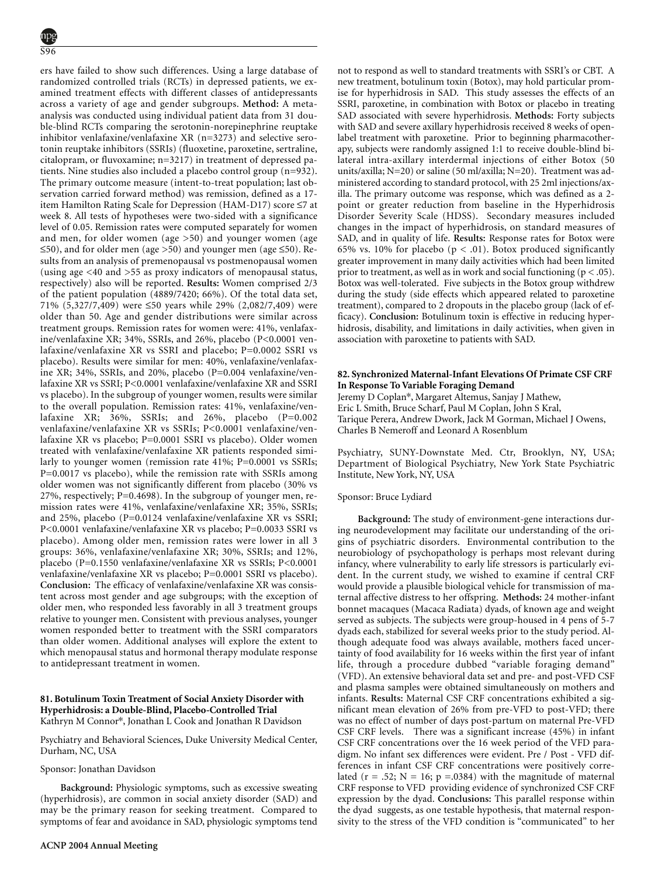ers have failed to show such differences. Using a large database of randomized controlled trials (RCTs) in depressed patients, we examined treatment effects with different classes of antidepressants across a variety of age and gender subgroups. **Method:** A metaanalysis was conducted using individual patient data from 31 double-blind RCTs comparing the serotonin-norepinephrine reuptake inhibitor venlafaxine/venlafaxine XR (n=3273) and selective serotonin reuptake inhibitors (SSRIs) (fluoxetine, paroxetine, sertraline, citalopram, or fluvoxamine; n=3217) in treatment of depressed patients. Nine studies also included a placebo control group (n=932). The primary outcome measure (intent-to-treat population; last observation carried forward method) was remission, defined as a 17 item Hamilton Rating Scale for Depression (HAM-D17) score ≤7 at week 8. All tests of hypotheses were two-sided with a significance level of 0.05. Remission rates were computed separately for women and men, for older women (age >50) and younger women (age ≤50), and for older men (age >50) and younger men (age ≤50). Results from an analysis of premenopausal vs postmenopausal women (using age <40 and >55 as proxy indicators of menopausal status, respectively) also will be reported. **Results:** Women comprised 2/3 of the patient population (4889/7420; 66%). Of the total data set, 71% (5,327/7,409) were ≤50 years while 29% (2,082/7,409) were older than 50. Age and gender distributions were similar across treatment groups. Remission rates for women were: 41%, venlafaxine/venlafaxine XR; 34%, SSRIs, and 26%, placebo (P<0.0001 venlafaxine/venlafaxine XR vs SSRI and placebo; P=0.0002 SSRI vs placebo). Results were similar for men: 40%, venlafaxine/venlafaxine XR; 34%, SSRIs, and 20%, placebo (P=0.004 venlafaxine/venlafaxine XR vs SSRI; P<0.0001 venlafaxine/venlafaxine XR and SSRI vs placebo). In the subgroup of younger women, results were similar to the overall population. Remission rates: 41%, venlafaxine/venlafaxine XR;  $36\%$ , SSRIs; and  $26\%$ , placebo (P=0.002) venlafaxine/venlafaxine XR vs SSRIs; P<0.0001 venlafaxine/venlafaxine XR vs placebo; P=0.0001 SSRI vs placebo). Older women treated with venlafaxine/venlafaxine XR patients responded similarly to younger women (remission rate 41%; P=0.0001 vs SSRIs; P=0.0017 vs placebo), while the remission rate with SSRIs among older women was not significantly different from placebo (30% vs 27%, respectively; P=0.4698). In the subgroup of younger men, remission rates were 41%, venlafaxine/venlafaxine XR; 35%, SSRIs; and 25%, placebo (P=0.0124 venlafaxine/venlafaxine XR vs SSRI; P<0.0001 venlafaxine/venlafaxine XR vs placebo; P=0.0033 SSRI vs placebo). Among older men, remission rates were lower in all 3 groups: 36%, venlafaxine/venlafaxine XR; 30%, SSRIs; and 12%, placebo (P=0.1550 venlafaxine/venlafaxine XR vs SSRIs; P<0.0001 venlafaxine/venlafaxine XR vs placebo; P=0.0001 SSRI vs placebo). **Conclusion:** The efficacy of venlafaxine/venlafaxine XR was consistent across most gender and age subgroups; with the exception of older men, who responded less favorably in all 3 treatment groups relative to younger men. Consistent with previous analyses, younger women responded better to treatment with the SSRI comparators than older women. Additional analyses will explore the extent to which menopausal status and hormonal therapy modulate response to antidepressant treatment in women.

# **81. Botulinum Toxin Treatment of Social Anxiety Disorder with Hyperhidrosis: a Double-Blind, Placebo-Controlled Trial** Kathryn M Connor\*, Jonathan L Cook and Jonathan R Davidson

Psychiatry and Behavioral Sciences, Duke University Medical Center, Durham, NC, USA

Sponsor: Jonathan Davidson

**Background:** Physiologic symptoms, such as excessive sweating (hyperhidrosis), are common in social anxiety disorder (SAD) and may be the primary reason for seeking treatment. Compared to symptoms of fear and avoidance in SAD, physiologic symptoms tend not to respond as well to standard treatments with SSRI's or CBT. A new treatment, botulinum toxin (Botox), may hold particular promise for hyperhidrosis in SAD. This study assesses the effects of an SSRI, paroxetine, in combination with Botox or placebo in treating SAD associated with severe hyperhidrosis. **Methods:** Forty subjects with SAD and severe axillary hyperhidrosis received 8 weeks of openlabel treatment with paroxetine. Prior to beginning pharmacotherapy, subjects were randomly assigned 1:1 to receive double-blind bilateral intra-axillary interdermal injections of either Botox (50 units/axilla; N=20) or saline (50 ml/axilla; N=20). Treatment was administered according to standard protocol, with 25 2ml injections/axilla. The primary outcome was response, which was defined as a 2 point or greater reduction from baseline in the Hyperhidrosis Disorder Severity Scale (HDSS). Secondary measures included changes in the impact of hyperhidrosis, on standard measures of SAD, and in quality of life. **Results:** Response rates for Botox were 65% vs. 10% for placebo ( $p < .01$ ). Botox produced significantly greater improvement in many daily activities which had been limited prior to treatment, as well as in work and social functioning ( $p < .05$ ). Botox was well-tolerated. Five subjects in the Botox group withdrew during the study (side effects which appeared related to paroxetine treatment), compared to 2 dropouts in the placebo group (lack of efficacy). **Conclusion:** Botulinum toxin is effective in reducing hyperhidrosis, disability, and limitations in daily activities, when given in association with paroxetine to patients with SAD.

# **82. Synchronized Maternal-Infant Elevations Of Primate CSF CRF In Response To Variable Foraging Demand**

Jeremy D Coplan\*, Margaret Altemus, Sanjay J Mathew, Eric L Smith, Bruce Scharf, Paul M Coplan, John S Kral, Tarique Perera, Andrew Dwork, Jack M Gorman, Michael J Owens, Charles B Nemeroff and Leonard A Rosenblum

Psychiatry, SUNY-Downstate Med. Ctr, Brooklyn, NY, USA; Department of Biological Psychiatry, New York State Psychiatric Institute, New York, NY, USA

# Sponsor: Bruce Lydiard

**Background:** The study of environment-gene interactions during neurodevelopment may facilitate our understanding of the origins of psychiatric disorders. Environmental contribution to the neurobiology of psychopathology is perhaps most relevant during infancy, where vulnerability to early life stressors is particularly evident. In the current study, we wished to examine if central CRF would provide a plausible biological vehicle for transmission of maternal affective distress to her offspring. **Methods:** 24 mother-infant bonnet macaques (Macaca Radiata) dyads, of known age and weight served as subjects. The subjects were group-housed in 4 pens of 5-7 dyads each, stabilized for several weeks prior to the study period. Although adequate food was always available, mothers faced uncertainty of food availability for 16 weeks within the first year of infant life, through a procedure dubbed "variable foraging demand" (VFD). An extensive behavioral data set and pre- and post-VFD CSF and plasma samples were obtained simultaneously on mothers and infants. **Results:** Maternal CSF CRF concentrations exhibited a significant mean elevation of 26% from pre-VFD to post-VFD; there was no effect of number of days post-partum on maternal Pre-VFD CSF CRF levels. There was a significant increase (45%) in infant CSF CRF concentrations over the 16 week period of the VFD paradigm. No infant sex differences were evident. Pre / Post - VFD differences in infant CSF CRF concentrations were positively correlated ( $r = .52$ ;  $N = 16$ ;  $p = .0384$ ) with the magnitude of maternal CRF response to VFD providing evidence of synchronized CSF CRF expression by the dyad. **Conclusions:** This parallel response within the dyad suggests, as one testable hypothesis, that maternal responsivity to the stress of the VFD condition is "communicated" to her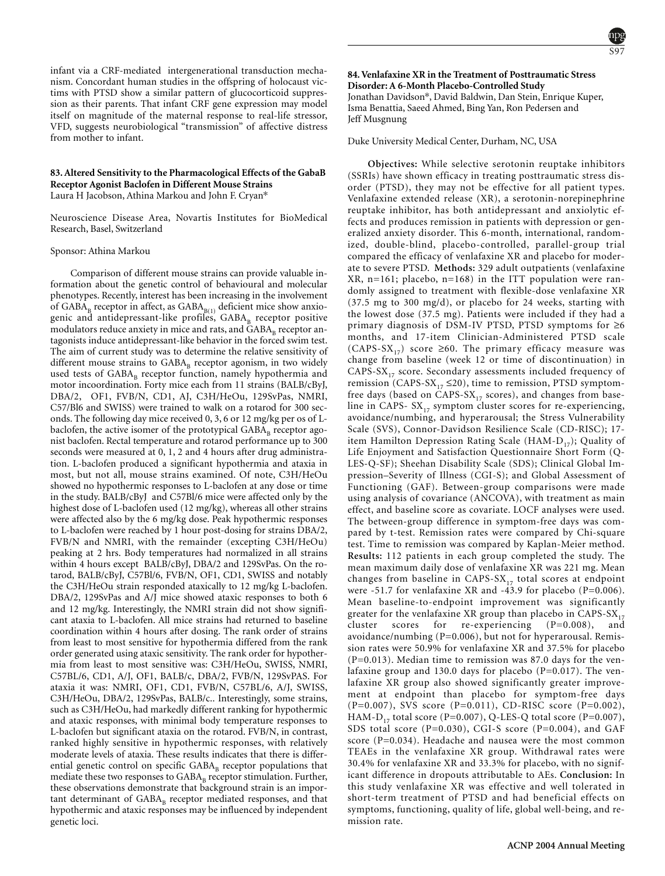infant via a CRF-mediated intergenerational transduction mechanism. Concordant human studies in the offspring of holocaust victims with PTSD show a similar pattern of glucocorticoid suppression as their parents. That infant CRF gene expression may model itself on magnitude of the maternal response to real-life stressor, VFD, suggests neurobiological "transmission" of affective distress from mother to infant.

# **83. Altered Sensitivity to the Pharmacological Effects of the GabaB Receptor Agonist Baclofen in Different Mouse Strains**

Laura H Jacobson, Athina Markou and John F. Cryan\*

Neuroscience Disease Area, Novartis Institutes for BioMedical Research, Basel, Switzerland

### Sponsor: Athina Markou

Comparison of different mouse strains can provide valuable information about the genetic control of behavioural and molecular phenotypes. Recently, interest has been increasing in the involvement of  $GABA_B$  receptor in affect, as  $GABA_{B(1)}$  deficient mice show anxiogenic and antidepressant-like profiles,  $GABA_B$  receptor positive modulators reduce anxiety in mice and rats, and  $GABA<sub>B</sub>$  receptor antagonists induce antidepressant-like behavior in the forced swim test. The aim of current study was to determine the relative sensitivity of different mouse strains to  $GABA_B$  receptor agonism, in two widely used tests of GABA<sub>B</sub> receptor function, namely hypothermia and motor incoordination. Forty mice each from 11 strains (BALB/cByJ, DBA/2, OF1, FVB/N, CD1, AJ, C3H/HeOu, 129SvPas, NMRI, C57/Bl6 and SWISS) were trained to walk on a rotarod for 300 seconds. The following day mice received 0, 3, 6 or 12 mg/kg per os of Lbaclofen, the active isomer of the prototypical  $GABA_B$  receptor agonist baclofen. Rectal temperature and rotarod performance up to 300 seconds were measured at 0, 1, 2 and 4 hours after drug administration. L-baclofen produced a significant hypothermia and ataxia in most, but not all, mouse strains examined. Of note, C3H/HeOu showed no hypothermic responses to L-baclofen at any dose or time in the study. BALB/cByJ and C57Bl/6 mice were affected only by the highest dose of L-baclofen used (12 mg/kg), whereas all other strains were affected also by the 6 mg/kg dose. Peak hypothermic responses to L-baclofen were reached by 1 hour post-dosing for strains DBA/2, FVB/N and NMRI, with the remainder (excepting C3H/HeOu) peaking at 2 hrs. Body temperatures had normalized in all strains within 4 hours except BALB/cByJ, DBA/2 and 129SvPas. On the rotarod, BALB/cByJ, C57Bl/6, FVB/N, OF1, CD1, SWISS and notably the C3H/HeOu strain responded ataxically to 12 mg/kg L-baclofen. DBA/2, 129SvPas and A/J mice showed ataxic responses to both 6 and 12 mg/kg. Interestingly, the NMRI strain did not show significant ataxia to L-baclofen. All mice strains had returned to baseline coordination within 4 hours after dosing. The rank order of strains from least to most sensitive for hypothermia differed from the rank order generated using ataxic sensitivity. The rank order for hypothermia from least to most sensitive was: C3H/HeOu, SWISS, NMRI, C57BL/6, CD1, A/J, OF1, BALB/c, DBA/2, FVB/N, 129SvPAS. For ataxia it was: NMRI, OF1, CD1, FVB/N, C57BL/6, A/J, SWISS, C3H/HeOu, DBA/2, 129SvPas, BALB/c.. Interestingly, some strains, such as C3H/HeOu, had markedly different ranking for hypothermic and ataxic responses, with minimal body temperature responses to L-baclofen but significant ataxia on the rotarod. FVB/N, in contrast, ranked highly sensitive in hypothermic responses, with relatively moderate levels of ataxia. These results indicates that there is differential genetic control on specific GABA<sub>B</sub> receptor populations that mediate these two responses to  $\mathsf{GABA}_\mathtt{B}$  receptor stimulation. Further, these observations demonstrate that background strain is an important determinant of  $GABA_R$  receptor mediated responses, and that hypothermic and ataxic responses may be influenced by independent genetic loci.

**84. Venlafaxine XR in the Treatment of Posttraumatic Stress Disorder: A 6-Month Placebo-Controlled Study** Jonathan Davidson\*, David Baldwin, Dan Stein, Enrique Kuper, Isma Benattia, Saeed Ahmed, Bing Yan, Ron Pedersen and Jeff Musgnung

# Duke University Medical Center, Durham, NC, USA

**Objectives:** While selective serotonin reuptake inhibitors (SSRIs) have shown efficacy in treating posttraumatic stress disorder (PTSD), they may not be effective for all patient types. Venlafaxine extended release (XR), a serotonin-norepinephrine reuptake inhibitor, has both antidepressant and anxiolytic effects and produces remission in patients with depression or generalized anxiety disorder. This 6-month, international, randomized, double-blind, placebo-controlled, parallel-group trial compared the efficacy of venlafaxine XR and placebo for moderate to severe PTSD. **Methods:** 329 adult outpatients (venlafaxine XR, n=161; placebo, n=168) in the ITT population were randomly assigned to treatment with flexible-dose venlafaxine XR (37.5 mg to 300 mg/d), or placebo for 24 weeks, starting with the lowest dose (37.5 mg). Patients were included if they had a primary diagnosis of DSM-IV PTSD, PTSD symptoms for ≥6 months, and 17-item Clinician-Administered PTSD scale (CAPS-SX<sub>17</sub>) score ≥60. The primary efficacy measure was change from baseline (week 12 or time of discontinuation) in CAPS-SX $_{17}$  score. Secondary assessments included frequency of remission (CAPS-SX<sub>17</sub>  $\leq$ 20), time to remission, PTSD symptomfree days (based on CAPS-SX $_{17}$  scores), and changes from baseline in CAPS-  $SX_{17}$  symptom cluster scores for re-experiencing, avoidance/numbing, and hyperarousal; the Stress Vulnerability Scale (SVS), Connor-Davidson Resilience Scale (CD-RISC); 17 item Hamilton Depression Rating Scale (HAM- $D_{17}$ ); Quality of Life Enjoyment and Satisfaction Questionnaire Short Form (Q-LES-Q-SF); Sheehan Disability Scale (SDS); Clinical Global Impression–Severity of Illness (CGI-S); and Global Assessment of Functioning (GAF). Between-group comparisons were made using analysis of covariance (ANCOVA), with treatment as main effect, and baseline score as covariate. LOCF analyses were used. The between-group difference in symptom-free days was compared by t-test. Remission rates were compared by Chi-square test. Time to remission was compared by Kaplan-Meier method. **Results:** 112 patients in each group completed the study. The mean maximum daily dose of venlafaxine XR was 221 mg. Mean changes from baseline in CAPS-SX $_{17}$  total scores at endpoint were -51.7 for venlafaxine XR and -43.9 for placebo (P=0.006). Mean baseline-to-endpoint improvement was significantly greater for the venlafaxine XR group than placebo in CAPS- $S X_{17}$ <br>cluster scores for re-experiencing (P=0.008), and scores for re-experiencing  $(P=0.008)$ , and avoidance/numbing (P=0.006), but not for hyperarousal. Remission rates were 50.9% for venlafaxine XR and 37.5% for placebo (P=0.013). Median time to remission was 87.0 days for the venlafaxine group and 130.0 days for placebo (P=0.017). The venlafaxine XR group also showed significantly greater improvement at endpoint than placebo for symptom-free days (P=0.007), SVS score (P=0.011), CD-RISC score (P=0.002), HAM-D<sub>17</sub> total score (P=0.007), Q-LES-Q total score (P=0.007), SDS total score (P=0.030), CGI-S score (P=0.004), and GAF score (P=0.034). Headache and nausea were the most common TEAEs in the venlafaxine XR group. Withdrawal rates were 30.4% for venlafaxine XR and 33.3% for placebo, with no significant difference in dropouts attributable to AEs. **Conclusion:** In this study venlafaxine XR was effective and well tolerated in short-term treatment of PTSD and had beneficial effects on symptoms, functioning, quality of life, global well-being, and remission rate.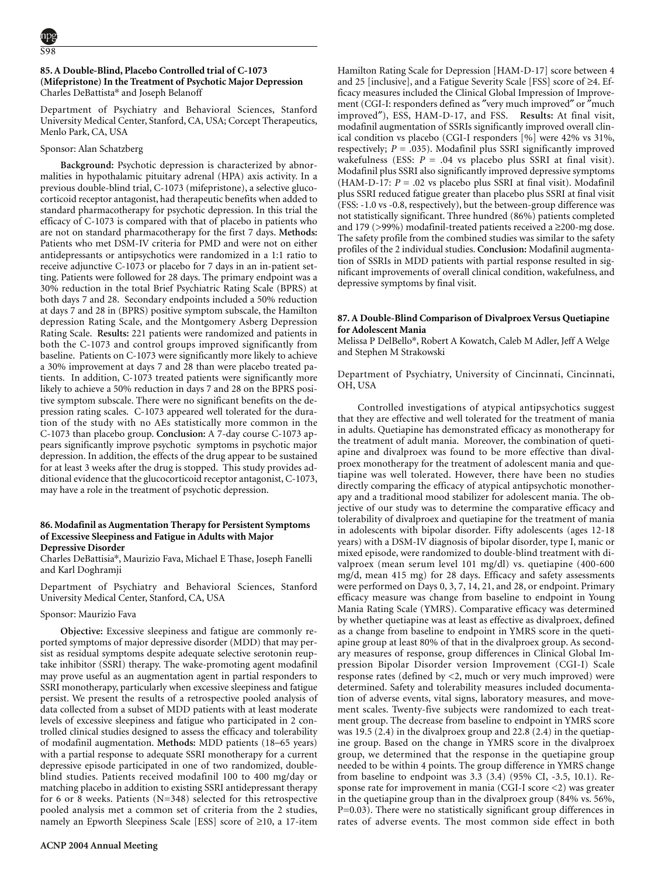# **85. A Double-Blind, Placebo Controlled trial of C-1073 (Mifepristone) In the Treatment of Psychotic Major Depression** Charles DeBattista\* and Joseph Belanoff

Department of Psychiatry and Behavioral Sciences, Stanford University Medical Center, Stanford, CA, USA; Corcept Therapeutics, Menlo Park, CA, USA

### Sponsor: Alan Schatzberg

**Background:** Psychotic depression is characterized by abnormalities in hypothalamic pituitary adrenal (HPA) axis activity. In a previous double-blind trial, C-1073 (mifepristone), a selective glucocorticoid receptor antagonist, had therapeutic benefits when added to standard pharmacotherapy for psychotic depression. In this trial the efficacy of C-1073 is compared with that of placebo in patients who are not on standard pharmacotherapy for the first 7 days. **Methods:** Patients who met DSM-IV criteria for PMD and were not on either antidepressants or antipsychotics were randomized in a 1:1 ratio to receive adjunctive C-1073 or placebo for 7 days in an in-patient setting. Patients were followed for 28 days. The primary endpoint was a 30% reduction in the total Brief Psychiatric Rating Scale (BPRS) at both days 7 and 28. Secondary endpoints included a 50% reduction at days 7 and 28 in (BPRS) positive symptom subscale, the Hamilton depression Rating Scale, and the Montgomery Asberg Depression Rating Scale. **Results:** 221 patients were randomized and patients in both the C-1073 and control groups improved significantly from baseline. Patients on C-1073 were significantly more likely to achieve a 30% improvement at days 7 and 28 than were placebo treated patients. In addition, C-1073 treated patients were significantly more likely to achieve a 50% reduction in days 7 and 28 on the BPRS positive symptom subscale. There were no significant benefits on the depression rating scales. C-1073 appeared well tolerated for the duration of the study with no AEs statistically more common in the C-1073 than placebo group. **Conclusion:** A 7-day course C-1073 appears significantly improve psychotic symptoms in psychotic major depression. In addition, the effects of the drug appear to be sustained for at least 3 weeks after the drug is stopped. This study provides additional evidence that the glucocorticoid receptor antagonist, C-1073, may have a role in the treatment of psychotic depression. Depression; Psychosis; Neuroendocrinology

### **86. Modafinil as Augmentation Therapy for Persistent Symptoms of Excessive Sleepiness and Fatigue in Adults with Major Depressive Disorder**

Charles DeBattisia\*, Maurizio Fava, Michael E Thase, Joseph Fanelli and Karl Doghramji

Department of Psychiatry and Behavioral Sciences, Stanford University Medical Center, Stanford, CA, USA

#### Sponsor: Maurizio Fava

**Objective:** Excessive sleepiness and fatigue are commonly reported symptoms of major depressive disorder (MDD) that may persist as residual symptoms despite adequate selective serotonin reuptake inhibitor (SSRI) therapy. The wake-promoting agent modafinil may prove useful as an augmentation agent in partial responders to SSRI monotherapy, particularly when excessive sleepiness and fatigue persist. We present the results of a retrospective pooled analysis of data collected from a subset of MDD patients with at least moderate levels of excessive sleepiness and fatigue who participated in 2 controlled clinical studies designed to assess the efficacy and tolerability of modafinil augmentation. **Methods:** MDD patients (18−65 years) with a partial response to adequate SSRI monotherapy for a current depressive episode participated in one of two randomized, doubleblind studies. Patients received modafinil 100 to 400 mg/day or matching placebo in addition to existing SSRI antidepressant therapy for 6 or 8 weeks. Patients  $(N=348)$  selected for this retrospective pooled analysis met a common set of criteria from the 2 studies, namely an Epworth Sleepiness Scale [ESS] score of ≥10, a 17-item Hamilton Rating Scale for Depression [HAM-D-17] score between 4 and 25 [inclusive], and a Fatigue Severity Scale [FSS] score of ≥4. Efficacy measures included the Clinical Global Impression of Improvement (CGI-I: responders defined as ″very much improved″ or ″much improved″), ESS, HAM-D-17, and FSS. **Results:** At final visit, modafinil augmentation of SSRIs significantly improved overall clinical condition vs placebo (CGI-I responders [%] were 42% vs 31%, respectively;  $P = .035$ ). Modafinil plus SSRI significantly improved wakefulness (ESS:  $P = .04$  vs placebo plus SSRI at final visit). Modafinil plus SSRI also significantly improved depressive symptoms (HAM-D-17:  $P = 0.02$  vs placebo plus SSRI at final visit). Modafinil plus SSRI reduced fatigue greater than placebo plus SSRI at final visit (FSS: -1.0 vs -0.8, respectively), but the between-group difference was not statistically significant. Three hundred (86%) patients completed and 179 (>99%) modafinil-treated patients received a ≥200-mg dose. The safety profile from the combined studies was similar to the safety profiles of the 2 individual studies. **Conclusion:** Modafinil augmentation of SSRIs in MDD patients with partial response resulted in significant improvements of overall clinical condition, wakefulness, and depressive symptoms by final visit.

### **87. A Double-Blind Comparison of Divalproex Versus Quetiapine for Adolescent Mania**

Melissa P DelBello\*, Robert A Kowatch, Caleb M Adler, Jeff A Welge and Stephen M Strakowski

Department of Psychiatry, University of Cincinnati, Cincinnati, OH, USA

Controlled investigations of atypical antipsychotics suggest that they are effective and well tolerated for the treatment of mania in adults. Quetiapine has demonstrated efficacy as monotherapy for the treatment of adult mania. Moreover, the combination of quetiapine and divalproex was found to be more effective than divalproex monotherapy for the treatment of adolescent mania and quetiapine was well tolerated. However, there have been no studies directly comparing the efficacy of atypical antipsychotic monotherapy and a traditional mood stabilizer for adolescent mania. The objective of our study was to determine the comparative efficacy and tolerability of divalproex and quetiapine for the treatment of mania in adolescents with bipolar disorder. Fifty adolescents (ages 12-18 years) with a DSM-IV diagnosis of bipolar disorder, type I, manic or mixed episode, were randomized to double-blind treatment with divalproex (mean serum level 101 mg/dl) vs. quetiapine (400-600 mg/d, mean 415 mg) for 28 days. Efficacy and safety assessments were performed on Days 0, 3, 7, 14, 21, and 28, or endpoint. Primary efficacy measure was change from baseline to endpoint in Young Mania Rating Scale (YMRS). Comparative efficacy was determined by whether quetiapine was at least as effective as divalproex, defined as a change from baseline to endpoint in YMRS score in the quetiapine group at least 80% of that in the divalproex group. As secondary measures of response, group differences in Clinical Global Impression Bipolar Disorder version Improvement (CGI-I) Scale response rates (defined by <2, much or very much improved) were determined. Safety and tolerability measures included documentation of adverse events, vital signs, laboratory measures, and movement scales. Twenty-five subjects were randomized to each treatment group. The decrease from baseline to endpoint in YMRS score was 19.5 (2.4) in the divalproex group and 22.8 (2.4) in the quetiapine group. Based on the change in YMRS score in the divalproex group, we determined that the response in the quetiapine group needed to be within 4 points. The group difference in YMRS change from baseline to endpoint was 3.3 (3.4) (95% CI, -3.5, 10.1). Response rate for improvement in mania (CGI-I score <2) was greater in the quetiapine group than in the divalproex group (84% vs. 56%, P=0.03). There were no statistically significant group differences in rates of adverse events. The most common side effect in both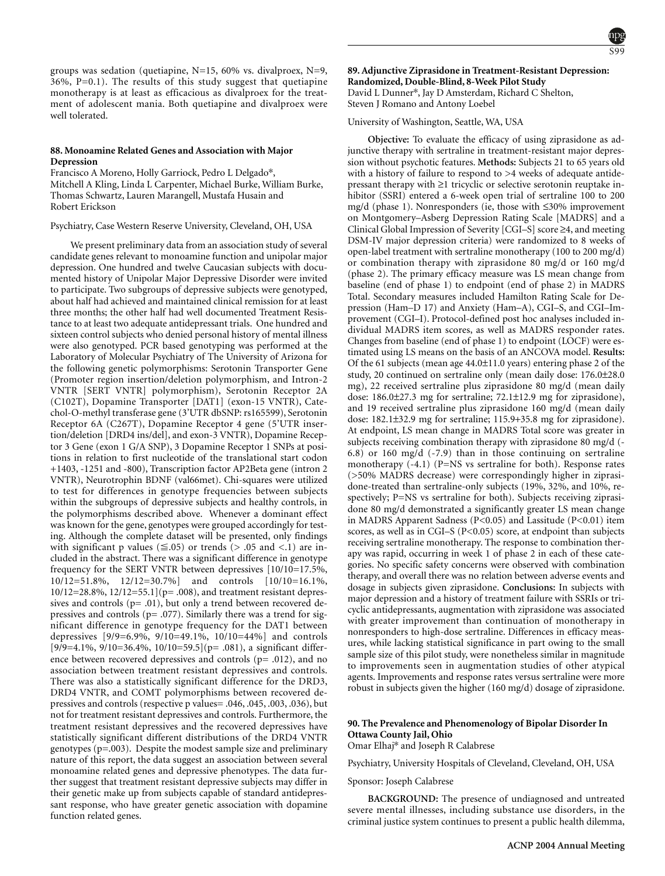groups was sedation (quetiapine, N=15, 60% vs. divalproex, N=9,  $36\%$ , P=0.1). The results of this study suggest that quetiapine monotherapy is at least as efficacious as divalproex for the treatment of adolescent mania. Both quetiapine and divalproex were well tolerated.

### **88. Monoamine Related Genes and Association with Major Depression**

Francisco A Moreno, Holly Garriock, Pedro L Delgado\*, Mitchell A Kling, Linda L Carpenter, Michael Burke, William Burke, Thomas Schwartz, Lauren Marangell, Mustafa Husain and Robert Erickson

Psychiatry, Case Western Reserve University, Cleveland, OH, USA

We present preliminary data from an association study of several candidate genes relevant to monoamine function and unipolar major depression. One hundred and twelve Caucasian subjects with documented history of Unipolar Major Depressive Disorder were invited to participate. Two subgroups of depressive subjects were genotyped, about half had achieved and maintained clinical remission for at least three months; the other half had well documented Treatment Resistance to at least two adequate antidepressant trials. One hundred and sixteen control subjects who denied personal history of mental illness were also genotyped. PCR based genotyping was performed at the Laboratory of Molecular Psychiatry of The University of Arizona for the following genetic polymorphisms: Serotonin Transporter Gene (Promoter region insertion/deletion polymorphism, and Intron-2 VNTR [SERT VNTR] polymorphism), Serotonin Receptor 2A (C102T), Dopamine Transporter [DAT1] (exon-15 VNTR), Catechol-O-methyl transferase gene (3'UTR dbSNP: rs165599), Serotonin Receptor 6A (C267T), Dopamine Receptor 4 gene (5'UTR insertion/deletion [DRD4 ins/del], and exon-3 VNTR), Dopamine Receptor 3 Gene (exon 1 G/A SNP), 3 Dopamine Receptor 1 SNPs at positions in relation to first nucleotide of the translational start codon +1403, -1251 and -800), Transcription factor AP2Beta gene (intron 2 VNTR), Neurotrophin BDNF (val66met). Chi-squares were utilized to test for differences in genotype frequencies between subjects within the subgroups of depressive subjects and healthy controls, in the polymorphisms described above. Whenever a dominant effect was known for the gene, genotypes were grouped accordingly for testing. Although the complete dataset will be presented, only findings with significant p values ( $\leq$  0.05) or trends ( $>$  0.05 and  $\lt$  1) are included in the abstract. There was a significant difference in genotype frequency for the SERT VNTR between depressives [10/10=17.5%, 10/12=51.8%, 12/12=30.7%] and controls [10/10=16.1%,  $10/12=28.8\%, 12/12=55.1$ ](p= .008), and treatment resistant depressives and controls ( $p = .01$ ), but only a trend between recovered depressives and controls ( $p=$  .077). Similarly there was a trend for significant difference in genotype frequency for the DAT1 between depressives [9/9=6.9%, 9/10=49.1%, 10/10=44%] and controls  $[9/9=4.1\%, 9/10=36.4\%, 10/10=59.5]$  (p= .081), a significant difference between recovered depressives and controls (p= .012), and no association between treatment resistant depressives and controls. There was also a statistically significant difference for the DRD3, DRD4 VNTR, and COMT polymorphisms between recovered depressives and controls (respective p values= .046, .045, .003, .036), but not for treatment resistant depressives and controls. Furthermore, the treatment resistant depressives and the recovered depressives have statistically significant different distributions of the DRD4 VNTR genotypes (p=.003). Despite the modest sample size and preliminary nature of this report, the data suggest an association between several monoamine related genes and depressive phenotypes. The data further suggest that treatment resistant depressive subjects may differ in their genetic make up from subjects capable of standard antidepressant response, who have greater genetic association with dopamine function related genes.

**89. Adjunctive Ziprasidone in Treatment-Resistant Depression: Randomized, Double-Blind, 8-Week Pilot Study** David L Dunner\*, Jay D Amsterdam, Richard C Shelton, Steven J Romano and Antony Loebel

University of Washington, Seattle, WA, USA

**Objective:** To evaluate the efficacy of using ziprasidone as adjunctive therapy with sertraline in treatment-resistant major depression without psychotic features. **Methods:** Subjects 21 to 65 years old with a history of failure to respond to >4 weeks of adequate antidepressant therapy with ≥1 tricyclic or selective serotonin reuptake inhibitor (SSRI) entered a 6-week open trial of sertraline 100 to 200 mg/d (phase 1). Nonresponders (ie, those with ≤30% improvement on Montgomery–Asberg Depression Rating Scale [MADRS] and a Clinical Global Impression of Severity [CGI–S] score ≥4, and meeting DSM-IV major depression criteria) were randomized to 8 weeks of open-label treatment with sertraline monotherapy (100 to 200 mg/d) or combination therapy with ziprasidone 80 mg/d or 160 mg/d (phase 2). The primary efficacy measure was LS mean change from baseline (end of phase 1) to endpoint (end of phase 2) in MADRS Total. Secondary measures included Hamilton Rating Scale for Depression (Ham–D 17) and Anxiety (Ham–A), CGI–S, and CGI–Improvement (CGI–I). Protocol-defined post hoc analyses included individual MADRS item scores, as well as MADRS responder rates. Changes from baseline (end of phase 1) to endpoint (LOCF) were estimated using LS means on the basis of an ANCOVA model. **Results:** Of the 61 subjects (mean age 44.0±11.0 years) entering phase 2 of the study, 20 continued on sertraline only (mean daily dose: 176.0±28.0 mg), 22 received sertraline plus ziprasidone 80 mg/d (mean daily dose: 186.0±27.3 mg for sertraline; 72.1±12.9 mg for ziprasidone), and 19 received sertraline plus ziprasidone 160 mg/d (mean daily dose: 182.1±32.9 mg for sertraline; 115.9+35.8 mg for ziprasidone). At endpoint, LS mean change in MADRS Total score was greater in subjects receiving combination therapy with ziprasidone 80 mg/d (- 6.8) or 160 mg/d (-7.9) than in those continuing on sertraline monotherapy (-4.1) (P=NS vs sertraline for both). Response rates (>50% MADRS decrease) were correspondingly higher in ziprasidone-treated than sertraline-only subjects (19%, 32%, and 10%, respectively; P=NS vs sertraline for both). Subjects receiving ziprasidone 80 mg/d demonstrated a significantly greater LS mean change in MADRS Apparent Sadness (P<0.05) and Lassitude (P<0.01) item scores, as well as in CGI–S (P<0.05) score, at endpoint than subjects receiving sertraline monotherapy. The response to combination therapy was rapid, occurring in week 1 of phase 2 in each of these categories. No specific safety concerns were observed with combination therapy, and overall there was no relation between adverse events and dosage in subjects given ziprasidone. **Conclusions:** In subjects with major depression and a history of treatment failure with SSRIs or tricyclic antidepressants, augmentation with ziprasidone was associated with greater improvement than continuation of monotherapy in nonresponders to high-dose sertraline. Differences in efficacy measures, while lacking statistical significance in part owing to the small sample size of this pilot study, were nonetheless similar in magnitude to improvements seen in augmentation studies of other atypical agents. Improvements and response rates versus sertraline were more robust in subjects given the higher  $(160 \text{ mg/d})$  dosage of ziprasidone.

# **90. The Prevalence and Phenomenology of Bipolar Disorder In Ottawa County Jail, Ohio**

Omar Elhaj\* and Joseph R Calabrese

Psychiatry, University Hospitals of Cleveland, Cleveland, OH, USA

Sponsor: Joseph Calabrese

**BACKGROUND:** The presence of undiagnosed and untreated severe mental illnesses, including substance use disorders, in the criminal justice system continues to present a public health dilemma,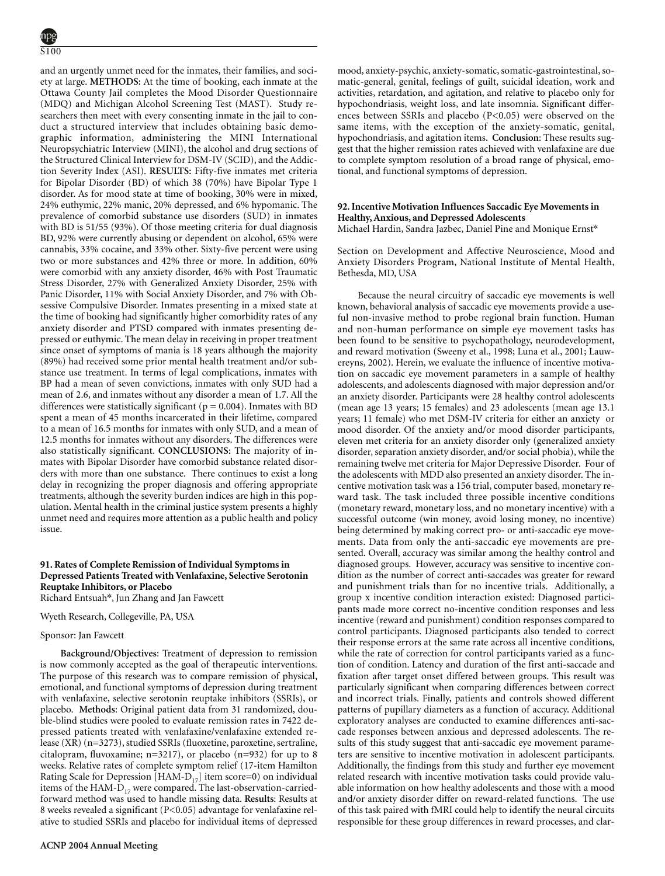and an urgently unmet need for the inmates, their families, and society at large. **METHODS:** At the time of booking, each inmate at the Ottawa County Jail completes the Mood Disorder Questionnaire (MDQ) and Michigan Alcohol Screening Test (MAST). Study researchers then meet with every consenting inmate in the jail to conduct a structured interview that includes obtaining basic demographic information, administering the MINI International Neuropsychiatric Interview (MINI), the alcohol and drug sections of the Structured Clinical Interview for DSM-IV (SCID), and the Addiction Severity Index (ASI). **RESULTS:** Fifty-five inmates met criteria for Bipolar Disorder (BD) of which 38 (70%) have Bipolar Type 1 disorder. As for mood state at time of booking, 30% were in mixed, 24% euthymic, 22% manic, 20% depressed, and 6% hypomanic. The prevalence of comorbid substance use disorders (SUD) in inmates with BD is 51/55 (93%). Of those meeting criteria for dual diagnosis BD, 92% were currently abusing or dependent on alcohol, 65% were cannabis, 33% cocaine, and 33% other. Sixty-five percent were using two or more substances and 42% three or more. In addition, 60% were comorbid with any anxiety disorder, 46% with Post Traumatic Stress Disorder, 27% with Generalized Anxiety Disorder, 25% with Panic Disorder, 11% with Social Anxiety Disorder, and 7% with Obsessive Compulsive Disorder. Inmates presenting in a mixed state at the time of booking had significantly higher comorbidity rates of any anxiety disorder and PTSD compared with inmates presenting depressed or euthymic. The mean delay in receiving in proper treatment since onset of symptoms of mania is 18 years although the majority (89%) had received some prior mental health treatment and/or substance use treatment. In terms of legal complications, inmates with BP had a mean of seven convictions, inmates with only SUD had a mean of 2.6, and inmates without any disorder a mean of 1.7. All the differences were statistically significant ( $p = 0.004$ ). Inmates with BD spent a mean of 45 months incarcerated in their lifetime, compared to a mean of 16.5 months for inmates with only SUD, and a mean of 12.5 months for inmates without any disorders. The differences were also statistically significant. **CONCLUSIONS:** The majority of inmates with Bipolar Disorder have comorbid substance related disorders with more than one substance. There continues to exist a long delay in recognizing the proper diagnosis and offering appropriate treatments, although the severity burden indices are high in this population. Mental health in the criminal justice system presents a highly unmet need and requires more attention as a public health and policy issue.

# **91. Rates of Complete Remission of Individual Symptoms in Depressed Patients Treated with Venlafaxine, Selective Serotonin Reuptake Inhibitors, or Placebo**

Richard Entsuah\*, Jun Zhang and Jan Fawcett

Wyeth Research, Collegeville, PA, USA

#### Sponsor: Jan Fawcett

**Background/Objectives**: Treatment of depression to remission is now commonly accepted as the goal of therapeutic interventions. The purpose of this research was to compare remission of physical, emotional, and functional symptoms of depression during treatment with venlafaxine, selective serotonin reuptake inhibitors (SSRIs), or placebo. **Methods**: Original patient data from 31 randomized, double-blind studies were pooled to evaluate remission rates in 7422 depressed patients treated with venlafaxine/venlafaxine extended release (XR) (n=3273), studied SSRIs (fluoxetine, paroxetine, sertraline, citalopram, fluvoxamine; n=3217), or placebo (n=932) for up to 8 weeks. Relative rates of complete symptom relief (17-item Hamilton Rating Scale for Depression  $[HAM-D_{17}]$  item score=0) on individual items of the HAM- $D_{17}$  were compared. The last-observation-carriedforward method was used to handle missing data. **Results**: Results at 8 weeks revealed a significant (P<0.05) advantage for venlafaxine relative to studied SSRIs and placebo for individual items of depressed mood, anxiety-psychic, anxiety-somatic, somatic-gastrointestinal, somatic-general, genital, feelings of guilt, suicidal ideation, work and activities, retardation, and agitation, and relative to placebo only for hypochondriasis, weight loss, and late insomnia. Significant differences between SSRIs and placebo (P<0.05) were observed on the same items, with the exception of the anxiety-somatic, genital, hypochondriasis, and agitation items. **Conclusion**: These results suggest that the higher remission rates achieved with venlafaxine are due to complete symptom resolution of a broad range of physical, emotional, and functional symptoms of depression.

# **92. Incentive Motivation Influences Saccadic Eye Movements in Healthy, Anxious, and Depressed Adolescents**

Michael Hardin, Sandra Jazbec, Daniel Pine and Monique Ernst\*

Section on Development and Affective Neuroscience, Mood and Anxiety Disorders Program, National Institute of Mental Health, Bethesda, MD, USA

Because the neural circuitry of saccadic eye movements is well known, behavioral analysis of saccadic eye movements provide a useful non-invasive method to probe regional brain function. Human and non-human performance on simple eye movement tasks has been found to be sensitive to psychopathology, neurodevelopment, and reward motivation (Sweeny et al., 1998; Luna et al., 2001; Lauwereyns, 2002). Herein, we evaluate the influence of incentive motivation on saccadic eye movement parameters in a sample of healthy adolescents, and adolescents diagnosed with major depression and/or an anxiety disorder. Participants were 28 healthy control adolescents (mean age 13 years; 15 females) and 23 adolescents (mean age 13.1 years; 11 female) who met DSM-IV criteria for either an anxiety or mood disorder. Of the anxiety and/or mood disorder participants, eleven met criteria for an anxiety disorder only (generalized anxiety disorder, separation anxiety disorder, and/or social phobia), while the remaining twelve met criteria for Major Depressive Disorder. Four of the adolescents with MDD also presented an anxiety disorder. The incentive motivation task was a 156 trial, computer based, monetary reward task. The task included three possible incentive conditions (monetary reward, monetary loss, and no monetary incentive) with a successful outcome (win money, avoid losing money, no incentive) being determined by making correct pro- or anti-saccadic eye movements. Data from only the anti-saccadic eye movements are presented. Overall, accuracy was similar among the healthy control and diagnosed groups. However, accuracy was sensitive to incentive condition as the number of correct anti-saccades was greater for reward and punishment trials than for no incentive trials. Additionally, a group x incentive condition interaction existed: Diagnosed participants made more correct no-incentive condition responses and less incentive (reward and punishment) condition responses compared to control participants. Diagnosed participants also tended to correct their response errors at the same rate across all incentive conditions, while the rate of correction for control participants varied as a function of condition. Latency and duration of the first anti-saccade and fixation after target onset differed between groups. This result was particularly significant when comparing differences between correct and incorrect trials. Finally, patients and controls showed different patterns of pupillary diameters as a function of accuracy. Additional exploratory analyses are conducted to examine differences anti-saccade responses between anxious and depressed adolescents. The results of this study suggest that anti-saccadic eye movement parameters are sensitive to incentive motivation in adolescent participants. Additionally, the findings from this study and further eye movement related research with incentive motivation tasks could provide valuable information on how healthy adolescents and those with a mood and/or anxiety disorder differ on reward-related functions. The use of this task paired with fMRI could help to identify the neural circuits responsible for these group differences in reward processes, and clar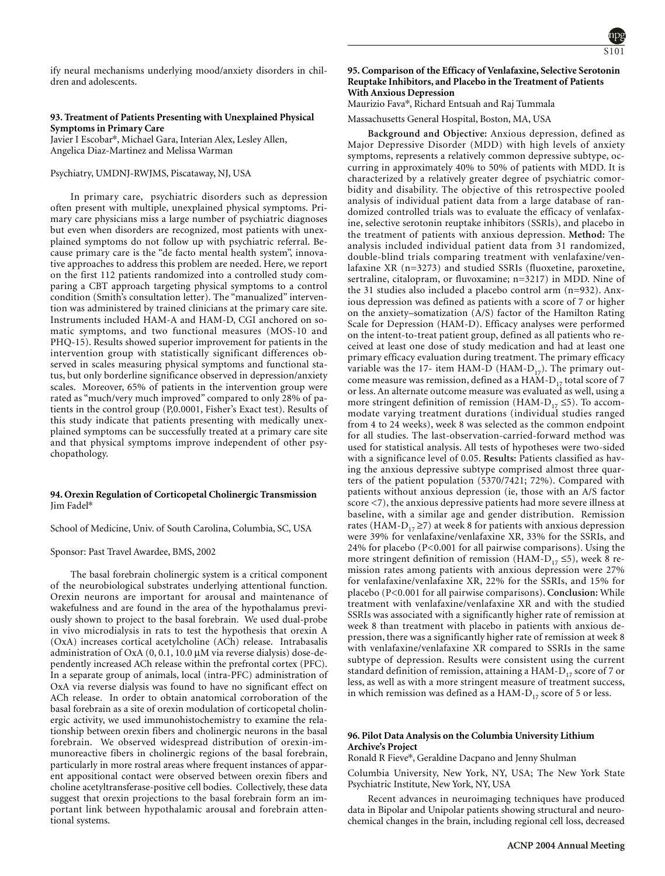ify neural mechanisms underlying mood/anxiety disorders in children and adolescents.

### **93. Treatment of Patients Presenting with Unexplained Physical Symptoms in Primary Care**

Javier I Escobar\*, Michael Gara, Interian Alex, Lesley Allen, Angelica Diaz-Martinez and Melissa Warman

### Psychiatry, UMDNJ-RWJMS, Piscataway, NJ, USA

In primary care, psychiatric disorders such as depression often present with multiple, unexplained physical symptoms. Primary care physicians miss a large number of psychiatric diagnoses but even when disorders are recognized, most patients with unexplained symptoms do not follow up with psychiatric referral. Because primary care is the "de facto mental health system", innovative approaches to address this problem are needed. Here, we report on the first 112 patients randomized into a controlled study comparing a CBT approach targeting physical symptoms to a control condition (Smith's consultation letter). The "manualized" intervention was administered by trained clinicians at the primary care site. Instruments included HAM-A and HAM-D, CGI anchored on somatic symptoms, and two functional measures (MOS-10 and PHQ-15). Results showed superior improvement for patients in the intervention group with statistically significant differences observed in scales measuring physical symptoms and functional status, but only borderline significance observed in depression/anxiety scales. Moreover, 65% of patients in the intervention group were rated as "much/very much improved" compared to only 28% of patients in the control group (P,0.0001, Fisher's Exact test). Results of this study indicate that patients presenting with medically unexplained symptoms can be successfully treated at a primary care site and that physical symptoms improve independent of other psychopathology.

#### **94. Orexin Regulation of Corticopetal Cholinergic Transmission** Jim Fadel\*

School of Medicine, Univ. of South Carolina, Columbia, SC, USA

#### Sponsor: Past Travel Awardee, BMS, 2002

The basal forebrain cholinergic system is a critical component of the neurobiological substrates underlying attentional function. Orexin neurons are important for arousal and maintenance of wakefulness and are found in the area of the hypothalamus previously shown to project to the basal forebrain. We used dual-probe in vivo microdialysis in rats to test the hypothesis that orexin A (OxA) increases cortical acetylcholine (ACh) release. Intrabasalis administration of OxA (0, 0.1, 10.0 µM via reverse dialysis) dose-dependently increased ACh release within the prefrontal cortex (PFC). In a separate group of animals, local (intra-PFC) administration of OxA via reverse dialysis was found to have no significant effect on ACh release. In order to obtain anatomical corroboration of the basal forebrain as a site of orexin modulation of corticopetal cholinergic activity, we used immunohistochemistry to examine the relationship between orexin fibers and cholinergic neurons in the basal forebrain. We observed widespread distribution of orexin-immunoreactive fibers in cholinergic regions of the basal forebrain, particularly in more rostral areas where frequent instances of apparent appositional contact were observed between orexin fibers and choline acetyltransferase-positive cell bodies. Collectively, these data suggest that orexin projections to the basal forebrain form an important link between hypothalamic arousal and forebrain attentional systems.

# **95. Comparison of the Efficacy of Venlafaxine, Selective Serotonin Reuptake Inhibitors, and Placebo in the Treatment of Patients With Anxious Depression**

Maurizio Fava\*, Richard Entsuah and Raj Tummala

Massachusetts General Hospital, Boston, MA, USA

**Background and Objective:** Anxious depression, defined as Major Depressive Disorder (MDD) with high levels of anxiety symptoms, represents a relatively common depressive subtype, occurring in approximately 40% to 50% of patients with MDD. It is characterized by a relatively greater degree of psychiatric comorbidity and disability. The objective of this retrospective pooled analysis of individual patient data from a large database of randomized controlled trials was to evaluate the efficacy of venlafaxine, selective serotonin reuptake inhibitors (SSRIs), and placebo in the treatment of patients with anxious depression. **Method:** The analysis included individual patient data from 31 randomized, double-blind trials comparing treatment with venlafaxine/venlafaxine XR (n=3273) and studied SSRIs (fluoxetine, paroxetine, sertraline, citalopram, or fluvoxamine; n=3217) in MDD. Nine of the 31 studies also included a placebo control arm (n=932). Anxious depression was defined as patients with a score of 7 or higher on the anxiety–somatization (A/S) factor of the Hamilton Rating Scale for Depression (HAM-D). Efficacy analyses were performed on the intent-to-treat patient group, defined as all patients who received at least one dose of study medication and had at least one primary efficacy evaluation during treatment. The primary efficacy variable was the 17- item HAM-D (HAM- $D_{17}$ ). The primary outcome measure was remission, defined as a HAM- $D_{17}$  total score of 7 or less. An alternate outcome measure was evaluated as well, using a more stringent definition of remission (HAM- $D_{17} \le 5$ ). To accommodate varying treatment durations (individual studies ranged from 4 to 24 weeks), week 8 was selected as the common endpoint for all studies. The last-observation-carried-forward method was used for statistical analysis. All tests of hypotheses were two-sided with a significance level of 0.05. **Results:** Patients classified as having the anxious depressive subtype comprised almost three quarters of the patient population (5370/7421; 72%). Compared with patients without anxious depression (ie, those with an A/S factor score <7), the anxious depressive patients had more severe illness at baseline, with a similar age and gender distribution. Remission rates (HAM- $D_{17} \ge 7$ ) at week 8 for patients with anxious depression were 39% for venlafaxine/venlafaxine XR, 33% for the SSRIs, and 24% for placebo (P<0.001 for all pairwise comparisons). Using the more stringent definition of remission (HAM- $D_{17} \le 5$ ), week 8 remission rates among patients with anxious depression were 27% for venlafaxine/venlafaxine XR, 22% for the SSRIs, and 15% for placebo (P<0.001 for all pairwise comparisons). **Conclusion:** While treatment with venlafaxine/venlafaxine XR and with the studied SSRIs was associated with a significantly higher rate of remission at week 8 than treatment with placebo in patients with anxious depression, there was a significantly higher rate of remission at week 8 with venlafaxine/venlafaxine XR compared to SSRIs in the same subtype of depression. Results were consistent using the current standard definition of remission, attaining a HAM- $D_{17}$  score of 7 or less, as well as with a more stringent measure of treatment success, in which remission was defined as a  ${\rm HAM}\text{-}{\rm D}_{17}$  score of 5 or less.

### **96. Pilot Data Analysis on the Columbia University Lithium Archive's Project**

Ronald R Fieve\*, Geraldine Dacpano and Jenny Shulman

Columbia University, New York, NY, USA; The New York State Psychiatric Institute, New York, NY, USA

Recent advances in neuroimaging techniques have produced data in Bipolar and Unipolar patients showing structural and neurochemical changes in the brain, including regional cell loss, decreased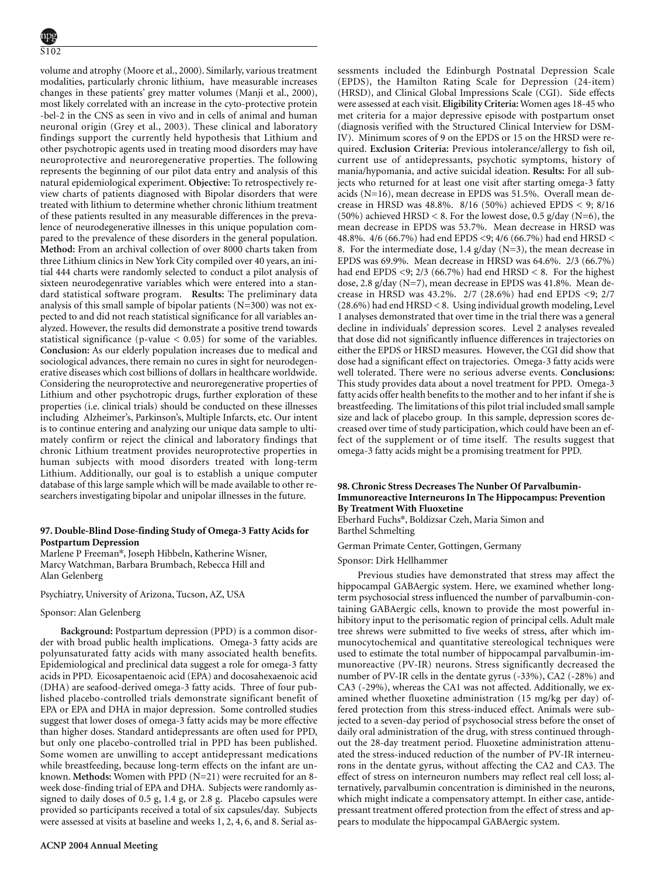volume and atrophy (Moore et al., 2000). Similarly, various treatment modalities, particularly chronic lithium, have measurable increases changes in these patients' grey matter volumes (Manji et al., 2000), most likely correlated with an increase in the cyto-protective protein -bel-2 in the CNS as seen in vivo and in cells of animal and human neuronal origin (Grey et al., 2003). These clinical and laboratory findings support the currently held hypothesis that Lithium and other psychotropic agents used in treating mood disorders may have neuroprotective and neuroregenerative properties. The following represents the beginning of our pilot data entry and analysis of this natural epidemiological experiment. **Objective:** To retrospectively review charts of patients diagnosed with Bipolar disorders that were treated with lithium to determine whether chronic lithium treatment of these patients resulted in any measurable differences in the prevalence of neurodegenerative illnesses in this unique population compared to the prevalence of these disorders in the general population. **Method:** From an archival collection of over 8000 charts taken from three Lithium clinics in New York City compiled over 40 years, an initial 444 charts were randomly selected to conduct a pilot analysis of sixteen neurodegenrative variables which were entered into a standard statistical software program. **Results:** The preliminary data analysis of this small sample of bipolar patients (N=300) was not expected to and did not reach statistical significance for all variables analyzed. However, the results did demonstrate a positive trend towards statistical significance (p-value  $< 0.05$ ) for some of the variables. **Conclusion:** As our elderly population increases due to medical and sociological advances, there remain no cures in sight for neurodegenerative diseases which cost billions of dollars in healthcare worldwide. Considering the neuroprotective and neuroregenerative properties of Lithium and other psychotropic drugs, further exploration of these properties (i.e. clinical trials) should be conducted on these illnesses including Alzheimer's, Parkinson's, Multiple Infarcts, etc. Our intent is to continue entering and analyzing our unique data sample to ultimately confirm or reject the clinical and laboratory findings that chronic Lithium treatment provides neuroprotective properties in human subjects with mood disorders treated with long-term Lithium. Additionally, our goal is to establish a unique computer database of this large sample which will be made available to other researchers investigating bipolar and unipolar illnesses in the future.

# **97. Double-Blind Dose-finding Study of Omega-3 Fatty Acids for Postpartum Depression**

Marlene P Freeman\*, Joseph Hibbeln, Katherine Wisner, Marcy Watchman, Barbara Brumbach, Rebecca Hill and Alan Gelenberg

Psychiatry, University of Arizona, Tucson, AZ, USA

### Sponsor: Alan Gelenberg

**Background:** Postpartum depression (PPD) is a common disorder with broad public health implications. Omega-3 fatty acids are polyunsaturated fatty acids with many associated health benefits. Epidemiological and preclinical data suggest a role for omega-3 fatty acids in PPD. Eicosapentaenoic acid (EPA) and docosahexaenoic acid (DHA) are seafood-derived omega-3 fatty acids. Three of four published placebo-controlled trials demonstrate significant benefit of EPA or EPA and DHA in major depression. Some controlled studies suggest that lower doses of omega-3 fatty acids may be more effective than higher doses. Standard antidepressants are often used for PPD, but only one placebo-controlled trial in PPD has been published. Some women are unwilling to accept antidepressant medications while breastfeeding, because long-term effects on the infant are unknown. **Methods:** Women with PPD (N=21) were recruited for an 8 week dose-finding trial of EPA and DHA. Subjects were randomly assigned to daily doses of 0.5 g, 1.4 g, or 2.8 g. Placebo capsules were provided so participants received a total of six capsules/day. Subjects were assessed at visits at baseline and weeks 1, 2, 4, 6, and 8. Serial assessments included the Edinburgh Postnatal Depression Scale (EPDS), the Hamilton Rating Scale for Depression (24-item) (HRSD), and Clinical Global Impressions Scale (CGI). Side effects were assessed at each visit. **Eligibility Criteria:** Women ages 18-45 who met criteria for a major depressive episode with postpartum onset (diagnosis verified with the Structured Clinical Interview for DSM-IV). Minimum scores of 9 on the EPDS or 15 on the HRSD were required. **Exclusion Criteria:** Previous intolerance/allergy to fish oil, current use of antidepressants, psychotic symptoms, history of mania/hypomania, and active suicidal ideation. **Results:** For all subjects who returned for at least one visit after starting omega-3 fatty acids (N=16), mean decrease in EPDS was 51.5%. Overall mean decrease in HRSD was 48.8%. 8/16 (50%) achieved EPDS < 9; 8/16 (50%) achieved HRSD < 8. For the lowest dose, 0.5 g/day (N=6), the mean decrease in EPDS was 53.7%. Mean decrease in HRSD was 48.8%. 4/6 (66.7%) had end EPDS <9; 4/6 (66.7%) had end HRSD < 8. For the intermediate dose, 1.4  $g$ /day (N=3), the mean decrease in EPDS was 69.9%. Mean decrease in HRSD was 64.6%. 2/3 (66.7%) had end EPDS <9; 2/3 (66.7%) had end HRSD < 8. For the highest dose, 2.8 g/day (N=7), mean decrease in EPDS was 41.8%. Mean decrease in HRSD was 43.2%. 2/7 (28.6%) had end EPDS <9; 2/7 (28.6%) had end HRSD < 8. Using individual growth modeling, Level 1 analyses demonstrated that over time in the trial there was a general decline in individuals' depression scores. Level 2 analyses revealed that dose did not significantly influence differences in trajectories on either the EPDS or HRSD measures. However, the CGI did show that dose had a significant effect on trajectories. Omega-3 fatty acids were well tolerated. There were no serious adverse events. **Conclusions:** This study provides data about a novel treatment for PPD. Omega-3 fatty acids offer health benefits to the mother and to her infant if she is breastfeeding. The limitations of this pilot trial included small sample size and lack of placebo group. In this sample, depression scores decreased over time of study participation, which could have been an effect of the supplement or of time itself. The results suggest that omega-3 fatty acids might be a promising treatment for PPD.

### **98. Chronic Stress Decreases The Nunber Of Parvalbumin-Immunoreactive Interneurons In The Hippocampus: Prevention By Treatment With Fluoxetine**

Eberhard Fuchs\*, Boldizsar Czeh, Maria Simon and Barthel Schmelting

German Primate Center, Gottingen, Germany

Sponsor: Dirk Hellhammer

Previous studies have demonstrated that stress may affect the hippocampal GABAergic system. Here, we examined whether longterm psychosocial stress influenced the number of parvalbumin-containing GABAergic cells, known to provide the most powerful inhibitory input to the perisomatic region of principal cells. Adult male tree shrews were submitted to five weeks of stress, after which immunocytochemical and quantitative stereological techniques were used to estimate the total number of hippocampal parvalbumin-immunoreactive (PV-IR) neurons. Stress significantly decreased the number of PV-IR cells in the dentate gyrus (-33%), CA2 (-28%) and CA3 (-29%), whereas the CA1 was not affected. Additionally, we examined whether fluoxetine administration (15 mg/kg per day) offered protection from this stress-induced effect. Animals were subjected to a seven-day period of psychosocial stress before the onset of daily oral administration of the drug, with stress continued throughout the 28-day treatment period. Fluoxetine administration attenuated the stress-induced reduction of the number of PV-IR interneurons in the dentate gyrus, without affecting the CA2 and CA3. The effect of stress on interneuron numbers may reflect real cell loss; alternatively, parvalbumin concentration is diminished in the neurons, which might indicate a compensatory attempt. In either case, antidepressant treatment offered protection from the effect of stress and appears to modulate the hippocampal GABAergic system.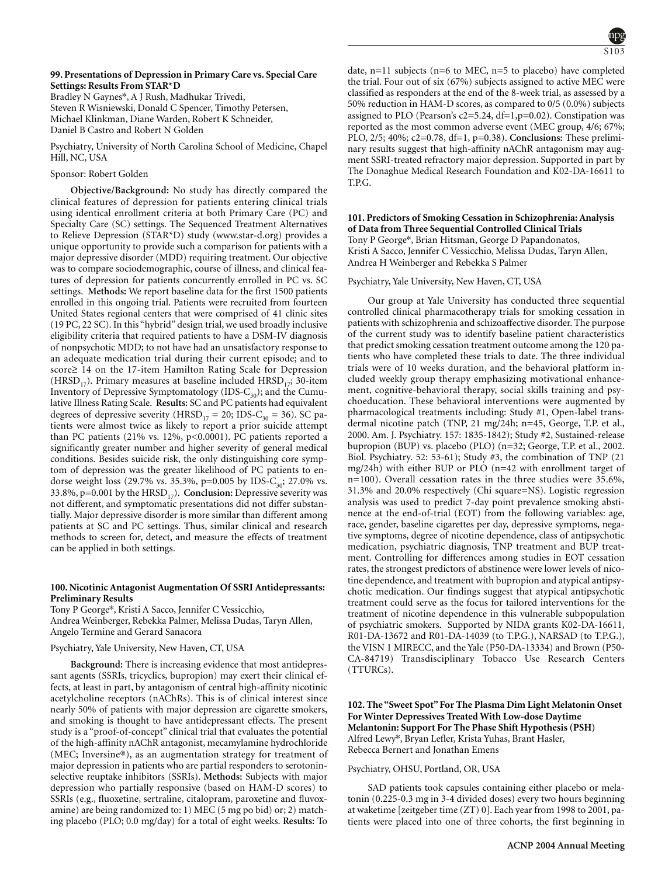### **99. Presentations of Depression in Primary Care vs. Special Care Settings: Results From STAR\*D**

Bradley N Gaynes\*, A J Rush, Madhukar Trivedi,

Steven R Wisniewski, Donald C Spencer, Timothy Petersen, Michael Klinkman, Diane Warden, Robert K Schneider, Daniel B Castro and Robert N Golden

Psychiatry, University of North Carolina School of Medicine, Chapel Hill, NC, USA

# Sponsor: Robert Golden

**Objective/Background:** No study has directly compared the clinical features of depression for patients entering clinical trials using identical enrollment criteria at both Primary Care (PC) and Specialty Care (SC) settings. The Sequenced Treatment Alternatives to Relieve Depression (STAR\*D) study (www.star-d.org) provides a unique opportunity to provide such a comparison for patients with a major depressive disorder (MDD) requiring treatment. Our objective was to compare sociodemographic, course of illness, and clinical features of depression for patients concurrently enrolled in PC vs. SC settings. **Methods:** We report baseline data for the first 1500 patients enrolled in this ongoing trial. Patients were recruited from fourteen United States regional centers that were comprised of 41 clinic sites (19 PC, 22 SC). In this "hybrid" design trial, we used broadly inclusive eligibility criteria that required patients to have a DSM-IV diagnosis of nonpsychotic MDD; to not have had an unsatisfactory response to an adequate medication trial during their current episode; and to score≥ 14 on the 17-item Hamilton Rating Scale for Depression (HRSD<sub>17</sub>). Primary measures at baseline included HRSD<sub>17</sub>; 30-item Inventory of Depressive Symptomatology (IDS- $C_{30}$ ); and the Cumulative Illness Rating Scale. **Results:** SC and PC patients had equivalent degrees of depressive severity (HRSD<sub>17</sub> = 20; IDS-C<sub>30</sub> = 36). SC patients were almost twice as likely to report a prior suicide attempt than PC patients (21% vs. 12%, p<0.0001). PC patients reported a significantly greater number and higher severity of general medical conditions. Besides suicide risk, the only distinguishing core symptom of depression was the greater likelihood of PC patients to endorse weight loss (29.7% vs. 35.3%, p=0.005 by IDS-C<sub>30</sub>; 27.0% vs. 33.8%,  $p=0.001$  by the HRSD<sub>17</sub>). **Conclusion:** Depressive severity was not different, and symptomatic presentations did not differ substantially. Major depressive disorder is more similar than different among patients at SC and PC settings. Thus, similar clinical and research methods to screen for, detect, and measure the effects of treatment can be applied in both settings.

# **100. Nicotinic Antagonist Augmentation Of SSRI Antidepressants: Preliminary Results**

Tony P George\*, Kristi A Sacco, Jennifer C Vessicchio, Andrea Weinberger, Rebekka Palmer, Melissa Dudas, Taryn Allen, Angelo Termine and Gerard Sanacora

# Psychiatry, Yale University, New Haven, CT, USA

Depression; Unipolar depression

**Background:** There is increasing evidence that most antidepressant agents (SSRIs, tricyclics, bupropion) may exert their clinical effects, at least in part, by antagonism of central high-affinity nicotinic acetylcholine receptors (nAChRs). This is of clinical interest since nearly 50% of patients with major depression are cigarette smokers, and smoking is thought to have antidepressant effects. The present study is a "proof-of-concept" clinical trial that evaluates the potential of the high-affinity nAChR antagonist, mecamylamine hydrochloride (MEC; Inversine®), as an augmentation strategy for treatment of major depression in patients who are partial responders to serotoninselective reuptake inhibitors (SSRIs). **Methods:** Subjects with major depression who partially responsive (based on HAM-D scores) to SSRIs (e.g., fluoxetine, sertraline, citalopram, paroxetine and fluvoxamine) are being randomized to: 1) MEC (5 mg po bid) or; 2) matching placebo (PLO; 0.0 mg/day) for a total of eight weeks. **Results:** To

date, n=11 subjects (n=6 to MEC, n=5 to placebo) have completed the trial. Four out of six (67%) subjects assigned to active MEC were classified as responders at the end of the 8-week trial, as assessed by a 50% reduction in HAM-D scores, as compared to 0/5 (0.0%) subjects assigned to PLO (Pearson's  $c2=5.24$ , df=1,p=0.02). Constipation was reported as the most common adverse event (MEC group, 4/6; 67%;

PLO, 2/5; 40%; c2=0.78, df=1, p=0.38). **Conclusions:** These preliminary results suggest that high-affinity nAChR antagonism may augment SSRI-treated refractory major depression. Supported in part by The Donaghue Medical Research Foundation and K02-DA-16611 to T.P.G.

# **101. Predictors of Smoking Cessation in Schizophrenia: Analysis of Data from Three Sequential Controlled Clinical Trials** Tony P George\*, Brian Hitsman, George D Papandonatos, Kristi A Sacco, Jennifer C Vessicchio, Melissa Dudas, Taryn Allen, Andrea H Weinberger and Rebekka S Palmer

Psychiatry, Yale University, New Haven, CT, USA

Our group at Yale University has conducted three sequential controlled clinical pharmacotherapy trials for smoking cessation in patients with schizophrenia and schizoaffective disorder. The purpose of the current study was to identify baseline patient characteristics that predict smoking cessation treatment outcome among the 120 patients who have completed these trials to date. The three individual trials were of 10 weeks duration, and the behavioral platform included weekly group therapy emphasizing motivational enhancement, cognitive-behavioral therapy, social skills training and psychoeducation. These behavioral interventions were augmented by pharmacological treatments including: Study #1, Open-label transdermal nicotine patch (TNP, 21 mg/24h; n=45, George, T.P. et al., 2000. Am. J. Psychiatry. 157: 1835-1842); Study #2, Sustained-release bupropion (BUP) vs. placebo (PLO) (n=32; George, T.P. et al., 2002. Biol. Psychiatry. 52: 53-61); Study #3, the combination of TNP (21 mg/24h) with either BUP or PLO (n=42 with enrollment target of n=100). Overall cessation rates in the three studies were 35.6%, 31.3% and 20.0% respectively (Chi square=NS). Logistic regression analysis was used to predict 7-day point prevalence smoking abstinence at the end-of-trial (EOT) from the following variables: age, race, gender, baseline cigarettes per day, depressive symptoms, negative symptoms, degree of nicotine dependence, class of antipsychotic medication, psychiatric diagnosis, TNP treatment and BUP treatment. Controlling for differences among studies in EOT cessation rates, the strongest predictors of abstinence were lower levels of nicotine dependence, and treatment with bupropion and atypical antipsychotic medication. Our findings suggest that atypical antipsychotic treatment could serve as the focus for tailored interventions for the treatment of nicotine dependence in this vulnerable subpopulation of psychiatric smokers. Supported by NIDA grants K02-DA-16611, R01-DA-13672 and R01-DA-14039 (to T.P.G.), NARSAD (to T.P.G.), the VISN 1 MIRECC, and the Yale (P50-DA-13334) and Brown (P50- CA-84719) Transdisciplinary Tobacco Use Research Centers  $(TTURCs)$ .

# **102. The "Sweet Spot" For The Plasma Dim Light Melatonin Onset For Winter Depressives Treated With Low-dose Daytime Melantonin: Support For The Phase Shift Hypothesis (PSH)** Alfred Lewy\*, Bryan Lefler, Krista Yuhas, Brant Hasler, Rebecca Bernert and Jonathan Emens

### Psychiatry, OHSU, Portland, OR, USA

SAD patients took capsules containing either placebo or melatonin (0.225-0.3 mg in 3-4 divided doses) every two hours beginning at waketime [zeitgeber time (ZT) 0]. Each year from 1998 to 2001, patients were placed into one of three cohorts, the first beginning in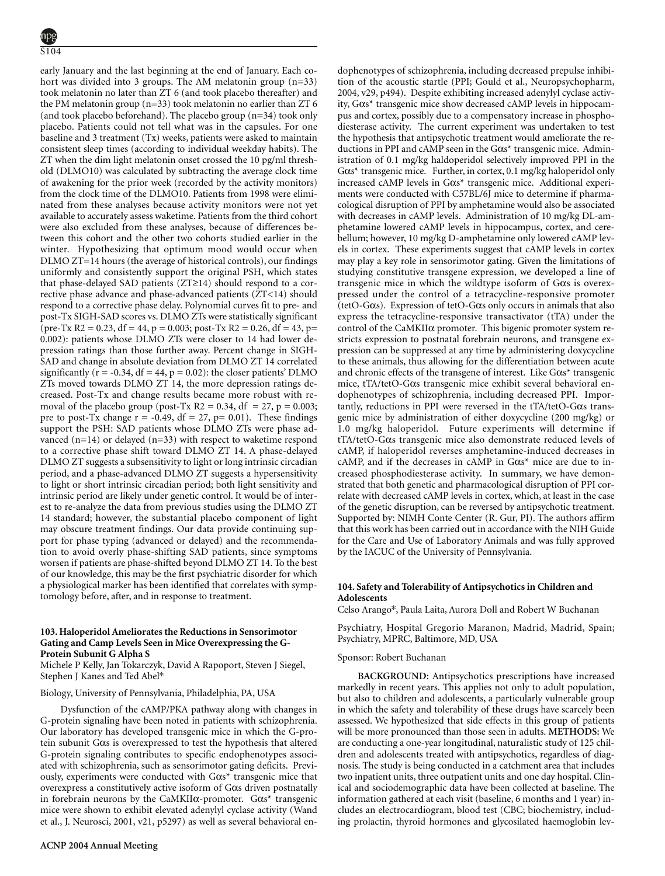early January and the last beginning at the end of January. Each cohort was divided into 3 groups. The AM melatonin group (n=33) took melatonin no later than ZT 6 (and took placebo thereafter) and the PM melatonin group (n=33) took melatonin no earlier than ZT 6 (and took placebo beforehand). The placebo group (n=34) took only placebo. Patients could not tell what was in the capsules. For one baseline and 3 treatment (Tx) weeks, patients were asked to maintain consistent sleep times (according to individual weekday habits). The ZT when the dim light melatonin onset crossed the 10 pg/ml threshold (DLMO10) was calculated by subtracting the average clock time of awakening for the prior week (recorded by the activity monitors) from the clock time of the DLMO10. Patients from 1998 were eliminated from these analyses because activity monitors were not yet available to accurately assess waketime. Patients from the third cohort were also excluded from these analyses, because of differences between this cohort and the other two cohorts studied earlier in the winter. Hypothesizing that optimum mood would occur when DLMO ZT=14 hours (the average of historical controls), our findings uniformly and consistently support the original PSH, which states that phase-delayed SAD patients (ZT≥14) should respond to a corrective phase advance and phase-advanced patients (ZT<14) should respond to a corrective phase delay. Polynomial curves fit to pre- and post-Tx SIGH-SAD scores vs. DLMO ZTs were statistically significant  $(\text{pre-Tx R2} = 0.23, \text{df} = 44, \text{p} = 0.003; \text{post-Tx R2} = 0.26, \text{df} = 43, \text{p} =$ 0.002): patients whose DLMO ZTs were closer to 14 had lower depression ratings than those further away. Percent change in SIGH-SAD and change in absolute deviation from DLMO ZT 14 correlated significantly ( $r = -0.34$ ,  $df = 44$ ,  $p = 0.02$ ): the closer patients' DLMO ZTs moved towards DLMO ZT 14, the more depression ratings decreased. Post-Tx and change results became more robust with removal of the placebo group (post-Tx  $R2 = 0.34$ , df = 27, p = 0.003; pre to post-Tx change  $r = -0.49$ ,  $df = 27$ ,  $p = 0.01$ ). These findings support the PSH: SAD patients whose DLMO ZTs were phase advanced  $(n=14)$  or delayed  $(n=33)$  with respect to waketime respond to a corrective phase shift toward DLMO ZT 14. A phase-delayed DLMO ZT suggests a subsensitivity to light or long intrinsic circadian period, and a phase-advanced DLMO ZT suggests a hypersensitivity to light or short intrinsic circadian period; both light sensitivity and intrinsic period are likely under genetic control. It would be of interest to re-analyze the data from previous studies using the DLMO ZT 14 standard; however, the substantial placebo component of light may obscure treatment findings. Our data provide continuing support for phase typing (advanced or delayed) and the recommendation to avoid overly phase-shifting SAD patients, since symptoms worsen if patients are phase-shifted beyond DLMO ZT 14. To the best of our knowledge, this may be the first psychiatric disorder for which a physiological marker has been identified that correlates with symptomology before, after, and in response to treatment.

### **103. Haloperidol Ameliorates the Reductions in Sensorimotor Gating and Camp Levels Seen in Mice Overexpressing the G-Protein Subunit G Alpha S**

Michele P Kelly, Jan Tokarczyk, David A Rapoport, Steven J Siegel, Stephen J Kanes and Ted Abel\*

#### Biology, University of Pennsylvania, Philadelphia, PA, USA

Dysfunction of the cAMP/PKA pathway along with changes in G-protein signaling have been noted in patients with schizophrenia. Our laboratory has developed transgenic mice in which the G-protein subunit Gαs is overexpressed to test the hypothesis that altered G-protein signaling contributes to specific endophenotypes associated with schizophrenia, such as sensorimotor gating deficits. Previously, experiments were conducted with Gαs\* transgenic mice that overexpress a constitutively active isoform of Gαs driven postnatally in forebrain neurons by the CaMKII $\alpha$ -promoter.  $G\alpha s^*$  transgenic mice were shown to exhibit elevated adenylyl cyclase activity (Wand et al., J. Neurosci, 2001, v21, p5297) as well as several behavioral endophenotypes of schizophrenia, including decreased prepulse inhibition of the acoustic startle (PPI; Gould et al., Neuropsychopharm, 2004, v29, p494). Despite exhibiting increased adenylyl cyclase activity, Gαs\* transgenic mice show decreased cAMP levels in hippocampus and cortex, possibly due to a compensatory increase in phosphodiesterase activity. The current experiment was undertaken to test the hypothesis that antipsychotic treatment would ameliorate the reductions in PPI and cAMP seen in the Gαs\* transgenic mice. Administration of 0.1 mg/kg haldoperidol selectively improved PPI in the Gαs\* transgenic mice. Further, in cortex, 0.1 mg/kg haloperidol only increased cAMP levels in Gαs\* transgenic mice. Additional experiments were conducted with C57BL/6J mice to determine if pharmacological disruption of PPI by amphetamine would also be associated with decreases in cAMP levels. Administration of 10 mg/kg DL-amphetamine lowered cAMP levels in hippocampus, cortex, and cerebellum; however, 10 mg/kg D-amphetamine only lowered cAMP levels in cortex. These experiments suggest that cAMP levels in cortex may play a key role in sensorimotor gating. Given the limitations of studying constitutive transgene expression, we developed a line of transgenic mice in which the wildtype isoform of Gαs is overexpressed under the control of a tetracycline-responsive promoter (tetO-G $\alpha$ s). Expression of tetO-G $\alpha$ s only occurs in animals that also express the tetracycline-responsive transactivator (tTA) under the control of the CaMKIIα promoter. This bigenic promoter system restricts expression to postnatal forebrain neurons, and transgene expression can be suppressed at any time by administering doxycycline to these animals, thus allowing for the differentiation between acute and chronic effects of the transgene of interest. Like Gαs\* transgenic mice, tTA/tetO-Gαs transgenic mice exhibit several behavioral endophenotypes of schizophrenia, including decreased PPI. Importantly, reductions in PPI were reversed in the tTA/tetO-Gαs transgenic mice by administration of either doxycycline (200 mg/kg) or 1.0 mg/kg haloperidol. Future experiments will determine if tTA/tetO-Gαs transgenic mice also demonstrate reduced levels of cAMP, if haloperidol reverses amphetamine-induced decreases in cAMP, and if the decreases in cAMP in  $G\alpha s^*$  mice are due to increased phosphodiesterase activity. In summary, we have demonstrated that both genetic and pharmacological disruption of PPI correlate with decreased cAMP levels in cortex, which, at least in the case of the genetic disruption, can be reversed by antipsychotic treatment. Supported by: NIMH Conte Center (R. Gur, PI). The authors affirm that this work has been carried out in accordance with the NIH Guide for the Care and Use of Laboratory Animals and was fully approved by the IACUC of the University of Pennsylvania.

### **104. Safety and Tolerability of Antipsychotics in Children and Adolescents**

Celso Arango\*, Paula Laita, Aurora Doll and Robert W Buchanan

Psychiatry, Hospital Gregorio Maranon, Madrid, Madrid, Spain; Psychiatry, MPRC, Baltimore, MD, USA

### Sponsor: Robert Buchanan

**BACKGROUND:** Antipsychotics prescriptions have increased markedly in recent years. This applies not only to adult population, but also to children and adolescents, a particularly vulnerable group in which the safety and tolerability of these drugs have scarcely been assessed. We hypothesized that side effects in this group of patients will be more pronounced than those seen in adults. **METHODS:** We are conducting a one-year longitudinal, naturalistic study of 125 children and adolescents treated with antipsychotics, regardless of diagnosis. The study is being conducted in a catchment area that includes two inpatient units, three outpatient units and one day hospital. Clinical and sociodemographic data have been collected at baseline. The information gathered at each visit (baseline, 6 months and 1 year) includes an electrocardiogram, blood test (CBC; biochemistry, including prolactin, thyroid hormones and glycosilated haemoglobin lev-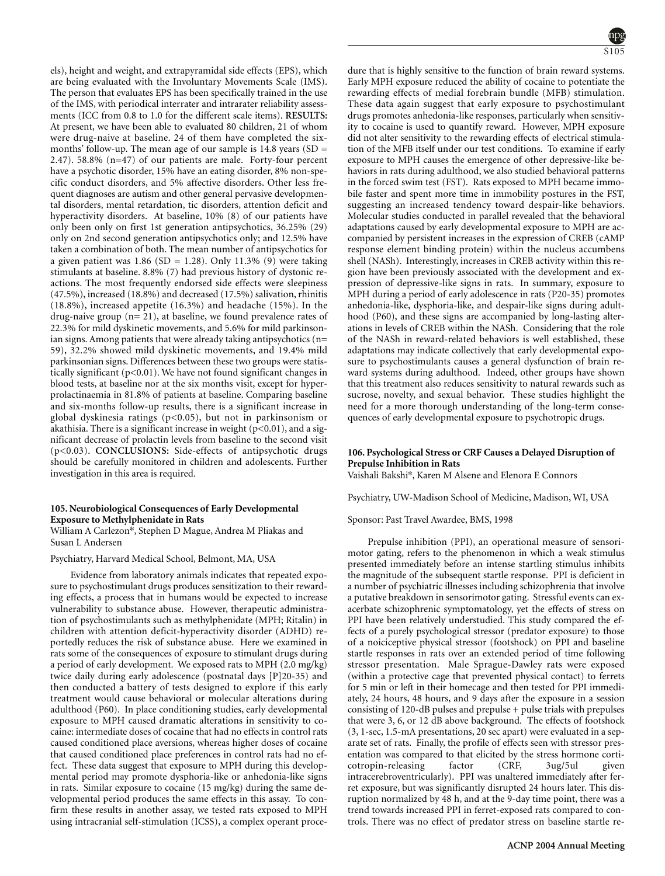els), height and weight, and extrapyramidal side effects (EPS), which are being evaluated with the Involuntary Movements Scale (IMS). The person that evaluates EPS has been specifically trained in the use of the IMS, with periodical interrater and intrarater reliability assessments (ICC from 0.8 to 1.0 for the different scale items). **RESULTS:** At present, we have been able to evaluated 80 children, 21 of whom were drug-naive at baseline. 24 of them have completed the sixmonths' follow-up. The mean age of our sample is  $14.8$  years (SD = 2.47). 58.8% (n=47) of our patients are male. Forty-four percent have a psychotic disorder, 15% have an eating disorder, 8% non-specific conduct disorders, and 5% affective disorders. Other less frequent diagnoses are autism and other general pervasive developmental disorders, mental retardation, tic disorders, attention deficit and hyperactivity disorders. At baseline, 10% (8) of our patients have only been only on first 1st generation antipsychotics, 36.25% (29) only on 2nd second generation antipsychotics only; and 12.5% have taken a combination of both. The mean number of antipsychotics for a given patient was  $1.86$  (SD = 1.28). Only 11.3% (9) were taking stimulants at baseline. 8.8% (7) had previous history of dystonic reactions. The most frequently endorsed side effects were sleepiness (47.5%), increased (18.8%) and decreased (17.5%) salivation, rhinitis (18.8%), increased appetite (16.3%) and headache (15%). In the drug-naive group (n= 21), at baseline, we found prevalence rates of 22.3% for mild dyskinetic movements, and 5.6% for mild parkinsonian signs. Among patients that were already taking antipsychotics (n= 59), 32.2% showed mild dyskinetic movements, and 19.4% mild parkinsonian signs. Differences between these two groups were statistically significant (p<0.01). We have not found significant changes in blood tests, at baseline nor at the six months visit, except for hyperprolactinaemia in 81.8% of patients at baseline. Comparing baseline and six-months follow-up results, there is a significant increase in global dyskinesia ratings (p<0.05), but not in parkinsonism or akathisia. There is a significant increase in weight  $(p<0.01)$ , and a significant decrease of prolactin levels from baseline to the second visit (p<0.03). **CONCLUSIONS:** Side-effects of antipsychotic drugs should be carefully monitored in children and adolescents. Further investigation in this area is required.

### **105. Neurobiological Consequences of Early Developmental Exposure to Methylphenidate in Rats**

William A Carlezon\*, Stephen D Mague, Andrea M Pliakas and Susan L Andersen

Psychiatry, Harvard Medical School, Belmont, MA, USA

Evidence from laboratory animals indicates that repeated exposure to psychostimulant drugs produces sensitization to their rewarding effects, a process that in humans would be expected to increase vulnerability to substance abuse. However, therapeutic administration of psychostimulants such as methylphenidate (MPH; Ritalin) in children with attention deficit-hyperactivity disorder (ADHD) reportedly reduces the risk of substance abuse. Here we examined in rats some of the consequences of exposure to stimulant drugs during a period of early development. We exposed rats to MPH (2.0 mg/kg) twice daily during early adolescence (postnatal days [P]20-35) and then conducted a battery of tests designed to explore if this early treatment would cause behavioral or molecular alterations during adulthood (P60). In place conditioning studies, early developmental exposure to MPH caused dramatic alterations in sensitivity to cocaine: intermediate doses of cocaine that had no effects in control rats caused conditioned place aversions, whereas higher doses of cocaine that caused conditioned place preferences in control rats had no effect. These data suggest that exposure to MPH during this developmental period may promote dysphoria-like or anhedonia-like signs in rats. Similar exposure to cocaine (15 mg/kg) during the same developmental period produces the same effects in this assay. To confirm these results in another assay, we tested rats exposed to MPH using intracranial self-stimulation (ICSS), a complex operant proce-



dure that is highly sensitive to the function of brain reward systems. Early MPH exposure reduced the ability of cocaine to potentiate the rewarding effects of medial forebrain bundle (MFB) stimulation. These data again suggest that early exposure to psychostimulant drugs promotes anhedonia-like responses, particularly when sensitivity to cocaine is used to quantify reward. However, MPH exposure did not alter sensitivity to the rewarding effects of electrical stimulation of the MFB itself under our test conditions. To examine if early exposure to MPH causes the emergence of other depressive-like behaviors in rats during adulthood, we also studied behavioral patterns in the forced swim test (FST). Rats exposed to MPH became immobile faster and spent more time in immobility postures in the FST, suggesting an increased tendency toward despair-like behaviors. Molecular studies conducted in parallel revealed that the behavioral adaptations caused by early developmental exposure to MPH are accompanied by persistent increases in the expression of CREB (cAMP response element binding protein) within the nucleus accumbens shell (NASh). Interestingly, increases in CREB activity within this region have been previously associated with the development and expression of depressive-like signs in rats. In summary, exposure to MPH during a period of early adolescence in rats (P20-35) promotes anhedonia-like, dysphoria-like, and despair-like signs during adulthood (P60), and these signs are accompanied by long-lasting alterations in levels of CREB within the NASh. Considering that the role of the NASh in reward-related behaviors is well established, these adaptations may indicate collectively that early developmental exposure to psychostimulants causes a general dysfunction of brain reward systems during adulthood. Indeed, other groups have shown that this treatment also reduces sensitivity to natural rewards such as sucrose, novelty, and sexual behavior. These studies highlight the need for a more thorough understanding of the long-term consequences of early developmental exposure to psychotropic drugs.

# **106. Psychological Stress or CRF Causes a Delayed Disruption of Prepulse Inhibition in Rats**

Vaishali Bakshi\*, Karen M Alsene and Elenora E Connors

Psychiatry, UW-Madison School of Medicine, Madison, WI, USA

Sponsor: Past Travel Awardee, BMS, 1998

Prepulse inhibition (PPI), an operational measure of sensorimotor gating, refers to the phenomenon in which a weak stimulus presented immediately before an intense startling stimulus inhibits the magnitude of the subsequent startle response. PPI is deficient in a number of psychiatric illnesses including schizophrenia that involve a putative breakdown in sensorimotor gating. Stressful events can exacerbate schizophrenic symptomatology, yet the effects of stress on PPI have been relatively understudied. This study compared the effects of a purely psychological stressor (predator exposure) to those of a noiciceptive physical stressor (footshock) on PPI and baseline startle responses in rats over an extended period of time following stressor presentation. Male Sprague-Dawley rats were exposed (within a protective cage that prevented physical contact) to ferrets for 5 min or left in their homecage and then tested for PPI immediately, 24 hours, 48 hours, and 9 days after the exposure in a session consisting of 120-dB pulses and prepulse + pulse trials with prepulses that were 3, 6, or 12 dB above background. The effects of footshock (3, 1-sec, 1.5-mA presentations, 20 sec apart) were evaluated in a separate set of rats. Finally, the profile of effects seen with stressor presentation was compared to that elicited by the stress hormone corticotropin-releasing factor (CRF, 3ug/5ul given cotropin-releasing factor (CRF, 3ug/5ul intracerebroventricularly). PPI was unaltered immediately after ferret exposure, but was significantly disrupted 24 hours later. This disruption normalized by 48 h, and at the 9-day time point, there was a trend towards increased PPI in ferret-exposed rats compared to controls. There was no effect of predator stress on baseline startle re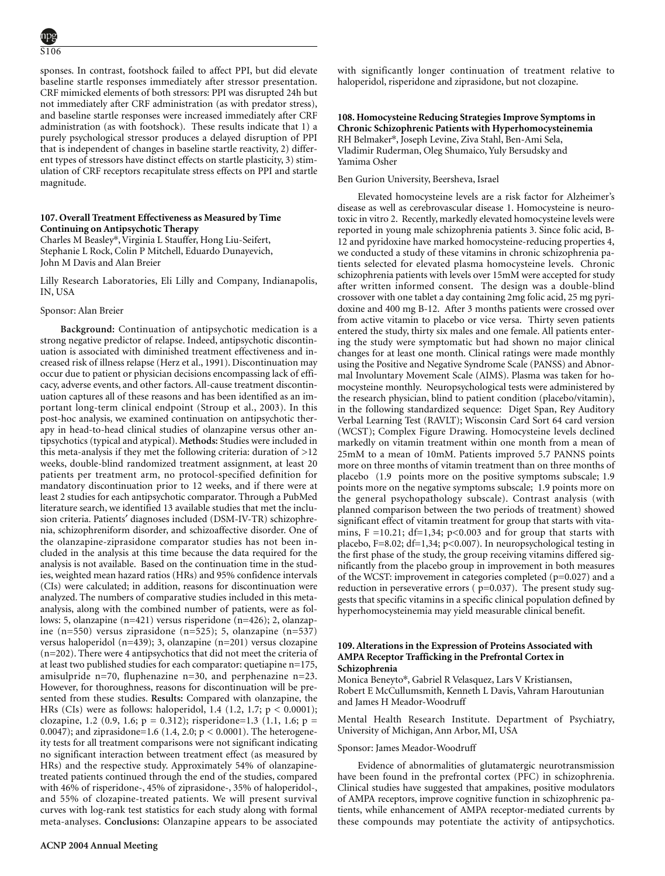sponses. In contrast, footshock failed to affect PPI, but did elevate baseline startle responses immediately after stressor presentation. CRF mimicked elements of both stressors: PPI was disrupted 24h but not immediately after CRF administration (as with predator stress), and baseline startle responses were increased immediately after CRF administration (as with footshock). These results indicate that 1) a purely psychological stressor produces a delayed disruption of PPI that is independent of changes in baseline startle reactivity, 2) different types of stressors have distinct effects on startle plasticity, 3) stimulation of CRF receptors recapitulate stress effects on PPI and startle magnitude.

# **107. Overall Treatment Effectiveness as Measured by Time Continuing on Antipsychotic Therapy**

Charles M Beasley\*, Virginia L Stauffer, Hong Liu-Seifert, Stephanie L Rock, Colin P Mitchell, Eduardo Dunayevich, John M Davis and Alan Breier

Lilly Research Laboratories, Eli Lilly and Company, Indianapolis, IN, USA

### Sponsor: Alan Breier

**Background:** Continuation of antipsychotic medication is a strong negative predictor of relapse. Indeed, antipsychotic discontinuation is associated with diminished treatment effectiveness and increased risk of illness relapse (Herz et al., 1991). Discontinuation may occur due to patient or physician decisions encompassing lack of efficacy, adverse events, and other factors. All-cause treatment discontinuation captures all of these reasons and has been identified as an important long-term clinical endpoint (Stroup et al., 2003). In this post-hoc analysis, we examined continuation on antipsychotic therapy in head-to-head clinical studies of olanzapine versus other antipsychotics (typical and atypical). **Methods:** Studies were included in this meta-analysis if they met the following criteria: duration of >12 weeks, double-blind randomized treatment assignment, at least 20 patients per treatment arm, no protocol-specified definition for mandatory discontinuation prior to 12 weeks, and if there were at least 2 studies for each antipsychotic comparator. Through a PubMed literature search, we identified 13 available studies that met the inclusion criteria. Patients′ diagnoses included (DSM-IV-TR) schizophrenia, schizophreniform disorder, and schizoaffective disorder. One of the olanzapine-ziprasidone comparator studies has not been included in the analysis at this time because the data required for the analysis is not available. Based on the continuation time in the studies, weighted mean hazard ratios (HRs) and 95% confidence intervals (CIs) were calculated; in addition, reasons for discontinuation were analyzed. The numbers of comparative studies included in this metaanalysis, along with the combined number of patients, were as follows: 5, olanzapine (n=421) versus risperidone (n=426); 2, olanzapine (n=550) versus ziprasidone (n=525); 5, olanzapine (n=537) versus haloperidol (n=439); 3, olanzapine (n=201) versus clozapine (n=202). There were 4 antipsychotics that did not meet the criteria of at least two published studies for each comparator: quetiapine n=175, amisulpride n=70, fluphenazine n=30, and perphenazine n=23. However, for thoroughness, reasons for discontinuation will be presented from these studies. **Results:** Compared with olanzapine, the HRs (CIs) were as follows: haloperidol, 1.4 (1.2, 1.7;  $p < 0.0001$ ); clozapine, 1.2 (0.9, 1.6;  $p = 0.312$ ); risperidone=1.3 (1.1, 1.6;  $p =$ 0.0047); and ziprasidone=1.6 (1.4, 2.0;  $p < 0.0001$ ). The heterogeneity tests for all treatment comparisons were not significant indicating no significant interaction between treatment effect (as measured by HRs) and the respective study. Approximately 54% of olanzapinetreated patients continued through the end of the studies, compared with 46% of risperidone-, 45% of ziprasidone-, 35% of haloperidol-, and 55% of clozapine-treated patients. We will present survival curves with log-rank test statistics for each study along with formal meta-analyses. **Conclusions:** Olanzapine appears to be associated with significantly longer continuation of treatment relative to haloperidol, risperidone and ziprasidone, but not clozapine.

# **108. Homocysteine Reducing Strategies Improve Symptoms in Chronic Schizophrenic Patients with Hyperhomocysteinemia** RH Belmaker\*, Joseph Levine, Ziva Stahl, Ben-Ami Sela, Vladimir Ruderman, Oleg Shumaico, Yuly Bersudsky and Yamima Osher

# Ben Gurion University, Beersheva, Israel

Elevated homocysteine levels are a risk factor for Alzheimer's disease as well as cerebrovascular disease 1. Homocysteine is neurotoxic in vitro 2. Recently, markedly elevated homocysteine levels were reported in young male schizophrenia patients 3. Since folic acid, B-12 and pyridoxine have marked homocysteine-reducing properties 4, we conducted a study of these vitamins in chronic schizophrenia patients selected for elevated plasma homocysteine levels. Chronic schizophrenia patients with levels over 15mM were accepted for study after written informed consent. The design was a double-blind crossover with one tablet a day containing 2mg folic acid, 25 mg pyridoxine and 400 mg B-12. After 3 months patients were crossed over from active vitamin to placebo or vice versa. Thirty seven patients entered the study, thirty six males and one female. All patients entering the study were symptomatic but had shown no major clinical changes for at least one month. Clinical ratings were made monthly using the Positive and Negative Syndrome Scale (PANSS) and Abnormal Involuntary Movement Scale (AIMS). Plasma was taken for homocysteine monthly. Neuropsychological tests were administered by the research physician, blind to patient condition (placebo/vitamin), in the following standardized sequence: Diget Span, Rey Auditory Verbal Learning Test (RAVLT); Wisconsin Card Sort 64 card version (WCST); Complex Figure Drawing. Homocysteine levels declined markedly on vitamin treatment within one month from a mean of 25mM to a mean of 10mM. Patients improved 5.7 PANNS points more on three months of vitamin treatment than on three months of placebo (1.9 points more on the positive symptoms subscale; 1.9 points more on the negative symptoms subscale; 1.9 points more on the general psychopathology subscale). Contrast analysis (with planned comparison between the two periods of treatment) showed significant effect of vitamin treatment for group that starts with vitamins,  $F = 10.21$ ; df=1,34; p<0.003 and for group that starts with placebo, F=8.02; df=1,34; p<0.007). In neuropsychological testing in the first phase of the study, the group receiving vitamins differed significantly from the placebo group in improvement in both measures of the WCST: improvement in categories completed (p=0.027) and a reduction in perseverative errors ( $p=0.037$ ). The present study suggests that specific vitamins in a specific clinical population defined by hyperhomocysteinemia may yield measurable clinical benefit.

# **109. Alterations in the Expression of Proteins Associated with AMPA Receptor Trafficking in the Prefrontal Cortex in Schizophrenia**

Monica Beneyto\*, Gabriel R Velasquez, Lars V Kristiansen, Robert E McCullumsmith, Kenneth L Davis, Vahram Haroutunian and James H Meador-Woodruff

Mental Health Research Institute. Department of Psychiatry, University of Michigan, Ann Arbor, MI, USA

# Sponsor: James Meador-Woodruff

Evidence of abnormalities of glutamatergic neurotransmission have been found in the prefrontal cortex (PFC) in schizophrenia. Clinical studies have suggested that ampakines, positive modulators of AMPA receptors, improve cognitive function in schizophrenic patients, while enhancement of AMPA receptor-mediated currents by these compounds may potentiate the activity of antipsychotics.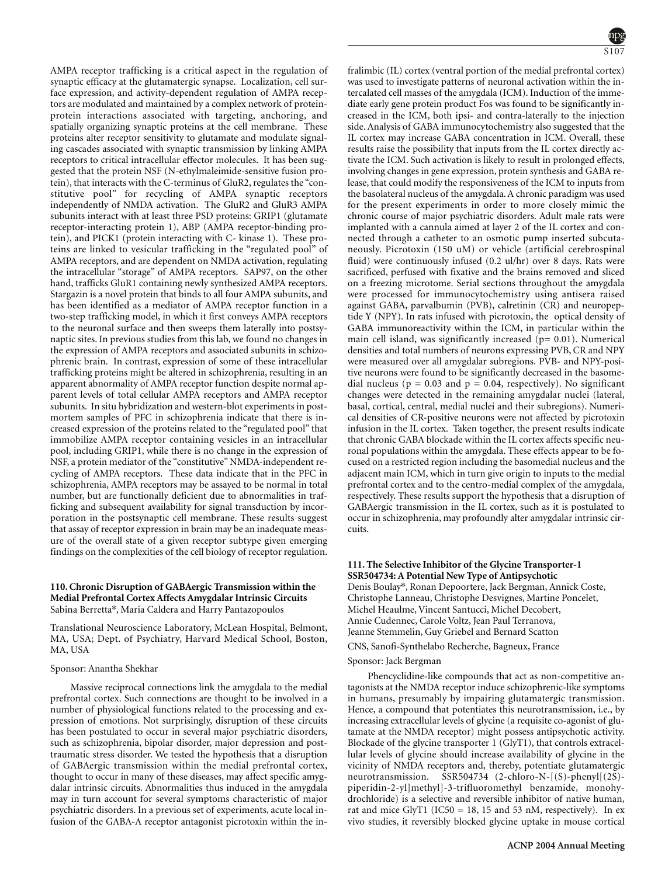AMPA receptor trafficking is a critical aspect in the regulation of synaptic efficacy at the glutamatergic synapse. Localization, cell surface expression, and activity-dependent regulation of AMPA receptors are modulated and maintained by a complex network of proteinprotein interactions associated with targeting, anchoring, and spatially organizing synaptic proteins at the cell membrane. These proteins alter receptor sensitivity to glutamate and modulate signaling cascades associated with synaptic transmission by linking AMPA receptors to critical intracellular effector molecules. It has been suggested that the protein NSF (N-ethylmaleimide-sensitive fusion protein), that interacts with the C-terminus of GluR2, regulates the "constitutive pool" for recycling of AMPA synaptic receptors independently of NMDA activation. The GluR2 and GluR3 AMPA subunits interact with at least three PSD proteins: GRIP1 (glutamate receptor-interacting protein 1), ABP (AMPA receptor-binding protein), and PICK1 (protein interacting with C- kinase 1). These proteins are linked to vesicular trafficking in the "regulated pool" of AMPA receptors, and are dependent on NMDA activation, regulating the intracellular "storage" of AMPA receptors. SAP97, on the other hand, trafficks GluR1 containing newly synthesized AMPA receptors. Stargazin is a novel protein that binds to all four AMPA subunits, and has been identified as a mediator of AMPA receptor function in a two-step trafficking model, in which it first conveys AMPA receptors to the neuronal surface and then sweeps them laterally into postsynaptic sites. In previous studies from this lab, we found no changes in the expression of AMPA receptors and associated subunits in schizophrenic brain. In contrast, expression of some of these intracellular trafficking proteins might be altered in schizophrenia, resulting in an apparent abnormality of AMPA receptor function despite normal apparent levels of total cellular AMPA receptors and AMPA receptor subunits. In situ hybridization and western-blot experiments in postmortem samples of PFC in schizophrenia indicate that there is increased expression of the proteins related to the "regulated pool" that immobilize AMPA receptor containing vesicles in an intracellular pool, including GRIP1, while there is no change in the expression of NSF, a protein mediator of the "constitutive" NMDA-independent recycling of AMPA receptors. These data indicate that in the PFC in schizophrenia, AMPA receptors may be assayed to be normal in total number, but are functionally deficient due to abnormalities in trafficking and subsequent availability for signal transduction by incorporation in the postsynaptic cell membrane. These results suggest that assay of receptor expression in brain may be an inadequate measure of the overall state of a given receptor subtype given emerging findings on the complexities of the cell biology of receptor regulation.

# **110. Chronic Disruption of GABAergic Transmission within the Medial Prefrontal Cortex Affects Amygdalar Intrinsic Circuits** Sabina Berretta\*, Maria Caldera and Harry Pantazopoulos

Translational Neuroscience Laboratory, McLean Hospital, Belmont, MA, USA; Dept. of Psychiatry, Harvard Medical School, Boston, MA, USA

#### Sponsor: Anantha Shekhar

Massive reciprocal connections link the amygdala to the medial prefrontal cortex. Such connections are thought to be involved in a number of physiological functions related to the processing and expression of emotions. Not surprisingly, disruption of these circuits has been postulated to occur in several major psychiatric disorders, such as schizophrenia, bipolar disorder, major depression and posttraumatic stress disorder. We tested the hypothesis that a disruption of GABAergic transmission within the medial prefrontal cortex, thought to occur in many of these diseases, may affect specific amygdalar intrinsic circuits. Abnormalities thus induced in the amygdala may in turn account for several symptoms characteristic of major psychiatric disorders. In a previous set of experiments, acute local infusion of the GABA-A receptor antagonist picrotoxin within the in-



fralimbic (IL) cortex (ventral portion of the medial prefrontal cortex) was used to investigate patterns of neuronal activation within the intercalated cell masses of the amygdala (ICM). Induction of the immediate early gene protein product Fos was found to be significantly increased in the ICM, both ipsi- and contra-laterally to the injection side. Analysis of GABA immunocytochemistry also suggested that the IL cortex may increase GABA concentration in ICM. Overall, these results raise the possibility that inputs from the IL cortex directly activate the ICM. Such activation is likely to result in prolonged effects, involving changes in gene expression, protein synthesis and GABA release, that could modify the responsiveness of the ICM to inputs from the basolateral nucleus of the amygdala. A chronic paradigm was used for the present experiments in order to more closely mimic the chronic course of major psychiatric disorders. Adult male rats were implanted with a cannula aimed at layer 2 of the IL cortex and connected through a catheter to an osmotic pump inserted subcutaneously. Picrotoxin (150 uM) or vehicle (artificial cerebrospinal fluid) were continuously infused (0.2 ul/hr) over 8 days. Rats were sacrificed, perfused with fixative and the brains removed and sliced on a freezing microtome. Serial sections throughout the amygdala were processed for immunocytochemistry using antisera raised against GABA, parvalbumin (PVB), calretinin (CR) and neuropeptide Y (NPY). In rats infused with picrotoxin, the optical density of GABA immunoreactivity within the ICM, in particular within the main cell island, was significantly increased  $(p= 0.01)$ . Numerical densities and total numbers of neurons expressing PVB, CR and NPY were measured over all amygdalar subregions. PVB- and NPY-positive neurons were found to be significantly decreased in the basomedial nucleus ( $p = 0.03$  and  $p = 0.04$ , respectively). No significant changes were detected in the remaining amygdalar nuclei (lateral, basal, cortical, central, medial nuclei and their subregions). Numerical densities of CR-positive neurons were not affected by picrotoxin infusion in the IL cortex. Taken together, the present results indicate that chronic GABA blockade within the IL cortex affects specific neuronal populations within the amygdala. These effects appear to be focused on a restricted region including the basomedial nucleus and the adjacent main ICM, which in turn give origin to inputs to the medial prefrontal cortex and to the centro-medial complex of the amygdala, respectively. These results support the hypothesis that a disruption of GABAergic transmission in the IL cortex, such as it is postulated to occur in schizophrenia, may profoundly alter amygdalar intrinsic circuits.

# **111. The Selective Inhibitor of the Glycine Transporter-1 SSR504734: A Potential New Type of Antipsychotic**

Denis Boulay\*, Ronan Depoortere, Jack Bergman, Annick Coste, Christophe Lanneau, Christophe Desvignes, Martine Poncelet, Michel Heaulme, Vincent Santucci, Michel Decobert, Annie Cudennec, Carole Voltz, Jean Paul Terranova, Jeanne Stemmelin, Guy Griebel and Bernard Scatton

CNS, Sanofi-Synthelabo Recherche, Bagneux, France

#### Sponsor: Jack Bergman

Phencyclidine-like compounds that act as non-competitive antagonists at the NMDA receptor induce schizophrenic-like symptoms in humans, presumably by impairing glutamatergic transmission. Hence, a compound that potentiates this neurotransmission, i.e., by increasing extracellular levels of glycine (a requisite co-agonist of glutamate at the NMDA receptor) might possess antipsychotic activity. Blockade of the glycine transporter 1 (GlyT1), that controls extracellular levels of glycine should increase availability of glycine in the vicinity of NMDA receptors and, thereby, potentiate glutamatergic neurotransmission. SSR504734 (2-chloro-N-[(S)-phenyl[(2S) piperidin-2-yl]methyl]-3-trifluoromethyl benzamide, monohydrochloride) is a selective and reversible inhibitor of native human, rat and mice GlyT1 (IC50 = 18, 15 and 53 nM, respectively). In ex vivo studies, it reversibly blocked glycine uptake in mouse cortical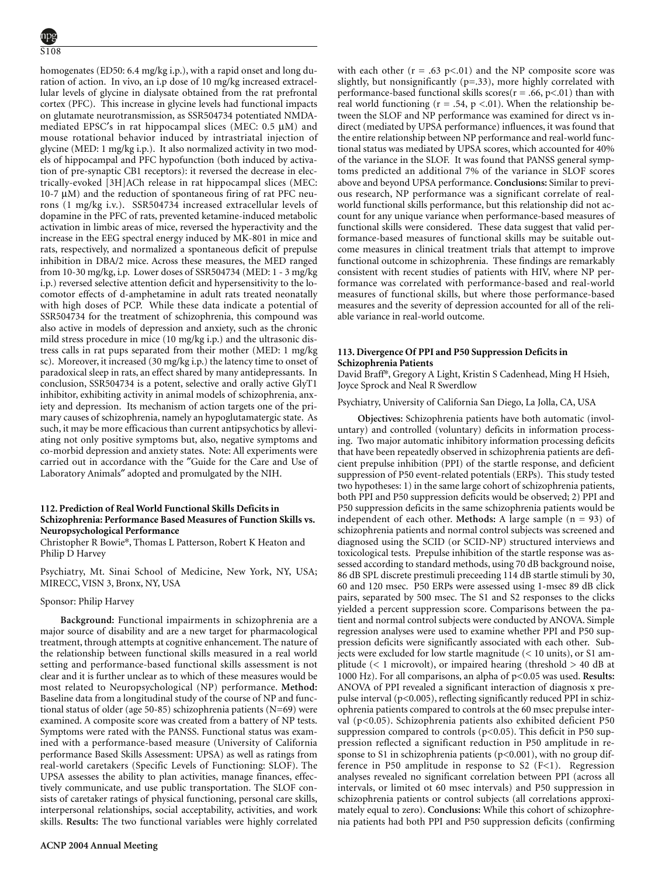homogenates (ED50: 6.4 mg/kg i.p.), with a rapid onset and long duration of action. In vivo, an i.p dose of 10 mg/kg increased extracellular levels of glycine in dialysate obtained from the rat prefrontal cortex (PFC). This increase in glycine levels had functional impacts on glutamate neurotransmission, as SSR504734 potentiated NMDAmediated EPSC′s in rat hippocampal slices (MEC: 0.5 µM) and mouse rotational behavior induced by intrastriatal injection of glycine (MED: 1 mg/kg i.p.). It also normalized activity in two models of hippocampal and PFC hypofunction (both induced by activation of pre-synaptic CB1 receptors): it reversed the decrease in electrically-evoked [3H]ACh release in rat hippocampal slices (MEC: 10-7  $\mu$ M) and the reduction of spontaneous firing of rat PFC neurons (1 mg/kg i.v.). SSR504734 increased extracellular levels of dopamine in the PFC of rats, prevented ketamine-induced metabolic activation in limbic areas of mice, reversed the hyperactivity and the increase in the EEG spectral energy induced by MK-801 in mice and rats, respectively, and normalized a spontaneous deficit of prepulse inhibition in DBA/2 mice. Across these measures, the MED ranged from 10-30 mg/kg, i.p. Lower doses of SSR504734 (MED: 1 - 3 mg/kg i.p.) reversed selective attention deficit and hypersensitivity to the locomotor effects of d-amphetamine in adult rats treated neonatally with high doses of PCP. While these data indicate a potential of SSR504734 for the treatment of schizophrenia, this compound was also active in models of depression and anxiety, such as the chronic mild stress procedure in mice (10 mg/kg i.p.) and the ultrasonic distress calls in rat pups separated from their mother (MED: 1 mg/kg sc). Moreover, it increased (30 mg/kg i.p.) the latency time to onset of paradoxical sleep in rats, an effect shared by many antidepressants. In conclusion, SSR504734 is a potent, selective and orally active GlyT1 inhibitor, exhibiting activity in animal models of schizophrenia, anxiety and depression. Its mechanism of action targets one of the primary causes of schizophrenia, namely an hypoglutamatergic state. As such, it may be more efficacious than current antipsychotics by alleviating not only positive symptoms but, also, negative symptoms and co-morbid depression and anxiety states. Note: All experiments were carried out in accordance with the ″Guide for the Care and Use of Laboratory Animals" adopted and promulgated by the NIH.

# **112. Prediction of Real World Functional Skills Deficits in Schizophrenia: Performance Based Measures of Function Skills vs. Neuropsychological Performance**

Christopher R Bowie\*, Thomas L Patterson, Robert K Heaton and Philip D Harvey

Psychiatry, Mt. Sinai School of Medicine, New York, NY, USA; MIRECC, VISN 3, Bronx, NY, USA

# Sponsor: Philip Harvey

**Background:** Functional impairments in schizophrenia are a major source of disability and are a new target for pharmacological treatment, through attempts at cognitive enhancement. The nature of the relationship between functional skills measured in a real world setting and performance-based functional skills assessment is not clear and it is further unclear as to which of these measures would be most related to Neuropsychological (NP) performance. **Method:** Baseline data from a longitudinal study of the course of NP and functional status of older (age 50-85) schizophrenia patients (N=69) were examined. A composite score was created from a battery of NP tests. Symptoms were rated with the PANSS. Functional status was examined with a performance-based measure (University of California performance Based Skills Assessment: UPSA) as well as ratings from real-world caretakers (Specific Levels of Functioning: SLOF). The UPSA assesses the ability to plan activities, manage finances, effectively communicate, and use public transportation. The SLOF consists of caretaker ratings of physical functioning, personal care skills, interpersonal relationships, social acceptability, activities, and work skills. **Results:** The two functional variables were highly correlated with each other ( $r = .63$  p<.01) and the NP composite score was slightly, but nonsignificantly (p=.33), more highly correlated with performance-based functional skills scores( $r = .66$ ,  $p < .01$ ) than with real world functioning ( $r = .54$ ,  $p < .01$ ). When the relationship between the SLOF and NP performance was examined for direct vs indirect (mediated by UPSA performance) influences, it was found that the entire relationship between NP performance and real-world functional status was mediated by UPSA scores, which accounted for 40% of the variance in the SLOF. It was found that PANSS general symptoms predicted an additional 7% of the variance in SLOF scores above and beyond UPSA performance. **Conclusions:** Similar to previous research, NP performance was a significant correlate of realworld functional skills performance, but this relationship did not account for any unique variance when performance-based measures of functional skills were considered. These data suggest that valid performance-based measures of functional skills may be suitable outcome measures in clinical treatment trials that attempt to improve functional outcome in schizophrenia. These findings are remarkably consistent with recent studies of patients with HIV, where NP performance was correlated with performance-based and real-world measures of functional skills, but where those performance-based measures and the severity of depression accounted for all of the reliable variance in real-world outcome.

### **113. Divergence Of PPI and P50 Suppression Deficits in Schizophrenia Patients**

David Braff\*, Gregory A Light, Kristin S Cadenhead, Ming H Hsieh, Joyce Sprock and Neal R Swerdlow

Psychiatry, University of California San Diego, La Jolla, CA, USA

**Objectives:** Schizophrenia patients have both automatic (involuntary) and controlled (voluntary) deficits in information processing. Two major automatic inhibitory information processing deficits that have been repeatedly observed in schizophrenia patients are deficient prepulse inhibition (PPI) of the startle response, and deficient suppression of P50 event-related potentials (ERPs). This study tested two hypotheses: 1) in the same large cohort of schizophrenia patients, both PPI and P50 suppression deficits would be observed; 2) PPI and P50 suppression deficits in the same schizophrenia patients would be independent of each other. **Methods:** A large sample  $(n = 93)$  of schizophrenia patients and normal control subjects was screened and diagnosed using the SCID (or SCID-NP) structured interviews and toxicological tests. Prepulse inhibition of the startle response was assessed according to standard methods, using 70 dB background noise, 86 dB SPL discrete prestimuli preceeding 114 dB startle stimuli by 30, 60 and 120 msec. P50 ERPs were assessed using 1-msec 89 dB click pairs, separated by 500 msec. The S1 and S2 responses to the clicks yielded a percent suppression score. Comparisons between the patient and normal control subjects were conducted by ANOVA. Simple regression analyses were used to examine whether PPI and P50 suppression deficits were significantly associated with each other. Subjects were excluded for low startle magnitude  $(< 10$  units), or S1 amplitude ( $\lt 1$  microvolt), or impaired hearing (threshold  $> 40$  dB at 1000 Hz). For all comparisons, an alpha of p<0.05 was used. **Results:** ANOVA of PPI revealed a significant interaction of diagnosis x prepulse interval (p<0.005), reflecting significantly reduced PPI in schizophrenia patients compared to controls at the 60 msec prepulse interval (p<0.05). Schizophrenia patients also exhibited deficient P50 suppression compared to controls  $(p<0.05)$ . This deficit in P50 suppression reflected a significant reduction in P50 amplitude in response to S1 in schizophrenia patients (p<0.001), with no group difference in P50 amplitude in response to S2  $(F<1)$ . Regression analyses revealed no significant correlation between PPI (across all intervals, or limited ot 60 msec intervals) and P50 suppression in schizophrenia patients or control subjects (all correlations approximately equal to zero). **Conclusions:** While this cohort of schizophrenia patients had both PPI and P50 suppression deficits (confirming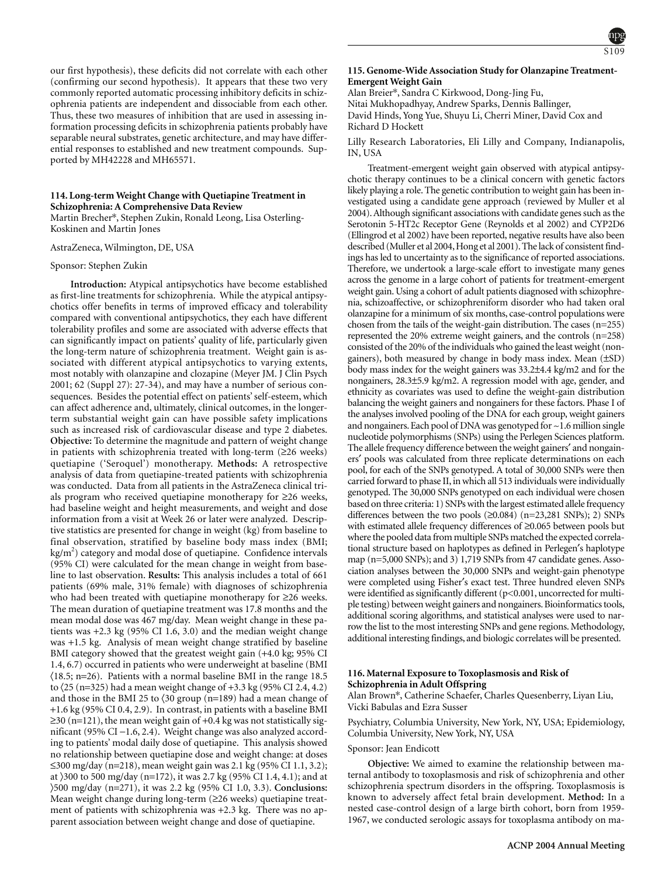

our first hypothesis), these deficits did not correlate with each other (confirming our second hypothesis). It appears that these two very commonly reported automatic processing inhibitory deficits in schizophrenia patients are independent and dissociable from each other. Thus, these two measures of inhibition that are used in assessing information processing deficits in schizophrenia patients probably have separable neural substrates, genetic architecture, and may have differential responses to established and new treatment compounds. Supported by MH42228 and MH65571.

# **114. Long-term Weight Change with Quetiapine Treatment in Schizophrenia: A Comprehensive Data Review**

Martin Brecher\*, Stephen Zukin, Ronald Leong, Lisa Osterling-Koskinen and Martin Jones

AstraZeneca, Wilmington, DE, USA

#### Sponsor: Stephen Zukin

Cognition; Schizophrenia

**Introduction:** Atypical antipsychotics have become established as first-line treatments for schizophrenia. While the atypical antipsychotics offer benefits in terms of improved efficacy and tolerability compared with conventional antipsychotics, they each have different tolerability profiles and some are associated with adverse effects that can significantly impact on patients' quality of life, particularly given the long-term nature of schizophrenia treatment. Weight gain is associated with different atypical antipsychotics to varying extents, most notably with olanzapine and clozapine (Meyer JM. J Clin Psych 2001; 62 (Suppl 27): 27-34), and may have a number of serious consequences. Besides the potential effect on patients' self-esteem, which can affect adherence and, ultimately, clinical outcomes, in the longerterm substantial weight gain can have possible safety implications such as increased risk of cardiovascular disease and type 2 diabetes. **Objective:** To determine the magnitude and pattern of weight change in patients with schizophrenia treated with long-term (≥26 weeks) quetiapine ('Seroquel') monotherapy. **Methods:** A retrospective analysis of data from quetiapine-treated patients with schizophrenia was conducted. Data from all patients in the AstraZeneca clinical trials program who received quetiapine monotherapy for ≥26 weeks, had baseline weight and height measurements, and weight and dose information from a visit at Week 26 or later were analyzed. Descriptive statistics are presented for change in weight (kg) from baseline to final observation, stratified by baseline body mass index (BMI;  $\text{kg/m}^2$ ) category and modal dose of quetiapine. Confidence intervals (95% CI) were calculated for the mean change in weight from baseline to last observation. **Results:** This analysis includes a total of 661 patients (69% male, 31% female) with diagnoses of schizophrenia who had been treated with quetiapine monotherapy for ≥26 weeks. The mean duration of quetiapine treatment was 17.8 months and the mean modal dose was 467 mg/day. Mean weight change in these patients was +2.3 kg (95% CI 1.6, 3.0) and the median weight change was +1.5 kg. Analysis of mean weight change stratified by baseline BMI category showed that the greatest weight gain (+4.0 kg; 95% CI 1.4, 6.7) occurred in patients who were underweight at baseline (BMI  $(18.5; n=26)$ . Patients with a normal baseline BMI in the range 18.5 to  $(25 (n=325)$  had a mean weight change of  $+3.3$  kg  $(95\%$  CI 2.4, 4.2) and those in the BMI 25 to 〈30 group (n=189) had a mean change of +1.6 kg (95% CI 0.4, 2.9). In contrast, in patients with a baseline BMI ≥30 (n=121), the mean weight gain of +0.4 kg was not statistically significant (95% CI −1.6, 2.4). Weight change was also analyzed according to patients' modal daily dose of quetiapine. This analysis showed no relationship between quetiapine dose and weight change: at doses ≤300 mg/day (n=218), mean weight gain was 2.1 kg (95% CI 1.1, 3.2); at 〉300 to 500 mg/day (n=172), it was 2.7 kg (95% CI 1.4, 4.1); and at 〉500 mg/day (n=271), it was 2.2 kg (95% CI 1.0, 3.3). **Conclusions:** Mean weight change during long-term (≥26 weeks) quetiapine treatment of patients with schizophrenia was +2.3 kg. There was no apparent association between weight change and dose of quetiapine.

# **115. Genome-Wide Association Study for Olanzapine Treatment-Emergent Weight Gain**

Alan Breier\*, Sandra C Kirkwood, Dong-Jing Fu, Nitai Mukhopadhyay, Andrew Sparks, Dennis Ballinger, David Hinds, Yong Yue, Shuyu Li, Cherri Miner, David Cox and Richard D Hockett

Lilly Research Laboratories, Eli Lilly and Company, Indianapolis, IN, USA

Treatment-emergent weight gain observed with atypical antipsychotic therapy continues to be a clinical concern with genetic factors likely playing a role. The genetic contribution to weight gain has been investigated using a candidate gene approach (reviewed by Muller et al 2004). Although significant associations with candidate genes such as the Serotonin 5-HT2c Receptor Gene (Reynolds et al 2002) and CYP2D6 (Ellingrod et al 2002) have been reported, negative results have also been described (Muller et al 2004, Hong et al 2001). The lack of consistent findings has led to uncertainty as to the significance of reported associations. Therefore, we undertook a large-scale effort to investigate many genes across the genome in a large cohort of patients for treatment-emergent weight gain. Using a cohort of adult patients diagnosed with schizophrenia, schizoaffective, or schizophreniform disorder who had taken oral olanzapine for a minimum of six months, case-control populations were chosen from the tails of the weight-gain distribution. The cases (n=255) represented the 20% extreme weight gainers, and the controls (n=258) consisted of the 20% of the individuals who gained the least weight (nongainers), both measured by change in body mass index. Mean (±SD) body mass index for the weight gainers was 33.2±4.4 kg/m2 and for the nongainers, 28.3±5.9 kg/m2. A regression model with age, gender, and ethnicity as covariates was used to define the weight-gain distribution balancing the weight gainers and nongainers for these factors. Phase I of the analyses involved pooling of the DNA for each group, weight gainers and nongainers. Each pool of DNA was genotyped for ~1.6 million single nucleotide polymorphisms (SNPs) using the Perlegen Sciences platform. The allele frequency difference between the weight gainers′ and nongainers′ pools was calculated from three replicate determinations on each pool, for each of the SNPs genotyped. A total of 30,000 SNPs were then carried forward to phase II, in which all 513 individuals were individually genotyped. The 30,000 SNPs genotyped on each individual were chosen based on three criteria: 1) SNPs with the largest estimated allele frequency differences between the two pools (≥0.084) (n=23,281 SNPs); 2) SNPs with estimated allele frequency differences of ≥0.065 between pools but where the pooled data from multiple SNPs matched the expected correlational structure based on haplotypes as defined in Perlegen′s haplotype map (n=5,000 SNPs); and 3) 1,719 SNPs from 47 candidate genes. Association analyses between the 30,000 SNPs and weight-gain phenotype were completed using Fisher′s exact test. Three hundred eleven SNPs were identified as significantly different (p<0.001, uncorrected for multiple testing) between weight gainers and nongainers. Bioinformatics tools, additional scoring algorithms, and statistical analyses were used to narrow the list to the most interesting SNPs and gene regions. Methodology, additional interesting findings, and biologic correlates will be presented.

# **116. Maternal Exposure to Toxoplasmosis and Risk of Schizophrenia in Adult Offspring**

Alan Brown\*, Catherine Schaefer, Charles Quesenberry, Liyan Liu, Vicki Babulas and Ezra Susser

Psychiatry, Columbia University, New York, NY, USA; Epidemiology, Columbia University, New York, NY, USA

#### Sponsor: Jean Endicott

**Objective:** We aimed to examine the relationship between maternal antibody to toxoplasmosis and risk of schizophrenia and other schizophrenia spectrum disorders in the offspring. Toxoplasmosis is known to adversely affect fetal brain development. **Method:** In a nested case-control design of a large birth cohort, born from 1959- 1967, we conducted serologic assays for toxoplasma antibody on ma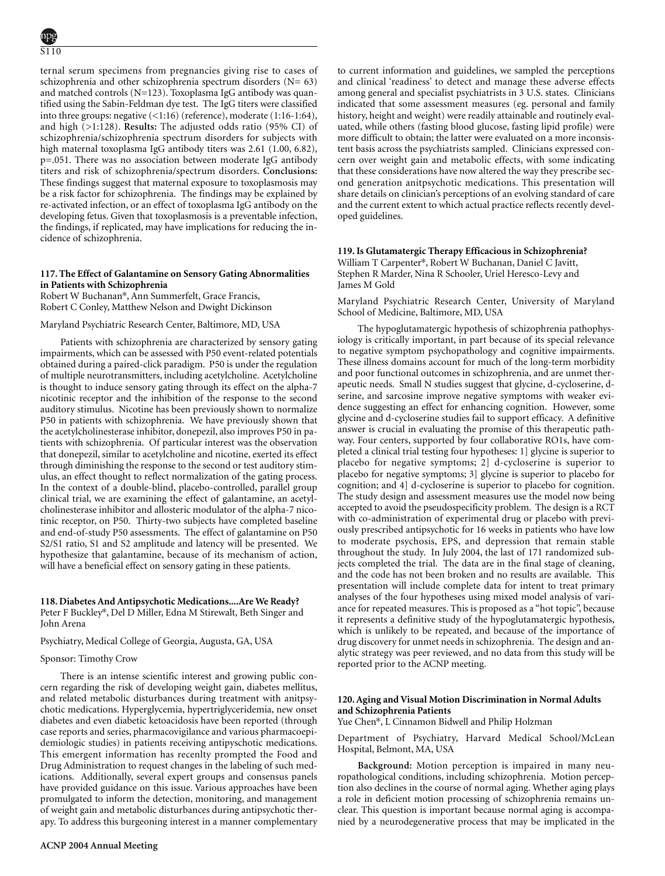ternal serum specimens from pregnancies giving rise to cases of schizophrenia and other schizophrenia spectrum disorders  $(N= 63)$ and matched controls (N=123). Toxoplasma IgG antibody was quantified using the Sabin-Feldman dye test. The IgG titers were classified into three groups: negative (<1:16) (reference), moderate (1:16-1:64), and high (>1:128). **Results:** The adjusted odds ratio (95% CI) of schizophrenia/schizophrenia spectrum disorders for subjects with high maternal toxoplasma IgG antibody titers was 2.61 (1.00, 6.82), p=.051. There was no association between moderate IgG antibody titers and risk of schizophrenia/spectrum disorders. **Conclusions:** These findings suggest that maternal exposure to toxoplasmosis may be a risk factor for schizophrenia. The findings may be explained by re-activated infection, or an effect of toxoplasma IgG antibody on the developing fetus. Given that toxoplasmosis is a preventable infection, the findings, if replicated, may have implications for reducing the incidence of schizophrenia.

### **117. The Effect of Galantamine on Sensory Gating Abnormalities in Patients with Schizophrenia**

Robert W Buchanan\*, Ann Summerfelt, Grace Francis, Robert C Conley, Matthew Nelson and Dwight Dickinson

Maryland Psychiatric Research Center, Baltimore, MD, USA

Patients with schizophrenia are characterized by sensory gating impairments, which can be assessed with P50 event-related potentials obtained during a paired-click paradigm. P50 is under the regulation of multiple neurotransmitters, including acetylcholine. Acetylcholine is thought to induce sensory gating through its effect on the alpha-7 nicotinic receptor and the inhibition of the response to the second auditory stimulus. Nicotine has been previously shown to normalize P50 in patients with schizophrenia. We have previously shown that the acetylcholinesterase inhibitor, donepezil, also improves P50 in patients with schizophrenia. Of particular interest was the observation that donepezil, similar to acetylcholine and nicotine, exerted its effect through diminishing the response to the second or test auditory stimulus, an effect thought to reflect normalization of the gating process. In the context of a double-blind, placebo-controlled, parallel group clinical trial, we are examining the effect of galantamine, an acetylcholinesterase inhibitor and allosteric modulator of the alpha-7 nicotinic receptor, on P50. Thirty-two subjects have completed baseline and end-of-study P50 assessments. The effect of galantamine on P50 S2/S1 ratio, S1 and S2 amplitude and latency will be presented. We hypothesize that galantamine, because of its mechanism of action, will have a beneficial effect on sensory gating in these patients.

**118. Diabetes And Antipsychotic Medications....Are We Ready?** Peter F Buckley\*, Del D Miller, Edna M Stirewalt, Beth Singer and John Arena

### Psychiatry, Medical College of Georgia, Augusta, GA, USA

#### Sponsor: Timothy Crow

There is an intense scientific interest and growing public concern regarding the risk of developing weight gain, diabetes mellitus, and related metabolic disturbances during treatment with anitpsychotic medications. Hyperglycemia, hypertriglyceridemia, new onset diabetes and even diabetic ketoacidosis have been reported (through case reports and series, pharmacovigilance and various pharmacoepidemiologic studies) in patients receiving antipyschotic medications. This emergent information has recenlty prompted the Food and Drug Administration to request changes in the labeling of such medications. Additionally, several expert groups and consensus panels have provided guidance on this issue. Various approaches have been promulgated to inform the detection, monitoring, and management of weight gain and metabolic disturbances during antipsychotic therapy. To address this burgeoning interest in a manner complementary to current information and guidelines, we sampled the perceptions and clinical 'readiness' to detect and manage these adverse effects among general and specialist psychiatrists in 3 U.S. states. Clinicians indicated that some assessment measures (eg. personal and family history, height and weight) were readily attainable and routinely evaluated, while others (fasting blood glucose, fasting lipid profile) were more difficult to obtain; the latter were evaluated on a more inconsistent basis across the psychiatrists sampled. Clinicians expressed concern over weight gain and metabolic effects, with some indicating that these considerations have now altered the way they prescribe second generation anitpsychotic medications. This presentation will share details on clinician's perceptions of an evolving standard of care and the current extent to which actual practice reflects recently developed guidelines.

# **119. Is Glutamatergic Therapy Efficacious in Schizophrenia?**

William T Carpenter\*, Robert W Buchanan, Daniel C Javitt, Stephen R Marder, Nina R Schooler, Uriel Heresco-Levy and James M Gold

Maryland Psychiatric Research Center, University of Maryland School of Medicine, Baltimore, MD, USA

The hypoglutamatergic hypothesis of schizophrenia pathophysiology is critically important, in part because of its special relevance to negative symptom psychopathology and cognitive impairments. These illness domains account for much of the long-term morbidity and poor functional outcomes in schizophrenia, and are unmet therapeutic needs. Small N studies suggest that glycine, d-cycloserine, dserine, and sarcosine improve negative symptoms with weaker evidence suggesting an effect for enhancing cognition. However, some glycine and d-cycloserine studies fail to support efficacy. A definitive answer is crucial in evaluating the promise of this therapeutic pathway. Four centers, supported by four collaborative RO1s, have completed a clinical trial testing four hypotheses: 1] glycine is superior to placebo for negative symptoms; 2] d-cycloserine is superior to placebo for negative symptoms; 3] glycine is superior to placebo for cognition; and 4] d-cycloserine is superior to placebo for cognition. The study design and assessment measures use the model now being accepted to avoid the pseudospecificity problem. The design is a RCT with co-administration of experimental drug or placebo with previously prescribed antipsychotic for 16 weeks in patients who have low to moderate psychosis, EPS, and depression that remain stable throughout the study. In July 2004, the last of 171 randomized subjects completed the trial. The data are in the final stage of cleaning, and the code has not been broken and no results are available. This presentation will include complete data for intent to treat primary analyses of the four hypotheses using mixed model analysis of variance for repeated measures. This is proposed as a "hot topic", because it represents a definitive study of the hypoglutamatergic hypothesis, which is unlikely to be repeated, and because of the importance of drug discovery for unmet needs in schizophrenia. The design and analytic strategy was peer reviewed, and no data from this study will be reported prior to the ACNP meeting.

# **120. Aging and Visual Motion Discrimination in Normal Adults and Schizophrenia Patients**

Yue Chen\*, L Cinnamon Bidwell and Philip Holzman

Department of Psychiatry, Harvard Medical School/McLean Hospital, Belmont, MA, USA

**Background:** Motion perception is impaired in many neuropathological conditions, including schizophrenia. Motion perception also declines in the course of normal aging. Whether aging plays a role in deficient motion processing of schizophrenia remains unclear. This question is important because normal aging is accompanied by a neurodegenerative process that may be implicated in the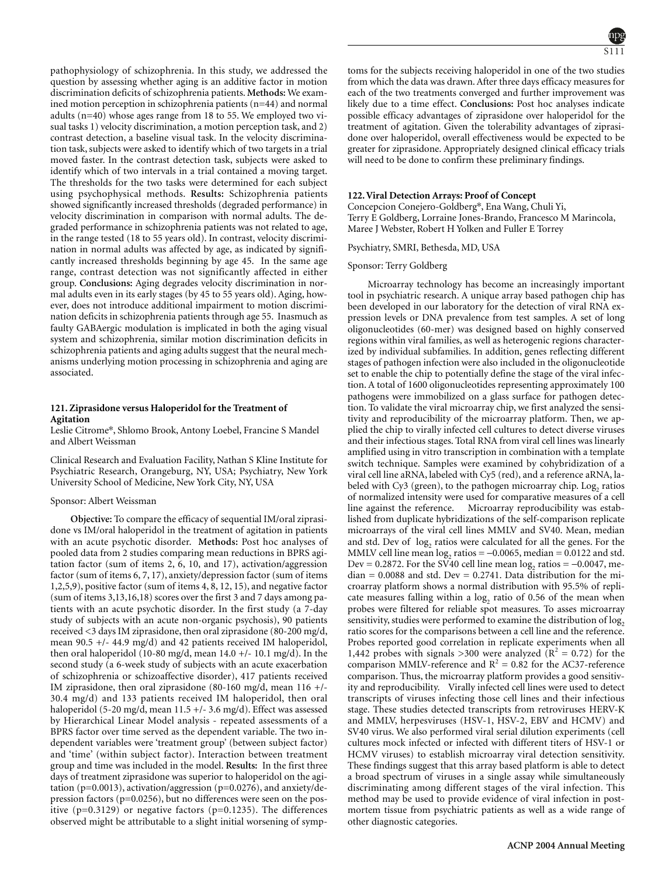pathophysiology of schizophrenia. In this study, we addressed the question by assessing whether aging is an additive factor in motion discrimination deficits of schizophrenia patients. **Methods:** We examined motion perception in schizophrenia patients (n=44) and normal adults (n=40) whose ages range from 18 to 55. We employed two visual tasks 1) velocity discrimination, a motion perception task, and 2) contrast detection, a baseline visual task. In the velocity discrimination task, subjects were asked to identify which of two targets in a trial moved faster. In the contrast detection task, subjects were asked to identify which of two intervals in a trial contained a moving target. The thresholds for the two tasks were determined for each subject using psychophysical methods. **Results:** Schizophrenia patients showed significantly increased thresholds (degraded performance) in velocity discrimination in comparison with normal adults. The degraded performance in schizophrenia patients was not related to age, in the range tested (18 to 55 years old). In contrast, velocity discrimination in normal adults was affected by age, as indicated by significantly increased thresholds beginning by age 45. In the same age range, contrast detection was not significantly affected in either group. **Conclusions:** Aging degrades velocity discrimination in normal adults even in its early stages (by 45 to 55 years old). Aging, however, does not introduce additional impairment to motion discrimination deficits in schizophrenia patients through age 55. Inasmuch as faulty GABAergic modulation is implicated in both the aging visual system and schizophrenia, similar motion discrimination deficits in schizophrenia patients and aging adults suggest that the neural mechanisms underlying motion processing in schizophrenia and aging are associated.

### **121. Ziprasidone versus Haloperidol for the Treatment of Agitation**

Leslie Citrome\*, Shlomo Brook, Antony Loebel, Francine S Mandel and Albert Weissman

Clinical Research and Evaluation Facility, Nathan S Kline Institute for Psychiatric Research, Orangeburg, NY, USA; Psychiatry, New York University School of Medicine, New York City, NY, USA

#### Sponsor: Albert Weissman

**Objective:** To compare the efficacy of sequential IM/oral ziprasidone vs IM/oral haloperidol in the treatment of agitation in patients with an acute psychotic disorder. **Methods:** Post hoc analyses of pooled data from 2 studies comparing mean reductions in BPRS agitation factor (sum of items 2, 6, 10, and 17), activation/aggression factor (sum of items 6, 7, 17), anxiety/depression factor (sum of items 1,2,5,9), positive factor (sum of items 4, 8, 12, 15), and negative factor (sum of items 3,13,16,18) scores over the first 3 and 7 days among patients with an acute psychotic disorder. In the first study (a 7-day study of subjects with an acute non-organic psychosis), 90 patients received <3 days IM ziprasidone, then oral ziprasidone (80-200 mg/d, mean 90.5 +/- 44.9 mg/d) and 42 patients received IM haloperidol, then oral haloperidol (10-80 mg/d, mean  $14.0 +/- 10.1$  mg/d). In the second study (a 6-week study of subjects with an acute exacerbation of schizophrenia or schizoaffective disorder), 417 patients received IM ziprasidone, then oral ziprasidone (80-160 mg/d, mean 116 +/- 30.4 mg/d) and 133 patients received IM haloperidol, then oral haloperidol (5-20 mg/d, mean  $11.5 + (-3.6 \text{ mg/d})$ ). Effect was assessed by Hierarchical Linear Model analysis - repeated assessments of a BPRS factor over time served as the dependent variable. The two independent variables were 'treatment group' (between subject factor) and 'time' (within subject factor). Interaction between treatment group and time was included in the model. **Results:** In the first three days of treatment ziprasidone was superior to haloperidol on the agitation (p=0.0013), activation/aggression (p=0.0276), and anxiety/depression factors (p=0.0256), but no differences were seen on the positive  $(p=0.3129)$  or negative factors  $(p=0.1235)$ . The differences observed might be attributable to a slight initial worsening of symptoms for the subjects receiving haloperidol in one of the two studies from which the data was drawn. After three days efficacy measures for each of the two treatments converged and further improvement was likely due to a time effect. **Conclusions:** Post hoc analyses indicate possible efficacy advantages of ziprasidone over haloperidol for the treatment of agitation. Given the tolerability advantages of ziprasidone over haloperidol, overall effectiveness would be expected to be greater for ziprasidone. Appropriately designed clinical efficacy trials will need to be done to confirm these preliminary findings.

### **122. Viral Detection Arrays: Proof of Concept**

Concepcion Conejero-Goldberg\*, Ena Wang, Chuli Yi, Terry E Goldberg, Lorraine Jones-Brando, Francesco M Marincola, Maree J Webster, Robert H Yolken and Fuller E Torrey

### Psychiatry, SMRI, Bethesda, MD, USA

### Sponsor: Terry Goldberg

Microarray technology has become an increasingly important tool in psychiatric research. A unique array based pathogen chip has been developed in our laboratory for the detection of viral RNA expression levels or DNA prevalence from test samples. A set of long oligonucleotides (60-mer) was designed based on highly conserved regions within viral families, as well as heterogenic regions characterized by individual subfamilies. In addition, genes reflecting different stages of pathogen infection were also included in the oligonucleotide set to enable the chip to potentially define the stage of the viral infection. A total of 1600 oligonucleotides representing approximately 100 pathogens were immobilized on a glass surface for pathogen detection. To validate the viral microarray chip, we first analyzed the sensitivity and reproducibility of the microarray platform. Then, we applied the chip to virally infected cell cultures to detect diverse viruses and their infectious stages. Total RNA from viral cell lines was linearly amplified using in vitro transcription in combination with a template switch technique. Samples were examined by cohybridization of a viral cell line aRNA, labeled with Cy5 (red), and a reference aRNA, labeled with  $Cy3$  (green), to the pathogen microarray chip. Log, ratios of normalized intensity were used for comparative measures of a cell line against the reference. Microarray reproducibility was established from duplicate hybridizations of the self-comparison replicate microarrays of the viral cell lines MMLV and SV40. Mean, median and std. Dev of log<sub>2</sub> ratios were calculated for all the genes. For the MMLV cell line mean  $log_2$  ratios =  $-0.0065$ , median = 0.0122 and std. Dev = 0.2872. For the SV40 cell line mean  $log_2$  ratios =  $-0.0047$ , me $dian = 0.0088$  and std. Dev = 0.2741. Data distribution for the microarray platform shows a normal distribution with 95.5% of replicate measures falling within a  $log<sub>2</sub>$  ratio of 0.56 of the mean when probes were filtered for reliable spot measures. To asses microarray sensitivity, studies were performed to examine the distribution of  $log<sub>2</sub>$ ratio scores for the comparisons between a cell line and the reference. Probes reported good correlation in replicate experiments when all 1,442 probes with signals >300 were analyzed ( $R^2 = 0.72$ ) for the comparison MMLV-reference and  $R^2 = 0.82$  for the AC37-reference comparison. Thus, the microarray platform provides a good sensitivity and reproducibility. Virally infected cell lines were used to detect transcripts of viruses infecting those cell lines and their infectious stage. These studies detected transcripts from retroviruses HERV-K and MMLV, herpesviruses (HSV-1, HSV-2, EBV and HCMV) and SV40 virus. We also performed viral serial dilution experiments (cell cultures mock infected or infected with different titers of HSV-1 or HCMV viruses) to establish microarray viral detection sensitivity. These findings suggest that this array based platform is able to detect a broad spectrum of viruses in a single assay while simultaneously discriminating among different stages of the viral infection. This method may be used to provide evidence of viral infection in postmortem tissue from psychiatric patients as well as a wide range of other diagnostic categories.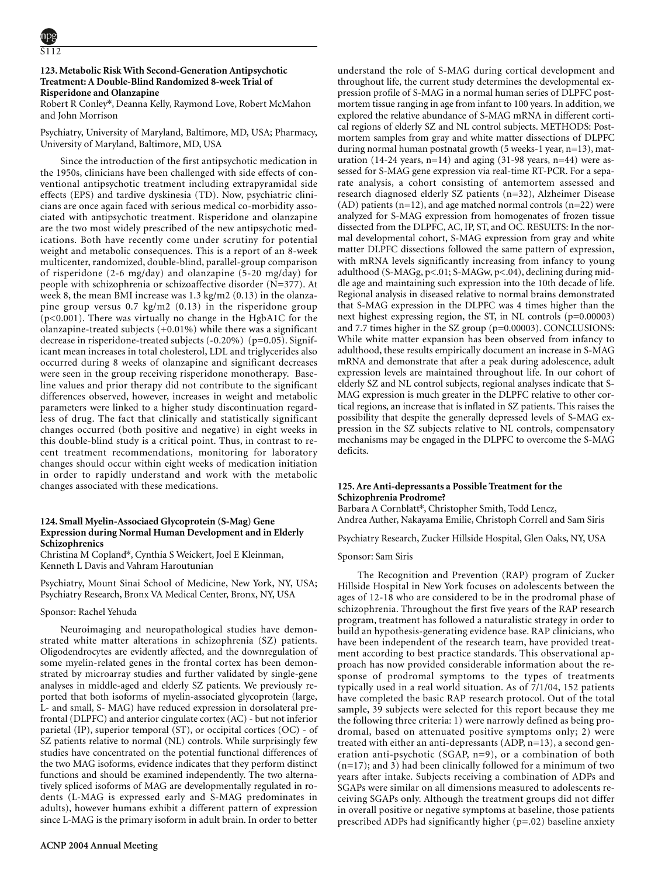# **123. Metabolic Risk With Second-Generation Antipsychotic Treatment: A Double-Blind Randomized 8-week Trial of Risperidone and Olanzapine**

Robert R Conley\*, Deanna Kelly, Raymond Love, Robert McMahon and John Morrison

Psychiatry, University of Maryland, Baltimore, MD, USA; Pharmacy, University of Maryland, Baltimore, MD, USA

Since the introduction of the first antipsychotic medication in the 1950s, clinicians have been challenged with side effects of conventional antipsychotic treatment including extrapyramidal side effects (EPS) and tardive dyskinesia (TD). Now, psychiatric clinicians are once again faced with serious medical co-morbidity associated with antipsychotic treatment. Risperidone and olanzapine are the two most widely prescribed of the new antipsychotic medications. Both have recently come under scrutiny for potential weight and metabolic consequences. This is a report of an 8-week multicenter, randomized, double-blind, parallel-group comparison of risperidone (2-6 mg/day) and olanzapine (5-20 mg/day) for people with schizophrenia or schizoaffective disorder (N=377). At week 8, the mean BMI increase was 1.3 kg/m2 (0.13) in the olanzapine group versus 0.7 kg/m2 (0.13) in the risperidone group (p<0.001). There was virtually no change in the HgbA1C for the olanzapine-treated subjects (+0.01%) while there was a significant decrease in risperidone-treated subjects (-0.20%) (p=0.05). Significant mean increases in total cholesterol, LDL and triglycerides also occurred during 8 weeks of olanzapine and significant decreases were seen in the group receiving risperidone monotherapy. Baseline values and prior therapy did not contribute to the significant differences observed, however, increases in weight and metabolic parameters were linked to a higher study discontinuation regardless of drug. The fact that clinically and statistically significant changes occurred (both positive and negative) in eight weeks in this double-blind study is a critical point. Thus, in contrast to recent treatment recommendations, monitoring for laboratory changes should occur within eight weeks of medication initiation in order to rapidly understand and work with the metabolic changes associated with these medications.

### **124. Small Myelin-Associaed Glycoprotein (S-Mag) Gene Expression during Normal Human Development and in Elderly Schizophrenics**

Christina M Copland\*, Cynthia S Weickert, Joel E Kleinman, Kenneth L Davis and Vahram Haroutunian

Psychiatry, Mount Sinai School of Medicine, New York, NY, USA; Psychiatry Research, Bronx VA Medical Center, Bronx, NY, USA

# Sponsor: Rachel Yehuda

Neuroimaging and neuropathological studies have demonstrated white matter alterations in schizophrenia (SZ) patients. Oligodendrocytes are evidently affected, and the downregulation of some myelin-related genes in the frontal cortex has been demonstrated by microarray studies and further validated by single-gene analyses in middle-aged and elderly SZ patients. We previously reported that both isoforms of myelin-associated glycoprotein (large, L- and small, S- MAG) have reduced expression in dorsolateral prefrontal (DLPFC) and anterior cingulate cortex (AC) - but not inferior parietal (IP), superior temporal (ST), or occipital cortices (OC) - of SZ patients relative to normal (NL) controls. While surprisingly few studies have concentrated on the potential functional differences of the two MAG isoforms, evidence indicates that they perform distinct functions and should be examined independently. The two alternatively spliced isoforms of MAG are developmentally regulated in rodents (L-MAG is expressed early and S-MAG predominates in adults), however humans exhibit a different pattern of expression since L-MAG is the primary isoform in adult brain. In order to better understand the role of S-MAG during cortical development and throughout life, the current study determines the developmental expression profile of S-MAG in a normal human series of DLPFC postmortem tissue ranging in age from infant to 100 years. In addition, we explored the relative abundance of S-MAG mRNA in different cortical regions of elderly SZ and NL control subjects. METHODS: Postmortem samples from gray and white matter dissections of DLPFC during normal human postnatal growth (5 weeks-1 year, n=13), maturation (14-24 years,  $n=14$ ) and aging (31-98 years,  $n=44$ ) were assessed for S-MAG gene expression via real-time RT-PCR. For a separate analysis, a cohort consisting of antemortem assessed and research diagnosed elderly SZ patients (n=32), Alzheimer Disease  $(AD)$  patients  $(n=12)$ , and age matched normal controls  $(n=22)$  were analyzed for S-MAG expression from homogenates of frozen tissue dissected from the DLPFC, AC, IP, ST, and OC. RESULTS: In the normal developmental cohort, S-MAG expression from gray and white matter DLPFC dissections followed the same pattern of expression, with mRNA levels significantly increasing from infancy to young adulthood (S-MAGg, p<.01; S-MAGw, p<.04), declining during middle age and maintaining such expression into the 10th decade of life. Regional analysis in diseased relative to normal brains demonstrated that S-MAG expression in the DLPFC was 4 times higher than the next highest expressing region, the ST, in NL controls (p=0.00003) and 7.7 times higher in the SZ group (p=0.00003). CONCLUSIONS: While white matter expansion has been observed from infancy to adulthood, these results empirically document an increase in S-MAG mRNA and demonstrate that after a peak during adolescence, adult expression levels are maintained throughout life. In our cohort of elderly SZ and NL control subjects, regional analyses indicate that S-MAG expression is much greater in the DLPFC relative to other cortical regions, an increase that is inflated in SZ patients. This raises the possibility that despite the generally depressed levels of S-MAG expression in the SZ subjects relative to NL controls, compensatory mechanisms may be engaged in the DLPFC to overcome the S-MAG deficits.

# **125. Are Anti-depressants a Possible Treatment for the Schizophrenia Prodrome?**

Barbara A Cornblatt\*, Christopher Smith, Todd Lencz, Andrea Auther, Nakayama Emilie, Christoph Correll and Sam Siris

Psychiatry Research, Zucker Hillside Hospital, Glen Oaks, NY, USA

#### Sponsor: Sam Siris

The Recognition and Prevention (RAP) program of Zucker Hillside Hospital in New York focuses on adolescents between the ages of 12-18 who are considered to be in the prodromal phase of schizophrenia. Throughout the first five years of the RAP research program, treatment has followed a naturalistic strategy in order to build an hypothesis-generating evidence base. RAP clinicians, who have been independent of the research team, have provided treatment according to best practice standards. This observational approach has now provided considerable information about the response of prodromal symptoms to the types of treatments typically used in a real world situation. As of 7/1/04, 152 patients have completed the basic RAP research protocol. Out of the total sample, 39 subjects were selected for this report because they me the following three criteria: 1) were narrowly defined as being prodromal, based on attenuated positive symptoms only; 2) were treated with either an anti-depressants (ADP, n=13), a second generation anti-psychotic (SGAP, n=9), or a combination of both (n=17); and 3) had been clinically followed for a minimum of two years after intake. Subjects receiving a combination of ADPs and SGAPs were similar on all dimensions measured to adolescents receiving SGAPs only. Although the treatment groups did not differ in overall positive or negative symptoms at baseline, those patients prescribed ADPs had significantly higher (p=.02) baseline anxiety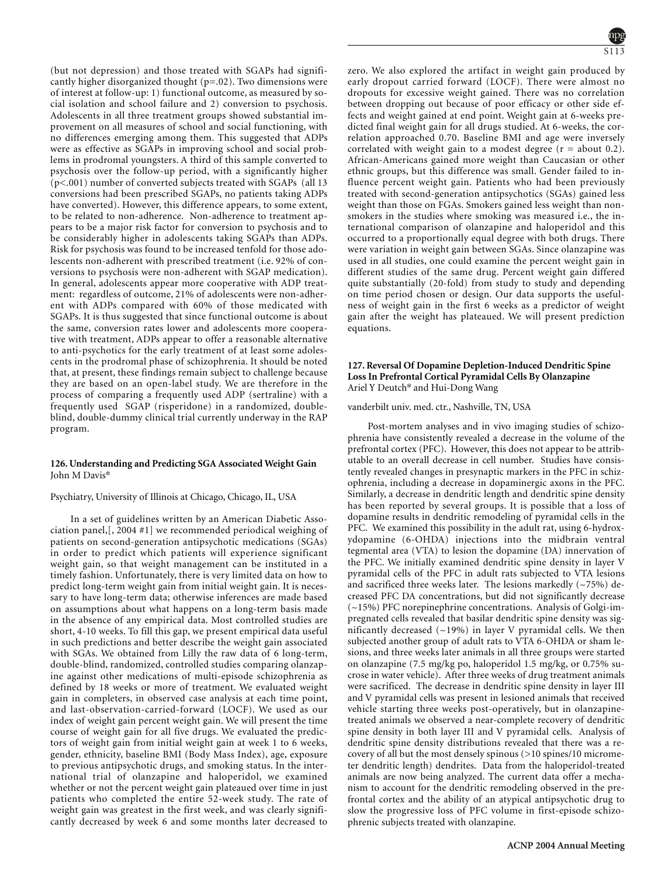(but not depression) and those treated with SGAPs had significantly higher disorganized thought (p=.02). Two dimensions were of interest at follow-up: 1) functional outcome, as measured by social isolation and school failure and 2) conversion to psychosis. Adolescents in all three treatment groups showed substantial improvement on all measures of school and social functioning, with no differences emerging among them. This suggested that ADPs were as effective as SGAPs in improving school and social problems in prodromal youngsters. A third of this sample converted to psychosis over the follow-up period, with a significantly higher (p<.001) number of converted subjects treated with SGAPs (all 13 conversions had been prescribed SGAPs, no patients taking ADPs have converted). However, this difference appears, to some extent, to be related to non-adherence. Non-adherence to treatment appears to be a major risk factor for conversion to psychosis and to be considerably higher in adolescents taking SGAPs than ADPs. Risk for psychosis was found to be increased tenfold for those adolescents non-adherent with prescribed treatment (i.e. 92% of conversions to psychosis were non-adherent with SGAP medication). In general, adolescents appear more cooperative with ADP treatment: regardless of outcome, 21% of adolescents were non-adherent with ADPs compared with 60% of those medicated with SGAPs. It is thus suggested that since functional outcome is about the same, conversion rates lower and adolescents more cooperative with treatment, ADPs appear to offer a reasonable alternative to anti-psychotics for the early treatment of at least some adolescents in the prodromal phase of schizophrenia. It should be noted that, at present, these findings remain subject to challenge because they are based on an open-label study. We are therefore in the process of comparing a frequently used ADP (sertraline) with a frequently used SGAP (risperidone) in a randomized, doubleblind, double-dummy clinical trial currently underway in the RAP program.

### **126. Understanding and Predicting SGA Associated Weight Gain** John M Davis\*

### Psychiatry, University of Illinois at Chicago, Chicago, IL, USA

Antidepressant; Psychosis; Schizophrenia

In a set of guidelines written by an American Diabetic Association panel,[, 2004 #1] we recommended periodical weighing of patients on second-generation antipsychotic medications (SGAs) in order to predict which patients will experience significant weight gain, so that weight management can be instituted in a timely fashion. Unfortunately, there is very limited data on how to predict long-term weight gain from initial weight gain. It is necessary to have long-term data; otherwise inferences are made based on assumptions about what happens on a long-term basis made in the absence of any empirical data. Most controlled studies are short, 4-10 weeks. To fill this gap, we present empirical data useful in such predictions and better describe the weight gain associated with SGAs. We obtained from Lilly the raw data of 6 long-term, double-blind, randomized, controlled studies comparing olanzapine against other medications of multi-episode schizophrenia as defined by 18 weeks or more of treatment. We evaluated weight gain in completers, in observed case analysis at each time point, and last-observation-carried-forward (LOCF). We used as our index of weight gain percent weight gain. We will present the time course of weight gain for all five drugs. We evaluated the predictors of weight gain from initial weight gain at week 1 to 6 weeks, gender, ethnicity, baseline BMI (Body Mass Index), age, exposure to previous antipsychotic drugs, and smoking status. In the international trial of olanzapine and haloperidol, we examined whether or not the percent weight gain plateaued over time in just patients who completed the entire 52-week study. The rate of weight gain was greatest in the first week, and was clearly significantly decreased by week 6 and some months later decreased to

zero. We also explored the artifact in weight gain produced by early dropout carried forward (LOCF). There were almost no dropouts for excessive weight gained. There was no correlation between dropping out because of poor efficacy or other side effects and weight gained at end point. Weight gain at 6-weeks predicted final weight gain for all drugs studied. At 6-weeks, the correlation approached 0.70. Baseline BMI and age were inversely correlated with weight gain to a modest degree  $(r = about 0.2)$ . African-Americans gained more weight than Caucasian or other ethnic groups, but this difference was small. Gender failed to influence percent weight gain. Patients who had been previously treated with second-generation antipsychotics (SGAs) gained less weight than those on FGAs. Smokers gained less weight than nonsmokers in the studies where smoking was measured i.e., the international comparison of olanzapine and haloperidol and this occurred to a proportionally equal degree with both drugs. There were variation in weight gain between SGAs. Since olanzapine was used in all studies, one could examine the percent weight gain in different studies of the same drug. Percent weight gain differed quite substantially (20-fold) from study to study and depending on time period chosen or design. Our data supports the usefulness of weight gain in the first 6 weeks as a predictor of weight gain after the weight has plateaued. We will present prediction equations. Clozapine; Olanzapine ; Quetiapine (Seroquel)

# **127. Reversal Of Dopamine Depletion-Induced Dendritic Spine Loss In Prefrontal Cortical Pyramidal Cells By Olanzapine** Ariel Y Deutch\* and Hui-Dong Wang

vanderbilt univ. med. ctr., Nashville, TN, USA

Post-mortem analyses and in vivo imaging studies of schizophrenia have consistently revealed a decrease in the volume of the prefrontal cortex (PFC). However, this does not appear to be attributable to an overall decrease in cell number. Studies have consistently revealed changes in presynaptic markers in the PFC in schizophrenia, including a decrease in dopaminergic axons in the PFC. Similarly, a decrease in dendritic length and dendritic spine density has been reported by several groups. It is possible that a loss of dopamine results in dendritic remodeling of pyramidal cells in the PFC. We examined this possibility in the adult rat, using 6-hydroxydopamine (6-OHDA) injections into the midbrain ventral tegmental area (VTA) to lesion the dopamine (DA) innervation of the PFC. We initially examined dendritic spine density in layer V pyramidal cells of the PFC in adult rats subjected to VTA lesions and sacrificed three weeks later. The lesions markedly  $(-75%)$  decreased PFC DA concentrations, but did not significantly decrease (~15%) PFC norepinephrine concentrations. Analysis of Golgi-impregnated cells revealed that basilar dendritic spine density was significantly decreased  $(-19%)$  in layer V pyramidal cells. We then subjected another group of adult rats to VTA 6-OHDA or sham lesions, and three weeks later animals in all three groups were started on olanzapine (7.5 mg/kg po, haloperidol 1.5 mg/kg, or 0.75% sucrose in water vehicle). After three weeks of drug treatment animals were sacrificed. The decrease in dendritic spine density in layer III and V pyramidal cells was present in lesioned animals that received vehicle starting three weeks post-operatively, but in olanzapinetreated animals we observed a near-complete recovery of dendritic spine density in both layer III and V pyramidal cells. Analysis of dendritic spine density distributions revealed that there was a recovery of all but the most densely spinous (>10 spines/10 micrometer dendritic length) dendrites. Data from the haloperidol-treated animals are now being analyzed. The current data offer a mechanism to account for the dendritic remodeling observed in the prefrontal cortex and the ability of an atypical antipsychotic drug to slow the progressive loss of PFC volume in first-episode schizophrenic subjects treated with olanzapine.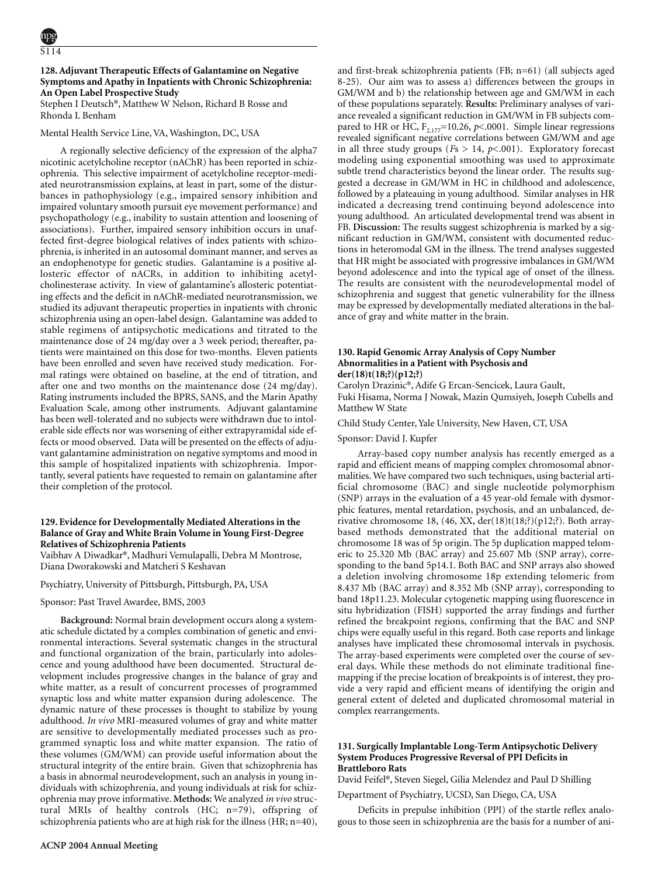# **128. Adjuvant Therapeutic Effects of Galantamine on Negative Symptoms and Apathy in Inpatients with Chronic Schizophrenia: An Open Label Prospective Study**

Stephen I Deutsch\*, Matthew W Nelson, Richard B Rosse and Rhonda L Benham

### Mental Health Service Line, VA, Washington, DC, USA

A regionally selective deficiency of the expression of the alpha7 nicotinic acetylcholine receptor (nAChR) has been reported in schizophrenia. This selective impairment of acetylcholine receptor-mediated neurotransmission explains, at least in part, some of the disturbances in pathophysiology (e.g., impaired sensory inhibition and impaired voluntary smooth pursuit eye movement performance) and psychopathology (e.g., inability to sustain attention and loosening of associations). Further, impaired sensory inhibition occurs in unaffected first-degree biological relatives of index patients with schizophrenia, is inherited in an autosomal dominant manner, and serves as an endophenotype for genetic studies. Galantamine is a positive allosteric effector of nACRs, in addition to inhibiting acetylcholinesterase activity. In view of galantamine's allosteric potentiating effects and the deficit in nAChR-mediated neurotransmission, we studied its adjuvant therapeutic properties in inpatients with chronic schizophrenia using an open-label design. Galantamine was added to stable regimens of antipsychotic medications and titrated to the maintenance dose of 24 mg/day over a 3 week period; thereafter, patients were maintained on this dose for two-months. Eleven patients have been enrolled and seven have received study medication. Formal ratings were obtained on baseline, at the end of titration, and after one and two months on the maintenance dose (24 mg/day). Rating instruments included the BPRS, SANS, and the Marin Apathy Evaluation Scale, among other instruments. Adjuvant galantamine has been well-tolerated and no subjects were withdrawn due to intolerable side effects nor was worsening of either extrapyramidal side effects or mood observed. Data will be presented on the effects of adjuvant galantamine administration on negative symptoms and mood in this sample of hospitalized inpatients with schizophrenia. Importantly, several patients have requested to remain on galantamine after their completion of the protocol.

### **129. Evidence for Developmentally Mediated Alterations in the Balance of Gray and White Brain Volume in Young First-Degree Relatives of Schizophrenia Patients**

Vaibhav A Diwadkar\*, Madhuri Vemulapalli, Debra M Montrose, Diana Dworakowski and Matcheri S Keshavan

### Psychiatry, University of Pittsburgh, Pittsburgh, PA, USA

#### Sponsor: Past Travel Awardee, BMS, 2003

**Background:** Normal brain development occurs along a systematic schedule dictated by a complex combination of genetic and environmental interactions. Several systematic changes in the structural and functional organization of the brain, particularly into adolescence and young adulthood have been documented. Structural development includes progressive changes in the balance of gray and white matter, as a result of concurrent processes of programmed synaptic loss and white matter expansion during adolescence. The dynamic nature of these processes is thought to stabilize by young adulthood. *In vivo* MRI-measured volumes of gray and white matter are sensitive to developmentally mediated processes such as programmed synaptic loss and white matter expansion. The ratio of these volumes (GM/WM) can provide useful information about the structural integrity of the entire brain. Given that schizophrenia has a basis in abnormal neurodevelopment, such an analysis in young individuals with schizophrenia, and young individuals at risk for schizophrenia may prove informative. **Methods:** We analyzed *in vivo* structural MRIs of healthy controls (HC; n=79), offspring of schizophrenia patients who are at high risk for the illness (HR; n=40), and first-break schizophrenia patients (FB; n=61) (all subjects aged 8-25). Our aim was to assess a) differences between the groups in GM/WM and b) the relationship between age and GM/WM in each of these populations separately. **Results:** Preliminary analyses of variance revealed a significant reduction in GM/WM in FB subjects compared to HR or HC,  $F_{2,177}$ =10.26, *p*<.0001. Simple linear regressions revealed significant negative correlations between GM/WM and age in all three study groups ( $Fs > 14$ ,  $p < .001$ ). Exploratory forecast modeling using exponential smoothing was used to approximate subtle trend characteristics beyond the linear order. The results suggested a decrease in GM/WM in HC in childhood and adolescence, followed by a plateauing in young adulthood. Similar analyses in HR indicated a decreasing trend continuing beyond adolescence into young adulthood. An articulated developmental trend was absent in FB. **Discussion:** The results suggest schizophrenia is marked by a significant reduction in GM/WM, consistent with documented reductions in heteromodal GM in the illness. The trend analyses suggested that HR might be associated with progressive imbalances in GM/WM beyond adolescence and into the typical age of onset of the illness. The results are consistent with the neurodevelopmental model of schizophrenia and suggest that genetic vulnerability for the illness may be expressed by developmentally mediated alterations in the balance of gray and white matter in the brain.

# **130. Rapid Genomic Array Analysis of Copy Number Abnormalities in a Patient with Psychosis and der(18)t(18;?)(p12;?)**

Carolyn Drazinic\*, Adife G Ercan-Sencicek, Laura Gault, Fuki Hisama, Norma J Nowak, Mazin Qumsiyeh, Joseph Cubells and Matthew W State

#### Child Study Center, Yale University, New Haven, CT, USA

#### Sponsor: David J. Kupfer

Array-based copy number analysis has recently emerged as a rapid and efficient means of mapping complex chromosomal abnormalities. We have compared two such techniques, using bacterial artificial chromosome (BAC) and single nucleotide polymorphism (SNP) arrays in the evaluation of a 45 year-old female with dysmorphic features, mental retardation, psychosis, and an unbalanced, derivative chromosome 18, (46, XX, der(18)t(18;?)(p12;?). Both arraybased methods demonstrated that the additional material on chromosome 18 was of 5p origin. The 5p duplication mapped telomeric to 25.320 Mb (BAC array) and 25.607 Mb (SNP array), corresponding to the band 5p14.1. Both BAC and SNP arrays also showed a deletion involving chromosome 18p extending telomeric from 8.437 Mb (BAC array) and 8.352 Mb (SNP array), corresponding to band 18p11.23. Molecular cytogenetic mapping using fluorescence in situ hybridization (FISH) supported the array findings and further refined the breakpoint regions, confirming that the BAC and SNP chips were equally useful in this regard. Both case reports and linkage analyses have implicated these chromosomal intervals in psychosis. The array-based experiments were completed over the course of several days. While these methods do not eliminate traditional finemapping if the precise location of breakpoints is of interest, they provide a very rapid and efficient means of identifying the origin and general extent of deleted and duplicated chromosomal material in complex rearrangements.

### **131. Surgically Implantable Long-Term Antipsychotic Delivery System Produces Progressive Reversal of PPI Deficits in Brattleboro Rats**

David Feifel\*, Steven Siegel, Gilia Melendez and Paul D Shilling

Department of Psychiatry, UCSD, San Diego, CA, USA

Deficits in prepulse inhibition (PPI) of the startle reflex analogous to those seen in schizophrenia are the basis for a number of ani-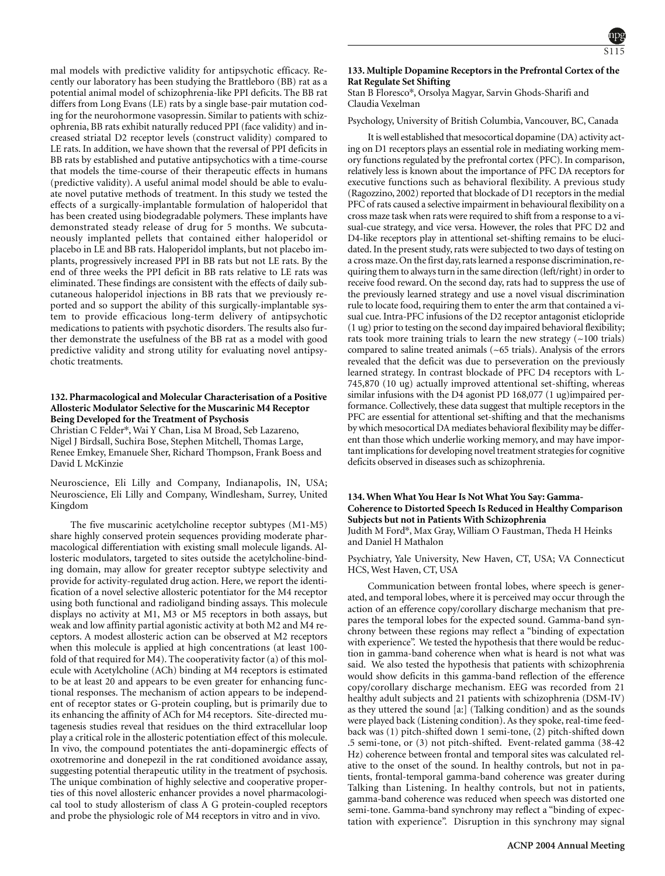mal models with predictive validity for antipsychotic efficacy. Recently our laboratory has been studying the Brattleboro (BB) rat as a potential animal model of schizophrenia-like PPI deficits. The BB rat differs from Long Evans (LE) rats by a single base-pair mutation coding for the neurohormone vasopressin. Similar to patients with schizophrenia, BB rats exhibit naturally reduced PPI (face validity) and increased striatal D2 receptor levels (construct validity) compared to LE rats. In addition, we have shown that the reversal of PPI deficits in BB rats by established and putative antipsychotics with a time-course that models the time-course of their therapeutic effects in humans (predictive validity). A useful animal model should be able to evaluate novel putative methods of treatment. In this study we tested the effects of a surgically-implantable formulation of haloperidol that has been created using biodegradable polymers. These implants have demonstrated steady release of drug for 5 months. We subcutaneously implanted pellets that contained either haloperidol or placebo in LE and BB rats. Haloperidol implants, but not placebo implants, progressively increased PPI in BB rats but not LE rats. By the end of three weeks the PPI deficit in BB rats relative to LE rats was eliminated. These findings are consistent with the effects of daily subcutaneous haloperidol injections in BB rats that we previously reported and so support the ability of this surgically-implantable system to provide efficacious long-term delivery of antipsychotic medications to patients with psychotic disorders. The results also further demonstrate the usefulness of the BB rat as a model with good predictive validity and strong utility for evaluating novel antipsychotic treatments.

### **132. Pharmacological and Molecular Characterisation of a Positive Allosteric Modulator Selective for the Muscarinic M4 Receptor Being Developed for the Treatment of Psychosis**

Christian C Felder\*, Wai Y Chan, Lisa M Broad, Seb Lazareno, Nigel J Birdsall, Suchira Bose, Stephen Mitchell, Thomas Large, Renee Emkey, Emanuele Sher, Richard Thompson, Frank Boess and David L McKinzie

Neuroscience, Eli Lilly and Company, Indianapolis, IN, USA; Neuroscience, Eli Lilly and Company, Windlesham, Surrey, United Kingdom

The five muscarinic acetylcholine receptor subtypes (M1-M5) share highly conserved protein sequences providing moderate pharmacological differentiation with existing small molecule ligands. Allosteric modulators, targeted to sites outside the acetylcholine-binding domain, may allow for greater receptor subtype selectivity and provide for activity-regulated drug action. Here, we report the identification of a novel selective allosteric potentiator for the M4 receptor using both functional and radioligand binding assays. This molecule displays no activity at M1, M3 or M5 receptors in both assays, but weak and low affinity partial agonistic activity at both M2 and M4 receptors. A modest allosteric action can be observed at M2 receptors when this molecule is applied at high concentrations (at least 100 fold of that required for M4). The cooperativity factor (a) of this molecule with Acetylcholine (ACh) binding at M4 receptors is estimated to be at least 20 and appears to be even greater for enhancing functional responses. The mechanism of action appears to be independent of receptor states or G-protein coupling, but is primarily due to its enhancing the affinity of ACh for M4 receptors. Site-directed mutagenesis studies reveal that residues on the third extracellular loop play a critical role in the allosteric potentiation effect of this molecule. In vivo, the compound potentiates the anti-dopaminergic effects of oxotremorine and donepezil in the rat conditioned avoidance assay, suggesting potential therapeutic utility in the treatment of psychosis. The unique combination of highly selective and cooperative properties of this novel allosteric enhancer provides a novel pharmacological tool to study allosterism of class A G protein-coupled receptors and probe the physiologic role of M4 receptors in vitro and in vivo.

# **133. Multiple Dopamine Receptors in the Prefrontal Cortex of the Rat Regulate Set Shifting**

Stan B Floresco\*, Orsolya Magyar, Sarvin Ghods-Sharifi and Claudia Vexelman

# Psychology, University of British Columbia, Vancouver, BC, Canada

It is well established that mesocortical dopamine (DA) activity acting on D1 receptors plays an essential role in mediating working memory functions regulated by the prefrontal cortex (PFC). In comparison, relatively less is known about the importance of PFC DA receptors for executive functions such as behavioral flexibility. A previous study (Ragozzino, 2002) reported that blockade of D1 receptors in the medial PFC of rats caused a selective impairment in behavioural flexibility on a cross maze task when rats were required to shift from a response to a visual-cue strategy, and vice versa. However, the roles that PFC D2 and D4-like receptors play in attentional set-shifting remains to be elucidated. In the present study, rats were subjected to two days of testing on a cross maze. On the first day, rats learned a response discrimination, requiring them to always turn in the same direction (left/right) in order to receive food reward. On the second day, rats had to suppress the use of the previously learned strategy and use a novel visual discrimination rule to locate food, requiring them to enter the arm that contained a visual cue. Intra-PFC infusions of the D2 receptor antagonist eticlopride (1 ug) prior to testing on the second day impaired behavioral flexibility; rats took more training trials to learn the new strategy  $(-100 \text{ trials})$ compared to saline treated animals (~65 trials). Analysis of the errors revealed that the deficit was due to perseveration on the previously learned strategy. In contrast blockade of PFC D4 receptors with L-745,870 (10 ug) actually improved attentional set-shifting, whereas similar infusions with the D4 agonist PD 168,077 (1 ug)impaired performance. Collectively, these data suggest that multiple receptors in the PFC are essential for attentional set-shifting and that the mechanisms bywhich mesocortical DA mediates behavioral flexibility may be different than those which underlie working memory, and may have important implications for developing novel treatment strategies for cognitive deficits observed in diseases such as schizophrenia.

### **134. When What You Hear Is Not What You Say: Gamma-Coherence to Distorted Speech Is Reduced in Healthy Comparison Subjects but not in Patients With Schizophrenia** Judith M Ford\*, Max Gray, William O Faustman, Theda H Heinks and Daniel H Mathalon

Psychiatry, Yale University, New Haven, CT, USA; VA Connecticut HCS, West Haven, CT, USA

Communication between frontal lobes, where speech is generated, and temporal lobes, where it is perceived may occur through the action of an efference copy/corollary discharge mechanism that prepares the temporal lobes for the expected sound. Gamma-band synchrony between these regions may reflect a "binding of expectation with experience". We tested the hypothesis that there would be reduction in gamma-band coherence when what is heard is not what was said. We also tested the hypothesis that patients with schizophrenia would show deficits in this gamma-band reflection of the efference copy/corollary discharge mechanism. EEG was recorded from 21 healthy adult subjects and 21 patients with schizophrenia (DSM-IV) as they uttered the sound [a:] (Talking condition) and as the sounds were played back (Listening condition). As they spoke, real-time feedback was (1) pitch-shifted down 1 semi-tone, (2) pitch-shifted down .5 semi-tone, or (3) not pitch-shifted. Event-related gamma (38-42 Hz) coherence between frontal and temporal sites was calculated relative to the onset of the sound. In healthy controls, but not in patients, frontal-temporal gamma-band coherence was greater during Talking than Listening. In healthy controls, but not in patients, gamma-band coherence was reduced when speech was distorted one semi-tone. Gamma-band synchrony may reflect a "binding of expectation with experience". Disruption in this synchrony may signal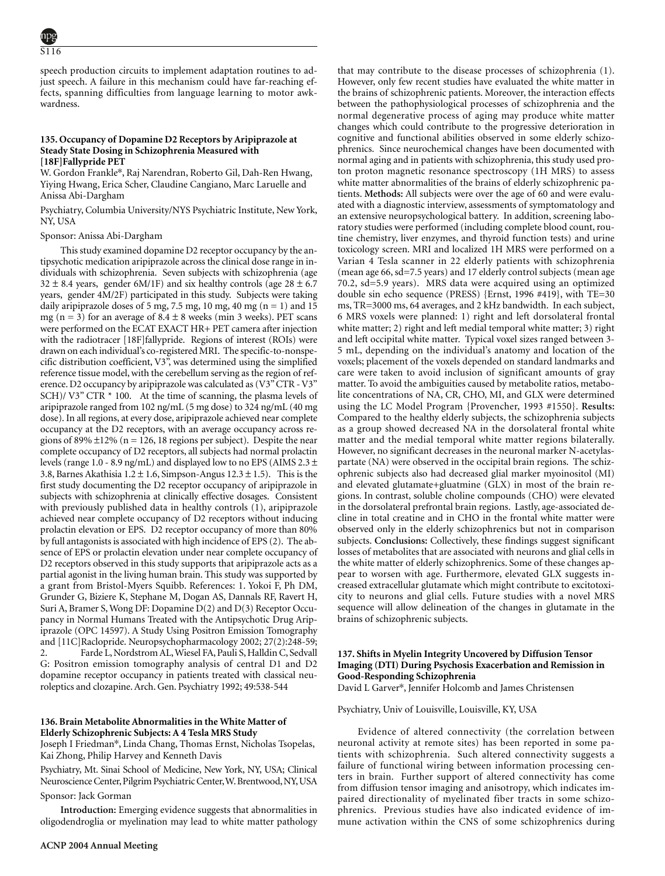speech production circuits to implement adaptation routines to adjust speech. A failure in this mechanism could have far-reaching effects, spanning difficulties from language learning to motor awkwardness.

# **135. Occupancy of Dopamine D2 Receptors by Aripiprazole at Steady State Dosing in Schizophrenia Measured with [18F]Fallypride PET**

W. Gordon Frankle\*, Raj Narendran, Roberto Gil, Dah-Ren Hwang, Yiying Hwang, Erica Scher, Claudine Cangiano, Marc Laruelle and Anissa Abi-Dargham

Psychiatry, Columbia University/NYS Psychiatric Institute, New York, NY, USA

# Sponsor: Anissa Abi-Dargham

This study examined dopamine D2 receptor occupancy by the antipsychotic medication aripiprazole across the clinical dose range in individuals with schizophrenia. Seven subjects with schizophrenia (age  $32 \pm 8.4$  years, gender 6M/1F) and six healthy controls (age  $28 \pm 6.7$ years, gender 4M/2F) participated in this study. Subjects were taking daily aripiprazole doses of 5 mg, 7.5 mg, 10 mg, 40 mg (n = 1) and 15 mg (n = 3) for an average of  $8.4 \pm 8$  weeks (min 3 weeks). PET scans were performed on the ECAT EXACT HR+ PET camera after injection with the radiotracer [18F]fallypride. Regions of interest (ROIs) were drawn on each individual's co-registered MRI. The specific-to-nonspecific distribution coefficient, V3", was determined using the simplified reference tissue model, with the cerebellum serving as the region of reference. D2 occupancy by aripiprazole was calculated as (V3" CTR - V3" SCH)/ V3" CTR \* 100. At the time of scanning, the plasma levels of aripiprazole ranged from 102 ng/mL (5 mg dose) to 324 ng/mL (40 mg dose). In all regions, at every dose, aripiprazole achieved near complete occupancy at the D2 receptors, with an average occupancy across regions of 89%  $\pm$ 12% (n = 126, 18 regions per subject). Despite the near complete occupancy of D2 receptors, all subjects had normal prolactin levels (range 1.0 - 8.9 ng/mL) and displayed low to no EPS (AIMS  $2.3 \pm$ 3.8, Barnes Akathisia  $1.2 \pm 1.6$ , Simpson-Angus  $12.3 \pm 1.5$ ). This is the first study documenting the D2 receptor occupancy of aripiprazole in subjects with schizophrenia at clinically effective dosages. Consistent with previously published data in healthy controls (1), aripiprazole achieved near complete occupancy of D2 receptors without inducing prolactin elevation or EPS. D2 receptor occupancy of more than 80% by full antagonists is associated with high incidence of EPS (2). The absence of EPS or prolactin elevation under near complete occupancy of D2 receptors observed in this study supports that aripiprazole acts as a partial agonist in the living human brain. This study was supported by a grant from Bristol-Myers Squibb. References: 1. Yokoi F, Ph DM, Grunder G, Biziere K, Stephane M, Dogan AS, Dannals RF, Ravert H, Suri A, Bramer S, Wong DF: Dopamine D(2) and D(3) Receptor Occupancy in Normal Humans Treated with the Antipsychotic Drug Aripiprazole (OPC 14597). A Study Using Positron Emission Tomography and [11C]Raclopride. Neuropsychopharmacology 2002; 27(2):248-59; 2. Farde L, Nordstrom AL, Wiesel FA, Pauli S, Halldin C, Sedvall G: Positron emission tomography analysis of central D1 and D2 dopamine receptor occupancy in patients treated with classical neuroleptics and clozapine. Arch. Gen. Psychiatry 1992; 49:538-544

### **136. Brain Metabolite Abnormalities in the White Matter of Elderly Schizophrenic Subjects: A 4 Tesla MRS Study**

Joseph I Friedman\*, Linda Chang, Thomas Ernst, Nicholas Tsopelas, Kai Zhong, Philip Harvey and Kenneth Davis

Psychiatry, Mt. Sinai School of Medicine, New York, NY, USA; Clinical Neuroscience Center,Pilgrim Psychiatric Center,W.Brentwood,NY,USA

Sponsor: Jack Gorman

**Introduction:** Emerging evidence suggests that abnormalities in oligodendroglia or myelination may lead to white matter pathology that may contribute to the disease processes of schizophrenia (1). However, only few recent studies have evaluated the white matter in the brains of schizophrenic patients. Moreover, the interaction effects between the pathophysiological processes of schizophrenia and the normal degenerative process of aging may produce white matter changes which could contribute to the progressive deterioration in cognitive and functional abilities observed in some elderly schizophrenics. Since neurochemical changes have been documented with normal aging and in patients with schizophrenia, this study used proton proton magnetic resonance spectroscopy (1H MRS) to assess white matter abnormalities of the brains of elderly schizophrenic patients. **Methods:** All subjects were over the age of 60 and were evaluated with a diagnostic interview, assessments of symptomatology and an extensive neuropsychological battery. In addition, screening laboratory studies were performed (including complete blood count, routine chemistry, liver enzymes, and thyroid function tests) and urine toxicology screen. MRI and localized 1H MRS were performed on a Varian 4 Tesla scanner in 22 elderly patients with schizophrenia (mean age 66, sd=7.5 years) and 17 elderly control subjects (mean age 70.2, sd=5.9 years). MRS data were acquired using an optimized double sin echo sequence (PRESS) {Ernst, 1996 #419}, with TE=30 ms, TR=3000 ms, 64 averages, and 2 kHz bandwidth. In each subject, 6 MRS voxels were planned: 1) right and left dorsolateral frontal white matter; 2) right and left medial temporal white matter; 3) right and left occipital white matter. Typical voxel sizes ranged between 3- 5 mL, depending on the individual's anatomy and location of the voxels; placement of the voxels depended on standard landmarks and care were taken to avoid inclusion of significant amounts of gray matter. To avoid the ambiguities caused by metabolite ratios, metabolite concentrations of NA, CR, CHO, MI, and GLX were determined using the LC Model Program {Provencher, 1993 #1550}. **Results:** Compared to the healthy elderly subjects, the schizophrenia subjects as a group showed decreased NA in the dorsolateral frontal white matter and the medial temporal white matter regions bilaterally. However, no significant decreases in the neuronal marker N-acetylaspartate (NA) were observed in the occipital brain regions. The schizophrenic subjects also had decreased glial marker myoinositol (MI) and elevated glutamate+gluatmine (GLX) in most of the brain regions. In contrast, soluble choline compounds (CHO) were elevated in the dorsolateral prefrontal brain regions. Lastly, age-associated decline in total creatine and in CHO in the frontal white matter were observed only in the elderly schizophrenics but not in comparison subjects. **Conclusions:** Collectively, these findings suggest significant losses of metabolites that are associated with neurons and glial cells in the white matter of elderly schizophrenics. Some of these changes appear to worsen with age. Furthermore, elevated GLX suggests increased extracellular glutamate which might contribute to excitotoxicity to neurons and glial cells. Future studies with a novel MRS sequence will allow delineation of the changes in glutamate in the brains of schizophrenic subjects.

# **137. Shifts in Myelin Integrity Uncovered by Diffusion Tensor Imaging (DTI) During Psychosis Exacerbation and Remission in Good-Responding Schizophrenia**

David L Garver\*, Jennifer Holcomb and James Christensen

Psychiatry, Univ of Louisville, Louisville, KY, USA

Evidence of altered connectivity (the correlation between neuronal activity at remote sites) has been reported in some patients with schizophrenia. Such altered connectivity suggests a failure of functional wiring between information processing centers in brain. Further support of altered connectivity has come from diffusion tensor imaging and anisotropy, which indicates impaired directionality of myelinated fiber tracts in some schizophrenics. Previous studies have also indicated evidence of immune activation within the CNS of some schizophrenics during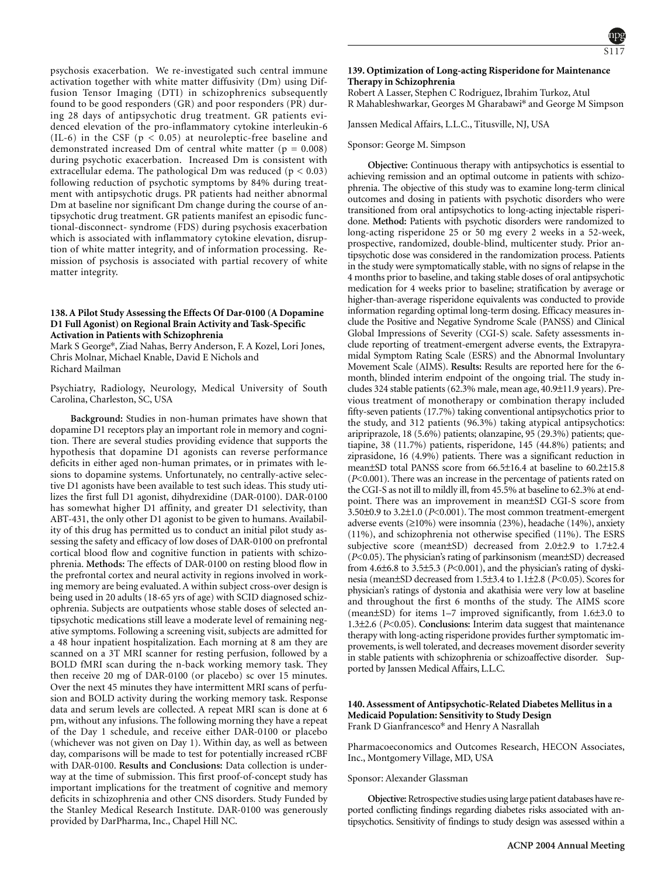psychosis exacerbation. We re-investigated such central immune activation together with white matter diffusivity (Dm) using Diffusion Tensor Imaging (DTI) in schizophrenics subsequently found to be good responders (GR) and poor responders (PR) during 28 days of antipsychotic drug treatment. GR patients evidenced elevation of the pro-inflammatory cytokine interleukin-6 (IL-6) in the CSF ( $p < 0.05$ ) at neuroleptic-free baseline and demonstrated increased Dm of central white matter ( $p = 0.008$ ) during psychotic exacerbation. Increased Dm is consistent with extracellular edema. The pathological Dm was reduced (p < 0.03) following reduction of psychotic symptoms by 84% during treatment with antipsychotic drugs. PR patients had neither abnormal Dm at baseline nor significant Dm change during the course of antipsychotic drug treatment. GR patients manifest an episodic functional-disconnect- syndrome (FDS) during psychosis exacerbation which is associated with inflammatory cytokine elevation, disruption of white matter integrity, and of information processing. Remission of psychosis is associated with partial recovery of white matter integrity.

### **138. A Pilot Study Assessing the Effects Of Dar-0100 (A Dopamine D1 Full Agonist) on Regional Brain Activity and Task-Specific Activation in Patients with Schizophrenia**

Mark S George\*, Ziad Nahas, Berry Anderson, F. A Kozel, Lori Jones, Chris Molnar, Michael Knable, David E Nichols and Richard Mailman

Psychiatry, Radiology, Neurology, Medical University of South Carolina, Charleston, SC, USA

**Background:** Studies in non-human primates have shown that dopamine D1 receptors play an important role in memory and cognition. There are several studies providing evidence that supports the hypothesis that dopamine D1 agonists can reverse performance deficits in either aged non-human primates, or in primates with lesions to dopamine systems. Unfortunately, no centrally-active selective D1 agonists have been available to test such ideas. This study utilizes the first full D1 agonist, dihydrexidine (DAR-0100). DAR-0100 has somewhat higher D1 affinity, and greater D1 selectivity, than ABT-431, the only other D1 agonist to be given to humans. Availability of this drug has permitted us to conduct an initial pilot study assessing the safety and efficacy of low doses of DAR-0100 on prefrontal cortical blood flow and cognitive function in patients with schizophrenia. **Methods:** The effects of DAR-0100 on resting blood flow in the prefrontal cortex and neural activity in regions involved in working memory are being evaluated. A within subject cross-over design is being used in 20 adults (18-65 yrs of age) with SCID diagnosed schizophrenia. Subjects are outpatients whose stable doses of selected antipsychotic medications still leave a moderate level of remaining negative symptoms. Following a screening visit, subjects are admitted for a 48 hour inpatient hospitalization. Each morning at 8 am they are scanned on a 3T MRI scanner for resting perfusion, followed by a BOLD fMRI scan during the n-back working memory task. They then receive 20 mg of DAR-0100 (or placebo) sc over 15 minutes. Over the next 45 minutes they have intermittent MRI scans of perfusion and BOLD activity during the working memory task. Response data and serum levels are collected. A repeat MRI scan is done at 6 pm, without any infusions. The following morning they have a repeat of the Day 1 schedule, and receive either DAR-0100 or placebo (whichever was not given on Day 1). Within day, as well as between day, comparisons will be made to test for potentially increased rCBF with DAR-0100. **Results and Conclusions:** Data collection is underway at the time of submission. This first proof-of-concept study has important implications for the treatment of cognitive and memory deficits in schizophrenia and other CNS disorders. Study Funded by the Stanley Medical Research Institute. DAR-0100 was generously provided by DarPharma, Inc., Chapel Hill NC. Cognition; D1 dopamine receptor; Schizophrenia

# **139. Optimization of Long-acting Risperidone for Maintenance Therapy in Schizophrenia**

Robert A Lasser, Stephen C Rodriguez, Ibrahim Turkoz, Atul R Mahableshwarkar, Georges M Gharabawi\* and George M Simpson

Janssen Medical Affairs, L.L.C., Titusville, NJ, USA

#### Sponsor: George M. Simpson

**Objective:** Continuous therapy with antipsychotics is essential to achieving remission and an optimal outcome in patients with schizophrenia. The objective of this study was to examine long-term clinical outcomes and dosing in patients with psychotic disorders who were transitioned from oral antipsychotics to long-acting injectable risperidone. **Method:** Patients with psychotic disorders were randomized to long-acting risperidone 25 or 50 mg every 2 weeks in a 52-week, prospective, randomized, double-blind, multicenter study. Prior antipsychotic dose was considered in the randomization process. Patients in the study were symptomatically stable, with no signs of relapse in the 4 months prior to baseline, and taking stable doses of oral antipsychotic medication for 4 weeks prior to baseline; stratification by average or higher-than-average risperidone equivalents was conducted to provide information regarding optimal long-term dosing. Efficacy measures include the Positive and Negative Syndrome Scale (PANSS) and Clinical Global Impressions of Severity (CGI-S) scale. Safety assessments include reporting of treatment-emergent adverse events, the Extrapyramidal Symptom Rating Scale (ESRS) and the Abnormal Involuntary Movement Scale (AIMS). **Results:** Results are reported here for the 6 month, blinded interim endpoint of the ongoing trial. The study includes 324 stable patients (62.3% male, mean age, 40.9±11.9 years). Previous treatment of monotherapy or combination therapy included fifty-seven patients (17.7%) taking conventional antipsychotics prior to the study, and 312 patients (96.3%) taking atypical antipsychotics: aripriprazole, 18 (5.6%) patients; olanzapine, 95 (29.3%) patients; quetiapine, 38 (11.7%) patients, risperidone, 145 (44.8%) patients; and ziprasidone, 16 (4.9%) patients. There was a significant reduction in mean±SD total PANSS score from 66.5±16.4 at baseline to 60.2±15.8 (*P*<0.001). There was an increase in the percentage of patients rated on the CGI-S as not ill to mildly ill, from 45.5% at baseline to 62.3% at endpoint. There was an improvement in mean±SD CGI-S score from 3.50±0.9 to 3.2±1.0 (*P*<0.001). The most common treatment-emergent adverse events (≥10%) were insomnia (23%), headache (14%), anxiety (11%), and schizophrenia not otherwise specified (11%). The ESRS subjective score (mean±SD) decreased from 2.0±2.9 to 1.7±2.4 (*P*<0.05). The physician's rating of parkinsonism (mean±SD) decreased from 4.6±6.8 to 3.5±5.3 (*P*<0.001), and the physician's rating of dyskinesia (mean±SD decreased from 1.5±3.4 to 1.1±2.8 (*P*<0.05). Scores for physician's ratings of dystonia and akathisia were very low at baseline and throughout the first 6 months of the study. The AIMS score (mean±SD) for items 1–7 improved significantly, from 1.6±3.0 to 1.3±2.6 (*P*<0.05). **Conclusions:** Interim data suggest that maintenance therapy with long-acting risperidone provides further symptomatic improvements, is well tolerated, and decreases movement disorder severity in stable patients with schizophrenia or schizoaffective disorder. Supported by Janssen Medical Affairs, L.L.C.

### **140. Assessment of Antipsychotic-Related Diabetes Mellitus in a Medicaid Population: Sensitivity to Study Design** Frank D Gianfrancesco\* and Henry A Nasrallah

Pharmacoeconomics and Outcomes Research, HECON Associates, Inc., Montgomery Village, MD, USA

#### Sponsor: Alexander Glassman

**Objective:**Retrospective studies using large patient databases have reported conflicting findings regarding diabetes risks associated with antipsychotics. Sensitivity of findings to study design was assessed within a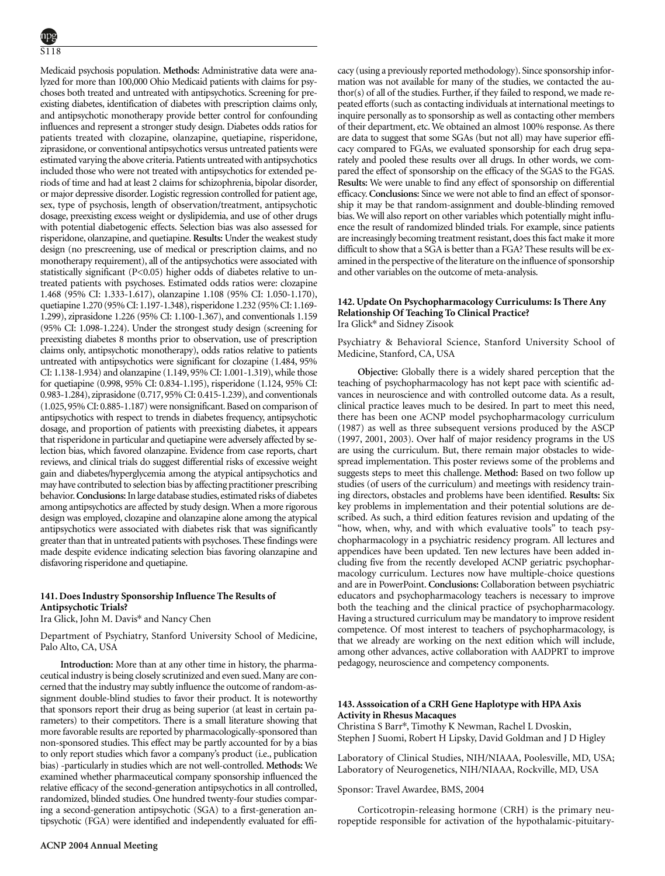Medicaid psychosis population. **Methods:** Administrative data were analyzed for more than 100,000 Ohio Medicaid patients with claims for psychoses both treated and untreated with antipsychotics. Screening for preexisting diabetes, identification of diabetes with prescription claims only, and antipsychotic monotherapy provide better control for confounding influences and represent a stronger study design. Diabetes odds ratios for patients treated with clozapine, olanzapine, quetiapine, risperidone, ziprasidone, or conventional antipsychotics versus untreated patients were estimated varying the above criteria. Patients untreated with antipsychotics included those who were not treated with antipsychotics for extended periods of time and had at least 2 claims for schizophrenia, bipolar disorder, or major depressive disorder. Logistic regression controlled for patient age, sex, type of psychosis, length of observation/treatment, antipsychotic dosage, preexisting excess weight or dyslipidemia, and use of other drugs with potential diabetogenic effects. Selection bias was also assessed for risperidone, olanzapine, and quetiapine. **Results:** Under the weakest study design (no prescreening, use of medical or prescription claims, and no monotherapy requirement), all of the antipsychotics were associated with statistically significant (P<0.05) higher odds of diabetes relative to untreated patients with psychoses. Estimated odds ratios were: clozapine 1.468 (95% CI: 1.333-1.617), olanzapine 1.108 (95% CI: 1.050-1.170), quetiapine 1.270 (95% CI: 1.197-1.348), risperidone 1.232 (95% CI: 1.169- 1.299), ziprasidone 1.226 (95% CI: 1.100-1.367), and conventionals 1.159 (95% CI: 1.098-1.224). Under the strongest study design (screening for preexisting diabetes 8 months prior to observation, use of prescription claims only, antipsychotic monotherapy), odds ratios relative to patients untreated with antipsychotics were significant for clozapine (1.484, 95% CI: 1.138-1.934) and olanzapine (1.149, 95% CI: 1.001-1.319), while those for quetiapine (0.998, 95% CI: 0.834-1.195), risperidone (1.124, 95% CI: 0.983-1.284), ziprasidone (0.717, 95% CI: 0.415-1.239), and conventionals (1.025, 95% CI: 0.885-1.187) were nonsignificant. Based on comparison of antipsychotics with respect to trends in diabetes frequency, antipsychotic dosage, and proportion of patients with preexisting diabetes, it appears that risperidone in particular and quetiapine were adversely affected by selection bias, which favored olanzapine. Evidence from case reports, chart reviews, and clinical trials do suggest differential risks of excessive weight gain and diabetes/hyperglycemia among the atypical antipsychotics and may have contributed to selection bias by affecting practitioner prescribing behavior. Conclusions: In large database studies, estimated risks of diabetes among antipsychotics are affected by study design. When a more rigorous design was employed, clozapine and olanzapine alone among the atypical antipsychotics were associated with diabetes risk that was significantly greater than that in untreated patients with psychoses. These findings were made despite evidence indicating selection bias favoring olanzapine and disfavoring risperidone and quetiapine.

# **141. Does Industry Sponsorship Influence The Results of Antipsychotic Trials?**

Ira Glick, John M. Davis\* and Nancy Chen

Olanzapine ; Psychosis; Quetiapine (Seroquel)

Department of Psychiatry, Stanford University School of Medicine, Palo Alto, CA, USA

**Introduction:** More than at any other time in history, the pharmaceutical industry is being closely scrutinized and even sued. Many are concerned that the industry may subtly influence the outcome of random-assignment double-blind studies to favor their product. It is noteworthy that sponsors report their drug as being superior (at least in certain parameters) to their competitors. There is a small literature showing that more favorable results are reported by pharmacologically-sponsored than non-sponsored studies. This effect may be partly accounted for by a bias to only report studies which favor a company's product (i.e., publication bias) -particularly in studies which are not well-controlled. **Methods:** We examined whether pharmaceutical company sponsorship influenced the relative efficacy of the second-generation antipsychotics in all controlled, randomized, blinded studies. One hundred twenty-four studies comparing a second-generation antipsychotic (SGA) to a first-generation antipsychotic (FGA) were identified and independently evaluated for efficacy (using a previously reported methodology). Since sponsorship information was not available for many of the studies, we contacted the author(s) of all of the studies. Further, if they failed to respond, we made repeated efforts (such as contacting individuals at international meetings to inquire personally as to sponsorship as well as contacting other members of their department, etc. We obtained an almost 100% response. As there are data to suggest that some SGAs (but not all) may have superior efficacy compared to FGAs, we evaluated sponsorship for each drug separately and pooled these results over all drugs. In other words, we compared the effect of sponsorship on the efficacy of the SGAS to the FGAS. **Results:** We were unable to find any effect of sponsorship on differential efficacy.**Conclusions:** Since we were not able to find an effect of sponsorship it may be that random-assignment and double-blinding removed bias. We will also report on other variables which potentially might influence the result of randomized blinded trials. For example, since patients are increasingly becoming treatment resistant, does this fact make it more difficult to show that a SGA is better than a FGA? These results will be examined in the perspective of the literature on the influence of sponsorship and other variables on the outcome of meta-analysis.

### **142. Update On Psychopharmacology Curriculums: Is There Any Relationship Of Teaching To Clinical Practice?** Ira Glick\* and Sidney Zisook

Psychiatry & Behavioral Science, Stanford University School of Medicine, Stanford, CA, USA

**Objective:** Globally there is a widely shared perception that the teaching of psychopharmacology has not kept pace with scientific advances in neuroscience and with controlled outcome data. As a result, clinical practice leaves much to be desired. In part to meet this need, there has been one ACNP model psychopharmacology curriculum (1987) as well as three subsequent versions produced by the ASCP (1997, 2001, 2003). Over half of major residency programs in the US are using the curriculum. But, there remain major obstacles to widespread implementation. This poster reviews some of the problems and suggests steps to meet this challenge. **Method:** Based on two follow up studies (of users of the curriculum) and meetings with residency training directors, obstacles and problems have been identified. **Results:** Six key problems in implementation and their potential solutions are described. As such, a third edition features revision and updating of the "how, when, why, and with which evaluative tools" to teach psychopharmacology in a psychiatric residency program. All lectures and appendices have been updated. Ten new lectures have been added including five from the recently developed ACNP geriatric psychopharmacology curriculum. Lectures now have multiple-choice questions and are in PowerPoint. **Conclusions:** Collaboration between psychiatric educators and psychopharmacology teachers is necessary to improve both the teaching and the clinical practice of psychopharmacology. Having a structured curriculum may be mandatory to improve resident competence. Of most interest to teachers of psychopharmacology, is that we already are working on the next edition which will include, among other advances, active collaboration with AADPRT to improve pedagogy, neuroscience and competency components.

# **143. Asssoication of a CRH Gene Haplotype with HPA Axis Activity in Rhesus Macaques**

Christina S Barr\*, Timothy K Newman, Rachel L Dvoskin, Stephen J Suomi, Robert H Lipsky, David Goldman and J D Higley

Laboratory of Clinical Studies, NIH/NIAAA, Poolesville, MD, USA; Laboratory of Neurogenetics, NIH/NIAAA, Rockville, MD, USA

# Sponsor: Travel Awardee, BMS, 2004

Corticotropin-releasing hormone (CRH) is the primary neuropeptide responsible for activation of the hypothalamic-pituitary-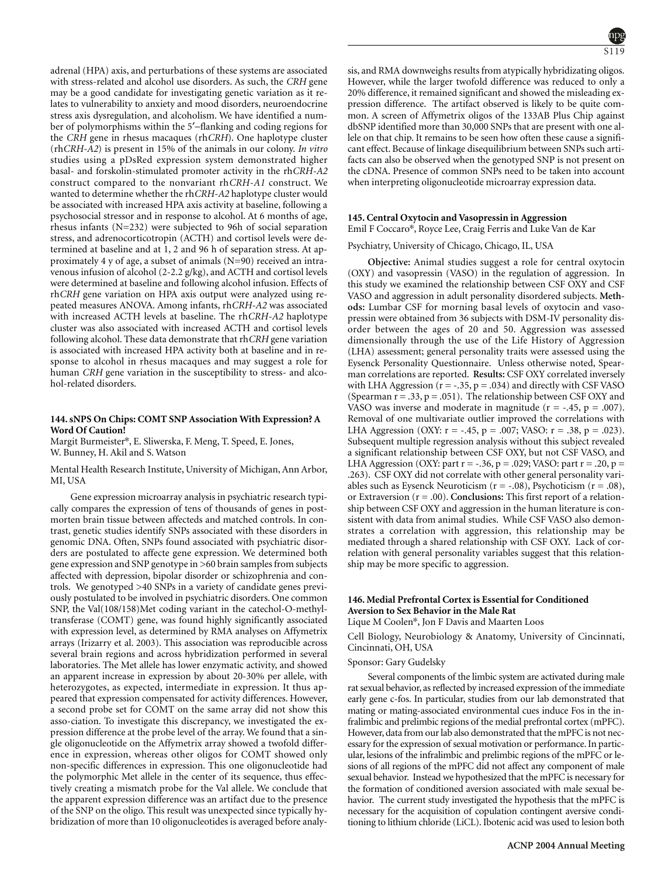adrenal (HPA) axis, and perturbations of these systems are associated with stress-related and alcohol use disorders. As such, the *CRH* gene may be a good candidate for investigating genetic variation as it relates to vulnerability to anxiety and mood disorders, neuroendocrine stress axis dysregulation, and alcoholism. We have identified a number of polymorphisms within the 5′−flanking and coding regions for the *CRH* gene in rhesus macaques (rh*CRH*). One haplotype cluster (rh*CRH-A2*) is present in 15% of the animals in our colony. *In vitro* studies using a pDsRed expression system demonstrated higher basal- and forskolin-stimulated promoter activity in the rh*CRH-A2* construct compared to the nonvariant rh*CRH-A1* construct. We wanted to determine whether the rh*CRH-A2* haplotype cluster would be associated with increased HPA axis activity at baseline, following a psychosocial stressor and in response to alcohol. At 6 months of age, rhesus infants (N=232) were subjected to 96h of social separation stress, and adrenocorticotropin (ACTH) and cortisol levels were determined at baseline and at 1, 2 and 96 h of separation stress. At approximately 4 y of age, a subset of animals (N=90) received an intravenous infusion of alcohol (2-2.2 g/kg), and ACTH and cortisol levels were determined at baseline and following alcohol infusion. Effects of rh*CRH* gene variation on HPA axis output were analyzed using repeated measures ANOVA. Among infants, rh*CRH-A2* was associated with increased ACTH levels at baseline. The rh*CRH-A2* haplotype cluster was also associated with increased ACTH and cortisol levels following alcohol. These data demonstrate that rh*CRH* gene variation is associated with increased HPA activity both at baseline and in response to alcohol in rhesus macaques and may suggest a role for human *CRH* gene variation in the susceptibility to stress- and alcohol-related disorders.

# **144. sNPS On Chips: COMT SNP Association With Expression? A Word Of Caution!**

Margit Burmeister\*, E. Sliwerska, F. Meng, T. Speed, E. Jones, W. Bunney, H. Akil and S. Watson

Mental Health Research Institute, University of Michigan, Ann Arbor, MI, USA

Gene expression microarray analysis in psychiatric research typically compares the expression of tens of thousands of genes in postmorten brain tissue between affecteds and matched controls. In contrast, genetic studies identify SNPs associated with these disorders in genomic DNA. Often, SNPs found associated with psychiatric disorders are postulated to affecte gene expression. We determined both gene expression and SNP genotype in >60 brain samples from subjects affected with depression, bipolar disorder or schizophrenia and controls. We genotyped >40 SNPs in a variety of candidate genes previously postulated to be involved in psychiatric disorders. One common SNP, the Val(108/158)Met coding variant in the catechol-O-methyltransferase (COMT) gene, was found highly significantly associated with expression level, as determined by RMA analyses on Affymetrix arrays (Irizarry et al. 2003). This association was reproducible across several brain regions and across hybridization performed in several laboratories. The Met allele has lower enzymatic activity, and showed an apparent increase in expression by about 20-30% per allele, with heterozygotes, as expected, intermediate in expression. It thus appeared that expression compensated for activity differences. However, a second probe set for COMT on the same array did not show this asso-ciation. To investigate this discrepancy, we investigated the expression difference at the probe level of the array. We found that a single oligonucleotide on the Affymetrix array showed a twofold difference in expression, whereas other oligos for COMT showed only non-specific differences in expression. This one oligonucleotide had the polymorphic Met allele in the center of its sequence, thus effectively creating a mismatch probe for the Val allele. We conclude that the apparent expression difference was an artifact due to the presence of the SNP on the oligo. This result was unexpected since typically hybridization of more than 10 oligonucleotides is averaged before analysis, and RMA downweighs results from atypically hybridizating oligos. However, while the larger twofold difference was reduced to only a 20% difference, it remained significant and showed the misleading expression difference. The artifact observed is likely to be quite common. A screen of Affymetrix oligos of the 133AB Plus Chip against dbSNP identified more than 30,000 SNPs that are present with one allele on that chip. It remains to be seen how often these cause a significant effect. Because of linkage disequilibrium between SNPs such artifacts can also be observed when the genotyped SNP is not present on the cDNA. Presence of common SNPs need to be taken into account when interpreting oligonucleotide microarray expression data.

### **145. Central Oxytocin and Vasopressin in Aggression**

Emil F Coccaro\*, Royce Lee, Craig Ferris and Luke Van de Kar

Psychiatry, University of Chicago, Chicago, IL, USA

**Objective:** Animal studies suggest a role for central oxytocin (OXY) and vasopressin (VASO) in the regulation of aggression. In this study we examined the relationship between CSF OXY and CSF VASO and aggression in adult personality disordered subjects. **Methods:** Lumbar CSF for morning basal levels of oxytocin and vasopressin were obtained from 36 subjects with DSM-IV personality disorder between the ages of 20 and 50. Aggression was assessed dimensionally through the use of the Life History of Aggression (LHA) assessment; general personality traits were assessed using the Eysenck Personality Questionnaire. Unless otherwise noted, Spearman correlations are reported. **Results:** CSF OXY correlated inversely with LHA Aggression ( $r = -.35$ ,  $p = .034$ ) and directly with CSF VASO (Spearman  $r = .33$ ,  $p = .051$ ). The relationship between CSF OXY and VASO was inverse and moderate in magnitude  $(r = -.45, p = .007)$ . Removal of one multivariate outlier improved the correlations with LHA Aggression (OXY:  $r = -.45$ ,  $p = .007$ ; VASO:  $r = .38$ ,  $p = .023$ ). Subsequent multiple regression analysis without this subject revealed a significant relationship between CSF OXY, but not CSF VASO, and LHA Aggression (OXY: part  $r = -.36$ ,  $p = .029$ ; VASO: part  $r = .20$ ,  $p =$ .263). CSF OXY did not correlate with other general personality variables such as Eysenck Neuroticism ( $r = -0.08$ ), Psychoticism ( $r = 0.08$ ), or Extraversion (r = .00). **Conclusions:** This first report of a relationship between CSF OXY and aggression in the human literature is consistent with data from animal studies. While CSF VASO also demonstrates a correlation with aggression, this relationship may be mediated through a shared relationship with CSF OXY. Lack of correlation with general personality variables suggest that this relationship may be more specific to aggression.

# **146. Medial Prefrontal Cortex is Essential for Conditioned Aversion to Sex Behavior in the Male Rat**

Lique M Coolen\*, Jon F Davis and Maarten Loos

Cell Biology, Neurobiology & Anatomy, University of Cincinnati, Cincinnati, OH, USA

# Sponsor: Gary Gudelsky

Several components of the limbic system are activated during male rat sexual behavior, as reflected by increased expression of the immediate early gene c-fos. In particular, studies from our lab demonstrated that mating or mating-associated environmental cues induce Fos in the infralimbic and prelimbic regions of the medial prefrontal cortex (mPFC). However, data from our lab also demonstrated that the mPFC is not necessary for the expression of sexual motivation or performance. In particular, lesions of the infralimbic and prelimbic regions of the mPFC or lesions of all regions of the mPFC did not affect any component of male sexual behavior. Instead we hypothesized that the mPFC is necessary for the formation of conditioned aversion associated with male sexual behavior. The current study investigated the hypothesis that the mPFC is necessary for the acquisition of copulation contingent aversive conditioning to lithium chloride (LiCL). Ibotenic acid was used to lesion both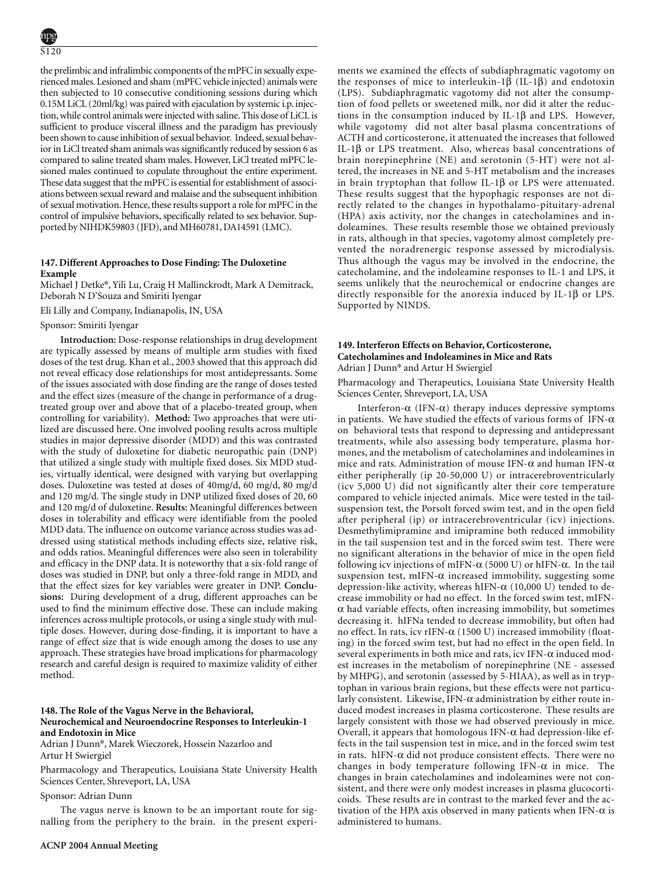the prelimbic and infralimbic components of the mPFC in sexually experienced males. Lesioned and sham (mPFC vehicle injected) animals were then subjected to 10 consecutive conditioning sessions during which 0.15M LiCL (20ml/kg) was paired with ejaculation by systemic i.p. injection, while control animals were injected with saline. This dose of LiCL is sufficient to produce visceral illness and the paradigm has previously been shown to cause inhibition of sexual behavior. Indeed, sexual behavior in LiCl treated sham animals was significantly reduced by session 6 as compared to saline treated sham males. However, LiCl treated mPFC lesioned males continued to copulate throughout the entire experiment. These data suggest that the mPFC is essential for establishment of associations between sexual reward and malaise and the subsequent inhibition of sexual motivation. Hence, these results support a role for mPFC in the control of impulsive behaviors, specifically related to sex behavior. Supported by NIHDK59803 (JFD), and MH60781, DA14591 (LMC). Impulse Control; Obsessive-compulsive disorder; Prefrontal cortex

# **147. Different Approaches to Dose Finding: The Duloxetine Example**

Michael J Detke\*, Yili Lu, Craig H Mallinckrodt, Mark A Demitrack, Deborah N D'Souza and Smiriti Iyengar

Eli Lilly and Company, Indianapolis, IN, USA

### Sponsor: Smiriti Iyengar

**Introduction:** Dose-response relationships in drug development are typically assessed by means of multiple arm studies with fixed doses of the test drug. Khan et al., 2003 showed that this approach did not reveal efficacy dose relationships for most antidepressants. Some of the issues associated with dose finding are the range of doses tested and the effect sizes (measure of the change in performance of a drugtreated group over and above that of a placebo-treated group, when controlling for variability). **Method:** Two approaches that were utilized are discussed here. One involved pooling results across multiple studies in major depressive disorder (MDD) and this was contrasted with the study of duloxetine for diabetic neuropathic pain (DNP) that utilized a single study with multiple fixed doses. Six MDD studies, virtually identical, were designed with varying but overlapping doses. Duloxetine was tested at doses of 40mg/d, 60 mg/d, 80 mg/d and 120 mg/d. The single study in DNP utilized fixed doses of 20, 60 and 120 mg/d of duloxetine. **Results:** Meaningful differences between doses in tolerability and efficacy were identifiable from the pooled MDD data. The influence on outcome variance across studies was addressed using statistical methods including effects size, relative risk, and odds ratios. Meaningful differences were also seen in tolerability and efficacy in the DNP data. It is noteworthy that a six-fold range of doses was studied in DNP, but only a three-fold range in MDD, and that the effect sizes for key variables were greater in DNP. **Conclusions:** During development of a drug, different approaches can be used to find the minimum effective dose. These can include making inferences across multiple protocols, or using a single study with multiple doses. However, during dose-finding, it is important to have a range of effect size that is wide enough among the doses to use any approach. These strategies have broad implications for pharmacology research and careful design is required to maximize validity of either method.

# **148. The Role of the Vagus Nerve in the Behavioral, Neurochemical and Neuroendocrine Responses to Interleukin-1 and Endotoxin in Mice**

Adrian J Dunn\*, Marek Wieczorek, Hossein Nazarloo and Artur H Swiergiel

Pharmacology and Therapeutics, Louisiana State University Health Sciences Center, Shreveport, LA, USA

Sponsor: Adrian Dunn

The vagus nerve is known to be an important route for signalling from the periphery to the brain. in the present experiments we examined the effects of subdiaphragmatic vagotomy on the responses of mice to interleukin-1β (IL-1β) and endotoxin (LPS). Subdiaphragmatic vagotomy did not alter the consumption of food pellets or sweetened milk, nor did it alter the reductions in the consumption induced by IL-1β and LPS. However, while vagotomy did not alter basal plasma concentrations of ACTH and corticosterone, it attenuated the increases that followed IL-1β or LPS treatment. Also, whereas basal concentrations of brain norepinephrine (NE) and serotonin (5-HT) were not altered, the increases in NE and 5-HT metabolism and the increases in brain tryptophan that follow IL-1 $\beta$  or LPS were attenuated. These results suggest that the hypophagic responses are not directly related to the changes in hypothalamo-pituitary-adrenal (HPA) axis activity, nor the changes in catecholamines and indoleamines. These results resemble those we obtained previously in rats, although in that species, vagotomy almost completely prevented the noradrenergic response assessed by microdialysis. Thus although the vagus may be involved in the endocrine, the catecholamine, and the indoleamine responses to IL-1 and LPS, it seems unlikely that the neurochemical or endocrine changes are directly responsible for the anorexia induced by IL-1β or LPS. Supported by NINDS.

### **149. Interferon Effects on Behavior, Corticosterone, Catecholamines and Indoleamines in Mice and Rats** Adrian J Dunn\* and Artur H Swiergiel

Pharmacology and Therapeutics, Louisiana State University Health Sciences Center, Shreveport, LA, USA

Interferon-α (IFN-α) therapy induces depressive symptoms in patients. We have studied the effects of various forms of IFN- $\alpha$ on behavioral tests that respond to depressing and antidepressant treatments, while also assessing body temperature, plasma hormones, and the metabolism of catecholamines and indoleamines in mice and rats. Administration of mouse IFN- $\alpha$  and human IFN- $\alpha$ either peripherally (ip 20-50,000 U) or intracerebroventricularly (icv 5,000 U) did not significantly alter their core temperature compared to vehicle injected animals. Mice were tested in the tailsuspension test, the Porsolt forced swim test, and in the open field after peripheral (ip) or intracerebroventricular (icv) injections. Desmethylimipramine and imipramine both reduced immobility in the tail suspension test and in the forced swim test. There were no significant alterations in the behavior of mice in the open field following icv injections of mIFN- $\alpha$  (5000 U) or hIFN- $\alpha$ . In the tail suspension test, mIFN- $\alpha$  increased immobility, suggesting some depression-like activity, whereas hIFN- $\alpha$  (10,000 U) tended to decrease immobility or had no effect. In the forced swim test, mIFN- $\alpha$  had variable effects, often increasing immobility, but sometimes decreasing it. hIFNa tended to decrease immobility, but often had no effect. In rats, icv rIFN- $\alpha$  (1500 U) increased immobility (floating) in the forced swim test, but had no effect in the open field. In several experiments in both mice and rats, icv IFN- $\alpha$  induced modest increases in the metabolism of norepinephrine (NE - assessed by MHPG), and serotonin (assessed by 5-HIAA), as well as in tryptophan in various brain regions, but these effects were not particularly consistent. Likewise, IFN- $\alpha$  administration by either route induced modest increases in plasma corticosterone. These results are largely consistent with those we had observed previously in mice. Overall, it appears that homologous IFN- $\alpha$  had depression-like effects in the tail suspension test in mice, and in the forced swim test in rats. hIFN- $\alpha$  did not produce consistent effects. There were no changes in body temperature following IFN- $\alpha$  in mice. The changes in brain catecholamines and indoleamines were not consistent, and there were only modest increases in plasma glucocorticoids. These results are in contrast to the marked fever and the activation of the HPA axis observed in many patients when IFN- $\alpha$  is administered to humans.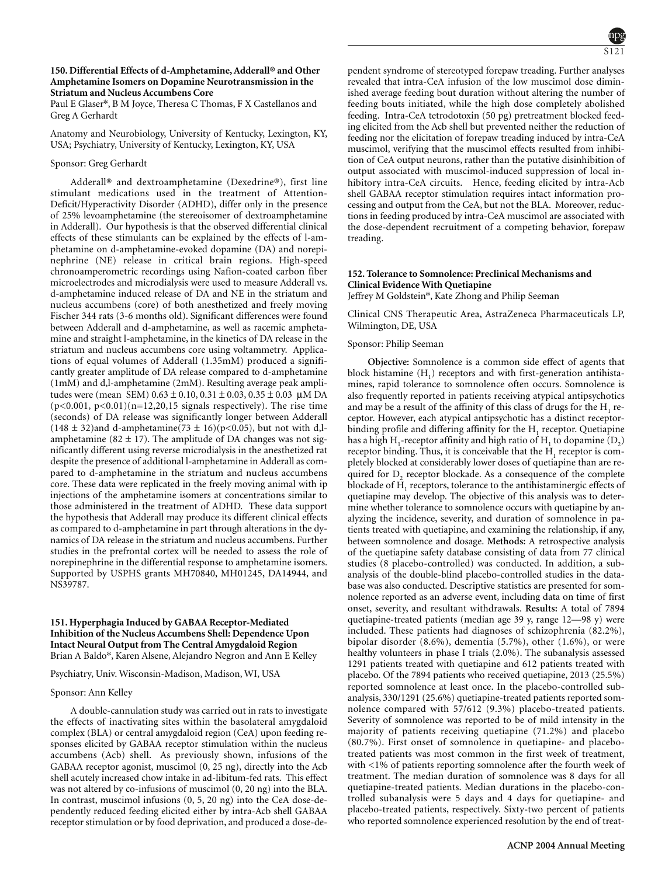# **150. Differential Effects of d-Amphetamine, Adderall® and Other Amphetamine Isomers on Dopamine Neurotransmission in the Striatum and Nucleus Accumbens Core**

Paul E Glaser\*, B M Joyce, Theresa C Thomas, F X Castellanos and Greg A Gerhardt

Anatomy and Neurobiology, University of Kentucky, Lexington, KY, USA; Psychiatry, University of Kentucky, Lexington, KY, USA

### Sponsor: Greg Gerhardt

Adderall® and dextroamphetamine (Dexedrine®), first line stimulant medications used in the treatment of Attention-Deficit/Hyperactivity Disorder (ADHD), differ only in the presence of 25% levoamphetamine (the stereoisomer of dextroamphetamine in Adderall). Our hypothesis is that the observed differential clinical effects of these stimulants can be explained by the effects of l-amphetamine on d-amphetamine-evoked dopamine (DA) and norepinephrine (NE) release in critical brain regions. High-speed chronoamperometric recordings using Nafion-coated carbon fiber microelectrodes and microdialysis were used to measure Adderall vs. d-amphetamine induced release of DA and NE in the striatum and nucleus accumbens (core) of both anesthetized and freely moving Fischer 344 rats (3-6 months old). Significant differences were found between Adderall and d-amphetamine, as well as racemic amphetamine and straight l-amphetamine, in the kinetics of DA release in the striatum and nucleus accumbens core using voltammetry. Applications of equal volumes of Adderall (1.35mM) produced a significantly greater amplitude of DA release compared to d-amphetamine (1mM) and d,l-amphetamine (2mM). Resulting average peak amplitudes were (mean SEM)  $0.63 \pm 0.10$ ,  $0.31 \pm 0.03$ ,  $0.35 \pm 0.03$  µM DA  $(p<0.001, p<0.01)(n=12,20,15$  signals respectively). The rise time (seconds) of DA release was significantly longer between Adderall  $(148 \pm 32)$  and d-amphetamine $(73 \pm 16)$  (p<0.05), but not with d,lamphetamine (82  $\pm$  17). The amplitude of DA changes was not significantly different using reverse microdialysis in the anesthetized rat despite the presence of additional l-amphetamine in Adderall as compared to d-amphetamine in the striatum and nucleus accumbens core. These data were replicated in the freely moving animal with ip injections of the amphetamine isomers at concentrations similar to those administered in the treatment of ADHD. These data support the hypothesis that Adderall may produce its different clinical effects as compared to d-amphetamine in part through alterations in the dynamics of DA release in the striatum and nucleus accumbens. Further studies in the prefrontal cortex will be needed to assess the role of norepinephrine in the differential response to amphetamine isomers. Supported by USPHS grants MH70840, MH01245, DA14944, and NS39787.

### **151. Hyperphagia Induced by GABAA Receptor-Mediated Inhibition of the Nucleus Accumbens Shell: Dependence Upon Intact Neural Output from The Central Amygdaloid Region** Brian A Baldo\*, Karen Alsene, Alejandro Negron and Ann E Kelley

Psychiatry, Univ. Wisconsin-Madison, Madison, WI, USA

### Sponsor: Ann Kelley

A double-cannulation study was carried out in rats to investigate the effects of inactivating sites within the basolateral amygdaloid complex (BLA) or central amygdaloid region (CeA) upon feeding responses elicited by GABAA receptor stimulation within the nucleus accumbens (Acb) shell. As previously shown, infusions of the GABAA receptor agonist, muscimol (0, 25 ng), directly into the Acb shell acutely increased chow intake in ad-libitum-fed rats. This effect was not altered by co-infusions of muscimol (0, 20 ng) into the BLA. In contrast, muscimol infusions (0, 5, 20 ng) into the CeA dose-dependently reduced feeding elicited either by intra-Acb shell GABAA receptor stimulation or by food deprivation, and produced a dose-dependent syndrome of stereotyped forepaw treading. Further analyses revealed that intra-CeA infusion of the low muscimol dose diminished average feeding bout duration without altering the number of feeding bouts initiated, while the high dose completely abolished feeding. Intra-CeA tetrodotoxin (50 pg) pretreatment blocked feeding elicited from the Acb shell but prevented neither the reduction of feeding nor the elicitation of forepaw treading induced by intra-CeA muscimol, verifying that the muscimol effects resulted from inhibition of CeA output neurons, rather than the putative disinhibition of output associated with muscimol-induced suppression of local inhibitory intra-CeA circuits. Hence, feeding elicited by intra-Acb shell GABAA receptor stimulation requires intact information processing and output from the CeA, but not the BLA. Moreover, reductions in feeding produced by intra-CeA muscimol are associated with the dose-dependent recruitment of a competing behavior, forepaw treading.

# **152. Tolerance to Somnolence: Preclinical Mechanisms and Clinical Evidence With Quetiapine**

Jeffrey M Goldstein\*, Kate Zhong and Philip Seeman

Clinical CNS Therapeutic Area, AstraZeneca Pharmaceuticals LP, Wilmington, DE, USA

# Sponsor: Philip Seeman

**Objective:** Somnolence is a common side effect of agents that block histamine  $(H_1)$  receptors and with first-generation antihistamines, rapid tolerance to somnolence often occurs. Somnolence is also frequently reported in patients receiving atypical antipsychotics and may be a result of the affinity of this class of drugs for the  $H_1$  receptor. However, each atypical antipsychotic has a distinct receptorbinding profile and differing affinity for the H<sub>1</sub> receptor. Quetiapine has a high H<sub>1</sub>-receptor affinity and high ratio of H<sub>1</sub> to dopamine  $(D_2)$ receptor binding. Thus, it is conceivable that the  $H<sub>1</sub>$  receptor is completely blocked at considerably lower doses of quetiapine than are required for D<sub>2</sub> receptor blockade. As a consequence of the complete blockade of  $\overline{H}_1$  receptors, tolerance to the antihistaminergic effects of quetiapine may develop. The objective of this analysis was to determine whether tolerance to somnolence occurs with quetiapine by analyzing the incidence, severity, and duration of somnolence in patients treated with quetiapine, and examining the relationship, if any, between somnolence and dosage. **Methods:** A retrospective analysis of the quetiapine safety database consisting of data from 77 clinical studies (8 placebo-controlled) was conducted. In addition, a subanalysis of the double-blind placebo-controlled studies in the database was also conducted. Descriptive statistics are presented for somnolence reported as an adverse event, including data on time of first onset, severity, and resultant withdrawals. **Results:** A total of 7894 quetiapine-treated patients (median age 39 y, range 12—98 y) were included. These patients had diagnoses of schizophrenia (82.2%), bipolar disorder (8.6%), dementia (5.7%), other (1.6%), or were healthy volunteers in phase I trials (2.0%). The subanalysis assessed 1291 patients treated with quetiapine and 612 patients treated with placebo. Of the 7894 patients who received quetiapine, 2013 (25.5%) reported somnolence at least once. In the placebo-controlled subanalysis, 330/1291 (25.6%) quetiapine-treated patients reported somnolence compared with 57/612 (9.3%) placebo-treated patients. Severity of somnolence was reported to be of mild intensity in the majority of patients receiving quetiapine (71.2%) and placebo (80.7%). First onset of somnolence in quetiapine- and placebotreated patients was most common in the first week of treatment, with <1% of patients reporting somnolence after the fourth week of treatment. The median duration of somnolence was 8 days for all quetiapine-treated patients. Median durations in the placebo-controlled subanalysis were 5 days and 4 days for quetiapine- and placebo-treated patients, respectively. Sixty-two percent of patients who reported somnolence experienced resolution by the end of treat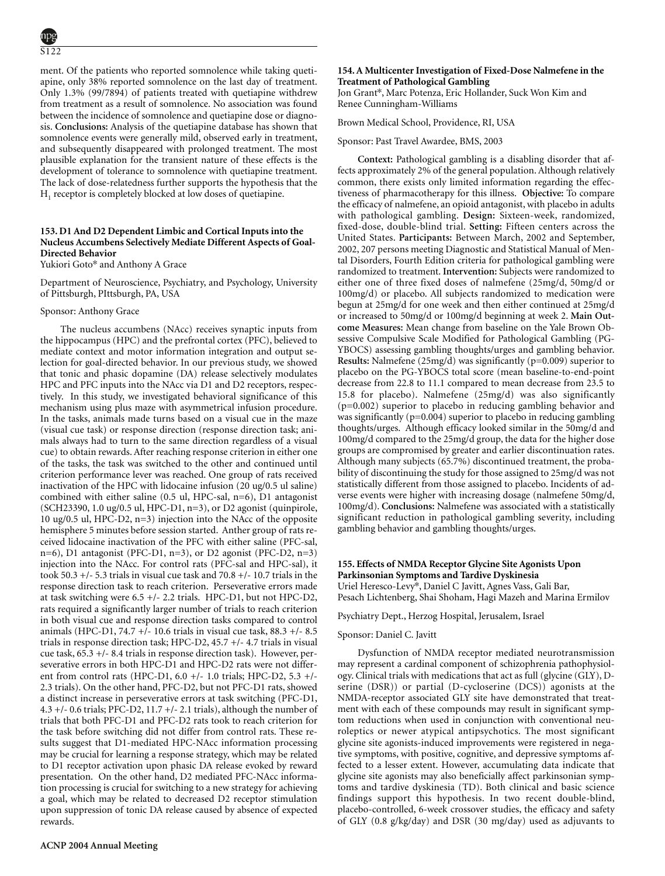ment. Of the patients who reported somnolence while taking quetiapine, only 38% reported somnolence on the last day of treatment. Only 1.3% (99/7894) of patients treated with quetiapine withdrew from treatment as a result of somnolence. No association was found between the incidence of somnolence and quetiapine dose or diagnosis. **Conclusions:** Analysis of the quetiapine database has shown that somnolence events were generally mild, observed early in treatment, and subsequently disappeared with prolonged treatment. The most plausible explanation for the transient nature of these effects is the development of tolerance to somnolence with quetiapine treatment. The lack of dose-relatedness further supports the hypothesis that the  $H<sub>1</sub>$  receptor is completely blocked at low doses of quetiapine.

# **153. D1 And D2 Dependent Limbic and Cortical Inputs into the Nucleus Accumbens Selectively Mediate Different Aspects of Goal-Directed Behavior**

Yukiori Goto\* and Anthony A Grace

Department of Neuroscience, Psychiatry, and Psychology, University of Pittsburgh, PIttsburgh, PA, USA

#### Sponsor: Anthony Grace

The nucleus accumbens (NAcc) receives synaptic inputs from the hippocampus (HPC) and the prefrontal cortex (PFC), believed to mediate context and motor information integration and output selection for goal-directed behavior. In our previous study, we showed that tonic and phasic dopamine (DA) release selectively modulates HPC and PFC inputs into the NAcc via D1 and D2 receptors, respectively. In this study, we investigated behavioral significance of this mechanism using plus maze with asymmetrical infusion procedure. In the tasks, animals made turns based on a visual cue in the maze (visual cue task) or response direction (response direction task; animals always had to turn to the same direction regardless of a visual cue) to obtain rewards. After reaching response criterion in either one of the tasks, the task was switched to the other and continued until criterion performance lever was reached. One group of rats received inactivation of the HPC with lidocaine infusion (20 ug/0.5 ul saline) combined with either saline (0.5 ul, HPC-sal, n=6), D1 antagonist (SCH23390, 1.0 ug/0.5 ul, HPC-D1, n=3), or D2 agonist (quinpirole, 10 ug/0.5 ul, HPC-D2, n=3) injection into the NAcc of the opposite hemisphere 5 minutes before session started. Anther group of rats received lidocaine inactivation of the PFC with either saline (PFC-sal, n=6), D1 antagonist (PFC-D1, n=3), or D2 agonist (PFC-D2, n=3) injection into the NAcc. For control rats (PFC-sal and HPC-sal), it took 50.3  $+/-$  5.3 trials in visual cue task and 70.8  $+/-$  10.7 trials in the response direction task to reach criterion. Perseverative errors made at task switching were 6.5 +/- 2.2 trials. HPC-D1, but not HPC-D2, rats required a significantly larger number of trials to reach criterion in both visual cue and response direction tasks compared to control animals (HPC-D1, 74.7 +/- 10.6 trials in visual cue task, 88.3 +/- 8.5 trials in response direction task; HPC-D2, 45.7 +/- 4.7 trials in visual cue task, 65.3 +/- 8.4 trials in response direction task). However, perseverative errors in both HPC-D1 and HPC-D2 rats were not different from control rats (HPC-D1, 6.0 +/- 1.0 trials; HPC-D2, 5.3 +/- 2.3 trials). On the other hand, PFC-D2, but not PFC-D1 rats, showed a distinct increase in perseverative errors at task switching (PFC-D1, 4.3 +/- 0.6 trials; PFC-D2, 11.7 +/- 2.1 trials), although the number of trials that both PFC-D1 and PFC-D2 rats took to reach criterion for the task before switching did not differ from control rats. These results suggest that D1-mediated HPC-NAcc information processing may be crucial for learning a response strategy, which may be related to D1 receptor activation upon phasic DA release evoked by reward presentation. On the other hand, D2 mediated PFC-NAcc information processing is crucial for switching to a new strategy for achieving a goal, which may be related to decreased D2 receptor stimulation upon suppression of tonic DA release caused by absence of expected rewards.

# **154. A Multicenter Investigation of Fixed-Dose Nalmefene in the Treatment of Pathological Gambling**

Jon Grant\*, Marc Potenza, Eric Hollander, Suck Won Kim and Renee Cunningham-Williams

Brown Medical School, Providence, RI, USA

Sponsor: Past Travel Awardee, BMS, 2003

**Context:** Pathological gambling is a disabling disorder that affects approximately 2% of the general population. Although relatively common, there exists only limited information regarding the effectiveness of pharmacotherapy for this illness. **Objective:** To compare the efficacy of nalmefene, an opioid antagonist, with placebo in adults with pathological gambling. **Design:** Sixteen-week, randomized, fixed-dose, double-blind trial. **Setting:** Fifteen centers across the United States. **Participants:** Between March, 2002 and September, 2002, 207 persons meeting Diagnostic and Statistical Manual of Mental Disorders, Fourth Edition criteria for pathological gambling were randomized to treatment. **Intervention:** Subjects were randomized to either one of three fixed doses of nalmefene (25mg/d, 50mg/d or 100mg/d) or placebo. All subjects randomized to medication were begun at 25mg/d for one week and then either continued at 25mg/d or increased to 50mg/d or 100mg/d beginning at week 2. **Main Outcome Measures:** Mean change from baseline on the Yale Brown Obsessive Compulsive Scale Modified for Pathological Gambling (PG-YBOCS) assessing gambling thoughts/urges and gambling behavior. **Results:** Nalmefene (25mg/d) was significantly (p=0.009) superior to placebo on the PG-YBOCS total score (mean baseline-to-end-point decrease from 22.8 to 11.1 compared to mean decrease from 23.5 to 15.8 for placebo). Nalmefene (25mg/d) was also significantly (p=0.002) superior to placebo in reducing gambling behavior and was significantly (p=0.004) superior to placebo in reducing gambling thoughts/urges. Although efficacy looked similar in the 50mg/d and 100mg/d compared to the 25mg/d group, the data for the higher dose groups are compromised by greater and earlier discontinuation rates. Although many subjects (65.7%) discontinued treatment, the probability of discontinuing the study for those assigned to 25mg/d was not statistically different from those assigned to placebo. Incidents of adverse events were higher with increasing dosage (nalmefene 50mg/d, 100mg/d). **Conclusions:** Nalmefene was associated with a statistically significant reduction in pathological gambling severity, including gambling behavior and gambling thoughts/urges.

# **155. Effects of NMDA Receptor Glycine Site Agonists Upon Parkinsonian Symptoms and Tardive Dyskinesia** Uriel Heresco-Levy\*, Daniel C Javitt, Agnes Vass, Gali Bar,

Pesach Lichtenberg, Shai Shoham, Hagi Mazeh and Marina Ermilov

# Psychiatry Dept., Herzog Hospital, Jerusalem, Israel

#### Sponsor: Daniel C. Javitt

Dysfunction of NMDA receptor mediated neurotransmission may represent a cardinal component of schizophrenia pathophysiology. Clinical trials with medications that act as full (glycine (GLY), Dserine (DSR)) or partial (D-cycloserine (DCS)) agonists at the NMDA-receptor associated GLY site have demonstrated that treatment with each of these compounds may result in significant symptom reductions when used in conjunction with conventional neuroleptics or newer atypical antipsychotics. The most significant glycine site agonists-induced improvements were registered in negative symptoms, with positive, cognitive, and depressive symptoms affected to a lesser extent. However, accumulating data indicate that glycine site agonists may also beneficially affect parkinsonian symptoms and tardive dyskinesia (TD). Both clinical and basic science findings support this hypothesis. In two recent double-blind, placebo-controlled, 6-week crossover studies, the efficacy and safety of GLY (0.8 g/kg/day) and DSR (30 mg/day) used as adjuvants to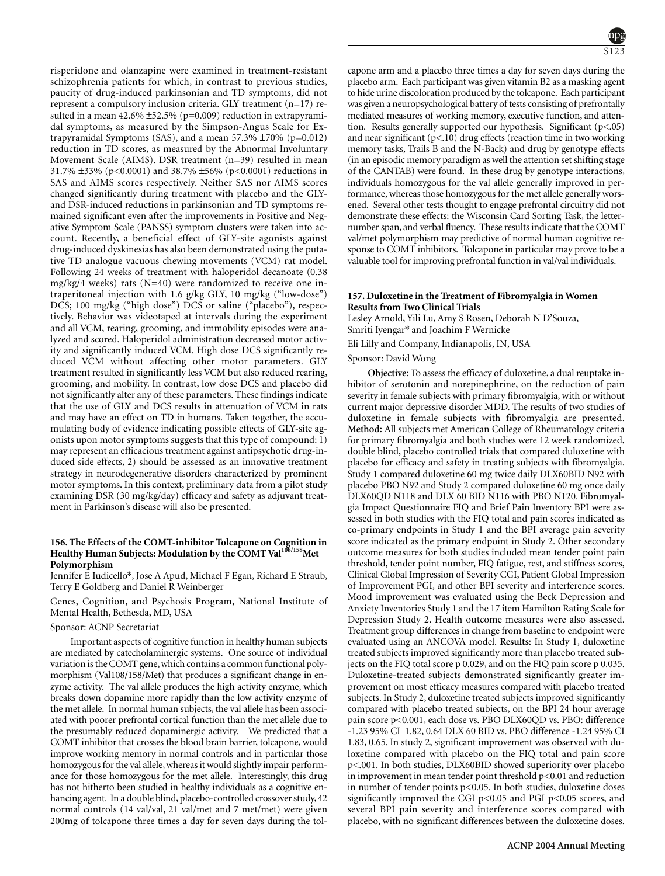risperidone and olanzapine were examined in treatment-resistant schizophrenia patients for which, in contrast to previous studies, paucity of drug-induced parkinsonian and TD symptoms, did not represent a compulsory inclusion criteria. GLY treatment (n=17) resulted in a mean  $42.6\% \pm 52.5\%$  (p=0.009) reduction in extrapyramidal symptoms, as measured by the Simpson-Angus Scale for Extrapyramidal Symptoms (SAS), and a mean 57.3%  $\pm$ 70% (p=0.012) reduction in TD scores, as measured by the Abnormal Involuntary Movement Scale (AIMS). DSR treatment (n=39) resulted in mean 31.7% ±33% (p<0.0001) and 38.7% ±56% (p<0.0001) reductions in SAS and AIMS scores respectively. Neither SAS nor AIMS scores changed significantly during treatment with placebo and the GLYand DSR-induced reductions in parkinsonian and TD symptoms remained significant even after the improvements in Positive and Negative Symptom Scale (PANSS) symptom clusters were taken into account. Recently, a beneficial effect of GLY-site agonists against drug-induced dyskinesias has also been demonstrated using the putative TD analogue vacuous chewing movements (VCM) rat model. Following 24 weeks of treatment with haloperidol decanoate (0.38 mg/kg/4 weeks) rats (N=40) were randomized to receive one intraperitoneal injection with 1.6 g/kg GLY, 10 mg/kg ("low-dose") DCS; 100 mg/kg ("high dose") DCS or saline ("placebo"), respectively. Behavior was videotaped at intervals during the experiment and all VCM, rearing, grooming, and immobility episodes were analyzed and scored. Haloperidol administration decreased motor activity and significantly induced VCM. High dose DCS significantly reduced VCM without affecting other motor parameters. GLY treatment resulted in significantly less VCM but also reduced rearing, grooming, and mobility. In contrast, low dose DCS and placebo did not significantly alter any of these parameters. These findings indicate that the use of GLY and DCS results in attenuation of VCM in rats and may have an effect on TD in humans. Taken together, the accumulating body of evidence indicating possible effects of GLY-site agonists upon motor symptoms suggests that this type of compound: 1) may represent an efficacious treatment against antipsychotic drug-induced side effects, 2) should be assessed as an innovative treatment strategy in neurodegenerative disorders characterized by prominent motor symptoms. In this context, preliminary data from a pilot study examining DSR (30 mg/kg/day) efficacy and safety as adjuvant treatment in Parkinson's disease will also be presented.

### **156. The Effects of the COMT-inhibitor Tolcapone on Cognition in Healthy Human Subjects: Modulation by the COMT Val108/158Met Polymorphism**

Jennifer E Iudicello\*, Jose A Apud, Michael F Egan, Richard E Straub, Terry E Goldberg and Daniel R Weinberger

Genes, Cognition, and Psychosis Program, National Institute of Mental Health, Bethesda, MD, USA

### Sponsor: ACNP Secretariat

Important aspects of cognitive function in healthy human subjects are mediated by catecholaminergic systems. One source of individual variation is the COMT gene, which contains a common functional polymorphism (Val108/158/Met) that produces a significant change in enzyme activity. The val allele produces the high activity enzyme, which breaks down dopamine more rapidly than the low activity enzyme of the met allele. In normal human subjects, the val allele has been associated with poorer prefrontal cortical function than the met allele due to the presumably reduced dopaminergic activity. We predicted that a COMT inhibitor that crosses the blood brain barrier, tolcapone, would improve working memory in normal controls and in particular those homozygous for the val allele, whereas it would slightly impair performance for those homozygous for the met allele. Interestingly, this drug has not hitherto been studied in healthy individuals as a cognitive enhancing agent. In a double blind, placebo-controlled crossover study, 42 normal controls (14 val/val, 21 val/met and 7 met/met) were given 200mg of tolcapone three times a day for seven days during the tol-



capone arm and a placebo three times a day for seven days during the placebo arm. Each participant was given vitamin B2 as a masking agent to hide urine discoloration produced by the tolcapone. Each participant was given a neuropsychological battery of tests consisting of prefrontally mediated measures of working memory, executive function, and attention. Results generally supported our hypothesis. Significant (p<.05) and near significant (p<.10) drug effects (reaction time in two working memory tasks, Trails B and the N-Back) and drug by genotype effects (in an episodic memory paradigm as well the attention set shifting stage of the CANTAB) were found. In these drug by genotype interactions, individuals homozygous for the val allele generally improved in performance, whereas those homozygous for the met allele generally worsened. Several other tests thought to engage prefrontal circuitry did not demonstrate these effects: the Wisconsin Card Sorting Task, the letternumber span, and verbal fluency. These results indicate that the COMT val/met polymorphism may predictive of normal human cognitive response to COMT inhibitors. Tolcapone in particular may prove to be a valuable tool for improving prefrontal function in val/val individuals.

#### **157. Duloxetine in the Treatment of Fibromyalgia in Women Results from Two Clinical Trials**

Lesley Arnold, Yili Lu, Amy S Rosen, Deborah N D'Souza, Smriti Iyengar\* and Joachim F Wernicke

Eli Lilly and Company, Indianapolis, IN, USA

Sponsor: David Wong

Cognition; Dopamine; Prefrontal cortex

**Objective:** To assess the efficacy of duloxetine, a dual reuptake inhibitor of serotonin and norepinephrine, on the reduction of pain severity in female subjects with primary fibromyalgia, with or without current major depressive disorder MDD. The results of two studies of duloxetine in female subjects with fibromyalgia are presented. **Method:** All subjects met American College of Rheumatology criteria for primary fibromyalgia and both studies were 12 week randomized, double blind, placebo controlled trials that compared duloxetine with placebo for efficacy and safety in treating subjects with fibromyalgia. Study 1 compared duloxetine 60 mg twice daily DLX60BID N92 with placebo PBO N92 and Study 2 compared duloxetine 60 mg once daily DLX60QD N118 and DLX 60 BID N116 with PBO N120. Fibromyalgia Impact Questionnaire FIQ and Brief Pain Inventory BPI were assessed in both studies with the FIQ total and pain scores indicated as co-primary endpoints in Study 1 and the BPI average pain severity score indicated as the primary endpoint in Study 2. Other secondary outcome measures for both studies included mean tender point pain threshold, tender point number, FIQ fatigue, rest, and stiffness scores, Clinical Global Impression of Severity CGI, Patient Global Impression of Improvement PGI, and other BPI severity and interference scores. Mood improvement was evaluated using the Beck Depression and Anxiety Inventories Study 1 and the 17 item Hamilton Rating Scale for Depression Study 2. Health outcome measures were also assessed. Treatment group differences in change from baseline to endpoint were evaluated using an ANCOVA model. **Results:** In Study 1, duloxetine treated subjects improved significantly more than placebo treated subjects on the FIQ total score p 0.029, and on the FIQ pain score p 0.035. Duloxetine-treated subjects demonstrated significantly greater improvement on most efficacy measures compared with placebo treated subjects. In Study 2, duloxetine treated subjects improved significantly compared with placebo treated subjects, on the BPI 24 hour average pain score p<0.001, each dose vs. PBO DLX60QD vs. PBO: difference -1.23 95% CI 1.82, 0.64 DLX 60 BID vs. PBO difference -1.24 95% CI 1.83, 0.65. In study 2, significant improvement was observed with duloxetine compared with placebo on the FIQ total and pain score p<.001. In both studies, DLX60BID showed superiority over placebo in improvement in mean tender point threshold p<0.01 and reduction in number of tender points p<0.05. In both studies, duloxetine doses significantly improved the CGI  $p<0.05$  and PGI  $p<0.05$  scores, and several BPI pain severity and interference scores compared with placebo, with no significant differences between the duloxetine doses.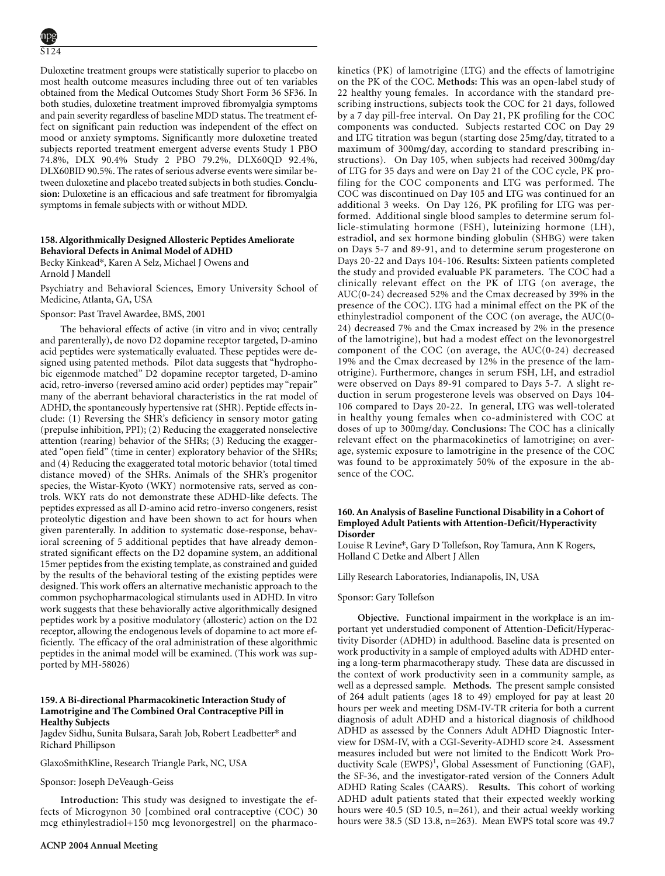Duloxetine treatment groups were statistically superior to placebo on most health outcome measures including three out of ten variables obtained from the Medical Outcomes Study Short Form 36 SF36. In both studies, duloxetine treatment improved fibromyalgia symptoms and pain severity regardless of baseline MDD status. The treatment effect on significant pain reduction was independent of the effect on mood or anxiety symptoms. Significantly more duloxetine treated subjects reported treatment emergent adverse events Study 1 PBO 74.8%, DLX 90.4% Study 2 PBO 79.2%, DLX60QD 92.4%, DLX60BID 90.5%. The rates of serious adverse events were similar between duloxetine and placebo treated subjects in both studies.**Conclusion:** Duloxetine is an efficacious and safe treatment for fibromyalgia symptoms in female subjects with or without MDD.

# **158. Algorithmically Designed Allosteric Peptides Ameliorate Behavioral Defects in Animal Model of ADHD**

Becky Kinkead\*, Karen A Selz, Michael J Owens and Arnold J Mandell

Psychiatry and Behavioral Sciences, Emory University School of Medicine, Atlanta, GA, USA

### Sponsor: Past Travel Awardee, BMS, 2001

The behavioral effects of active (in vitro and in vivo; centrally and parenterally), de novo D2 dopamine receptor targeted, D-amino acid peptides were systematically evaluated. These peptides were designed using patented methods. Pilot data suggests that "hydrophobic eigenmode matched" D2 dopamine receptor targeted, D-amino acid, retro-inverso (reversed amino acid order) peptides may "repair" many of the aberrant behavioral characteristics in the rat model of ADHD, the spontaneously hypertensive rat (SHR). Peptide effects include: (1) Reversing the SHR's deficiency in sensory motor gating (prepulse inhibition, PPI); (2) Reducing the exaggerated nonselective attention (rearing) behavior of the SHRs; (3) Reducing the exaggerated "open field" (time in center) exploratory behavior of the SHRs; and (4) Reducing the exaggerated total motoric behavior (total timed distance moved) of the SHRs. Animals of the SHR's progenitor species, the Wistar-Kyoto (WKY) normotensive rats, served as controls. WKY rats do not demonstrate these ADHD-like defects. The peptides expressed as all D-amino acid retro-inverso congeners, resist proteolytic digestion and have been shown to act for hours when given parenterally. In addition to systematic dose-response, behavioral screening of 5 additional peptides that have already demonstrated significant effects on the D2 dopamine system, an additional 15mer peptides from the existing template, as constrained and guided by the results of the behavioral testing of the existing peptides were designed. This work offers an alternative mechanistic approach to the common psychopharmacological stimulants used in ADHD. In vitro work suggests that these behaviorally active algorithmically designed peptides work by a positive modulatory (allosteric) action on the D2 receptor, allowing the endogenous levels of dopamine to act more efficiently. The efficacy of the oral administration of these algorithmic peptides in the animal model will be examined. (This work was supported by MH-58026)

# **159. A Bi-directional Pharmacokinetic Interaction Study of Lamotrigine and The Combined Oral Contraceptive Pill in Healthy Subjects**

Jagdev Sidhu, Sunita Bulsara, Sarah Job, Robert Leadbetter\* and Richard Phillipson

### GlaxoSmithKline, Research Triangle Park, NC, USA

### Sponsor: Joseph DeVeaugh-Geiss

**Introduction:** This study was designed to investigate the effects of Microgynon 30 [combined oral contraceptive (COC) 30 mcg ethinylestradiol+150 mcg levonorgestrel] on the pharmacokinetics (PK) of lamotrigine (LTG) and the effects of lamotrigine on the PK of the COC. **Methods:** This was an open-label study of 22 healthy young females. In accordance with the standard prescribing instructions, subjects took the COC for 21 days, followed by a 7 day pill-free interval. On Day 21, PK profiling for the COC components was conducted. Subjects restarted COC on Day 29 and LTG titration was begun (starting dose 25mg/day, titrated to a maximum of 300mg/day, according to standard prescribing instructions). On Day 105, when subjects had received 300mg/day of LTG for 35 days and were on Day 21 of the COC cycle, PK profiling for the COC components and LTG was performed. The COC was discontinued on Day 105 and LTG was continued for an additional 3 weeks. On Day 126, PK profiling for LTG was performed. Additional single blood samples to determine serum follicle-stimulating hormone (FSH), luteinizing hormone (LH), estradiol, and sex hormone binding globulin (SHBG) were taken on Days 5-7 and 89-91, and to determine serum progesterone on Days 20-22 and Days 104-106. **Results:** Sixteen patients completed the study and provided evaluable PK parameters. The COC had a clinically relevant effect on the PK of LTG (on average, the AUC(0-24) decreased 52% and the Cmax decreased by 39% in the presence of the COC). LTG had a minimal effect on the PK of the ethinylestradiol component of the COC (on average, the AUC(0- 24) decreased 7% and the Cmax increased by 2% in the presence of the lamotrigine), but had a modest effect on the levonorgestrel component of the COC (on average, the AUC(0-24) decreased 19% and the Cmax decreased by 12% in the presence of the lamotrigine). Furthermore, changes in serum FSH, LH, and estradiol were observed on Days 89-91 compared to Days 5-7. A slight reduction in serum progesterone levels was observed on Days 104- 106 compared to Days 20-22. In general, LTG was well-tolerated in healthy young females when co-administered with COC at doses of up to 300mg/day. **Conclusions:** The COC has a clinically relevant effect on the pharmacokinetics of lamotrigine; on average, systemic exposure to lamotrigine in the presence of the COC was found to be approximately 50% of the exposure in the absence of the COC.

### **160. An Analysis of Baseline Functional Disability in a Cohort of Employed Adult Patients with Attention-Deficit/Hyperactivity Disorder**

Louise R Levine\*, Gary D Tollefson, Roy Tamura, Ann K Rogers, Holland C Detke and Albert J Allen

Lilly Research Laboratories, Indianapolis, IN, USA

### Sponsor: Gary Tollefson

**Objective.** Functional impairment in the workplace is an important yet understudied component of Attention-Deficit/Hyperactivity Disorder (ADHD) in adulthood. Baseline data is presented on work productivity in a sample of employed adults with ADHD entering a long-term pharmacotherapy study. These data are discussed in the context of work productivity seen in a community sample, as well as a depressed sample. **Methods.** The present sample consisted of 264 adult patients (ages 18 to 49) employed for pay at least 20 hours per week and meeting DSM-IV-TR criteria for both a current diagnosis of adult ADHD and a historical diagnosis of childhood ADHD as assessed by the Conners Adult ADHD Diagnostic Interview for DSM-IV, with a CGI-Severity-ADHD score ≥4. Assessment measures included but were not limited to the Endicott Work Productivity Scale (EWPS)<sup>1</sup>, Global Assessment of Functioning (GAF), the SF-36, and the investigator-rated version of the Conners Adult ADHD Rating Scales (CAARS). **Results.** This cohort of working ADHD adult patients stated that their expected weekly working hours were 40.5 (SD 10.5, n=261), and their actual weekly working hours were 38.5 (SD 13.8, n=263). Mean EWPS total score was 49.7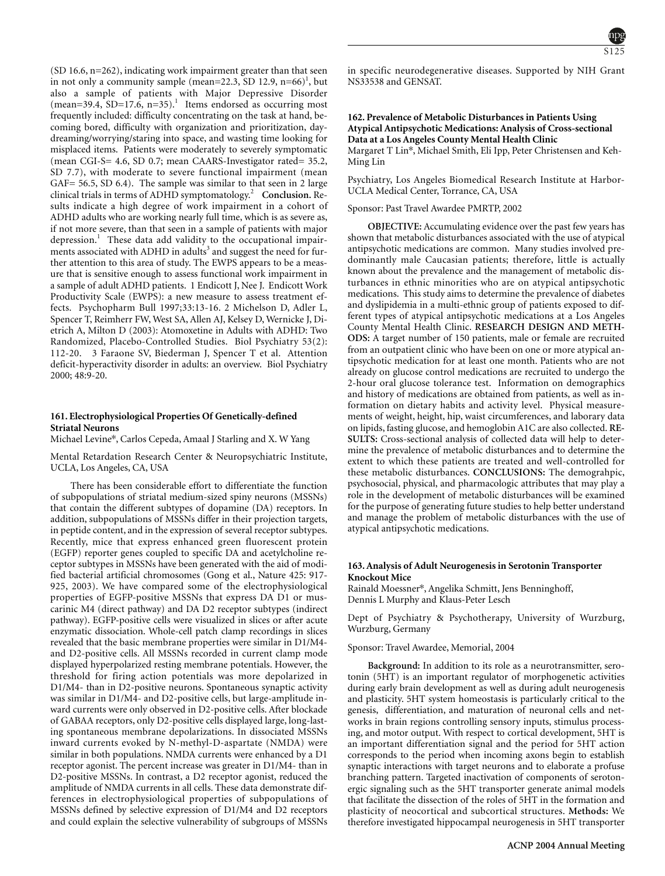(SD 16.6, n=262), indicating work impairment greater than that seen in not only a community sample (mean=22.3, SD 12.9,  $n=66$ )<sup>1</sup>, but also a sample of patients with Major Depressive Disorder  $(mean=39.4, SD=17.6, n=35).$ <sup>1</sup> Items endorsed as occurring most frequently included: difficulty concentrating on the task at hand, becoming bored, difficulty with organization and prioritization, daydreaming/worrying/staring into space, and wasting time looking for misplaced items. Patients were moderately to severely symptomatic (mean CGI-S= 4.6, SD 0.7; mean CAARS-Investigator rated= 35.2, SD 7.7), with moderate to severe functional impairment (mean GAF= 56.5, SD 6.4). The sample was similar to that seen in 2 large clinical trials in terms of ADHD symptomatology.<sup>2</sup> **Conclusion.** Results indicate a high degree of work impairment in a cohort of ADHD adults who are working nearly full time, which is as severe as, if not more severe, than that seen in a sample of patients with major depression.<sup>1</sup> These data add validity to the occupational impairments associated with ADHD in adults<sup>3</sup> and suggest the need for further attention to this area of study. The EWPS appears to be a measure that is sensitive enough to assess functional work impairment in a sample of adult ADHD patients. 1 Endicott J, Nee J. Endicott Work Productivity Scale (EWPS): a new measure to assess treatment effects. Psychopharm Bull 1997;33:13-16. 2 Michelson D, Adler L, Spencer T, Reimherr FW, West SA, Allen AJ, Kelsey D, Wernicke J, Dietrich A, Milton D (2003): Atomoxetine in Adults with ADHD: Two Randomized, Placebo-Controlled Studies. Biol Psychiatry 53(2): 112-20. 3 Faraone SV, Biederman J, Spencer T et al. Attention deficit-hyperactivity disorder in adults: an overview. Biol Psychiatry 2000; 48:9-20.

# **161. Electrophysiological Properties Of Genetically-defined Striatal Neurons**

Michael Levine\*, Carlos Cepeda, Amaal J Starling and X. W Yang

Mental Retardation Research Center & Neuropsychiatric Institute, UCLA, Los Angeles, CA, USA

There has been considerable effort to differentiate the function of subpopulations of striatal medium-sized spiny neurons (MSSNs) that contain the different subtypes of dopamine (DA) receptors. In addition, subpopulations of MSSNs differ in their projection targets, in peptide content, and in the expression of several receptor subtypes. Recently, mice that express enhanced green fluorescent protein (EGFP) reporter genes coupled to specific DA and acetylcholine receptor subtypes in MSSNs have been generated with the aid of modified bacterial artificial chromosomes (Gong et al., Nature 425: 917- 925, 2003). We have compared some of the electrophysiological properties of EGFP-positive MSSNs that express DA D1 or muscarinic M4 (direct pathway) and DA D2 receptor subtypes (indirect pathway). EGFP-positive cells were visualized in slices or after acute enzymatic dissociation. Whole-cell patch clamp recordings in slices revealed that the basic membrane properties were similar in D1/M4 and D2-positive cells. All MSSNs recorded in current clamp mode displayed hyperpolarized resting membrane potentials. However, the threshold for firing action potentials was more depolarized in D1/M4- than in D2-positive neurons. Spontaneous synaptic activity was similar in D1/M4- and D2-positive cells, but large-amplitude inward currents were only observed in D2-positive cells. After blockade of GABAA receptors, only D2-positive cells displayed large, long-lasting spontaneous membrane depolarizations. In dissociated MSSNs inward currents evoked by N-methyl-D-aspartate (NMDA) were similar in both populations. NMDA currents were enhanced by a D1 receptor agonist. The percent increase was greater in D1/M4- than in D2-positive MSSNs. In contrast, a D2 receptor agonist, reduced the amplitude of NMDA currents in all cells. These data demonstrate differences in electrophysiological properties of subpopulations of MSSNs defined by selective expression of D1/M4 and D2 receptors and could explain the selective vulnerability of subgroups of MSSNs



in specific neurodegenerative diseases. Supported by NIH Grant NS33538 and GENSAT.

# **162. Prevalence of Metabolic Disturbances in Patients Using Atypical Antipsychotic Medications: Analysis of Cross-sectional Data at a Los Angeles County Mental Health Clinic**

Margaret T Lin\*, Michael Smith, Eli Ipp, Peter Christensen and Keh-Ming Lin

Psychiatry, Los Angeles Biomedical Research Institute at Harbor-UCLA Medical Center, Torrance, CA, USA

### Sponsor: Past Travel Awardee PMRTP, 2002

**OBJECTIVE:** Accumulating evidence over the past few years has shown that metabolic disturbances associated with the use of atypical antipsychotic medications are common. Many studies involved predominantly male Caucasian patients; therefore, little is actually known about the prevalence and the management of metabolic disturbances in ethnic minorities who are on atypical antipsychotic medications. This study aims to determine the prevalence of diabetes and dyslipidemia in a multi-ethnic group of patients exposed to different types of atypical antipsychotic medications at a Los Angeles County Mental Health Clinic. **RESEARCH DESIGN AND METH-ODS:** A target number of 150 patients, male or female are recruited from an outpatient clinic who have been on one or more atypical antipsychotic medication for at least one month. Patients who are not already on glucose control medications are recruited to undergo the 2-hour oral glucose tolerance test. Information on demographics and history of medications are obtained from patients, as well as information on dietary habits and activity level. Physical measurements of weight, height, hip, waist circumferences, and laborary data on lipids, fasting glucose, and hemoglobin A1C are also collected. **RE-SULTS:** Cross-sectional analysis of collected data will help to determine the prevalence of metabolic disturbances and to determine the extent to which these patients are treated and well-controlled for these metabolic disturbances. **CONCLUSIONS:** The demograhpic, psychosocial, physical, and pharmacologic attributes that may play a role in the development of metabolic disturbances will be examined for the purpose of generating future studies to help better understand and manage the problem of metabolic disturbances with the use of atypical antipsychotic medications.

# **163. Analysis of Adult Neurogenesis in Serotonin Transporter Knockout Mice**

Rainald Moessner\*, Angelika Schmitt, Jens Benninghoff, Dennis L Murphy and Klaus-Peter Lesch

Dept of Psychiatry & Psychotherapy, University of Wurzburg, Wurzburg, Germany

# Sponsor: Travel Awardee, Memorial, 2004

**Background:** In addition to its role as a neurotransmitter, serotonin (5HT) is an important regulator of morphogenetic activities during early brain development as well as during adult neurogenesis and plasticity. 5HT system homeostasis is particularly critical to the genesis, differentiation, and maturation of neuronal cells and networks in brain regions controlling sensory inputs, stimulus processing, and motor output. With respect to cortical development, 5HT is an important differentiation signal and the period for 5HT action corresponds to the period when incoming axons begin to establish synaptic interactions with target neurons and to elaborate a profuse branching pattern. Targeted inactivation of components of serotonergic signaling such as the 5HT transporter generate animal models that facilitate the dissection of the roles of 5HT in the formation and plasticity of neocortical and subcortical structures. **Methods:** We therefore investigated hippocampal neurogenesis in 5HT transporter